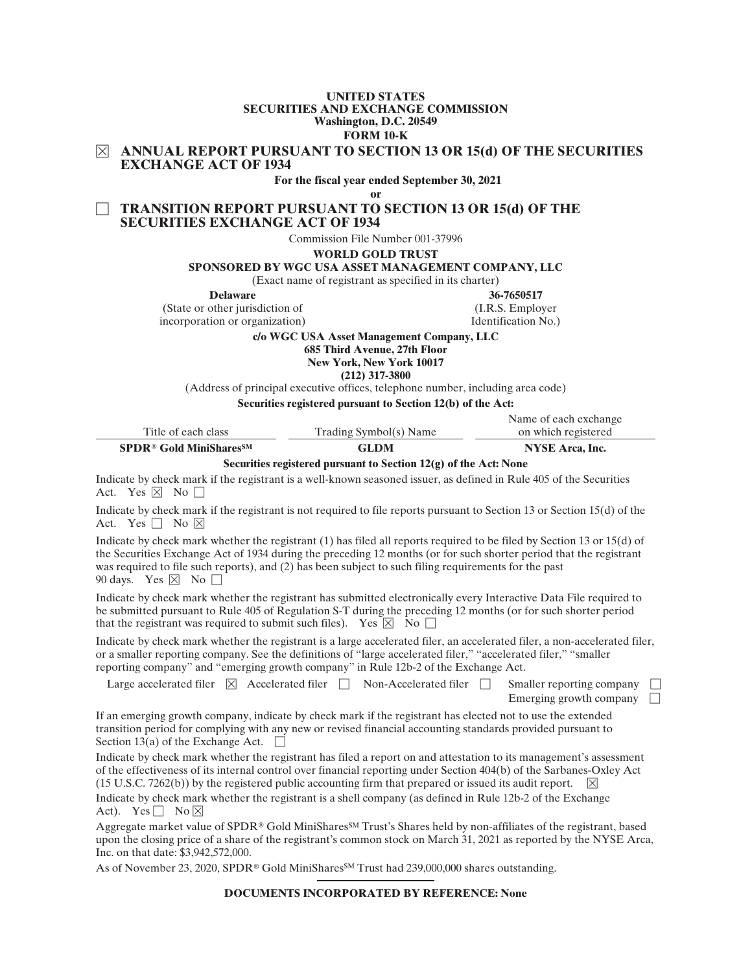#### **UNITED STATES SECURITIES AND EXCHANGE COMMISSION Washington, D.C. 20549 FORM 10-K**

È **ANNUAL REPORT PURSUANT TO SECTION 13 OR 15(d) OF THE SECURITIES EXCHANGE ACT OF 1934**

**or**

**For the fiscal year ended September 30, 2021**

# ' **TRANSITION REPORT PURSUANT TO SECTION 13 OR 15(d) OF THE SECURITIES EXCHANGE ACT OF 1934**

Commission File Number 001-37996

**WORLD GOLD TRUST**

#### **SPONSORED BY WGC USA ASSET MANAGEMENT COMPANY, LLC**

(Exact name of registrant as specified in its charter)

**Delaware 36-7650517**

(State or other jurisdiction of incorporation or organization)

(I.R.S. Employer Identification No.)

**c/o WGC USA Asset Management Company, LLC**

**685 Third Avenue, 27th Floor New York, New York 10017**

**(212) 317-3800**

(Address of principal executive offices, telephone number, including area code)

**Securities registered pursuant to Section 12(b) of the Act:**

| <b>SPDR® Gold MiniSharesSM</b> | GLDM                   | <b>NYSE Area</b> , Inc. |
|--------------------------------|------------------------|-------------------------|
| Title of each class            | Trading Symbol(s) Name | on which registered     |
|                                |                        | Name of each exchange   |

**Securities registered pursuant to Section 12(g) of the Act: None**

Indicate by check mark if the registrant is a well-known seasoned issuer, as defined in Rule 405 of the Securities Act. Yes  $\boxtimes$  No  $\Box$ 

Indicate by check mark if the registrant is not required to file reports pursuant to Section 13 or Section 15(d) of the Act. Yes  $\Box$  No  $\boxtimes$ 

Indicate by check mark whether the registrant (1) has filed all reports required to be filed by Section 13 or 15(d) of the Securities Exchange Act of 1934 during the preceding 12 months (or for such shorter period that the registrant was required to file such reports), and (2) has been subject to such filing requirements for the past 90 days. Yes  $\boxtimes$  No  $\Box$ 

Indicate by check mark whether the registrant has submitted electronically every Interactive Data File required to be submitted pursuant to Rule 405 of Regulation S-T during the preceding 12 months (or for such shorter period that the registrant was required to submit such files). Yes  $\overline{\boxtimes}$  No  $\Box$ 

Indicate by check mark whether the registrant is a large accelerated filer, an accelerated filer, a non-accelerated filer, or a smaller reporting company. See the definitions of "large accelerated filer," "accelerated filer," "smaller reporting company" and "emerging growth company" in Rule 12b-2 of the Exchange Act.

Large accelerated filer  $\boxtimes$  Accelerated filer  $\Box$  Non-Accelerated filer  $\Box$  Smaller reporting company  $\Box$ 

Emerging growth company  $\Box$ 

If an emerging growth company, indicate by check mark if the registrant has elected not to use the extended transition period for complying with any new or revised financial accounting standards provided pursuant to Section 13(a) of the Exchange Act.  $\Box$ 

Indicate by check mark whether the registrant has filed a report on and attestation to its management's assessment of the effectiveness of its internal control over financial reporting under Section 404(b) of the Sarbanes-Oxley Act (15 U.S.C. 7262(b)) by the registered public accounting firm that prepared or issued its audit report.  $\boxtimes$ 

Indicate by check mark whether the registrant is a shell company (as defined in Rule 12b-2 of the Exchange Act). Yes  $\Box$  No  $\boxtimes$ 

Aggregate market value of SPDR® Gold MiniShares<sup>SM</sup> Trust's Shares held by non-affiliates of the registrant, based upon the closing price of a share of the registrant's common stock on March 31, 2021 as reported by the NYSE Arca, Inc. on that date: \$3,942,572,000.

As of November 23, 2020, SPDR® Gold MiniShares<sup>SM</sup> Trust had 239,000,000 shares outstanding.

# **DOCUMENTS INCORPORATED BY REFERENCE: None**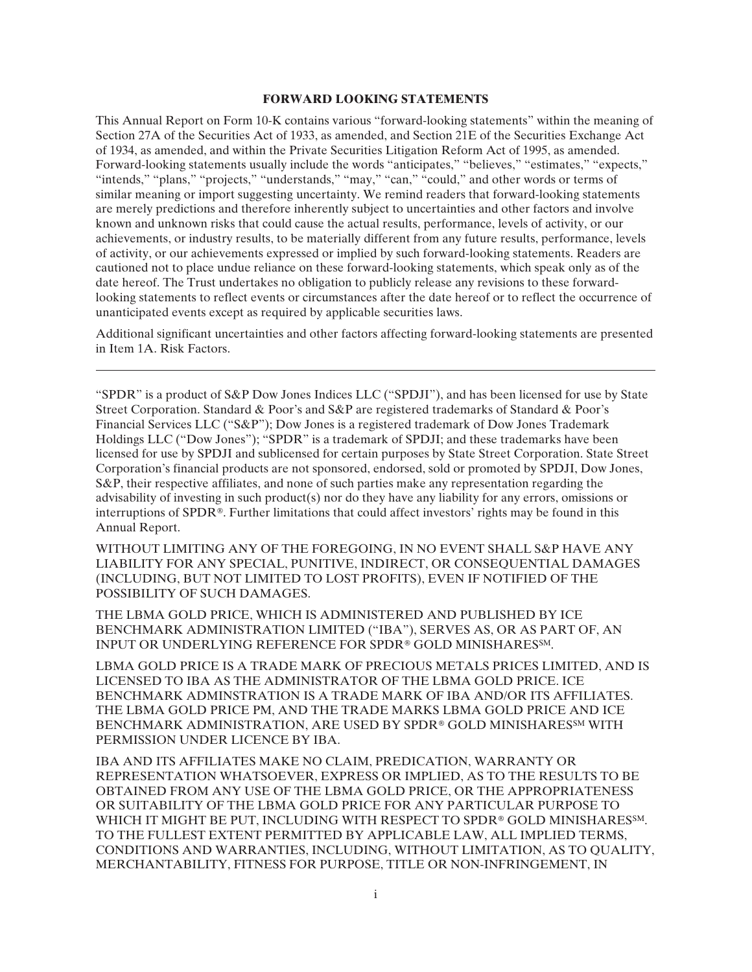# **FORWARD LOOKING STATEMENTS**

This Annual Report on Form 10-K contains various "forward-looking statements" within the meaning of Section 27A of the Securities Act of 1933, as amended, and Section 21E of the Securities Exchange Act of 1934, as amended, and within the Private Securities Litigation Reform Act of 1995, as amended. Forward-looking statements usually include the words "anticipates," "believes," "estimates," "expects," "intends," "plans," "projects," "understands," "may," "can," "could," and other words or terms of similar meaning or import suggesting uncertainty. We remind readers that forward-looking statements are merely predictions and therefore inherently subject to uncertainties and other factors and involve known and unknown risks that could cause the actual results, performance, levels of activity, or our achievements, or industry results, to be materially different from any future results, performance, levels of activity, or our achievements expressed or implied by such forward-looking statements. Readers are cautioned not to place undue reliance on these forward-looking statements, which speak only as of the date hereof. The Trust undertakes no obligation to publicly release any revisions to these forwardlooking statements to reflect events or circumstances after the date hereof or to reflect the occurrence of unanticipated events except as required by applicable securities laws.

Additional significant uncertainties and other factors affecting forward-looking statements are presented in Item 1A. Risk Factors.

"SPDR" is a product of S&P Dow Jones Indices LLC ("SPDJI"), and has been licensed for use by State Street Corporation. Standard & Poor's and S&P are registered trademarks of Standard & Poor's Financial Services LLC ("S&P"); Dow Jones is a registered trademark of Dow Jones Trademark Holdings LLC ("Dow Jones"); "SPDR" is a trademark of SPDJI; and these trademarks have been licensed for use by SPDJI and sublicensed for certain purposes by State Street Corporation. State Street Corporation's financial products are not sponsored, endorsed, sold or promoted by SPDJI, Dow Jones, S&P, their respective affiliates, and none of such parties make any representation regarding the advisability of investing in such product(s) nor do they have any liability for any errors, omissions or interruptions of SPDR®. Further limitations that could affect investors' rights may be found in this Annual Report.

WITHOUT LIMITING ANY OF THE FOREGOING, IN NO EVENT SHALL S&P HAVE ANY LIABILITY FOR ANY SPECIAL, PUNITIVE, INDIRECT, OR CONSEQUENTIAL DAMAGES (INCLUDING, BUT NOT LIMITED TO LOST PROFITS), EVEN IF NOTIFIED OF THE POSSIBILITY OF SUCH DAMAGES.

THE LBMA GOLD PRICE, WHICH IS ADMINISTERED AND PUBLISHED BY ICE BENCHMARK ADMINISTRATION LIMITED ("IBA"), SERVES AS, OR AS PART OF, AN INPUT OR UNDERLYING REFERENCE FOR SPDR® GOLD MINISHARESSM.

LBMA GOLD PRICE IS A TRADE MARK OF PRECIOUS METALS PRICES LIMITED, AND IS LICENSED TO IBA AS THE ADMINISTRATOR OF THE LBMA GOLD PRICE. ICE BENCHMARK ADMINSTRATION IS A TRADE MARK OF IBA AND/OR ITS AFFILIATES. THE LBMA GOLD PRICE PM, AND THE TRADE MARKS LBMA GOLD PRICE AND ICE BENCHMARK ADMINISTRATION, ARE USED BY SPDR® GOLD MINISHARESSM WITH PERMISSION UNDER LICENCE BY IBA.

IBA AND ITS AFFILIATES MAKE NO CLAIM, PREDICATION, WARRANTY OR REPRESENTATION WHATSOEVER, EXPRESS OR IMPLIED, AS TO THE RESULTS TO BE OBTAINED FROM ANY USE OF THE LBMA GOLD PRICE, OR THE APPROPRIATENESS OR SUITABILITY OF THE LBMA GOLD PRICE FOR ANY PARTICULAR PURPOSE TO WHICH IT MIGHT BE PUT, INCLUDING WITH RESPECT TO SPDR® GOLD MINISHARESSM. TO THE FULLEST EXTENT PERMITTED BY APPLICABLE LAW, ALL IMPLIED TERMS, CONDITIONS AND WARRANTIES, INCLUDING, WITHOUT LIMITATION, AS TO QUALITY, MERCHANTABILITY, FITNESS FOR PURPOSE, TITLE OR NON-INFRINGEMENT, IN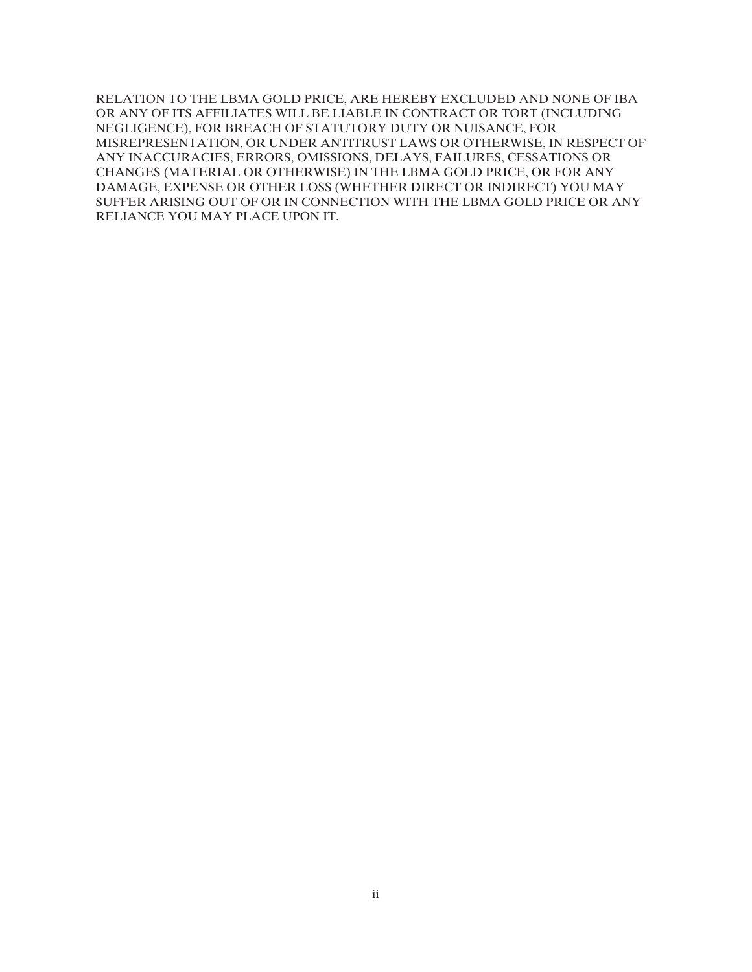RELATION TO THE LBMA GOLD PRICE, ARE HEREBY EXCLUDED AND NONE OF IBA OR ANY OF ITS AFFILIATES WILL BE LIABLE IN CONTRACT OR TORT (INCLUDING NEGLIGENCE), FOR BREACH OF STATUTORY DUTY OR NUISANCE, FOR MISREPRESENTATION, OR UNDER ANTITRUST LAWS OR OTHERWISE, IN RESPECT OF ANY INACCURACIES, ERRORS, OMISSIONS, DELAYS, FAILURES, CESSATIONS OR CHANGES (MATERIAL OR OTHERWISE) IN THE LBMA GOLD PRICE, OR FOR ANY DAMAGE, EXPENSE OR OTHER LOSS (WHETHER DIRECT OR INDIRECT) YOU MAY SUFFER ARISING OUT OF OR IN CONNECTION WITH THE LBMA GOLD PRICE OR ANY RELIANCE YOU MAY PLACE UPON IT.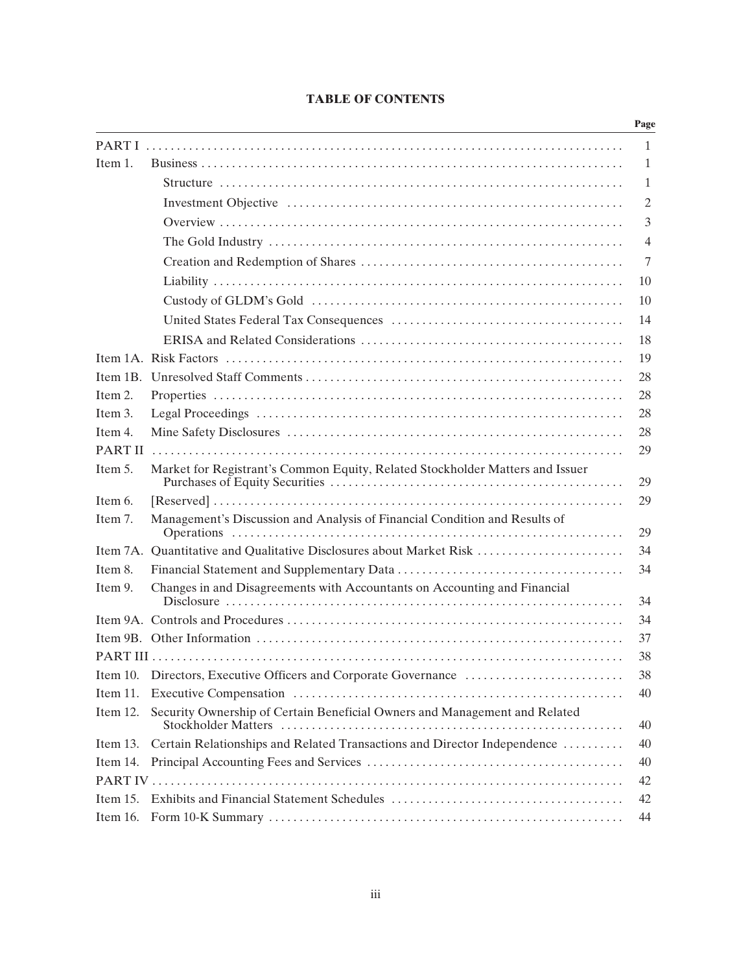|          | the control of the control of the control of the control of the control of the control of the control of the control of the control of the control of the control of the control of the control of the control of the control | Page |
|----------|-------------------------------------------------------------------------------------------------------------------------------------------------------------------------------------------------------------------------------|------|
|          |                                                                                                                                                                                                                               | 1    |
| Item 1.  |                                                                                                                                                                                                                               | 1    |
|          |                                                                                                                                                                                                                               | 1    |
|          |                                                                                                                                                                                                                               | 2    |
|          |                                                                                                                                                                                                                               | 3    |
|          |                                                                                                                                                                                                                               | 4    |
|          |                                                                                                                                                                                                                               | 7    |
|          |                                                                                                                                                                                                                               | 10   |
|          |                                                                                                                                                                                                                               | 10   |
|          |                                                                                                                                                                                                                               | 14   |
|          |                                                                                                                                                                                                                               | 18   |
|          |                                                                                                                                                                                                                               | 19   |
|          |                                                                                                                                                                                                                               | 28   |
| Item 2.  |                                                                                                                                                                                                                               | 28   |
| Item 3.  |                                                                                                                                                                                                                               | 28   |
| Item 4.  |                                                                                                                                                                                                                               | 28   |
|          |                                                                                                                                                                                                                               | 29   |
| Item 5.  | Market for Registrant's Common Equity, Related Stockholder Matters and Issuer                                                                                                                                                 | 29   |
| Item 6.  |                                                                                                                                                                                                                               | 29   |
| Item 7.  | Management's Discussion and Analysis of Financial Condition and Results of                                                                                                                                                    | 29   |
|          | Item 7A. Quantitative and Qualitative Disclosures about Market Risk                                                                                                                                                           | 34   |
| Item 8.  |                                                                                                                                                                                                                               | 34   |
| Item 9.  | Changes in and Disagreements with Accountants on Accounting and Financial                                                                                                                                                     | 34   |
|          |                                                                                                                                                                                                                               | 34   |
|          |                                                                                                                                                                                                                               | 37   |
|          |                                                                                                                                                                                                                               | 38   |
|          | Item 10. Directors, Executive Officers and Corporate Governance                                                                                                                                                               | 38   |
| Item 11. |                                                                                                                                                                                                                               | 40   |
| Item 12. | Security Ownership of Certain Beneficial Owners and Management and Related<br>.                                                                                                                                               | 40   |
| Item 13. | Certain Relationships and Related Transactions and Director Independence                                                                                                                                                      | 40   |
|          |                                                                                                                                                                                                                               | 40   |
|          |                                                                                                                                                                                                                               | 42   |
|          |                                                                                                                                                                                                                               | 42   |
| Item 16. |                                                                                                                                                                                                                               | 44   |

# **TABLE OF CONTENTS**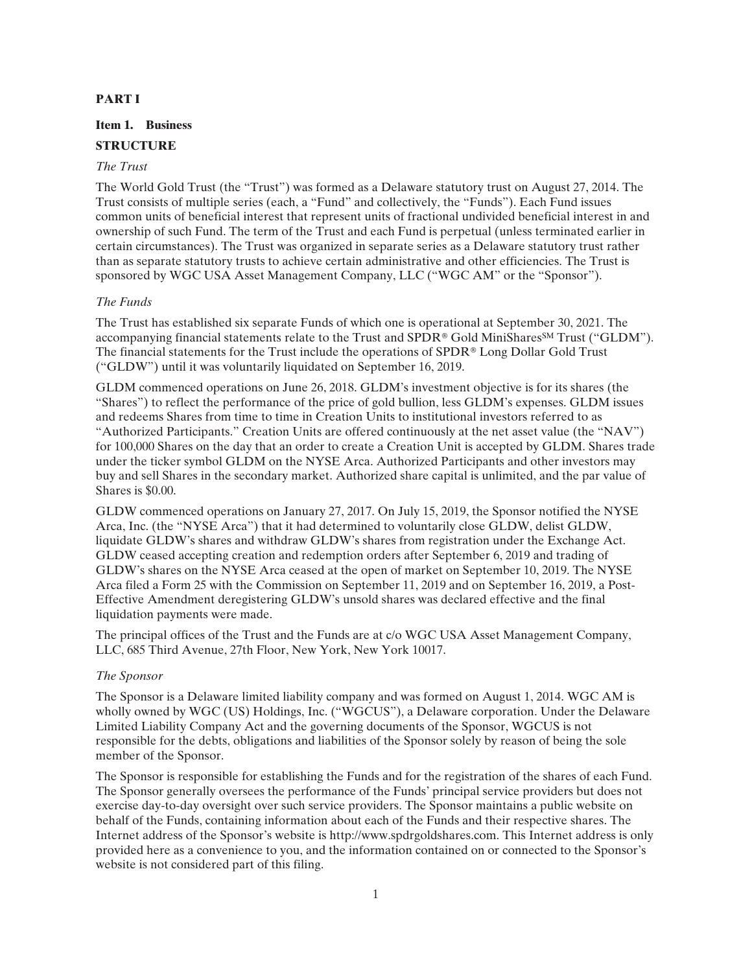# **PART I**

# **Item 1. Business STRUCTURE**

## *The Trust*

The World Gold Trust (the "Trust") was formed as a Delaware statutory trust on August 27, 2014. The Trust consists of multiple series (each, a "Fund" and collectively, the "Funds"). Each Fund issues common units of beneficial interest that represent units of fractional undivided beneficial interest in and ownership of such Fund. The term of the Trust and each Fund is perpetual (unless terminated earlier in certain circumstances). The Trust was organized in separate series as a Delaware statutory trust rather than as separate statutory trusts to achieve certain administrative and other efficiencies. The Trust is sponsored by WGC USA Asset Management Company, LLC ("WGC AM" or the "Sponsor").

# *The Funds*

The Trust has established six separate Funds of which one is operational at September 30, 2021. The accompanying financial statements relate to the Trust and SPDR® Gold MiniSharesSM Trust ("GLDM"). The financial statements for the Trust include the operations of  $SPDR<sup>®</sup> Long Dollar Gold Trust$ ("GLDW") until it was voluntarily liquidated on September 16, 2019.

GLDM commenced operations on June 26, 2018. GLDM's investment objective is for its shares (the "Shares") to reflect the performance of the price of gold bullion, less GLDM's expenses. GLDM issues and redeems Shares from time to time in Creation Units to institutional investors referred to as "Authorized Participants." Creation Units are offered continuously at the net asset value (the "NAV") for 100,000 Shares on the day that an order to create a Creation Unit is accepted by GLDM. Shares trade under the ticker symbol GLDM on the NYSE Arca. Authorized Participants and other investors may buy and sell Shares in the secondary market. Authorized share capital is unlimited, and the par value of Shares is \$0.00.

GLDW commenced operations on January 27, 2017. On July 15, 2019, the Sponsor notified the NYSE Arca, Inc. (the "NYSE Arca") that it had determined to voluntarily close GLDW, delist GLDW, liquidate GLDW's shares and withdraw GLDW's shares from registration under the Exchange Act. GLDW ceased accepting creation and redemption orders after September 6, 2019 and trading of GLDW's shares on the NYSE Arca ceased at the open of market on September 10, 2019. The NYSE Arca filed a Form 25 with the Commission on September 11, 2019 and on September 16, 2019, a Post-Effective Amendment deregistering GLDW's unsold shares was declared effective and the final liquidation payments were made.

The principal offices of the Trust and the Funds are at c/o WGC USA Asset Management Company, LLC, 685 Third Avenue, 27th Floor, New York, New York 10017.

### *The Sponsor*

The Sponsor is a Delaware limited liability company and was formed on August 1, 2014. WGC AM is wholly owned by WGC (US) Holdings, Inc. ("WGCUS"), a Delaware corporation. Under the Delaware Limited Liability Company Act and the governing documents of the Sponsor, WGCUS is not responsible for the debts, obligations and liabilities of the Sponsor solely by reason of being the sole member of the Sponsor.

The Sponsor is responsible for establishing the Funds and for the registration of the shares of each Fund. The Sponsor generally oversees the performance of the Funds' principal service providers but does not exercise day-to-day oversight over such service providers. The Sponsor maintains a public website on behalf of the Funds, containing information about each of the Funds and their respective shares. The Internet address of the Sponsor's website is http://www.spdrgoldshares.com. This Internet address is only provided here as a convenience to you, and the information contained on or connected to the Sponsor's website is not considered part of this filing.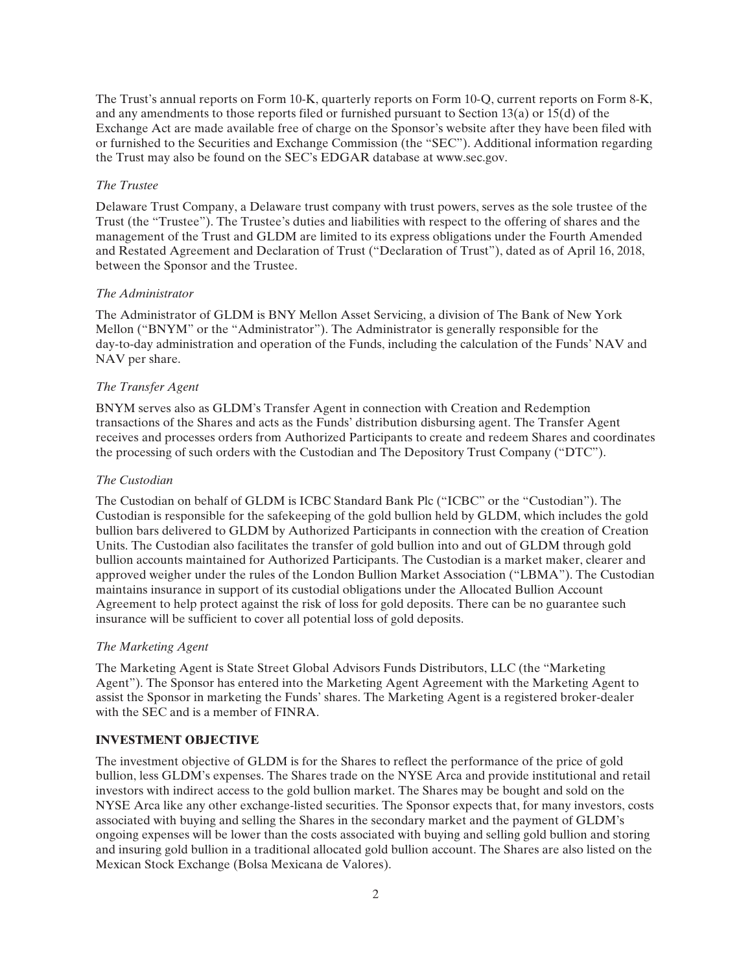The Trust's annual reports on Form 10-K, quarterly reports on Form 10-Q, current reports on Form 8-K, and any amendments to those reports filed or furnished pursuant to Section 13(a) or 15(d) of the Exchange Act are made available free of charge on the Sponsor's website after they have been filed with or furnished to the Securities and Exchange Commission (the "SEC"). Additional information regarding the Trust may also be found on the SEC's EDGAR database at www.sec.gov.

# *The Trustee*

Delaware Trust Company, a Delaware trust company with trust powers, serves as the sole trustee of the Trust (the "Trustee"). The Trustee's duties and liabilities with respect to the offering of shares and the management of the Trust and GLDM are limited to its express obligations under the Fourth Amended and Restated Agreement and Declaration of Trust ("Declaration of Trust"), dated as of April 16, 2018, between the Sponsor and the Trustee.

#### *The Administrator*

The Administrator of GLDM is BNY Mellon Asset Servicing, a division of The Bank of New York Mellon ("BNYM" or the "Administrator"). The Administrator is generally responsible for the day-to-day administration and operation of the Funds, including the calculation of the Funds' NAV and NAV per share.

### *The Transfer Agent*

BNYM serves also as GLDM's Transfer Agent in connection with Creation and Redemption transactions of the Shares and acts as the Funds' distribution disbursing agent. The Transfer Agent receives and processes orders from Authorized Participants to create and redeem Shares and coordinates the processing of such orders with the Custodian and The Depository Trust Company ("DTC").

# *The Custodian*

The Custodian on behalf of GLDM is ICBC Standard Bank Plc ("ICBC" or the "Custodian"). The Custodian is responsible for the safekeeping of the gold bullion held by GLDM, which includes the gold bullion bars delivered to GLDM by Authorized Participants in connection with the creation of Creation Units. The Custodian also facilitates the transfer of gold bullion into and out of GLDM through gold bullion accounts maintained for Authorized Participants. The Custodian is a market maker, clearer and approved weigher under the rules of the London Bullion Market Association ("LBMA"). The Custodian maintains insurance in support of its custodial obligations under the Allocated Bullion Account Agreement to help protect against the risk of loss for gold deposits. There can be no guarantee such insurance will be sufficient to cover all potential loss of gold deposits.

#### *The Marketing Agent*

The Marketing Agent is State Street Global Advisors Funds Distributors, LLC (the "Marketing Agent"). The Sponsor has entered into the Marketing Agent Agreement with the Marketing Agent to assist the Sponsor in marketing the Funds' shares. The Marketing Agent is a registered broker-dealer with the SEC and is a member of FINRA.

#### **INVESTMENT OBJECTIVE**

The investment objective of GLDM is for the Shares to reflect the performance of the price of gold bullion, less GLDM's expenses. The Shares trade on the NYSE Arca and provide institutional and retail investors with indirect access to the gold bullion market. The Shares may be bought and sold on the NYSE Arca like any other exchange-listed securities. The Sponsor expects that, for many investors, costs associated with buying and selling the Shares in the secondary market and the payment of GLDM's ongoing expenses will be lower than the costs associated with buying and selling gold bullion and storing and insuring gold bullion in a traditional allocated gold bullion account. The Shares are also listed on the Mexican Stock Exchange (Bolsa Mexicana de Valores).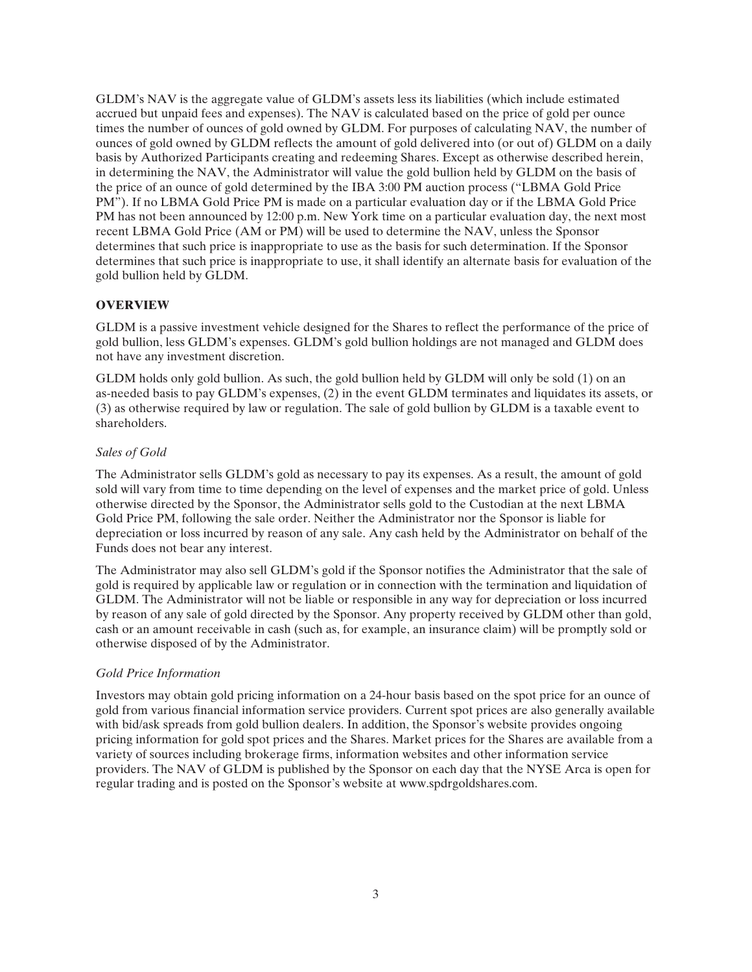GLDM's NAV is the aggregate value of GLDM's assets less its liabilities (which include estimated accrued but unpaid fees and expenses). The NAV is calculated based on the price of gold per ounce times the number of ounces of gold owned by GLDM. For purposes of calculating NAV, the number of ounces of gold owned by GLDM reflects the amount of gold delivered into (or out of) GLDM on a daily basis by Authorized Participants creating and redeeming Shares. Except as otherwise described herein, in determining the NAV, the Administrator will value the gold bullion held by GLDM on the basis of the price of an ounce of gold determined by the IBA 3:00 PM auction process ("LBMA Gold Price PM"). If no LBMA Gold Price PM is made on a particular evaluation day or if the LBMA Gold Price PM has not been announced by 12:00 p.m. New York time on a particular evaluation day, the next most recent LBMA Gold Price (AM or PM) will be used to determine the NAV, unless the Sponsor determines that such price is inappropriate to use as the basis for such determination. If the Sponsor determines that such price is inappropriate to use, it shall identify an alternate basis for evaluation of the gold bullion held by GLDM.

### **OVERVIEW**

GLDM is a passive investment vehicle designed for the Shares to reflect the performance of the price of gold bullion, less GLDM's expenses. GLDM's gold bullion holdings are not managed and GLDM does not have any investment discretion.

GLDM holds only gold bullion. As such, the gold bullion held by GLDM will only be sold (1) on an as-needed basis to pay GLDM's expenses, (2) in the event GLDM terminates and liquidates its assets, or (3) as otherwise required by law or regulation. The sale of gold bullion by GLDM is a taxable event to shareholders.

# *Sales of Gold*

The Administrator sells GLDM's gold as necessary to pay its expenses. As a result, the amount of gold sold will vary from time to time depending on the level of expenses and the market price of gold. Unless otherwise directed by the Sponsor, the Administrator sells gold to the Custodian at the next LBMA Gold Price PM, following the sale order. Neither the Administrator nor the Sponsor is liable for depreciation or loss incurred by reason of any sale. Any cash held by the Administrator on behalf of the Funds does not bear any interest.

The Administrator may also sell GLDM's gold if the Sponsor notifies the Administrator that the sale of gold is required by applicable law or regulation or in connection with the termination and liquidation of GLDM. The Administrator will not be liable or responsible in any way for depreciation or loss incurred by reason of any sale of gold directed by the Sponsor. Any property received by GLDM other than gold, cash or an amount receivable in cash (such as, for example, an insurance claim) will be promptly sold or otherwise disposed of by the Administrator.

### *Gold Price Information*

Investors may obtain gold pricing information on a 24-hour basis based on the spot price for an ounce of gold from various financial information service providers. Current spot prices are also generally available with bid/ask spreads from gold bullion dealers. In addition, the Sponsor's website provides ongoing pricing information for gold spot prices and the Shares. Market prices for the Shares are available from a variety of sources including brokerage firms, information websites and other information service providers. The NAV of GLDM is published by the Sponsor on each day that the NYSE Arca is open for regular trading and is posted on the Sponsor's website at www.spdrgoldshares.com.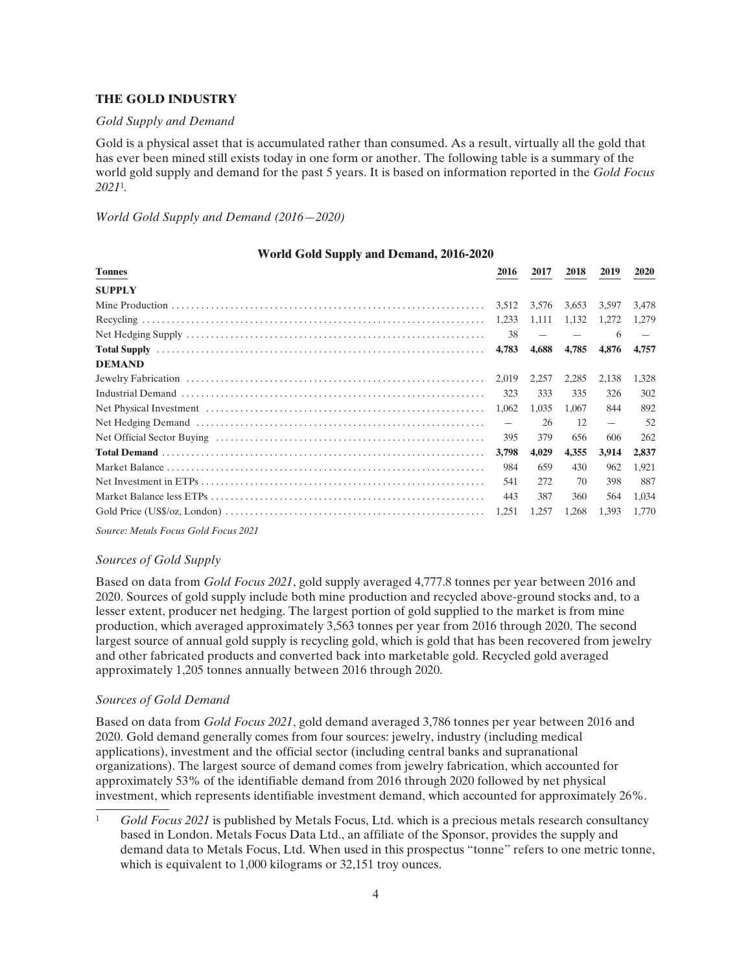# <span id="page-7-0"></span>**THE GOLD INDUSTRY**

# *Gold Supply and Demand*

Gold is a physical asset that is accumulated rather than consumed. As a result, virtually all the gold that has ever been mined still exists today in one form or another. The following table is a summary of the world gold supply and demand for the past 5 years. It is based on information reported in the *Gold Focus 2021*1*.*

*World Gold Supply and Demand (2016—2020)*

# **World Gold Supply and Demand, 2016-2020**

| <b>Tonnes</b> | 2016                     | 2017                     | 2018                     | 2019                     | 2020                     |
|---------------|--------------------------|--------------------------|--------------------------|--------------------------|--------------------------|
| <b>SUPPLY</b> |                          |                          |                          |                          |                          |
|               | 3,512                    | 3,576                    | 3,653                    | 3.597                    | 3.478                    |
|               | 1,233                    | 1.111                    | 1,132                    | 1,272                    | 1.279                    |
|               | 38                       | $\overline{\phantom{a}}$ | $\overline{\phantom{a}}$ | 6                        | $\overline{\phantom{a}}$ |
|               | 4,783                    | 4.688                    | 4,785                    | 4,876                    | 4,757                    |
| <b>DEMAND</b> |                          |                          |                          |                          |                          |
|               | 2,019                    | 2,257                    | 2,285                    | 2,138                    | 1,328                    |
|               | 323                      | 333                      | 335                      | 326                      | 302                      |
|               | 1.062                    | 1.035                    | 1.067                    | 844                      | 892                      |
|               | $\overline{\phantom{m}}$ | 26                       | 12                       | $\overline{\phantom{m}}$ | 52                       |
|               | 395                      | 379                      | 656                      | 606                      | 262                      |
|               | 3,798                    | 4,029                    | 4,355                    | 3,914                    | 2,837                    |
|               | 984                      | 659                      | 430                      | 962                      | 1.921                    |
|               | 541                      | 272                      | 70                       | 398                      | 887                      |
|               | 443                      | 387                      | 360                      | 564                      | 1.034                    |
|               | 1,251                    | 1.257                    | 1.268                    | 1.393                    | 1.770                    |

*Source: Metals Focus Gold Focus 2021*

#### *Sources of Gold Supply*

Based on data from *Gold Focus 2021*, gold supply averaged 4,777.8 tonnes per year between 2016 and 2020. Sources of gold supply include both mine production and recycled above-ground stocks and, to a lesser extent, producer net hedging. The largest portion of gold supplied to the market is from mine production, which averaged approximately 3,563 tonnes per year from 2016 through 2020. The second largest source of annual gold supply is recycling gold, which is gold that has been recovered from jewelry and other fabricated products and converted back into marketable gold. Recycled gold averaged approximately 1,205 tonnes annually between 2016 through 2020.

#### *Sources of Gold Demand*

Based on data from *Gold Focus 2021*, gold demand averaged 3,786 tonnes per year between 2016 and 2020. Gold demand generally comes from four sources: jewelry, industry (including medical applications), investment and the official sector (including central banks and supranational organizations). The largest source of demand comes from jewelry fabrication, which accounted for approximately 53% of the identifiable demand from 2016 through 2020 followed by net physical investment, which represents identifiable investment demand, which accounted for approximately 26%.

<sup>1</sup> *Gold Focus 2021* is published by Metals Focus, Ltd. which is a precious metals research consultancy based in London. Metals Focus Data Ltd., an affiliate of the Sponsor, provides the supply and demand data to Metals Focus, Ltd. When used in this prospectus "tonne" refers to one metric tonne, which is equivalent to 1,000 kilograms or 32,151 troy ounces.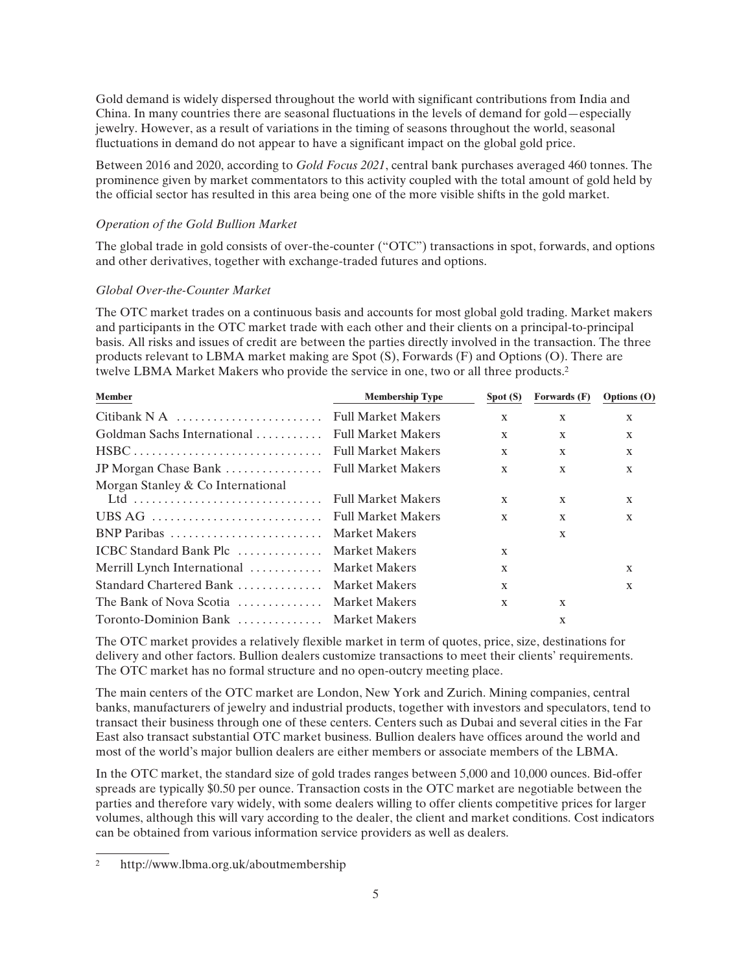Gold demand is widely dispersed throughout the world with significant contributions from India and China. In many countries there are seasonal fluctuations in the levels of demand for gold—especially jewelry. However, as a result of variations in the timing of seasons throughout the world, seasonal fluctuations in demand do not appear to have a significant impact on the global gold price.

Between 2016 and 2020, according to *Gold Focus 2021*, central bank purchases averaged 460 tonnes. The prominence given by market commentators to this activity coupled with the total amount of gold held by the official sector has resulted in this area being one of the more visible shifts in the gold market.

## *Operation of the Gold Bullion Market*

The global trade in gold consists of over-the-counter ("OTC") transactions in spot, forwards, and options and other derivatives, together with exchange-traded futures and options.

### *Global Over-the-Counter Market*

The OTC market trades on a continuous basis and accounts for most global gold trading. Market makers and participants in the OTC market trade with each other and their clients on a principal-to-principal basis. All risks and issues of credit are between the parties directly involved in the transaction. The three products relevant to LBMA market making are Spot (S), Forwards (F) and Options (O). There are twelve LBMA Market Makers who provide the service in one, two or all three products.2

| <b>Member</b>                                                         | <b>Membership Type</b>    | Spot (S)     | <b>Forwards</b> (F) | Options (O)  |
|-----------------------------------------------------------------------|---------------------------|--------------|---------------------|--------------|
|                                                                       | <b>Full Market Makers</b> | X            | X                   | X            |
| Goldman Sachs International                                           | <b>Full Market Makers</b> | X            | $\mathbf{x}$        | X            |
| $HSBC \ldots \ldots \ldots \ldots \ldots \ldots \ldots \ldots \ldots$ | <b>Full Market Makers</b> | $\mathbf{x}$ | X                   | X            |
|                                                                       |                           | $\mathbf{x}$ | $\mathbf{x}$        | X            |
| Morgan Stanley & Co International                                     |                           | X            | X                   | X            |
|                                                                       |                           | $\mathbf{x}$ | $\mathbf x$         | $\mathbf{x}$ |
| BNP Paribas                                                           | <b>Market Makers</b>      |              | X                   |              |
| ICBC Standard Bank Plc $\ldots$ , $\ldots$                            | Market Makers             | $\mathbf{x}$ |                     |              |
| Merrill Lynch International  Market Makers                            |                           | $\mathbf x$  |                     | $\mathbf{x}$ |
| Standard Chartered Bank                                               | <b>Market Makers</b>      | X            |                     | X            |
| The Bank of Nova Scotia  Market Makers                                |                           | $\mathbf{x}$ | X                   |              |
| Toronto-Dominion Bank  Market Makers                                  |                           |              | X                   |              |

The OTC market provides a relatively flexible market in term of quotes, price, size, destinations for delivery and other factors. Bullion dealers customize transactions to meet their clients' requirements. The OTC market has no formal structure and no open-outcry meeting place.

The main centers of the OTC market are London, New York and Zurich. Mining companies, central banks, manufacturers of jewelry and industrial products, together with investors and speculators, tend to transact their business through one of these centers. Centers such as Dubai and several cities in the Far East also transact substantial OTC market business. Bullion dealers have offices around the world and most of the world's major bullion dealers are either members or associate members of the LBMA.

In the OTC market, the standard size of gold trades ranges between 5,000 and 10,000 ounces. Bid-offer spreads are typically \$0.50 per ounce. Transaction costs in the OTC market are negotiable between the parties and therefore vary widely, with some dealers willing to offer clients competitive prices for larger volumes, although this will vary according to the dealer, the client and market conditions. Cost indicators can be obtained from various information service providers as well as dealers.

<sup>2</sup> http://www.lbma.org.uk/aboutmembership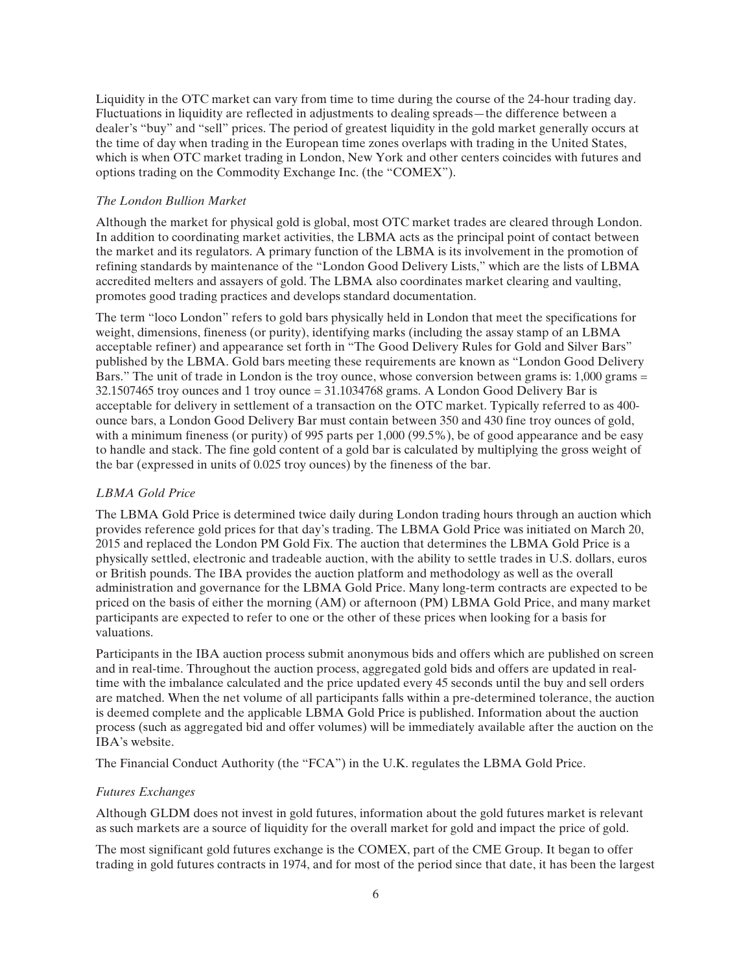Liquidity in the OTC market can vary from time to time during the course of the 24-hour trading day. Fluctuations in liquidity are reflected in adjustments to dealing spreads—the difference between a dealer's "buy" and "sell" prices. The period of greatest liquidity in the gold market generally occurs at the time of day when trading in the European time zones overlaps with trading in the United States, which is when OTC market trading in London, New York and other centers coincides with futures and options trading on the Commodity Exchange Inc. (the "COMEX").

### *The London Bullion Market*

Although the market for physical gold is global, most OTC market trades are cleared through London. In addition to coordinating market activities, the LBMA acts as the principal point of contact between the market and its regulators. A primary function of the LBMA is its involvement in the promotion of refining standards by maintenance of the "London Good Delivery Lists," which are the lists of LBMA accredited melters and assayers of gold. The LBMA also coordinates market clearing and vaulting, promotes good trading practices and develops standard documentation.

The term "loco London" refers to gold bars physically held in London that meet the specifications for weight, dimensions, fineness (or purity), identifying marks (including the assay stamp of an LBMA acceptable refiner) and appearance set forth in "The Good Delivery Rules for Gold and Silver Bars" published by the LBMA. Gold bars meeting these requirements are known as "London Good Delivery Bars." The unit of trade in London is the troy ounce, whose conversion between grams is: 1,000 grams = 32.1507465 troy ounces and 1 troy ounce = 31.1034768 grams. A London Good Delivery Bar is acceptable for delivery in settlement of a transaction on the OTC market. Typically referred to as 400 ounce bars, a London Good Delivery Bar must contain between 350 and 430 fine troy ounces of gold, with a minimum fineness (or purity) of 995 parts per 1,000 (99.5%), be of good appearance and be easy to handle and stack. The fine gold content of a gold bar is calculated by multiplying the gross weight of the bar (expressed in units of 0.025 troy ounces) by the fineness of the bar.

# *LBMA Gold Price*

The LBMA Gold Price is determined twice daily during London trading hours through an auction which provides reference gold prices for that day's trading. The LBMA Gold Price was initiated on March 20, 2015 and replaced the London PM Gold Fix. The auction that determines the LBMA Gold Price is a physically settled, electronic and tradeable auction, with the ability to settle trades in U.S. dollars, euros or British pounds. The IBA provides the auction platform and methodology as well as the overall administration and governance for the LBMA Gold Price. Many long-term contracts are expected to be priced on the basis of either the morning (AM) or afternoon (PM) LBMA Gold Price, and many market participants are expected to refer to one or the other of these prices when looking for a basis for valuations.

Participants in the IBA auction process submit anonymous bids and offers which are published on screen and in real-time. Throughout the auction process, aggregated gold bids and offers are updated in realtime with the imbalance calculated and the price updated every 45 seconds until the buy and sell orders are matched. When the net volume of all participants falls within a pre-determined tolerance, the auction is deemed complete and the applicable LBMA Gold Price is published. Information about the auction process (such as aggregated bid and offer volumes) will be immediately available after the auction on the IBA's website.

The Financial Conduct Authority (the "FCA") in the U.K. regulates the LBMA Gold Price.

#### *Futures Exchanges*

Although GLDM does not invest in gold futures, information about the gold futures market is relevant as such markets are a source of liquidity for the overall market for gold and impact the price of gold.

The most significant gold futures exchange is the COMEX, part of the CME Group. It began to offer trading in gold futures contracts in 1974, and for most of the period since that date, it has been the largest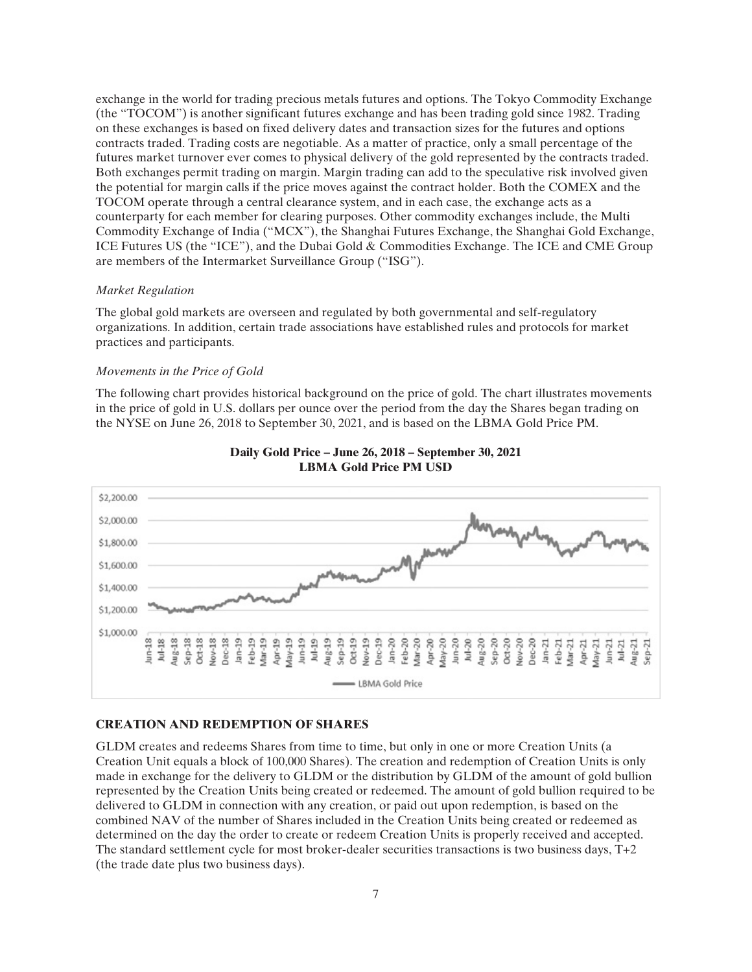exchange in the world for trading precious metals futures and options. The Tokyo Commodity Exchange (the "TOCOM") is another significant futures exchange and has been trading gold since 1982. Trading on these exchanges is based on fixed delivery dates and transaction sizes for the futures and options contracts traded. Trading costs are negotiable. As a matter of practice, only a small percentage of the futures market turnover ever comes to physical delivery of the gold represented by the contracts traded. Both exchanges permit trading on margin. Margin trading can add to the speculative risk involved given the potential for margin calls if the price moves against the contract holder. Both the COMEX and the TOCOM operate through a central clearance system, and in each case, the exchange acts as a counterparty for each member for clearing purposes. Other commodity exchanges include, the Multi Commodity Exchange of India ("MCX"), the Shanghai Futures Exchange, the Shanghai Gold Exchange, ICE Futures US (the "ICE"), and the Dubai Gold & Commodities Exchange. The ICE and CME Group are members of the Intermarket Surveillance Group ("ISG").

#### *Market Regulation*

The global gold markets are overseen and regulated by both governmental and self-regulatory organizations. In addition, certain trade associations have established rules and protocols for market practices and participants.

#### *Movements in the Price of Gold*

The following chart provides historical background on the price of gold. The chart illustrates movements in the price of gold in U.S. dollars per ounce over the period from the day the Shares began trading on the NYSE on June 26, 2018 to September 30, 2021, and is based on the LBMA Gold Price PM.





## <span id="page-10-0"></span>**CREATION AND REDEMPTION OF SHARES**

GLDM creates and redeems Shares from time to time, but only in one or more Creation Units (a Creation Unit equals a block of 100,000 Shares). The creation and redemption of Creation Units is only made in exchange for the delivery to GLDM or the distribution by GLDM of the amount of gold bullion represented by the Creation Units being created or redeemed. The amount of gold bullion required to be delivered to GLDM in connection with any creation, or paid out upon redemption, is based on the combined NAV of the number of Shares included in the Creation Units being created or redeemed as determined on the day the order to create or redeem Creation Units is properly received and accepted. The standard settlement cycle for most broker-dealer securities transactions is two business days, T+2 (the trade date plus two business days).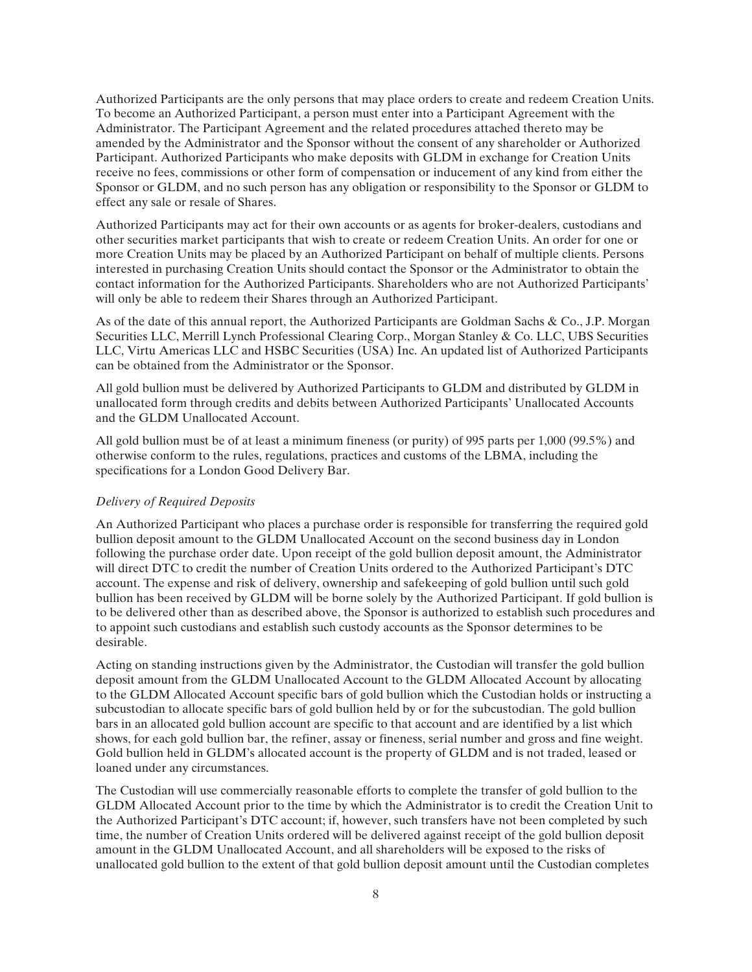Authorized Participants are the only persons that may place orders to create and redeem Creation Units. To become an Authorized Participant, a person must enter into a Participant Agreement with the Administrator. The Participant Agreement and the related procedures attached thereto may be amended by the Administrator and the Sponsor without the consent of any shareholder or Authorized Participant. Authorized Participants who make deposits with GLDM in exchange for Creation Units receive no fees, commissions or other form of compensation or inducement of any kind from either the Sponsor or GLDM, and no such person has any obligation or responsibility to the Sponsor or GLDM to effect any sale or resale of Shares.

Authorized Participants may act for their own accounts or as agents for broker-dealers, custodians and other securities market participants that wish to create or redeem Creation Units. An order for one or more Creation Units may be placed by an Authorized Participant on behalf of multiple clients. Persons interested in purchasing Creation Units should contact the Sponsor or the Administrator to obtain the contact information for the Authorized Participants. Shareholders who are not Authorized Participants' will only be able to redeem their Shares through an Authorized Participant.

As of the date of this annual report, the Authorized Participants are Goldman Sachs & Co., J.P. Morgan Securities LLC, Merrill Lynch Professional Clearing Corp., Morgan Stanley & Co. LLC, UBS Securities LLC, Virtu Americas LLC and HSBC Securities (USA) Inc. An updated list of Authorized Participants can be obtained from the Administrator or the Sponsor.

All gold bullion must be delivered by Authorized Participants to GLDM and distributed by GLDM in unallocated form through credits and debits between Authorized Participants' Unallocated Accounts and the GLDM Unallocated Account.

All gold bullion must be of at least a minimum fineness (or purity) of 995 parts per 1,000 (99.5%) and otherwise conform to the rules, regulations, practices and customs of the LBMA, including the specifications for a London Good Delivery Bar.

# *Delivery of Required Deposits*

An Authorized Participant who places a purchase order is responsible for transferring the required gold bullion deposit amount to the GLDM Unallocated Account on the second business day in London following the purchase order date. Upon receipt of the gold bullion deposit amount, the Administrator will direct DTC to credit the number of Creation Units ordered to the Authorized Participant's DTC account. The expense and risk of delivery, ownership and safekeeping of gold bullion until such gold bullion has been received by GLDM will be borne solely by the Authorized Participant. If gold bullion is to be delivered other than as described above, the Sponsor is authorized to establish such procedures and to appoint such custodians and establish such custody accounts as the Sponsor determines to be desirable.

Acting on standing instructions given by the Administrator, the Custodian will transfer the gold bullion deposit amount from the GLDM Unallocated Account to the GLDM Allocated Account by allocating to the GLDM Allocated Account specific bars of gold bullion which the Custodian holds or instructing a subcustodian to allocate specific bars of gold bullion held by or for the subcustodian. The gold bullion bars in an allocated gold bullion account are specific to that account and are identified by a list which shows, for each gold bullion bar, the refiner, assay or fineness, serial number and gross and fine weight. Gold bullion held in GLDM's allocated account is the property of GLDM and is not traded, leased or loaned under any circumstances.

The Custodian will use commercially reasonable efforts to complete the transfer of gold bullion to the GLDM Allocated Account prior to the time by which the Administrator is to credit the Creation Unit to the Authorized Participant's DTC account; if, however, such transfers have not been completed by such time, the number of Creation Units ordered will be delivered against receipt of the gold bullion deposit amount in the GLDM Unallocated Account, and all shareholders will be exposed to the risks of unallocated gold bullion to the extent of that gold bullion deposit amount until the Custodian completes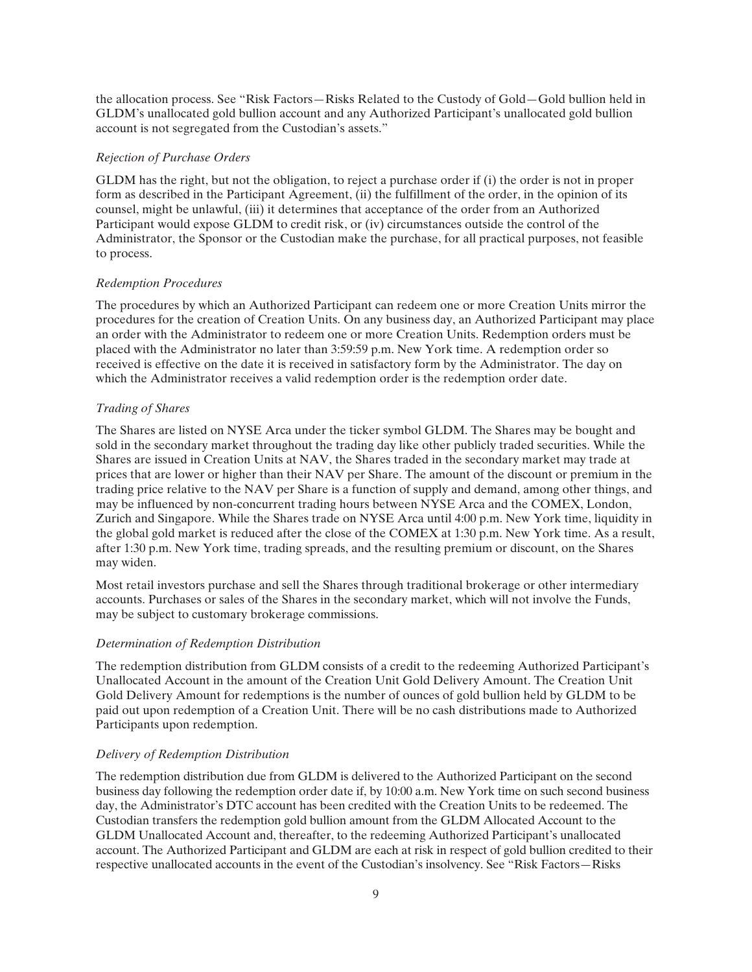the allocation process. See "Risk Factors—Risks Related to the Custody of Gold—Gold bullion held in GLDM's unallocated gold bullion account and any Authorized Participant's unallocated gold bullion account is not segregated from the Custodian's assets."

## *Rejection of Purchase Orders*

GLDM has the right, but not the obligation, to reject a purchase order if (i) the order is not in proper form as described in the Participant Agreement, (ii) the fulfillment of the order, in the opinion of its counsel, might be unlawful, (iii) it determines that acceptance of the order from an Authorized Participant would expose GLDM to credit risk, or (iv) circumstances outside the control of the Administrator, the Sponsor or the Custodian make the purchase, for all practical purposes, not feasible to process.

# *Redemption Procedures*

The procedures by which an Authorized Participant can redeem one or more Creation Units mirror the procedures for the creation of Creation Units. On any business day, an Authorized Participant may place an order with the Administrator to redeem one or more Creation Units. Redemption orders must be placed with the Administrator no later than 3:59:59 p.m. New York time. A redemption order so received is effective on the date it is received in satisfactory form by the Administrator. The day on which the Administrator receives a valid redemption order is the redemption order date.

# *Trading of Shares*

The Shares are listed on NYSE Arca under the ticker symbol GLDM. The Shares may be bought and sold in the secondary market throughout the trading day like other publicly traded securities. While the Shares are issued in Creation Units at NAV, the Shares traded in the secondary market may trade at prices that are lower or higher than their NAV per Share. The amount of the discount or premium in the trading price relative to the NAV per Share is a function of supply and demand, among other things, and may be influenced by non-concurrent trading hours between NYSE Arca and the COMEX, London, Zurich and Singapore. While the Shares trade on NYSE Arca until 4:00 p.m. New York time, liquidity in the global gold market is reduced after the close of the COMEX at 1:30 p.m. New York time. As a result, after 1:30 p.m. New York time, trading spreads, and the resulting premium or discount, on the Shares may widen.

Most retail investors purchase and sell the Shares through traditional brokerage or other intermediary accounts. Purchases or sales of the Shares in the secondary market, which will not involve the Funds, may be subject to customary brokerage commissions.

# *Determination of Redemption Distribution*

The redemption distribution from GLDM consists of a credit to the redeeming Authorized Participant's Unallocated Account in the amount of the Creation Unit Gold Delivery Amount. The Creation Unit Gold Delivery Amount for redemptions is the number of ounces of gold bullion held by GLDM to be paid out upon redemption of a Creation Unit. There will be no cash distributions made to Authorized Participants upon redemption.

### *Delivery of Redemption Distribution*

The redemption distribution due from GLDM is delivered to the Authorized Participant on the second business day following the redemption order date if, by 10:00 a.m. New York time on such second business day, the Administrator's DTC account has been credited with the Creation Units to be redeemed. The Custodian transfers the redemption gold bullion amount from the GLDM Allocated Account to the GLDM Unallocated Account and, thereafter, to the redeeming Authorized Participant's unallocated account. The Authorized Participant and GLDM are each at risk in respect of gold bullion credited to their respective unallocated accounts in the event of the Custodian's insolvency. See "Risk Factors—Risks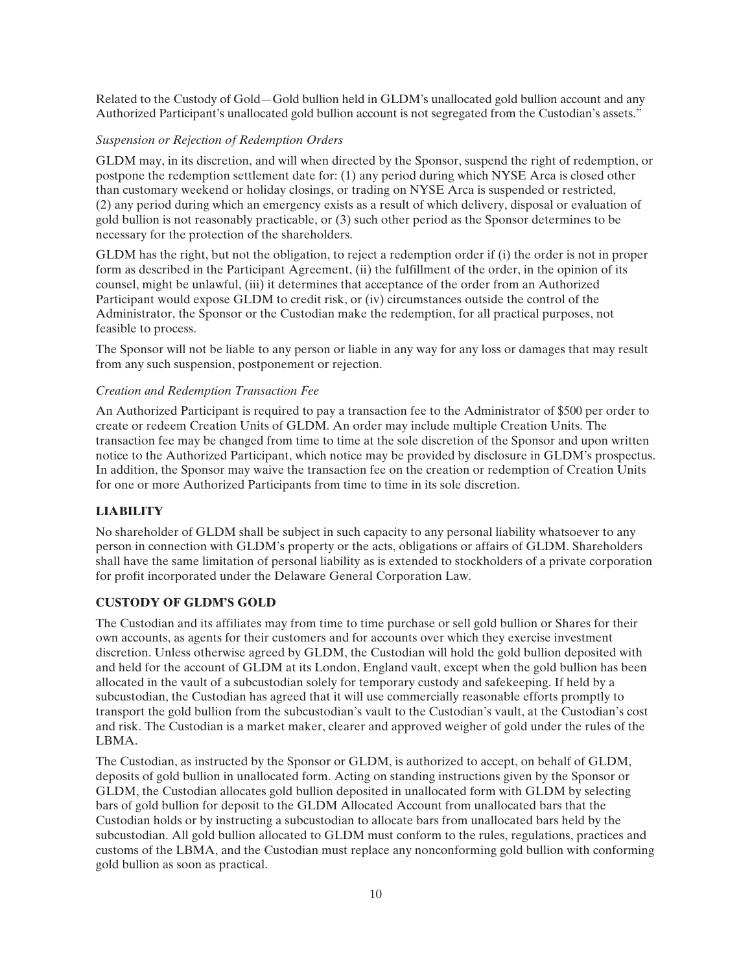Related to the Custody of Gold—Gold bullion held in GLDM's unallocated gold bullion account and any Authorized Participant's unallocated gold bullion account is not segregated from the Custodian's assets."

## *Suspension or Rejection of Redemption Orders*

GLDM may, in its discretion, and will when directed by the Sponsor, suspend the right of redemption, or postpone the redemption settlement date for: (1) any period during which NYSE Arca is closed other than customary weekend or holiday closings, or trading on NYSE Arca is suspended or restricted, (2) any period during which an emergency exists as a result of which delivery, disposal or evaluation of gold bullion is not reasonably practicable, or (3) such other period as the Sponsor determines to be necessary for the protection of the shareholders.

GLDM has the right, but not the obligation, to reject a redemption order if (i) the order is not in proper form as described in the Participant Agreement, (ii) the fulfillment of the order, in the opinion of its counsel, might be unlawful, (iii) it determines that acceptance of the order from an Authorized Participant would expose GLDM to credit risk, or (iv) circumstances outside the control of the Administrator, the Sponsor or the Custodian make the redemption, for all practical purposes, not feasible to process.

The Sponsor will not be liable to any person or liable in any way for any loss or damages that may result from any such suspension, postponement or rejection.

## *Creation and Redemption Transaction Fee*

An Authorized Participant is required to pay a transaction fee to the Administrator of \$500 per order to create or redeem Creation Units of GLDM. An order may include multiple Creation Units. The transaction fee may be changed from time to time at the sole discretion of the Sponsor and upon written notice to the Authorized Participant, which notice may be provided by disclosure in GLDM's prospectus. In addition, the Sponsor may waive the transaction fee on the creation or redemption of Creation Units for one or more Authorized Participants from time to time in its sole discretion.

#### <span id="page-13-0"></span>**LIABILITY**

No shareholder of GLDM shall be subject in such capacity to any personal liability whatsoever to any person in connection with GLDM's property or the acts, obligations or affairs of GLDM. Shareholders shall have the same limitation of personal liability as is extended to stockholders of a private corporation for profit incorporated under the Delaware General Corporation Law.

### <span id="page-13-1"></span>**CUSTODY OF GLDM'S GOLD**

The Custodian and its affiliates may from time to time purchase or sell gold bullion or Shares for their own accounts, as agents for their customers and for accounts over which they exercise investment discretion. Unless otherwise agreed by GLDM, the Custodian will hold the gold bullion deposited with and held for the account of GLDM at its London, England vault, except when the gold bullion has been allocated in the vault of a subcustodian solely for temporary custody and safekeeping. If held by a subcustodian, the Custodian has agreed that it will use commercially reasonable efforts promptly to transport the gold bullion from the subcustodian's vault to the Custodian's vault, at the Custodian's cost and risk. The Custodian is a market maker, clearer and approved weigher of gold under the rules of the LBMA.

The Custodian, as instructed by the Sponsor or GLDM, is authorized to accept, on behalf of GLDM, deposits of gold bullion in unallocated form. Acting on standing instructions given by the Sponsor or GLDM, the Custodian allocates gold bullion deposited in unallocated form with GLDM by selecting bars of gold bullion for deposit to the GLDM Allocated Account from unallocated bars that the Custodian holds or by instructing a subcustodian to allocate bars from unallocated bars held by the subcustodian. All gold bullion allocated to GLDM must conform to the rules, regulations, practices and customs of the LBMA, and the Custodian must replace any nonconforming gold bullion with conforming gold bullion as soon as practical.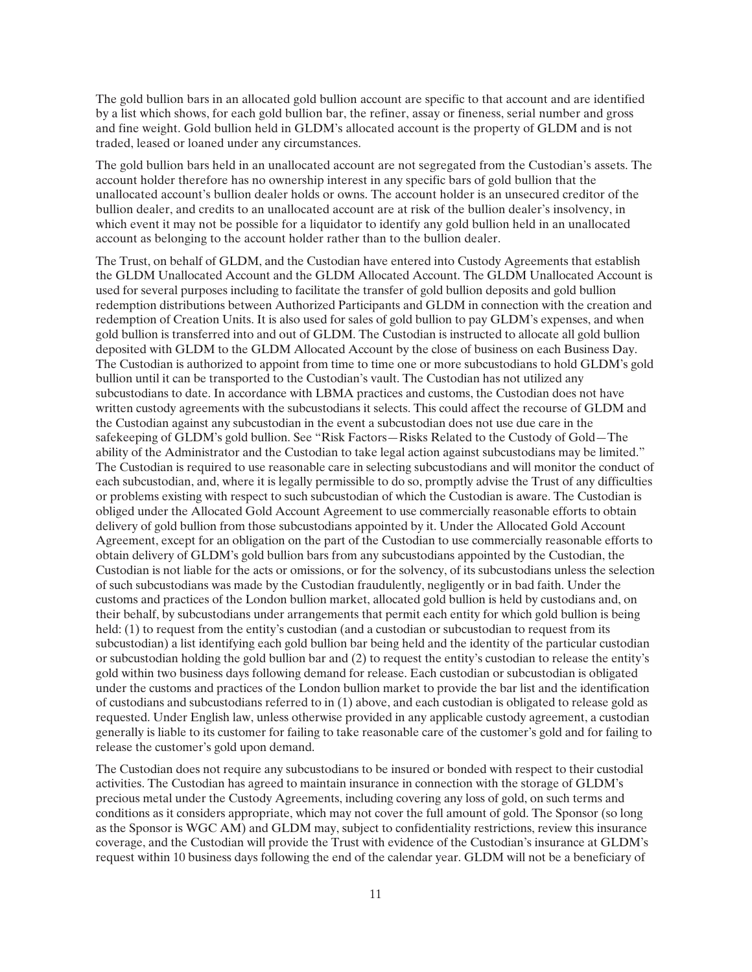The gold bullion bars in an allocated gold bullion account are specific to that account and are identified by a list which shows, for each gold bullion bar, the refiner, assay or fineness, serial number and gross and fine weight. Gold bullion held in GLDM's allocated account is the property of GLDM and is not traded, leased or loaned under any circumstances.

The gold bullion bars held in an unallocated account are not segregated from the Custodian's assets. The account holder therefore has no ownership interest in any specific bars of gold bullion that the unallocated account's bullion dealer holds or owns. The account holder is an unsecured creditor of the bullion dealer, and credits to an unallocated account are at risk of the bullion dealer's insolvency, in which event it may not be possible for a liquidator to identify any gold bullion held in an unallocated account as belonging to the account holder rather than to the bullion dealer.

The Trust, on behalf of GLDM, and the Custodian have entered into Custody Agreements that establish the GLDM Unallocated Account and the GLDM Allocated Account. The GLDM Unallocated Account is used for several purposes including to facilitate the transfer of gold bullion deposits and gold bullion redemption distributions between Authorized Participants and GLDM in connection with the creation and redemption of Creation Units. It is also used for sales of gold bullion to pay GLDM's expenses, and when gold bullion is transferred into and out of GLDM. The Custodian is instructed to allocate all gold bullion deposited with GLDM to the GLDM Allocated Account by the close of business on each Business Day. The Custodian is authorized to appoint from time to time one or more subcustodians to hold GLDM's gold bullion until it can be transported to the Custodian's vault. The Custodian has not utilized any subcustodians to date. In accordance with LBMA practices and customs, the Custodian does not have written custody agreements with the subcustodians it selects. This could affect the recourse of GLDM and the Custodian against any subcustodian in the event a subcustodian does not use due care in the safekeeping of GLDM's gold bullion. See "Risk Factors—Risks Related to the Custody of Gold—The ability of the Administrator and the Custodian to take legal action against subcustodians may be limited." The Custodian is required to use reasonable care in selecting subcustodians and will monitor the conduct of each subcustodian, and, where it is legally permissible to do so, promptly advise the Trust of any difficulties or problems existing with respect to such subcustodian of which the Custodian is aware. The Custodian is obliged under the Allocated Gold Account Agreement to use commercially reasonable efforts to obtain delivery of gold bullion from those subcustodians appointed by it. Under the Allocated Gold Account Agreement, except for an obligation on the part of the Custodian to use commercially reasonable efforts to obtain delivery of GLDM's gold bullion bars from any subcustodians appointed by the Custodian, the Custodian is not liable for the acts or omissions, or for the solvency, of its subcustodians unless the selection of such subcustodians was made by the Custodian fraudulently, negligently or in bad faith. Under the customs and practices of the London bullion market, allocated gold bullion is held by custodians and, on their behalf, by subcustodians under arrangements that permit each entity for which gold bullion is being held: (1) to request from the entity's custodian (and a custodian or subcustodian to request from its subcustodian) a list identifying each gold bullion bar being held and the identity of the particular custodian or subcustodian holding the gold bullion bar and (2) to request the entity's custodian to release the entity's gold within two business days following demand for release. Each custodian or subcustodian is obligated under the customs and practices of the London bullion market to provide the bar list and the identification of custodians and subcustodians referred to in (1) above, and each custodian is obligated to release gold as requested. Under English law, unless otherwise provided in any applicable custody agreement, a custodian generally is liable to its customer for failing to take reasonable care of the customer's gold and for failing to release the customer's gold upon demand.

The Custodian does not require any subcustodians to be insured or bonded with respect to their custodial activities. The Custodian has agreed to maintain insurance in connection with the storage of GLDM's precious metal under the Custody Agreements, including covering any loss of gold, on such terms and conditions as it considers appropriate, which may not cover the full amount of gold. The Sponsor (so long as the Sponsor is WGC AM) and GLDM may, subject to confidentiality restrictions, review this insurance coverage, and the Custodian will provide the Trust with evidence of the Custodian's insurance at GLDM's request within 10 business days following the end of the calendar year. GLDM will not be a beneficiary of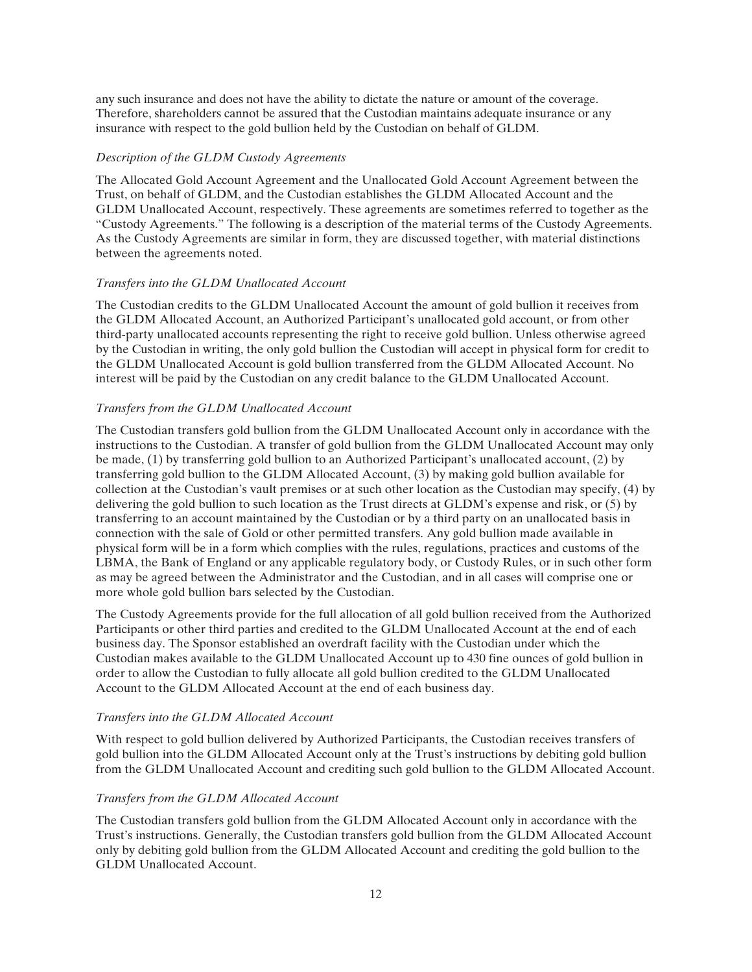any such insurance and does not have the ability to dictate the nature or amount of the coverage. Therefore, shareholders cannot be assured that the Custodian maintains adequate insurance or any insurance with respect to the gold bullion held by the Custodian on behalf of GLDM.

#### *Description of the GLDM Custody Agreements*

The Allocated Gold Account Agreement and the Unallocated Gold Account Agreement between the Trust, on behalf of GLDM, and the Custodian establishes the GLDM Allocated Account and the GLDM Unallocated Account, respectively. These agreements are sometimes referred to together as the "Custody Agreements." The following is a description of the material terms of the Custody Agreements. As the Custody Agreements are similar in form, they are discussed together, with material distinctions between the agreements noted.

### *Transfers into the GLDM Unallocated Account*

The Custodian credits to the GLDM Unallocated Account the amount of gold bullion it receives from the GLDM Allocated Account, an Authorized Participant's unallocated gold account, or from other third-party unallocated accounts representing the right to receive gold bullion. Unless otherwise agreed by the Custodian in writing, the only gold bullion the Custodian will accept in physical form for credit to the GLDM Unallocated Account is gold bullion transferred from the GLDM Allocated Account. No interest will be paid by the Custodian on any credit balance to the GLDM Unallocated Account.

#### *Transfers from the GLDM Unallocated Account*

The Custodian transfers gold bullion from the GLDM Unallocated Account only in accordance with the instructions to the Custodian. A transfer of gold bullion from the GLDM Unallocated Account may only be made, (1) by transferring gold bullion to an Authorized Participant's unallocated account, (2) by transferring gold bullion to the GLDM Allocated Account, (3) by making gold bullion available for collection at the Custodian's vault premises or at such other location as the Custodian may specify, (4) by delivering the gold bullion to such location as the Trust directs at GLDM's expense and risk, or (5) by transferring to an account maintained by the Custodian or by a third party on an unallocated basis in connection with the sale of Gold or other permitted transfers. Any gold bullion made available in physical form will be in a form which complies with the rules, regulations, practices and customs of the LBMA, the Bank of England or any applicable regulatory body, or Custody Rules, or in such other form as may be agreed between the Administrator and the Custodian, and in all cases will comprise one or more whole gold bullion bars selected by the Custodian.

The Custody Agreements provide for the full allocation of all gold bullion received from the Authorized Participants or other third parties and credited to the GLDM Unallocated Account at the end of each business day. The Sponsor established an overdraft facility with the Custodian under which the Custodian makes available to the GLDM Unallocated Account up to 430 fine ounces of gold bullion in order to allow the Custodian to fully allocate all gold bullion credited to the GLDM Unallocated Account to the GLDM Allocated Account at the end of each business day.

## *Transfers into the GLDM Allocated Account*

With respect to gold bullion delivered by Authorized Participants, the Custodian receives transfers of gold bullion into the GLDM Allocated Account only at the Trust's instructions by debiting gold bullion from the GLDM Unallocated Account and crediting such gold bullion to the GLDM Allocated Account.

# *Transfers from the GLDM Allocated Account*

The Custodian transfers gold bullion from the GLDM Allocated Account only in accordance with the Trust's instructions. Generally, the Custodian transfers gold bullion from the GLDM Allocated Account only by debiting gold bullion from the GLDM Allocated Account and crediting the gold bullion to the GLDM Unallocated Account.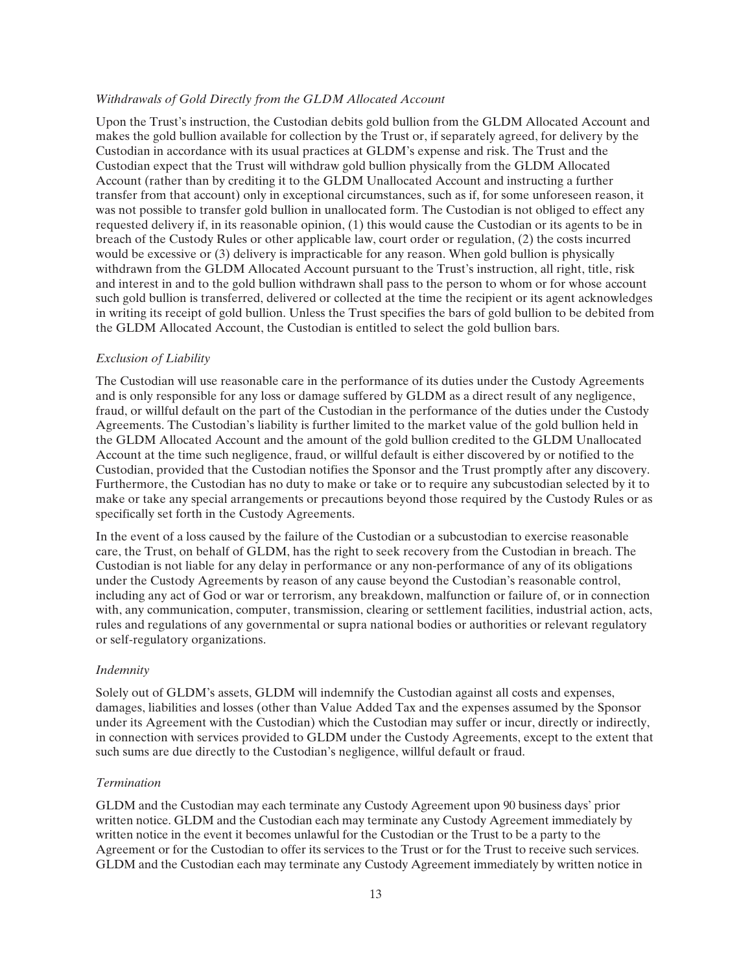#### *Withdrawals of Gold Directly from the GLDM Allocated Account*

Upon the Trust's instruction, the Custodian debits gold bullion from the GLDM Allocated Account and makes the gold bullion available for collection by the Trust or, if separately agreed, for delivery by the Custodian in accordance with its usual practices at GLDM's expense and risk. The Trust and the Custodian expect that the Trust will withdraw gold bullion physically from the GLDM Allocated Account (rather than by crediting it to the GLDM Unallocated Account and instructing a further transfer from that account) only in exceptional circumstances, such as if, for some unforeseen reason, it was not possible to transfer gold bullion in unallocated form. The Custodian is not obliged to effect any requested delivery if, in its reasonable opinion, (1) this would cause the Custodian or its agents to be in breach of the Custody Rules or other applicable law, court order or regulation, (2) the costs incurred would be excessive or (3) delivery is impracticable for any reason. When gold bullion is physically withdrawn from the GLDM Allocated Account pursuant to the Trust's instruction, all right, title, risk and interest in and to the gold bullion withdrawn shall pass to the person to whom or for whose account such gold bullion is transferred, delivered or collected at the time the recipient or its agent acknowledges in writing its receipt of gold bullion. Unless the Trust specifies the bars of gold bullion to be debited from the GLDM Allocated Account, the Custodian is entitled to select the gold bullion bars.

#### *Exclusion of Liability*

The Custodian will use reasonable care in the performance of its duties under the Custody Agreements and is only responsible for any loss or damage suffered by GLDM as a direct result of any negligence, fraud, or willful default on the part of the Custodian in the performance of the duties under the Custody Agreements. The Custodian's liability is further limited to the market value of the gold bullion held in the GLDM Allocated Account and the amount of the gold bullion credited to the GLDM Unallocated Account at the time such negligence, fraud, or willful default is either discovered by or notified to the Custodian, provided that the Custodian notifies the Sponsor and the Trust promptly after any discovery. Furthermore, the Custodian has no duty to make or take or to require any subcustodian selected by it to make or take any special arrangements or precautions beyond those required by the Custody Rules or as specifically set forth in the Custody Agreements.

In the event of a loss caused by the failure of the Custodian or a subcustodian to exercise reasonable care, the Trust, on behalf of GLDM, has the right to seek recovery from the Custodian in breach. The Custodian is not liable for any delay in performance or any non-performance of any of its obligations under the Custody Agreements by reason of any cause beyond the Custodian's reasonable control, including any act of God or war or terrorism, any breakdown, malfunction or failure of, or in connection with, any communication, computer, transmission, clearing or settlement facilities, industrial action, acts, rules and regulations of any governmental or supra national bodies or authorities or relevant regulatory or self-regulatory organizations.

#### *Indemnity*

Solely out of GLDM's assets, GLDM will indemnify the Custodian against all costs and expenses, damages, liabilities and losses (other than Value Added Tax and the expenses assumed by the Sponsor under its Agreement with the Custodian) which the Custodian may suffer or incur, directly or indirectly, in connection with services provided to GLDM under the Custody Agreements, except to the extent that such sums are due directly to the Custodian's negligence, willful default or fraud.

# *Termination*

GLDM and the Custodian may each terminate any Custody Agreement upon 90 business days' prior written notice. GLDM and the Custodian each may terminate any Custody Agreement immediately by written notice in the event it becomes unlawful for the Custodian or the Trust to be a party to the Agreement or for the Custodian to offer its services to the Trust or for the Trust to receive such services. GLDM and the Custodian each may terminate any Custody Agreement immediately by written notice in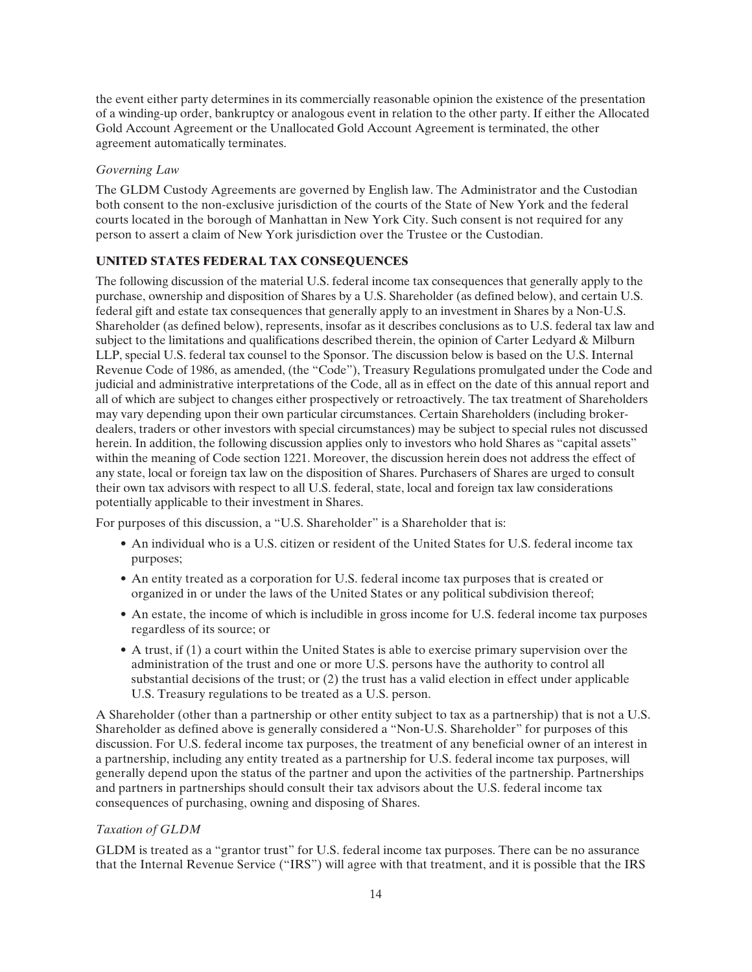the event either party determines in its commercially reasonable opinion the existence of the presentation of a winding-up order, bankruptcy or analogous event in relation to the other party. If either the Allocated Gold Account Agreement or the Unallocated Gold Account Agreement is terminated, the other agreement automatically terminates.

# *Governing Law*

The GLDM Custody Agreements are governed by English law. The Administrator and the Custodian both consent to the non-exclusive jurisdiction of the courts of the State of New York and the federal courts located in the borough of Manhattan in New York City. Such consent is not required for any person to assert a claim of New York jurisdiction over the Trustee or the Custodian.

# <span id="page-17-0"></span>**UNITED STATES FEDERAL TAX CONSEQUENCES**

The following discussion of the material U.S. federal income tax consequences that generally apply to the purchase, ownership and disposition of Shares by a U.S. Shareholder (as defined below), and certain U.S. federal gift and estate tax consequences that generally apply to an investment in Shares by a Non-U.S. Shareholder (as defined below), represents, insofar as it describes conclusions as to U.S. federal tax law and subject to the limitations and qualifications described therein, the opinion of Carter Ledyard & Milburn LLP, special U.S. federal tax counsel to the Sponsor. The discussion below is based on the U.S. Internal Revenue Code of 1986, as amended, (the "Code"), Treasury Regulations promulgated under the Code and judicial and administrative interpretations of the Code, all as in effect on the date of this annual report and all of which are subject to changes either prospectively or retroactively. The tax treatment of Shareholders may vary depending upon their own particular circumstances. Certain Shareholders (including brokerdealers, traders or other investors with special circumstances) may be subject to special rules not discussed herein. In addition, the following discussion applies only to investors who hold Shares as "capital assets" within the meaning of Code section 1221. Moreover, the discussion herein does not address the effect of any state, local or foreign tax law on the disposition of Shares. Purchasers of Shares are urged to consult their own tax advisors with respect to all U.S. federal, state, local and foreign tax law considerations potentially applicable to their investment in Shares.

For purposes of this discussion, a "U.S. Shareholder" is a Shareholder that is:

- An individual who is a U.S. citizen or resident of the United States for U.S. federal income tax purposes;
- An entity treated as a corporation for U.S. federal income tax purposes that is created or organized in or under the laws of the United States or any political subdivision thereof;
- An estate, the income of which is includible in gross income for U.S. federal income tax purposes regardless of its source; or
- A trust, if (1) a court within the United States is able to exercise primary supervision over the administration of the trust and one or more U.S. persons have the authority to control all substantial decisions of the trust; or (2) the trust has a valid election in effect under applicable U.S. Treasury regulations to be treated as a U.S. person.

A Shareholder (other than a partnership or other entity subject to tax as a partnership) that is not a U.S. Shareholder as defined above is generally considered a "Non-U.S. Shareholder" for purposes of this discussion. For U.S. federal income tax purposes, the treatment of any beneficial owner of an interest in a partnership, including any entity treated as a partnership for U.S. federal income tax purposes, will generally depend upon the status of the partner and upon the activities of the partnership. Partnerships and partners in partnerships should consult their tax advisors about the U.S. federal income tax consequences of purchasing, owning and disposing of Shares.

# *Taxation of GLDM*

GLDM is treated as a "grantor trust" for U.S. federal income tax purposes. There can be no assurance that the Internal Revenue Service ("IRS") will agree with that treatment, and it is possible that the IRS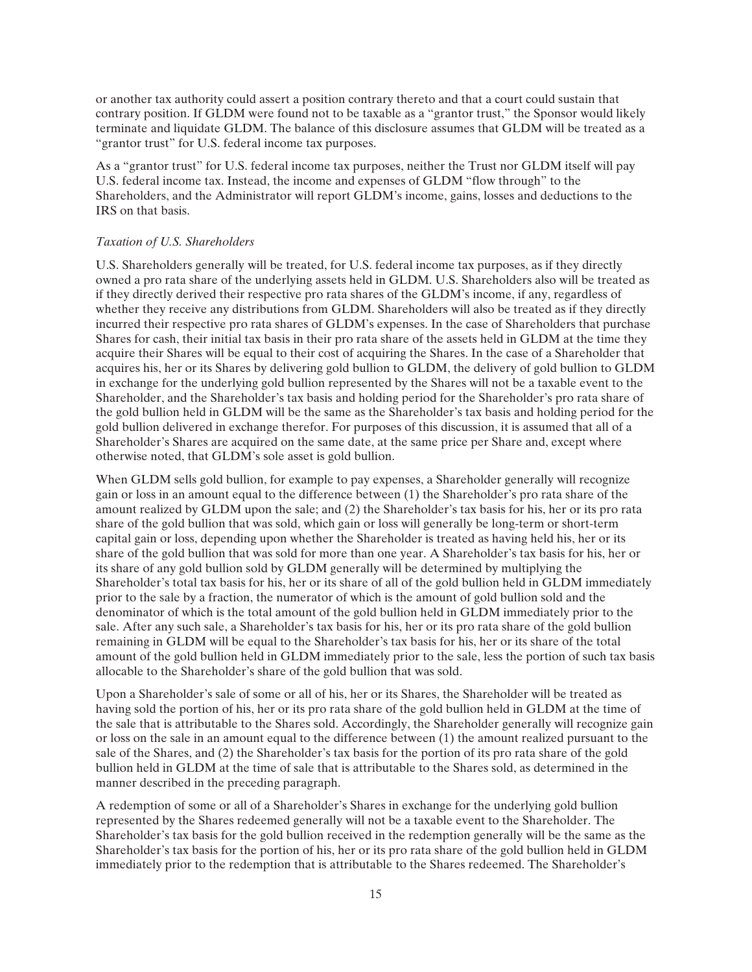or another tax authority could assert a position contrary thereto and that a court could sustain that contrary position. If GLDM were found not to be taxable as a "grantor trust," the Sponsor would likely terminate and liquidate GLDM. The balance of this disclosure assumes that GLDM will be treated as a "grantor trust" for U.S. federal income tax purposes.

As a "grantor trust" for U.S. federal income tax purposes, neither the Trust nor GLDM itself will pay U.S. federal income tax. Instead, the income and expenses of GLDM "flow through" to the Shareholders, and the Administrator will report GLDM's income, gains, losses and deductions to the IRS on that basis.

### *Taxation of U.S. Shareholders*

U.S. Shareholders generally will be treated, for U.S. federal income tax purposes, as if they directly owned a pro rata share of the underlying assets held in GLDM. U.S. Shareholders also will be treated as if they directly derived their respective pro rata shares of the GLDM's income, if any, regardless of whether they receive any distributions from GLDM. Shareholders will also be treated as if they directly incurred their respective pro rata shares of GLDM's expenses. In the case of Shareholders that purchase Shares for cash, their initial tax basis in their pro rata share of the assets held in GLDM at the time they acquire their Shares will be equal to their cost of acquiring the Shares. In the case of a Shareholder that acquires his, her or its Shares by delivering gold bullion to GLDM, the delivery of gold bullion to GLDM in exchange for the underlying gold bullion represented by the Shares will not be a taxable event to the Shareholder, and the Shareholder's tax basis and holding period for the Shareholder's pro rata share of the gold bullion held in GLDM will be the same as the Shareholder's tax basis and holding period for the gold bullion delivered in exchange therefor. For purposes of this discussion, it is assumed that all of a Shareholder's Shares are acquired on the same date, at the same price per Share and, except where otherwise noted, that GLDM's sole asset is gold bullion.

When GLDM sells gold bullion, for example to pay expenses, a Shareholder generally will recognize gain or loss in an amount equal to the difference between (1) the Shareholder's pro rata share of the amount realized by GLDM upon the sale; and (2) the Shareholder's tax basis for his, her or its pro rata share of the gold bullion that was sold, which gain or loss will generally be long-term or short-term capital gain or loss, depending upon whether the Shareholder is treated as having held his, her or its share of the gold bullion that was sold for more than one year. A Shareholder's tax basis for his, her or its share of any gold bullion sold by GLDM generally will be determined by multiplying the Shareholder's total tax basis for his, her or its share of all of the gold bullion held in GLDM immediately prior to the sale by a fraction, the numerator of which is the amount of gold bullion sold and the denominator of which is the total amount of the gold bullion held in GLDM immediately prior to the sale. After any such sale, a Shareholder's tax basis for his, her or its pro rata share of the gold bullion remaining in GLDM will be equal to the Shareholder's tax basis for his, her or its share of the total amount of the gold bullion held in GLDM immediately prior to the sale, less the portion of such tax basis allocable to the Shareholder's share of the gold bullion that was sold.

Upon a Shareholder's sale of some or all of his, her or its Shares, the Shareholder will be treated as having sold the portion of his, her or its pro rata share of the gold bullion held in GLDM at the time of the sale that is attributable to the Shares sold. Accordingly, the Shareholder generally will recognize gain or loss on the sale in an amount equal to the difference between (1) the amount realized pursuant to the sale of the Shares, and (2) the Shareholder's tax basis for the portion of its pro rata share of the gold bullion held in GLDM at the time of sale that is attributable to the Shares sold, as determined in the manner described in the preceding paragraph.

A redemption of some or all of a Shareholder's Shares in exchange for the underlying gold bullion represented by the Shares redeemed generally will not be a taxable event to the Shareholder. The Shareholder's tax basis for the gold bullion received in the redemption generally will be the same as the Shareholder's tax basis for the portion of his, her or its pro rata share of the gold bullion held in GLDM immediately prior to the redemption that is attributable to the Shares redeemed. The Shareholder's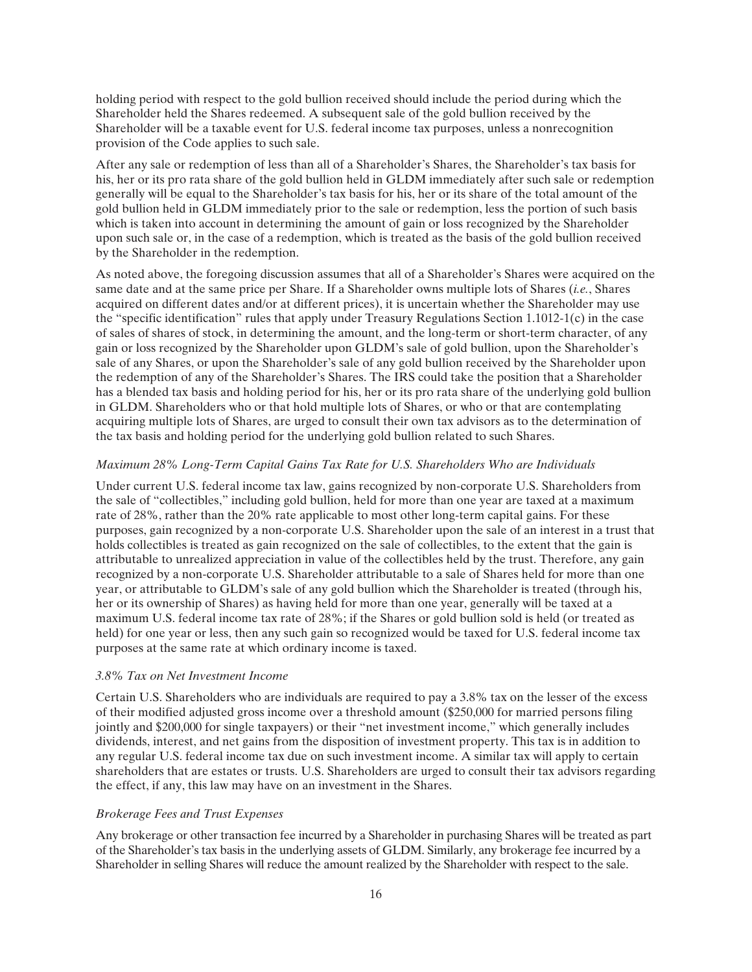holding period with respect to the gold bullion received should include the period during which the Shareholder held the Shares redeemed. A subsequent sale of the gold bullion received by the Shareholder will be a taxable event for U.S. federal income tax purposes, unless a nonrecognition provision of the Code applies to such sale.

After any sale or redemption of less than all of a Shareholder's Shares, the Shareholder's tax basis for his, her or its pro rata share of the gold bullion held in GLDM immediately after such sale or redemption generally will be equal to the Shareholder's tax basis for his, her or its share of the total amount of the gold bullion held in GLDM immediately prior to the sale or redemption, less the portion of such basis which is taken into account in determining the amount of gain or loss recognized by the Shareholder upon such sale or, in the case of a redemption, which is treated as the basis of the gold bullion received by the Shareholder in the redemption.

As noted above, the foregoing discussion assumes that all of a Shareholder's Shares were acquired on the same date and at the same price per Share. If a Shareholder owns multiple lots of Shares (*i.e.*, Shares acquired on different dates and/or at different prices), it is uncertain whether the Shareholder may use the "specific identification" rules that apply under Treasury Regulations Section 1.1012-1(c) in the case of sales of shares of stock, in determining the amount, and the long-term or short-term character, of any gain or loss recognized by the Shareholder upon GLDM's sale of gold bullion, upon the Shareholder's sale of any Shares, or upon the Shareholder's sale of any gold bullion received by the Shareholder upon the redemption of any of the Shareholder's Shares. The IRS could take the position that a Shareholder has a blended tax basis and holding period for his, her or its pro rata share of the underlying gold bullion in GLDM. Shareholders who or that hold multiple lots of Shares, or who or that are contemplating acquiring multiple lots of Shares, are urged to consult their own tax advisors as to the determination of the tax basis and holding period for the underlying gold bullion related to such Shares.

#### *Maximum 28% Long-Term Capital Gains Tax Rate for U.S. Shareholders Who are Individuals*

Under current U.S. federal income tax law, gains recognized by non-corporate U.S. Shareholders from the sale of "collectibles," including gold bullion, held for more than one year are taxed at a maximum rate of 28%, rather than the 20% rate applicable to most other long-term capital gains. For these purposes, gain recognized by a non-corporate U.S. Shareholder upon the sale of an interest in a trust that holds collectibles is treated as gain recognized on the sale of collectibles, to the extent that the gain is attributable to unrealized appreciation in value of the collectibles held by the trust. Therefore, any gain recognized by a non-corporate U.S. Shareholder attributable to a sale of Shares held for more than one year, or attributable to GLDM's sale of any gold bullion which the Shareholder is treated (through his, her or its ownership of Shares) as having held for more than one year, generally will be taxed at a maximum U.S. federal income tax rate of 28%; if the Shares or gold bullion sold is held (or treated as held) for one year or less, then any such gain so recognized would be taxed for U.S. federal income tax purposes at the same rate at which ordinary income is taxed.

#### *3.8% Tax on Net Investment Income*

Certain U.S. Shareholders who are individuals are required to pay a 3.8% tax on the lesser of the excess of their modified adjusted gross income over a threshold amount (\$250,000 for married persons filing jointly and \$200,000 for single taxpayers) or their "net investment income," which generally includes dividends, interest, and net gains from the disposition of investment property. This tax is in addition to any regular U.S. federal income tax due on such investment income. A similar tax will apply to certain shareholders that are estates or trusts. U.S. Shareholders are urged to consult their tax advisors regarding the effect, if any, this law may have on an investment in the Shares.

#### *Brokerage Fees and Trust Expenses*

Any brokerage or other transaction fee incurred by a Shareholder in purchasing Shares will be treated as part of the Shareholder's tax basis in the underlying assets of GLDM. Similarly, any brokerage fee incurred by a Shareholder in selling Shares will reduce the amount realized by the Shareholder with respect to the sale.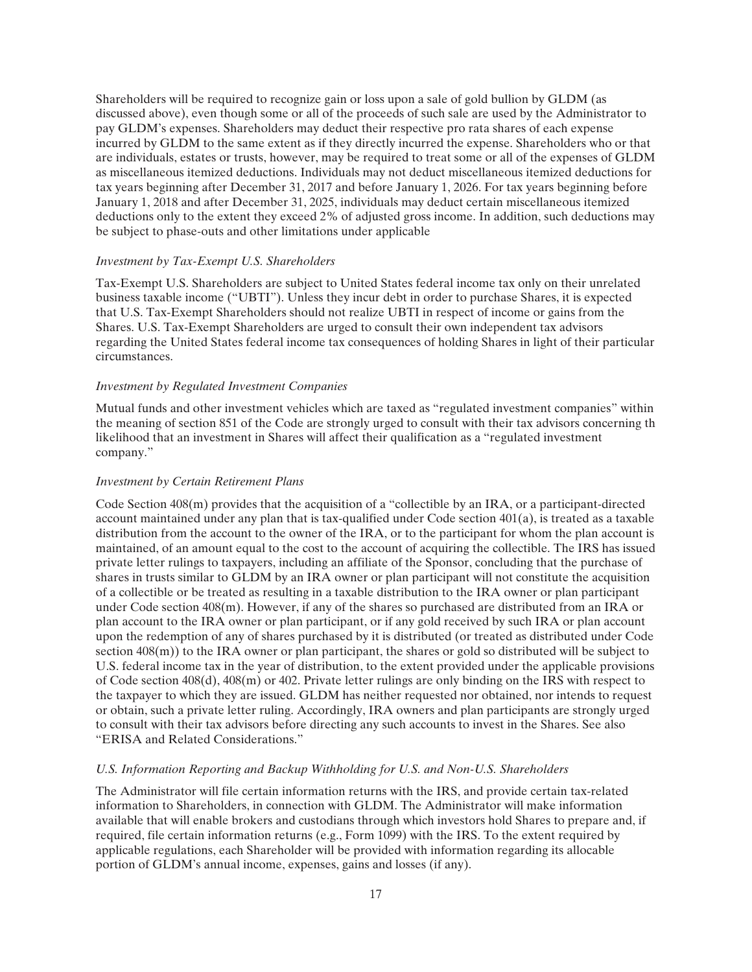Shareholders will be required to recognize gain or loss upon a sale of gold bullion by GLDM (as discussed above), even though some or all of the proceeds of such sale are used by the Administrator to pay GLDM's expenses. Shareholders may deduct their respective pro rata shares of each expense incurred by GLDM to the same extent as if they directly incurred the expense. Shareholders who or that are individuals, estates or trusts, however, may be required to treat some or all of the expenses of GLDM as miscellaneous itemized deductions. Individuals may not deduct miscellaneous itemized deductions for tax years beginning after December 31, 2017 and before January 1, 2026. For tax years beginning before January 1, 2018 and after December 31, 2025, individuals may deduct certain miscellaneous itemized deductions only to the extent they exceed 2% of adjusted gross income. In addition, such deductions may be subject to phase-outs and other limitations under applicable

#### *Investment by Tax-Exempt U.S. Shareholders*

Tax-Exempt U.S. Shareholders are subject to United States federal income tax only on their unrelated business taxable income ("UBTI"). Unless they incur debt in order to purchase Shares, it is expected that U.S. Tax-Exempt Shareholders should not realize UBTI in respect of income or gains from the Shares. U.S. Tax-Exempt Shareholders are urged to consult their own independent tax advisors regarding the United States federal income tax consequences of holding Shares in light of their particular circumstances.

## *Investment by Regulated Investment Companies*

Mutual funds and other investment vehicles which are taxed as "regulated investment companies" within the meaning of section 851 of the Code are strongly urged to consult with their tax advisors concerning th likelihood that an investment in Shares will affect their qualification as a "regulated investment company."

#### *Investment by Certain Retirement Plans*

Code Section 408(m) provides that the acquisition of a "collectible by an IRA, or a participant-directed account maintained under any plan that is tax-qualified under Code section  $401(a)$ , is treated as a taxable distribution from the account to the owner of the IRA, or to the participant for whom the plan account is maintained, of an amount equal to the cost to the account of acquiring the collectible. The IRS has issued private letter rulings to taxpayers, including an affiliate of the Sponsor, concluding that the purchase of shares in trusts similar to GLDM by an IRA owner or plan participant will not constitute the acquisition of a collectible or be treated as resulting in a taxable distribution to the IRA owner or plan participant under Code section 408(m). However, if any of the shares so purchased are distributed from an IRA or plan account to the IRA owner or plan participant, or if any gold received by such IRA or plan account upon the redemption of any of shares purchased by it is distributed (or treated as distributed under Code section 408(m)) to the IRA owner or plan participant, the shares or gold so distributed will be subject to U.S. federal income tax in the year of distribution, to the extent provided under the applicable provisions of Code section 408(d), 408(m) or 402. Private letter rulings are only binding on the IRS with respect to the taxpayer to which they are issued. GLDM has neither requested nor obtained, nor intends to request or obtain, such a private letter ruling. Accordingly, IRA owners and plan participants are strongly urged to consult with their tax advisors before directing any such accounts to invest in the Shares. See also "ERISA and Related Considerations."

### *U.S. Information Reporting and Backup Withholding for U.S. and Non-U.S. Shareholders*

The Administrator will file certain information returns with the IRS, and provide certain tax-related information to Shareholders, in connection with GLDM. The Administrator will make information available that will enable brokers and custodians through which investors hold Shares to prepare and, if required, file certain information returns (e.g., Form 1099) with the IRS. To the extent required by applicable regulations, each Shareholder will be provided with information regarding its allocable portion of GLDM's annual income, expenses, gains and losses (if any).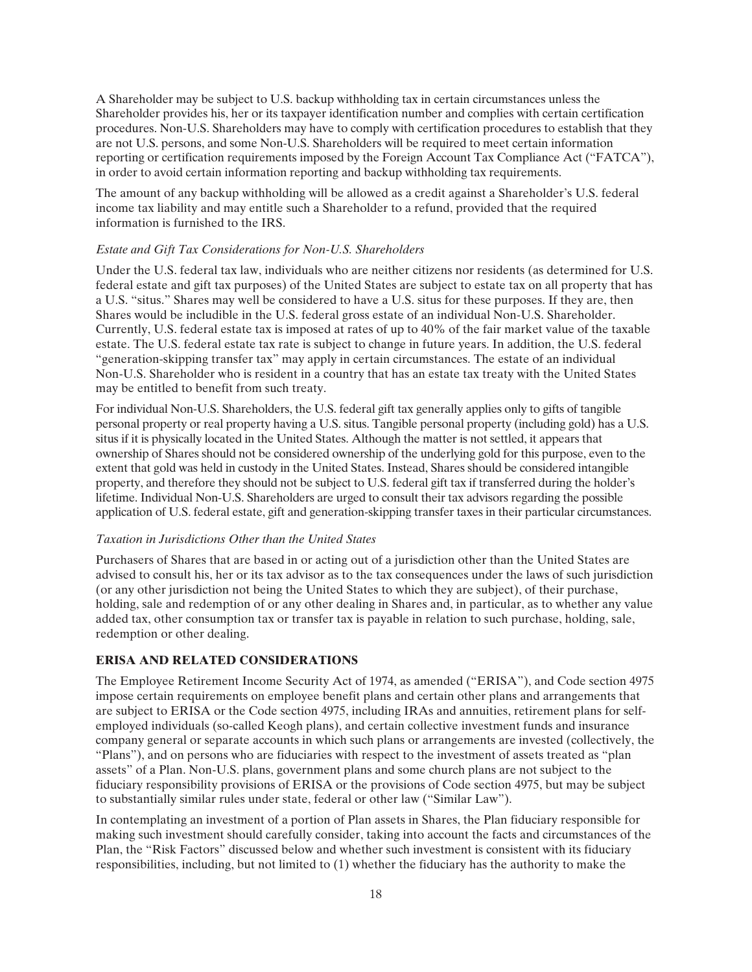A Shareholder may be subject to U.S. backup withholding tax in certain circumstances unless the Shareholder provides his, her or its taxpayer identification number and complies with certain certification procedures. Non-U.S. Shareholders may have to comply with certification procedures to establish that they are not U.S. persons, and some Non-U.S. Shareholders will be required to meet certain information reporting or certification requirements imposed by the Foreign Account Tax Compliance Act ("FATCA"), in order to avoid certain information reporting and backup withholding tax requirements.

The amount of any backup withholding will be allowed as a credit against a Shareholder's U.S. federal income tax liability and may entitle such a Shareholder to a refund, provided that the required information is furnished to the IRS.

# *Estate and Gift Tax Considerations for Non-U.S. Shareholders*

Under the U.S. federal tax law, individuals who are neither citizens nor residents (as determined for U.S. federal estate and gift tax purposes) of the United States are subject to estate tax on all property that has a U.S. "situs." Shares may well be considered to have a U.S. situs for these purposes. If they are, then Shares would be includible in the U.S. federal gross estate of an individual Non-U.S. Shareholder. Currently, U.S. federal estate tax is imposed at rates of up to 40% of the fair market value of the taxable estate. The U.S. federal estate tax rate is subject to change in future years. In addition, the U.S. federal "generation-skipping transfer tax" may apply in certain circumstances. The estate of an individual Non-U.S. Shareholder who is resident in a country that has an estate tax treaty with the United States may be entitled to benefit from such treaty.

For individual Non-U.S. Shareholders, the U.S. federal gift tax generally applies only to gifts of tangible personal property or real property having a U.S. situs. Tangible personal property (including gold) has a U.S. situs if it is physically located in the United States. Although the matter is not settled, it appears that ownership of Shares should not be considered ownership of the underlying gold for this purpose, even to the extent that gold was held in custody in the United States. Instead, Shares should be considered intangible property, and therefore they should not be subject to U.S. federal gift tax if transferred during the holder's lifetime. Individual Non-U.S. Shareholders are urged to consult their tax advisors regarding the possible application of U.S. federal estate, gift and generation-skipping transfer taxes in their particular circumstances.

### *Taxation in Jurisdictions Other than the United States*

Purchasers of Shares that are based in or acting out of a jurisdiction other than the United States are advised to consult his, her or its tax advisor as to the tax consequences under the laws of such jurisdiction (or any other jurisdiction not being the United States to which they are subject), of their purchase, holding, sale and redemption of or any other dealing in Shares and, in particular, as to whether any value added tax, other consumption tax or transfer tax is payable in relation to such purchase, holding, sale, redemption or other dealing.

### <span id="page-21-0"></span>**ERISA AND RELATED CONSIDERATIONS**

The Employee Retirement Income Security Act of 1974, as amended ("ERISA"), and Code section 4975 impose certain requirements on employee benefit plans and certain other plans and arrangements that are subject to ERISA or the Code section 4975, including IRAs and annuities, retirement plans for selfemployed individuals (so-called Keogh plans), and certain collective investment funds and insurance company general or separate accounts in which such plans or arrangements are invested (collectively, the "Plans"), and on persons who are fiduciaries with respect to the investment of assets treated as "plan assets" of a Plan. Non-U.S. plans, government plans and some church plans are not subject to the fiduciary responsibility provisions of ERISA or the provisions of Code section 4975, but may be subject to substantially similar rules under state, federal or other law ("Similar Law").

In contemplating an investment of a portion of Plan assets in Shares, the Plan fiduciary responsible for making such investment should carefully consider, taking into account the facts and circumstances of the Plan, the "Risk Factors" discussed below and whether such investment is consistent with its fiduciary responsibilities, including, but not limited to (1) whether the fiduciary has the authority to make the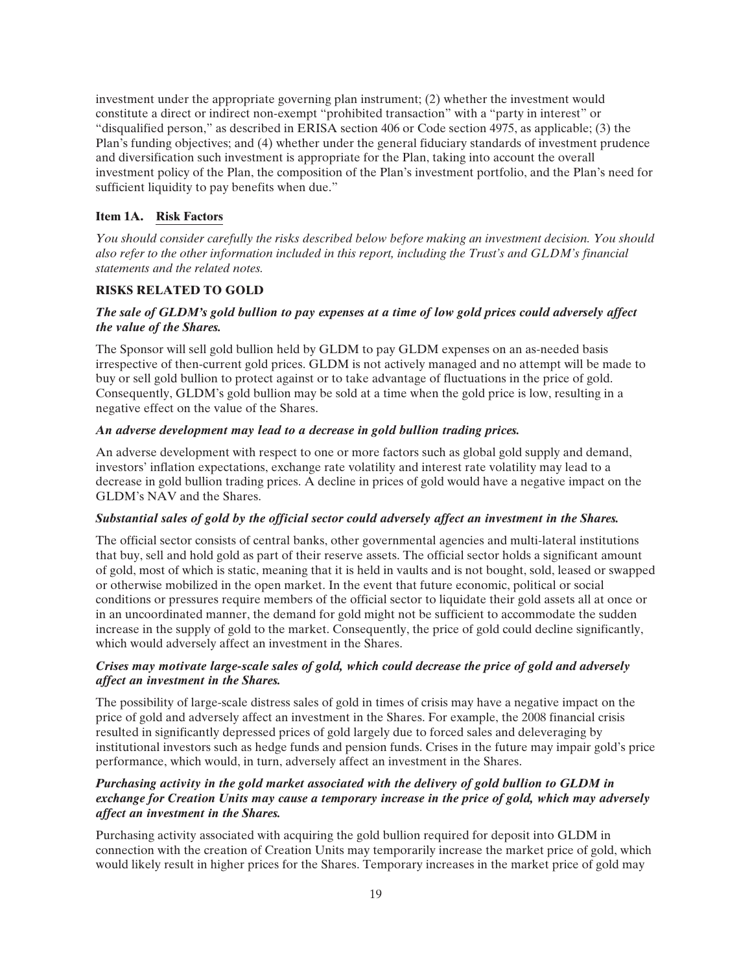investment under the appropriate governing plan instrument; (2) whether the investment would constitute a direct or indirect non-exempt "prohibited transaction" with a "party in interest" or "disqualified person," as described in ERISA section 406 or Code section 4975, as applicable; (3) the Plan's funding objectives; and (4) whether under the general fiduciary standards of investment prudence and diversification such investment is appropriate for the Plan, taking into account the overall investment policy of the Plan, the composition of the Plan's investment portfolio, and the Plan's need for sufficient liquidity to pay benefits when due."

### <span id="page-22-0"></span>**Item 1A. Risk Factors**

*You should consider carefully the risks described below before making an investment decision. You should also refer to the other information included in this report, including the Trust's and GLDM's financial statements and the related notes.*

# **RISKS RELATED TO GOLD**

# *The sale of GLDM's gold bullion to pay expenses at a time of low gold prices could adversely affect the value of the Shares.*

The Sponsor will sell gold bullion held by GLDM to pay GLDM expenses on an as-needed basis irrespective of then-current gold prices. GLDM is not actively managed and no attempt will be made to buy or sell gold bullion to protect against or to take advantage of fluctuations in the price of gold. Consequently, GLDM's gold bullion may be sold at a time when the gold price is low, resulting in a negative effect on the value of the Shares.

#### *An adverse development may lead to a decrease in gold bullion trading prices.*

An adverse development with respect to one or more factors such as global gold supply and demand, investors' inflation expectations, exchange rate volatility and interest rate volatility may lead to a decrease in gold bullion trading prices. A decline in prices of gold would have a negative impact on the GLDM's NAV and the Shares.

## *Substantial sales of gold by the official sector could adversely affect an investment in the Shares.*

The official sector consists of central banks, other governmental agencies and multi-lateral institutions that buy, sell and hold gold as part of their reserve assets. The official sector holds a significant amount of gold, most of which is static, meaning that it is held in vaults and is not bought, sold, leased or swapped or otherwise mobilized in the open market. In the event that future economic, political or social conditions or pressures require members of the official sector to liquidate their gold assets all at once or in an uncoordinated manner, the demand for gold might not be sufficient to accommodate the sudden increase in the supply of gold to the market. Consequently, the price of gold could decline significantly, which would adversely affect an investment in the Shares.

# *Crises may motivate large-scale sales of gold, which could decrease the price of gold and adversely affect an investment in the Shares.*

The possibility of large-scale distress sales of gold in times of crisis may have a negative impact on the price of gold and adversely affect an investment in the Shares. For example, the 2008 financial crisis resulted in significantly depressed prices of gold largely due to forced sales and deleveraging by institutional investors such as hedge funds and pension funds. Crises in the future may impair gold's price performance, which would, in turn, adversely affect an investment in the Shares.

# *Purchasing activity in the gold market associated with the delivery of gold bullion to GLDM in exchange for Creation Units may cause a temporary increase in the price of gold, which may adversely affect an investment in the Shares.*

Purchasing activity associated with acquiring the gold bullion required for deposit into GLDM in connection with the creation of Creation Units may temporarily increase the market price of gold, which would likely result in higher prices for the Shares. Temporary increases in the market price of gold may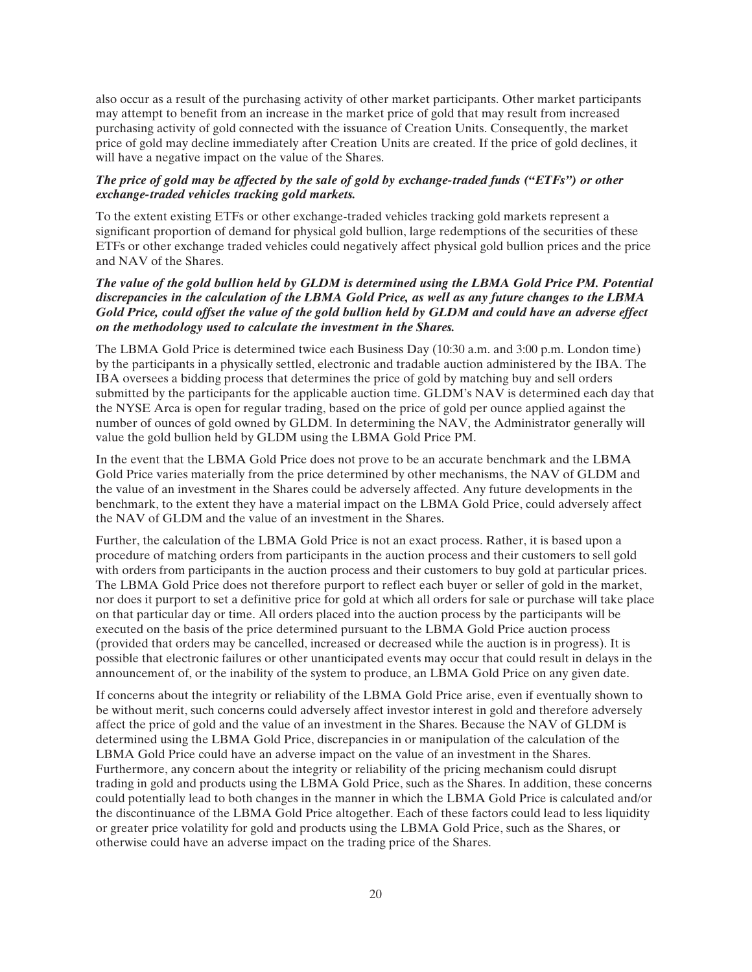also occur as a result of the purchasing activity of other market participants. Other market participants may attempt to benefit from an increase in the market price of gold that may result from increased purchasing activity of gold connected with the issuance of Creation Units. Consequently, the market price of gold may decline immediately after Creation Units are created. If the price of gold declines, it will have a negative impact on the value of the Shares.

# *The price of gold may be affected by the sale of gold by exchange-traded funds ("ETFs") or other exchange-traded vehicles tracking gold markets.*

To the extent existing ETFs or other exchange-traded vehicles tracking gold markets represent a significant proportion of demand for physical gold bullion, large redemptions of the securities of these ETFs or other exchange traded vehicles could negatively affect physical gold bullion prices and the price and NAV of the Shares.

# *The value of the gold bullion held by GLDM is determined using the LBMA Gold Price PM. Potential discrepancies in the calculation of the LBMA Gold Price, as well as any future changes to the LBMA Gold Price, could offset the value of the gold bullion held by GLDM and could have an adverse effect on the methodology used to calculate the investment in the Shares.*

The LBMA Gold Price is determined twice each Business Day (10:30 a.m. and 3:00 p.m. London time) by the participants in a physically settled, electronic and tradable auction administered by the IBA. The IBA oversees a bidding process that determines the price of gold by matching buy and sell orders submitted by the participants for the applicable auction time. GLDM's NAV is determined each day that the NYSE Arca is open for regular trading, based on the price of gold per ounce applied against the number of ounces of gold owned by GLDM. In determining the NAV, the Administrator generally will value the gold bullion held by GLDM using the LBMA Gold Price PM.

In the event that the LBMA Gold Price does not prove to be an accurate benchmark and the LBMA Gold Price varies materially from the price determined by other mechanisms, the NAV of GLDM and the value of an investment in the Shares could be adversely affected. Any future developments in the benchmark, to the extent they have a material impact on the LBMA Gold Price, could adversely affect the NAV of GLDM and the value of an investment in the Shares.

Further, the calculation of the LBMA Gold Price is not an exact process. Rather, it is based upon a procedure of matching orders from participants in the auction process and their customers to sell gold with orders from participants in the auction process and their customers to buy gold at particular prices. The LBMA Gold Price does not therefore purport to reflect each buyer or seller of gold in the market, nor does it purport to set a definitive price for gold at which all orders for sale or purchase will take place on that particular day or time. All orders placed into the auction process by the participants will be executed on the basis of the price determined pursuant to the LBMA Gold Price auction process (provided that orders may be cancelled, increased or decreased while the auction is in progress). It is possible that electronic failures or other unanticipated events may occur that could result in delays in the announcement of, or the inability of the system to produce, an LBMA Gold Price on any given date.

If concerns about the integrity or reliability of the LBMA Gold Price arise, even if eventually shown to be without merit, such concerns could adversely affect investor interest in gold and therefore adversely affect the price of gold and the value of an investment in the Shares. Because the NAV of GLDM is determined using the LBMA Gold Price, discrepancies in or manipulation of the calculation of the LBMA Gold Price could have an adverse impact on the value of an investment in the Shares. Furthermore, any concern about the integrity or reliability of the pricing mechanism could disrupt trading in gold and products using the LBMA Gold Price, such as the Shares. In addition, these concerns could potentially lead to both changes in the manner in which the LBMA Gold Price is calculated and/or the discontinuance of the LBMA Gold Price altogether. Each of these factors could lead to less liquidity or greater price volatility for gold and products using the LBMA Gold Price, such as the Shares, or otherwise could have an adverse impact on the trading price of the Shares.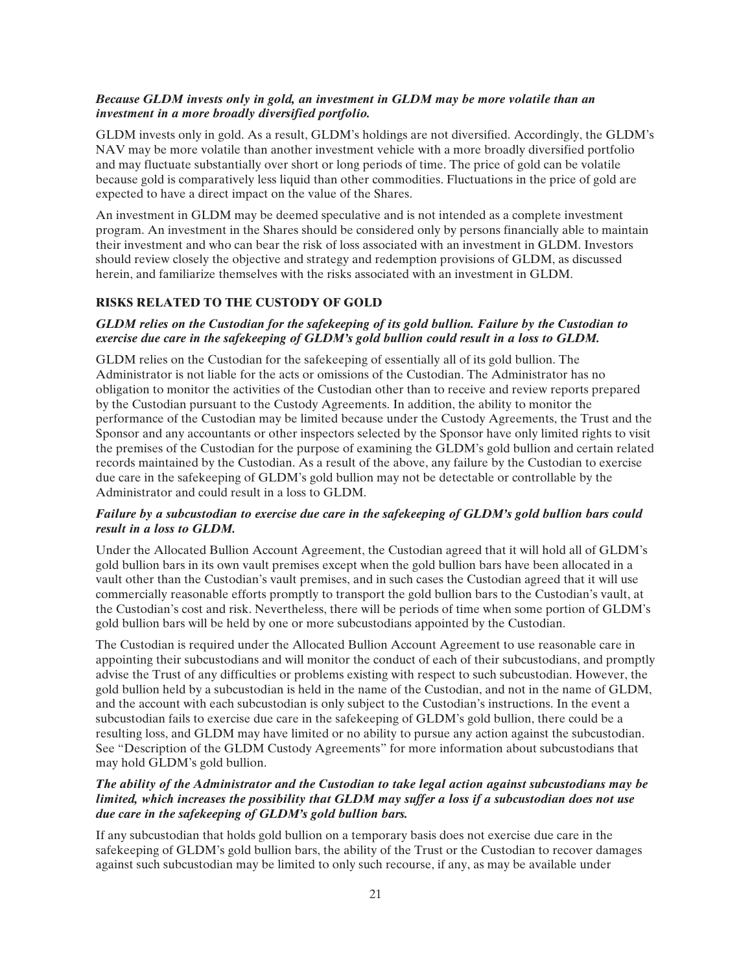# *Because GLDM invests only in gold, an investment in GLDM may be more volatile than an investment in a more broadly diversified portfolio.*

GLDM invests only in gold. As a result, GLDM's holdings are not diversified. Accordingly, the GLDM's NAV may be more volatile than another investment vehicle with a more broadly diversified portfolio and may fluctuate substantially over short or long periods of time. The price of gold can be volatile because gold is comparatively less liquid than other commodities. Fluctuations in the price of gold are expected to have a direct impact on the value of the Shares.

An investment in GLDM may be deemed speculative and is not intended as a complete investment program. An investment in the Shares should be considered only by persons financially able to maintain their investment and who can bear the risk of loss associated with an investment in GLDM. Investors should review closely the objective and strategy and redemption provisions of GLDM, as discussed herein, and familiarize themselves with the risks associated with an investment in GLDM.

# **RISKS RELATED TO THE CUSTODY OF GOLD**

# *GLDM relies on the Custodian for the safekeeping of its gold bullion. Failure by the Custodian to exercise due care in the safekeeping of GLDM's gold bullion could result in a loss to GLDM.*

GLDM relies on the Custodian for the safekeeping of essentially all of its gold bullion. The Administrator is not liable for the acts or omissions of the Custodian. The Administrator has no obligation to monitor the activities of the Custodian other than to receive and review reports prepared by the Custodian pursuant to the Custody Agreements. In addition, the ability to monitor the performance of the Custodian may be limited because under the Custody Agreements, the Trust and the Sponsor and any accountants or other inspectors selected by the Sponsor have only limited rights to visit the premises of the Custodian for the purpose of examining the GLDM's gold bullion and certain related records maintained by the Custodian. As a result of the above, any failure by the Custodian to exercise due care in the safekeeping of GLDM's gold bullion may not be detectable or controllable by the Administrator and could result in a loss to GLDM.

# *Failure by a subcustodian to exercise due care in the safekeeping of GLDM's gold bullion bars could result in a loss to GLDM.*

Under the Allocated Bullion Account Agreement, the Custodian agreed that it will hold all of GLDM's gold bullion bars in its own vault premises except when the gold bullion bars have been allocated in a vault other than the Custodian's vault premises, and in such cases the Custodian agreed that it will use commercially reasonable efforts promptly to transport the gold bullion bars to the Custodian's vault, at the Custodian's cost and risk. Nevertheless, there will be periods of time when some portion of GLDM's gold bullion bars will be held by one or more subcustodians appointed by the Custodian.

The Custodian is required under the Allocated Bullion Account Agreement to use reasonable care in appointing their subcustodians and will monitor the conduct of each of their subcustodians, and promptly advise the Trust of any difficulties or problems existing with respect to such subcustodian. However, the gold bullion held by a subcustodian is held in the name of the Custodian, and not in the name of GLDM, and the account with each subcustodian is only subject to the Custodian's instructions. In the event a subcustodian fails to exercise due care in the safekeeping of GLDM's gold bullion, there could be a resulting loss, and GLDM may have limited or no ability to pursue any action against the subcustodian. See "Description of the GLDM Custody Agreements" for more information about subcustodians that may hold GLDM's gold bullion.

# *The ability of the Administrator and the Custodian to take legal action against subcustodians may be limited, which increases the possibility that GLDM may suffer a loss if a subcustodian does not use due care in the safekeeping of GLDM's gold bullion bars.*

If any subcustodian that holds gold bullion on a temporary basis does not exercise due care in the safekeeping of GLDM's gold bullion bars, the ability of the Trust or the Custodian to recover damages against such subcustodian may be limited to only such recourse, if any, as may be available under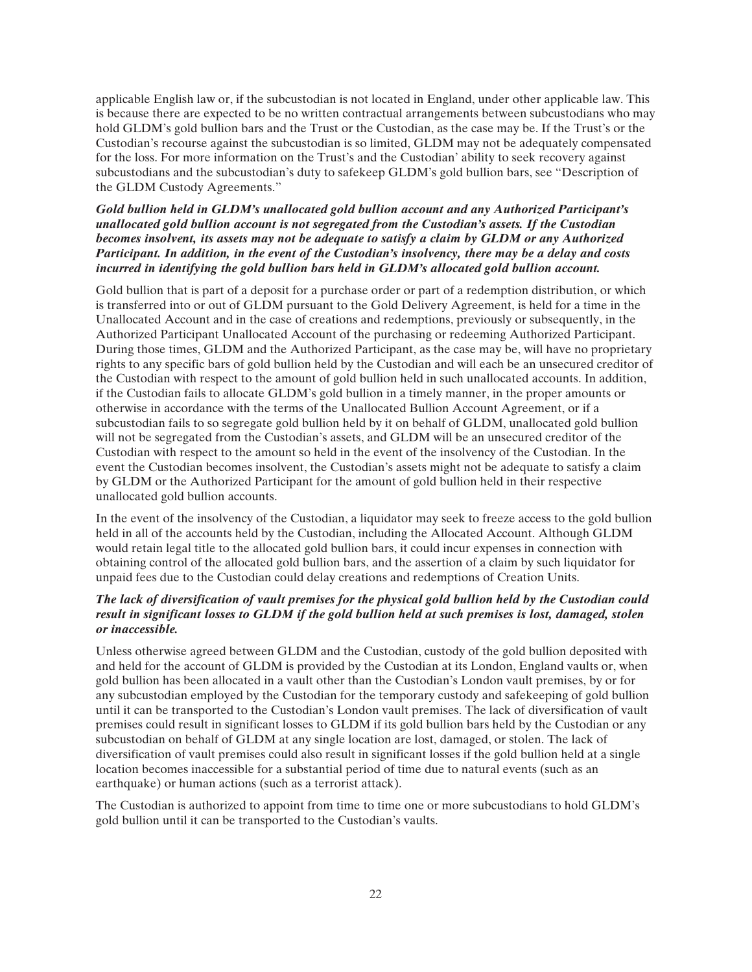applicable English law or, if the subcustodian is not located in England, under other applicable law. This is because there are expected to be no written contractual arrangements between subcustodians who may hold GLDM's gold bullion bars and the Trust or the Custodian, as the case may be. If the Trust's or the Custodian's recourse against the subcustodian is so limited, GLDM may not be adequately compensated for the loss. For more information on the Trust's and the Custodian' ability to seek recovery against subcustodians and the subcustodian's duty to safekeep GLDM's gold bullion bars, see "Description of the GLDM Custody Agreements."

# *Gold bullion held in GLDM's unallocated gold bullion account and any Authorized Participant's unallocated gold bullion account is not segregated from the Custodian's assets. If the Custodian becomes insolvent, its assets may not be adequate to satisfy a claim by GLDM or any Authorized Participant. In addition, in the event of the Custodian's insolvency, there may be a delay and costs incurred in identifying the gold bullion bars held in GLDM's allocated gold bullion account.*

Gold bullion that is part of a deposit for a purchase order or part of a redemption distribution, or which is transferred into or out of GLDM pursuant to the Gold Delivery Agreement, is held for a time in the Unallocated Account and in the case of creations and redemptions, previously or subsequently, in the Authorized Participant Unallocated Account of the purchasing or redeeming Authorized Participant. During those times, GLDM and the Authorized Participant, as the case may be, will have no proprietary rights to any specific bars of gold bullion held by the Custodian and will each be an unsecured creditor of the Custodian with respect to the amount of gold bullion held in such unallocated accounts. In addition, if the Custodian fails to allocate GLDM's gold bullion in a timely manner, in the proper amounts or otherwise in accordance with the terms of the Unallocated Bullion Account Agreement, or if a subcustodian fails to so segregate gold bullion held by it on behalf of GLDM, unallocated gold bullion will not be segregated from the Custodian's assets, and GLDM will be an unsecured creditor of the Custodian with respect to the amount so held in the event of the insolvency of the Custodian. In the event the Custodian becomes insolvent, the Custodian's assets might not be adequate to satisfy a claim by GLDM or the Authorized Participant for the amount of gold bullion held in their respective unallocated gold bullion accounts.

In the event of the insolvency of the Custodian, a liquidator may seek to freeze access to the gold bullion held in all of the accounts held by the Custodian, including the Allocated Account. Although GLDM would retain legal title to the allocated gold bullion bars, it could incur expenses in connection with obtaining control of the allocated gold bullion bars, and the assertion of a claim by such liquidator for unpaid fees due to the Custodian could delay creations and redemptions of Creation Units.

# *The lack of diversification of vault premises for the physical gold bullion held by the Custodian could result in significant losses to GLDM if the gold bullion held at such premises is lost, damaged, stolen or inaccessible.*

Unless otherwise agreed between GLDM and the Custodian, custody of the gold bullion deposited with and held for the account of GLDM is provided by the Custodian at its London, England vaults or, when gold bullion has been allocated in a vault other than the Custodian's London vault premises, by or for any subcustodian employed by the Custodian for the temporary custody and safekeeping of gold bullion until it can be transported to the Custodian's London vault premises. The lack of diversification of vault premises could result in significant losses to GLDM if its gold bullion bars held by the Custodian or any subcustodian on behalf of GLDM at any single location are lost, damaged, or stolen. The lack of diversification of vault premises could also result in significant losses if the gold bullion held at a single location becomes inaccessible for a substantial period of time due to natural events (such as an earthquake) or human actions (such as a terrorist attack).

The Custodian is authorized to appoint from time to time one or more subcustodians to hold GLDM's gold bullion until it can be transported to the Custodian's vaults.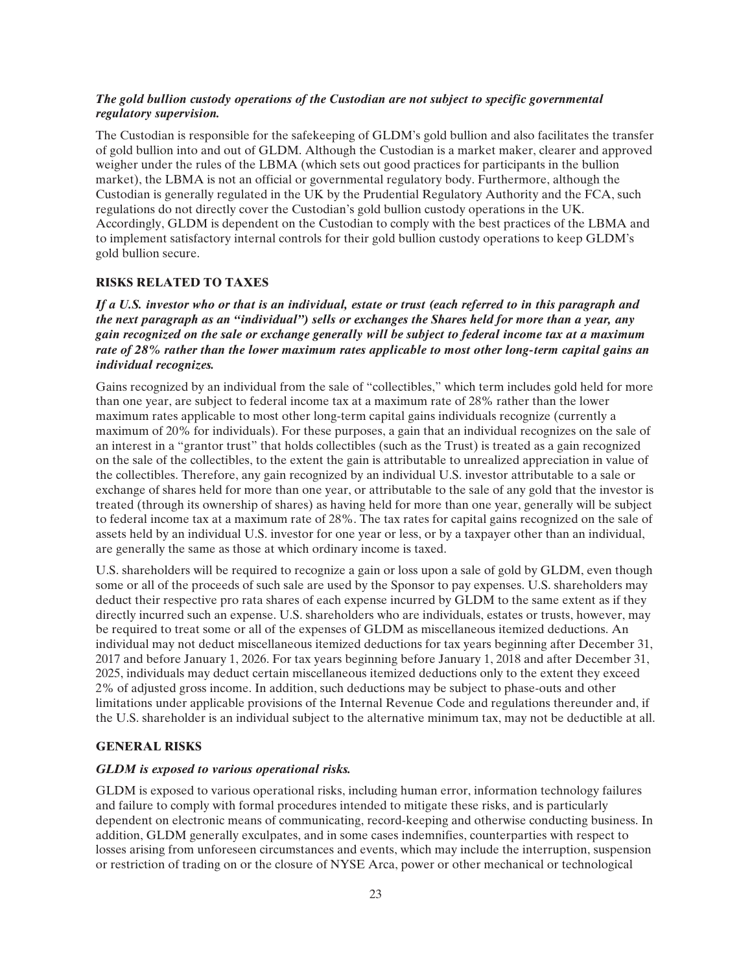# *The gold bullion custody operations of the Custodian are not subject to specific governmental regulatory supervision.*

The Custodian is responsible for the safekeeping of GLDM's gold bullion and also facilitates the transfer of gold bullion into and out of GLDM. Although the Custodian is a market maker, clearer and approved weigher under the rules of the LBMA (which sets out good practices for participants in the bullion market), the LBMA is not an official or governmental regulatory body. Furthermore, although the Custodian is generally regulated in the UK by the Prudential Regulatory Authority and the FCA, such regulations do not directly cover the Custodian's gold bullion custody operations in the UK. Accordingly, GLDM is dependent on the Custodian to comply with the best practices of the LBMA and to implement satisfactory internal controls for their gold bullion custody operations to keep GLDM's gold bullion secure.

# **RISKS RELATED TO TAXES**

*If a U.S. investor who or that is an individual, estate or trust (each referred to in this paragraph and the next paragraph as an "individual") sells or exchanges the Shares held for more than a year, any gain recognized on the sale or exchange generally will be subject to federal income tax at a maximum rate of 28% rather than the lower maximum rates applicable to most other long-term capital gains an individual recognizes.*

Gains recognized by an individual from the sale of "collectibles," which term includes gold held for more than one year, are subject to federal income tax at a maximum rate of 28% rather than the lower maximum rates applicable to most other long-term capital gains individuals recognize (currently a maximum of 20% for individuals). For these purposes, a gain that an individual recognizes on the sale of an interest in a "grantor trust" that holds collectibles (such as the Trust) is treated as a gain recognized on the sale of the collectibles, to the extent the gain is attributable to unrealized appreciation in value of the collectibles. Therefore, any gain recognized by an individual U.S. investor attributable to a sale or exchange of shares held for more than one year, or attributable to the sale of any gold that the investor is treated (through its ownership of shares) as having held for more than one year, generally will be subject to federal income tax at a maximum rate of 28%. The tax rates for capital gains recognized on the sale of assets held by an individual U.S. investor for one year or less, or by a taxpayer other than an individual, are generally the same as those at which ordinary income is taxed.

U.S. shareholders will be required to recognize a gain or loss upon a sale of gold by GLDM, even though some or all of the proceeds of such sale are used by the Sponsor to pay expenses. U.S. shareholders may deduct their respective pro rata shares of each expense incurred by GLDM to the same extent as if they directly incurred such an expense. U.S. shareholders who are individuals, estates or trusts, however, may be required to treat some or all of the expenses of GLDM as miscellaneous itemized deductions. An individual may not deduct miscellaneous itemized deductions for tax years beginning after December 31, 2017 and before January 1, 2026. For tax years beginning before January 1, 2018 and after December 31, 2025, individuals may deduct certain miscellaneous itemized deductions only to the extent they exceed 2% of adjusted gross income. In addition, such deductions may be subject to phase-outs and other limitations under applicable provisions of the Internal Revenue Code and regulations thereunder and, if the U.S. shareholder is an individual subject to the alternative minimum tax, may not be deductible at all.

## **GENERAL RISKS**

### *GLDM is exposed to various operational risks.*

GLDM is exposed to various operational risks, including human error, information technology failures and failure to comply with formal procedures intended to mitigate these risks, and is particularly dependent on electronic means of communicating, record-keeping and otherwise conducting business. In addition, GLDM generally exculpates, and in some cases indemnifies, counterparties with respect to losses arising from unforeseen circumstances and events, which may include the interruption, suspension or restriction of trading on or the closure of NYSE Arca, power or other mechanical or technological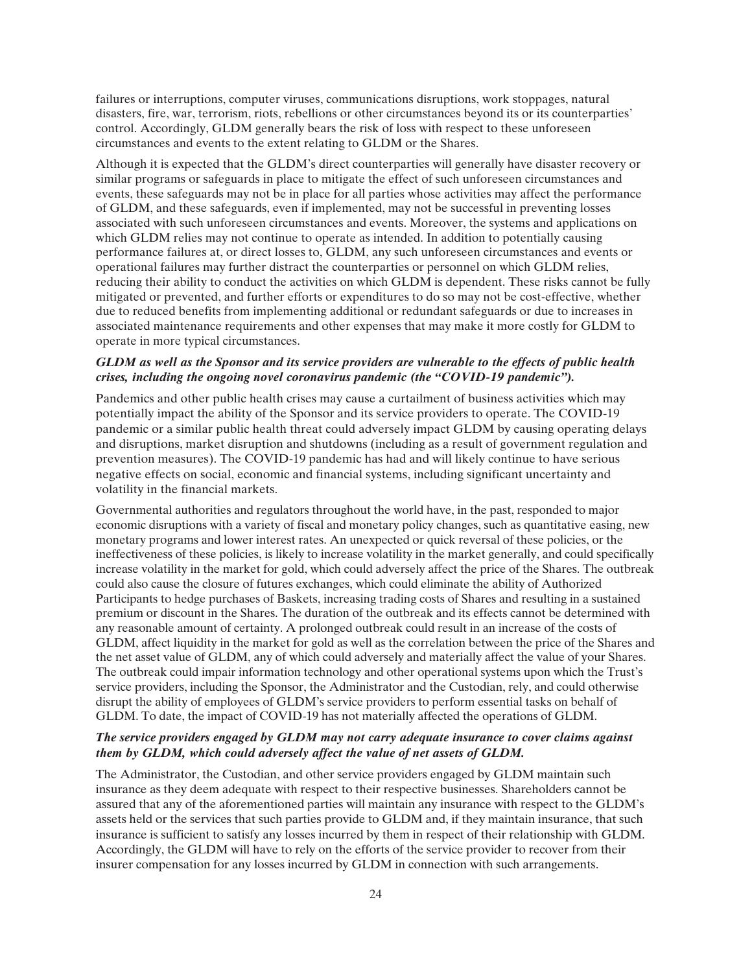failures or interruptions, computer viruses, communications disruptions, work stoppages, natural disasters, fire, war, terrorism, riots, rebellions or other circumstances beyond its or its counterparties' control. Accordingly, GLDM generally bears the risk of loss with respect to these unforeseen circumstances and events to the extent relating to GLDM or the Shares.

Although it is expected that the GLDM's direct counterparties will generally have disaster recovery or similar programs or safeguards in place to mitigate the effect of such unforeseen circumstances and events, these safeguards may not be in place for all parties whose activities may affect the performance of GLDM, and these safeguards, even if implemented, may not be successful in preventing losses associated with such unforeseen circumstances and events. Moreover, the systems and applications on which GLDM relies may not continue to operate as intended. In addition to potentially causing performance failures at, or direct losses to, GLDM, any such unforeseen circumstances and events or operational failures may further distract the counterparties or personnel on which GLDM relies, reducing their ability to conduct the activities on which GLDM is dependent. These risks cannot be fully mitigated or prevented, and further efforts or expenditures to do so may not be cost-effective, whether due to reduced benefits from implementing additional or redundant safeguards or due to increases in associated maintenance requirements and other expenses that may make it more costly for GLDM to operate in more typical circumstances.

## *GLDM as well as the Sponsor and its service providers are vulnerable to the effects of public health crises, including the ongoing novel coronavirus pandemic (the "COVID-19 pandemic").*

Pandemics and other public health crises may cause a curtailment of business activities which may potentially impact the ability of the Sponsor and its service providers to operate. The COVID-19 pandemic or a similar public health threat could adversely impact GLDM by causing operating delays and disruptions, market disruption and shutdowns (including as a result of government regulation and prevention measures). The COVID-19 pandemic has had and will likely continue to have serious negative effects on social, economic and financial systems, including significant uncertainty and volatility in the financial markets.

Governmental authorities and regulators throughout the world have, in the past, responded to major economic disruptions with a variety of fiscal and monetary policy changes, such as quantitative easing, new monetary programs and lower interest rates. An unexpected or quick reversal of these policies, or the ineffectiveness of these policies, is likely to increase volatility in the market generally, and could specifically increase volatility in the market for gold, which could adversely affect the price of the Shares. The outbreak could also cause the closure of futures exchanges, which could eliminate the ability of Authorized Participants to hedge purchases of Baskets, increasing trading costs of Shares and resulting in a sustained premium or discount in the Shares. The duration of the outbreak and its effects cannot be determined with any reasonable amount of certainty. A prolonged outbreak could result in an increase of the costs of GLDM, affect liquidity in the market for gold as well as the correlation between the price of the Shares and the net asset value of GLDM, any of which could adversely and materially affect the value of your Shares. The outbreak could impair information technology and other operational systems upon which the Trust's service providers, including the Sponsor, the Administrator and the Custodian, rely, and could otherwise disrupt the ability of employees of GLDM's service providers to perform essential tasks on behalf of GLDM. To date, the impact of COVID-19 has not materially affected the operations of GLDM.

# *The service providers engaged by GLDM may not carry adequate insurance to cover claims against them by GLDM, which could adversely affect the value of net assets of GLDM.*

The Administrator, the Custodian, and other service providers engaged by GLDM maintain such insurance as they deem adequate with respect to their respective businesses. Shareholders cannot be assured that any of the aforementioned parties will maintain any insurance with respect to the GLDM's assets held or the services that such parties provide to GLDM and, if they maintain insurance, that such insurance is sufficient to satisfy any losses incurred by them in respect of their relationship with GLDM. Accordingly, the GLDM will have to rely on the efforts of the service provider to recover from their insurer compensation for any losses incurred by GLDM in connection with such arrangements.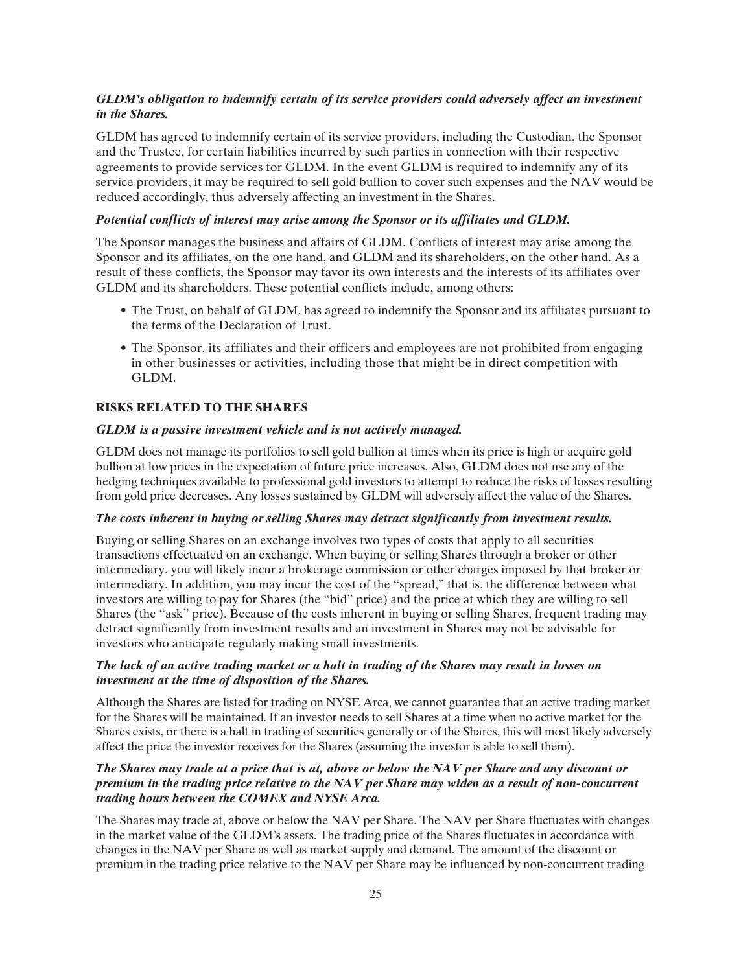# *GLDM's obligation to indemnify certain of its service providers could adversely affect an investment in the Shares.*

GLDM has agreed to indemnify certain of its service providers, including the Custodian, the Sponsor and the Trustee, for certain liabilities incurred by such parties in connection with their respective agreements to provide services for GLDM. In the event GLDM is required to indemnify any of its service providers, it may be required to sell gold bullion to cover such expenses and the NAV would be reduced accordingly, thus adversely affecting an investment in the Shares.

#### *Potential conflicts of interest may arise among the Sponsor or its affiliates and GLDM.*

The Sponsor manages the business and affairs of GLDM. Conflicts of interest may arise among the Sponsor and its affiliates, on the one hand, and GLDM and its shareholders, on the other hand. As a result of these conflicts, the Sponsor may favor its own interests and the interests of its affiliates over GLDM and its shareholders. These potential conflicts include, among others:

- The Trust, on behalf of GLDM, has agreed to indemnify the Sponsor and its affiliates pursuant to the terms of the Declaration of Trust.
- The Sponsor, its affiliates and their officers and employees are not prohibited from engaging in other businesses or activities, including those that might be in direct competition with GLDM.

# **RISKS RELATED TO THE SHARES**

#### *GLDM is a passive investment vehicle and is not actively managed.*

GLDM does not manage its portfolios to sell gold bullion at times when its price is high or acquire gold bullion at low prices in the expectation of future price increases. Also, GLDM does not use any of the hedging techniques available to professional gold investors to attempt to reduce the risks of losses resulting from gold price decreases. Any losses sustained by GLDM will adversely affect the value of the Shares.

#### *The costs inherent in buying or selling Shares may detract significantly from investment results.*

Buying or selling Shares on an exchange involves two types of costs that apply to all securities transactions effectuated on an exchange. When buying or selling Shares through a broker or other intermediary, you will likely incur a brokerage commission or other charges imposed by that broker or intermediary. In addition, you may incur the cost of the "spread," that is, the difference between what investors are willing to pay for Shares (the "bid" price) and the price at which they are willing to sell Shares (the "ask" price). Because of the costs inherent in buying or selling Shares, frequent trading may detract significantly from investment results and an investment in Shares may not be advisable for investors who anticipate regularly making small investments.

# *The lack of an active trading market or a halt in trading of the Shares may result in losses on investment at the time of disposition of the Shares.*

Although the Shares are listed for trading on NYSE Arca, we cannot guarantee that an active trading market for the Shares will be maintained. If an investor needs to sell Shares at a time when no active market for the Shares exists, or there is a halt in trading of securities generally or of the Shares, this will most likely adversely affect the price the investor receives for the Shares (assuming the investor is able to sell them).

# *The Shares may trade at a price that is at, above or below the NAV per Share and any discount or premium in the trading price relative to the NAV per Share may widen as a result of non-concurrent trading hours between the COMEX and NYSE Arca.*

The Shares may trade at, above or below the NAV per Share. The NAV per Share fluctuates with changes in the market value of the GLDM's assets. The trading price of the Shares fluctuates in accordance with changes in the NAV per Share as well as market supply and demand. The amount of the discount or premium in the trading price relative to the NAV per Share may be influenced by non-concurrent trading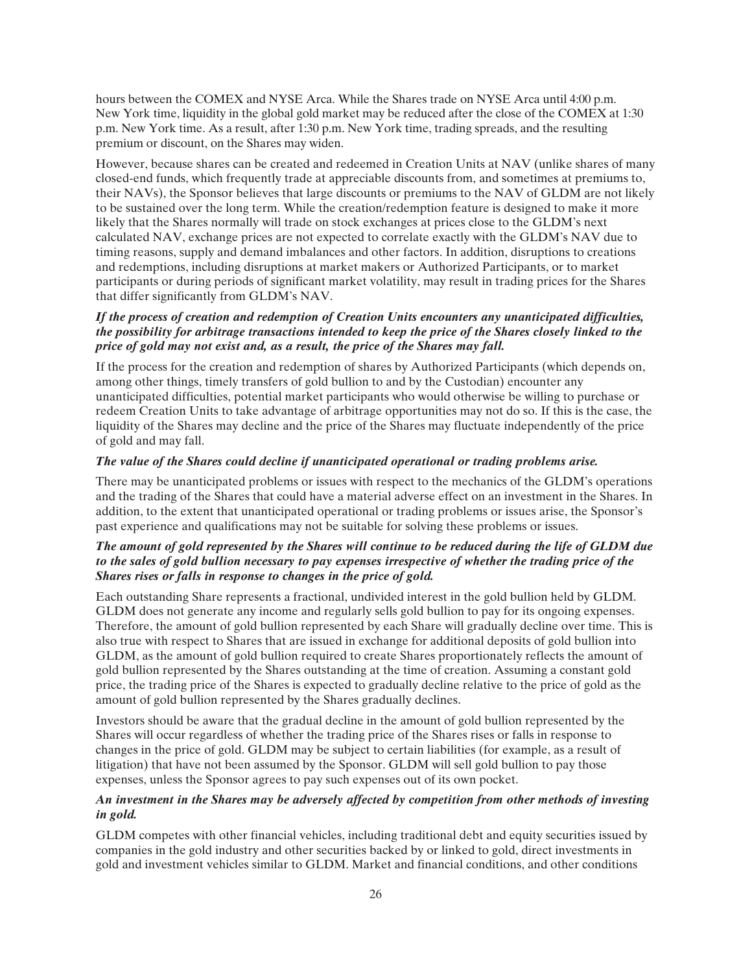hours between the COMEX and NYSE Arca. While the Shares trade on NYSE Arca until 4:00 p.m. New York time, liquidity in the global gold market may be reduced after the close of the COMEX at 1:30 p.m. New York time. As a result, after 1:30 p.m. New York time, trading spreads, and the resulting premium or discount, on the Shares may widen.

However, because shares can be created and redeemed in Creation Units at NAV (unlike shares of many closed-end funds, which frequently trade at appreciable discounts from, and sometimes at premiums to, their NAVs), the Sponsor believes that large discounts or premiums to the NAV of GLDM are not likely to be sustained over the long term. While the creation/redemption feature is designed to make it more likely that the Shares normally will trade on stock exchanges at prices close to the GLDM's next calculated NAV, exchange prices are not expected to correlate exactly with the GLDM's NAV due to timing reasons, supply and demand imbalances and other factors. In addition, disruptions to creations and redemptions, including disruptions at market makers or Authorized Participants, or to market participants or during periods of significant market volatility, may result in trading prices for the Shares that differ significantly from GLDM's NAV.

# *If the process of creation and redemption of Creation Units encounters any unanticipated difficulties, the possibility for arbitrage transactions intended to keep the price of the Shares closely linked to the price of gold may not exist and, as a result, the price of the Shares may fall.*

If the process for the creation and redemption of shares by Authorized Participants (which depends on, among other things, timely transfers of gold bullion to and by the Custodian) encounter any unanticipated difficulties, potential market participants who would otherwise be willing to purchase or redeem Creation Units to take advantage of arbitrage opportunities may not do so. If this is the case, the liquidity of the Shares may decline and the price of the Shares may fluctuate independently of the price of gold and may fall.

# *The value of the Shares could decline if unanticipated operational or trading problems arise.*

There may be unanticipated problems or issues with respect to the mechanics of the GLDM's operations and the trading of the Shares that could have a material adverse effect on an investment in the Shares. In addition, to the extent that unanticipated operational or trading problems or issues arise, the Sponsor's past experience and qualifications may not be suitable for solving these problems or issues.

# *The amount of gold represented by the Shares will continue to be reduced during the life of GLDM due to the sales of gold bullion necessary to pay expenses irrespective of whether the trading price of the Shares rises or falls in response to changes in the price of gold.*

Each outstanding Share represents a fractional, undivided interest in the gold bullion held by GLDM. GLDM does not generate any income and regularly sells gold bullion to pay for its ongoing expenses. Therefore, the amount of gold bullion represented by each Share will gradually decline over time. This is also true with respect to Shares that are issued in exchange for additional deposits of gold bullion into GLDM, as the amount of gold bullion required to create Shares proportionately reflects the amount of gold bullion represented by the Shares outstanding at the time of creation. Assuming a constant gold price, the trading price of the Shares is expected to gradually decline relative to the price of gold as the amount of gold bullion represented by the Shares gradually declines.

Investors should be aware that the gradual decline in the amount of gold bullion represented by the Shares will occur regardless of whether the trading price of the Shares rises or falls in response to changes in the price of gold. GLDM may be subject to certain liabilities (for example, as a result of litigation) that have not been assumed by the Sponsor. GLDM will sell gold bullion to pay those expenses, unless the Sponsor agrees to pay such expenses out of its own pocket.

# *An investment in the Shares may be adversely affected by competition from other methods of investing in gold.*

GLDM competes with other financial vehicles, including traditional debt and equity securities issued by companies in the gold industry and other securities backed by or linked to gold, direct investments in gold and investment vehicles similar to GLDM. Market and financial conditions, and other conditions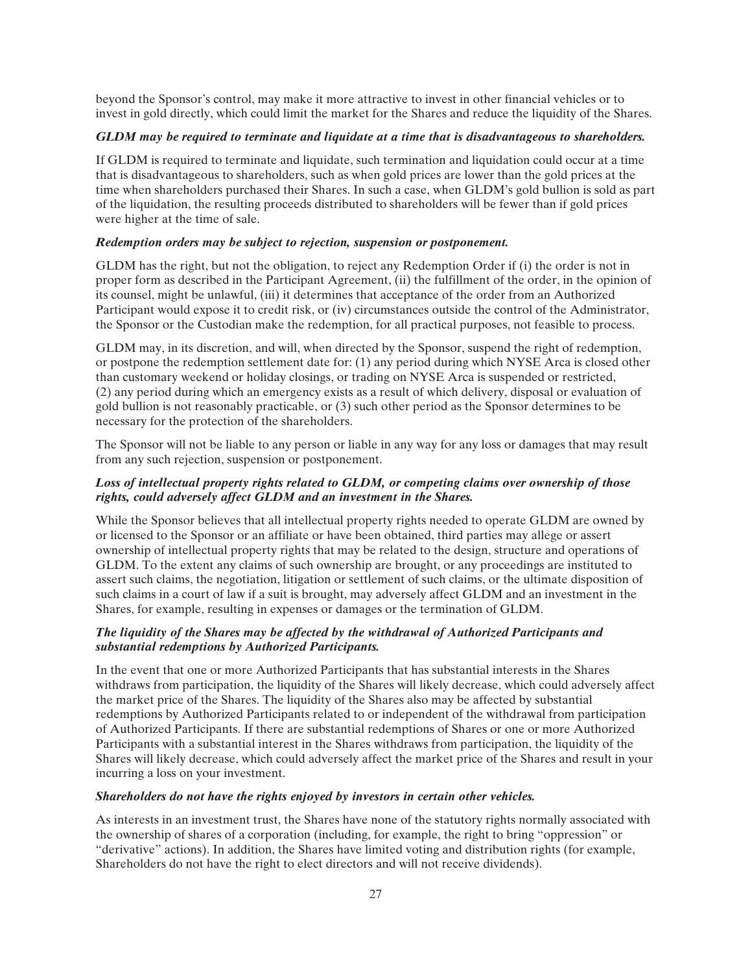beyond the Sponsor's control, may make it more attractive to invest in other financial vehicles or to invest in gold directly, which could limit the market for the Shares and reduce the liquidity of the Shares.

## *GLDM may be required to terminate and liquidate at a time that is disadvantageous to shareholders.*

If GLDM is required to terminate and liquidate, such termination and liquidation could occur at a time that is disadvantageous to shareholders, such as when gold prices are lower than the gold prices at the time when shareholders purchased their Shares. In such a case, when GLDM's gold bullion is sold as part of the liquidation, the resulting proceeds distributed to shareholders will be fewer than if gold prices were higher at the time of sale.

# *Redemption orders may be subject to rejection, suspension or postponement.*

GLDM has the right, but not the obligation, to reject any Redemption Order if (i) the order is not in proper form as described in the Participant Agreement, (ii) the fulfillment of the order, in the opinion of its counsel, might be unlawful, (iii) it determines that acceptance of the order from an Authorized Participant would expose it to credit risk, or (iv) circumstances outside the control of the Administrator, the Sponsor or the Custodian make the redemption, for all practical purposes, not feasible to process.

GLDM may, in its discretion, and will, when directed by the Sponsor, suspend the right of redemption, or postpone the redemption settlement date for: (1) any period during which NYSE Arca is closed other than customary weekend or holiday closings, or trading on NYSE Arca is suspended or restricted, (2) any period during which an emergency exists as a result of which delivery, disposal or evaluation of gold bullion is not reasonably practicable, or (3) such other period as the Sponsor determines to be necessary for the protection of the shareholders.

The Sponsor will not be liable to any person or liable in any way for any loss or damages that may result from any such rejection, suspension or postponement.

# *Loss of intellectual property rights related to GLDM, or competing claims over ownership of those rights, could adversely affect GLDM and an investment in the Shares.*

While the Sponsor believes that all intellectual property rights needed to operate GLDM are owned by or licensed to the Sponsor or an affiliate or have been obtained, third parties may allege or assert ownership of intellectual property rights that may be related to the design, structure and operations of GLDM. To the extent any claims of such ownership are brought, or any proceedings are instituted to assert such claims, the negotiation, litigation or settlement of such claims, or the ultimate disposition of such claims in a court of law if a suit is brought, may adversely affect GLDM and an investment in the Shares, for example, resulting in expenses or damages or the termination of GLDM.

# *The liquidity of the Shares may be affected by the withdrawal of Authorized Participants and substantial redemptions by Authorized Participants.*

In the event that one or more Authorized Participants that has substantial interests in the Shares withdraws from participation, the liquidity of the Shares will likely decrease, which could adversely affect the market price of the Shares. The liquidity of the Shares also may be affected by substantial redemptions by Authorized Participants related to or independent of the withdrawal from participation of Authorized Participants. If there are substantial redemptions of Shares or one or more Authorized Participants with a substantial interest in the Shares withdraws from participation, the liquidity of the Shares will likely decrease, which could adversely affect the market price of the Shares and result in your incurring a loss on your investment.

# *Shareholders do not have the rights enjoyed by investors in certain other vehicles.*

As interests in an investment trust, the Shares have none of the statutory rights normally associated with the ownership of shares of a corporation (including, for example, the right to bring "oppression" or "derivative" actions). In addition, the Shares have limited voting and distribution rights (for example, Shareholders do not have the right to elect directors and will not receive dividends).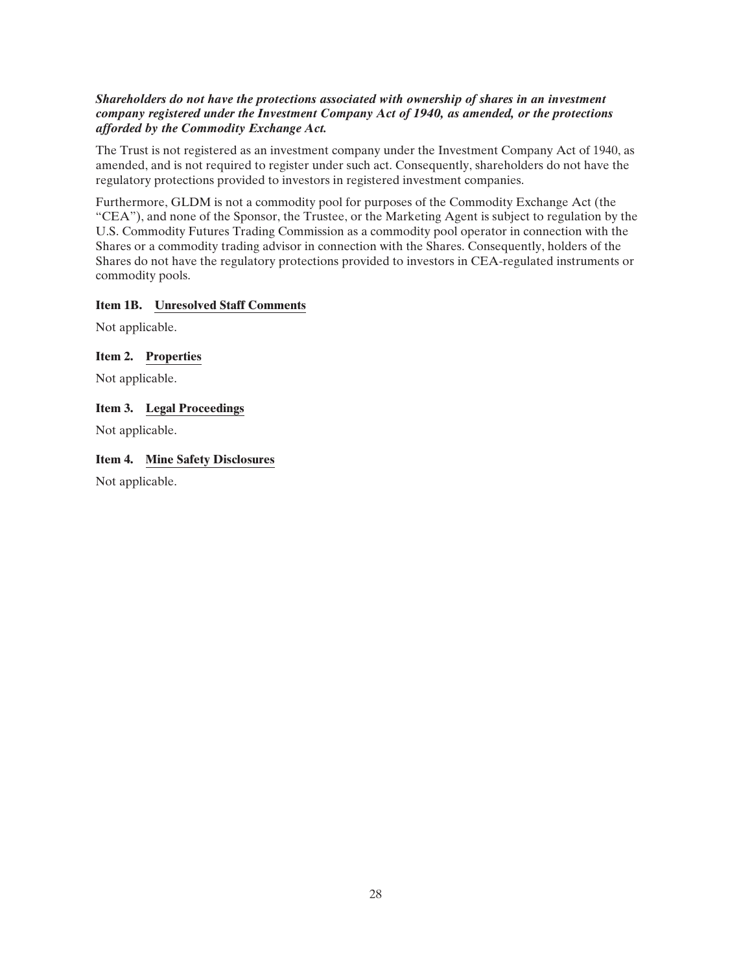# *Shareholders do not have the protections associated with ownership of shares in an investment company registered under the Investment Company Act of 1940, as amended, or the protections afforded by the Commodity Exchange Act.*

The Trust is not registered as an investment company under the Investment Company Act of 1940, as amended, and is not required to register under such act. Consequently, shareholders do not have the regulatory protections provided to investors in registered investment companies.

Furthermore, GLDM is not a commodity pool for purposes of the Commodity Exchange Act (the "CEA"), and none of the Sponsor, the Trustee, or the Marketing Agent is subject to regulation by the U.S. Commodity Futures Trading Commission as a commodity pool operator in connection with the Shares or a commodity trading advisor in connection with the Shares. Consequently, holders of the Shares do not have the regulatory protections provided to investors in CEA-regulated instruments or commodity pools.

# <span id="page-31-0"></span>**Item 1B. Unresolved Staff Comments**

Not applicable.

# <span id="page-31-1"></span>**Item 2. Properties**

Not applicable.

# <span id="page-31-2"></span>**Item 3. Legal Proceedings**

Not applicable.

# <span id="page-31-3"></span>**Item 4. Mine Safety Disclosures**

Not applicable.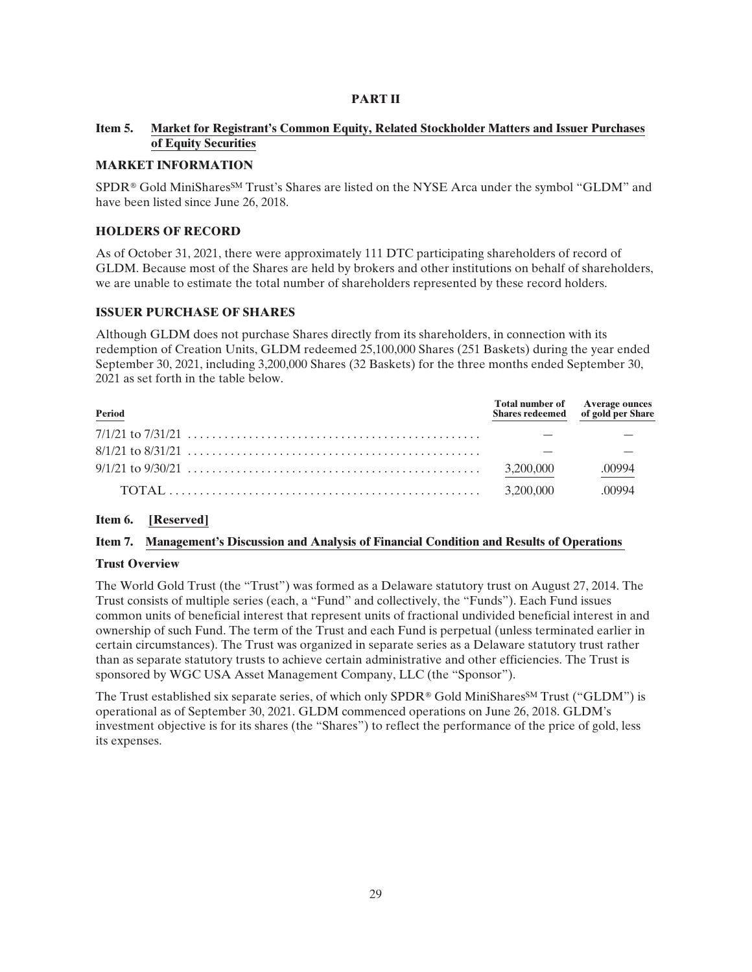# **PART II**

# **Item 5. Market for Registrant's Common Equity, Related Stockholder Matters and Issuer Purchases of Equity Securities**

# **MARKET INFORMATION**

SPDR<sup>®</sup> Gold MiniShares<sup>SM</sup> Trust's Shares are listed on the NYSE Arca under the symbol "GLDM" and have been listed since June 26, 2018.

# **HOLDERS OF RECORD**

As of October 31, 2021, there were approximately 111 DTC participating shareholders of record of GLDM. Because most of the Shares are held by brokers and other institutions on behalf of shareholders, we are unable to estimate the total number of shareholders represented by these record holders.

### **ISSUER PURCHASE OF SHARES**

Although GLDM does not purchase Shares directly from its shareholders, in connection with its redemption of Creation Units, GLDM redeemed 25,100,000 Shares (251 Baskets) during the year ended September 30, 2021, including 3,200,000 Shares (32 Baskets) for the three months ended September 30, 2021 as set forth in the table below.

| Period | Total number of Average ounces<br>Shares redeemed of gold per Share |        |
|--------|---------------------------------------------------------------------|--------|
|        |                                                                     |        |
|        |                                                                     |        |
|        |                                                                     | .00994 |
|        | 3,200,000                                                           | 00994  |

# **Item 6. [Reserved]**

### **Item 7. Management's Discussion and Analysis of Financial Condition and Results of Operations**

### **Trust Overview**

The World Gold Trust (the "Trust") was formed as a Delaware statutory trust on August 27, 2014. The Trust consists of multiple series (each, a "Fund" and collectively, the "Funds"). Each Fund issues common units of beneficial interest that represent units of fractional undivided beneficial interest in and ownership of such Fund. The term of the Trust and each Fund is perpetual (unless terminated earlier in certain circumstances). The Trust was organized in separate series as a Delaware statutory trust rather than as separate statutory trusts to achieve certain administrative and other efficiencies. The Trust is sponsored by WGC USA Asset Management Company, LLC (the "Sponsor").

The Trust established six separate series, of which only  $SPDR^{\circ}$  Gold MiniShares<sup>SM</sup> Trust ("GLDM") is operational as of September 30, 2021. GLDM commenced operations on June 26, 2018. GLDM's investment objective is for its shares (the "Shares") to reflect the performance of the price of gold, less its expenses.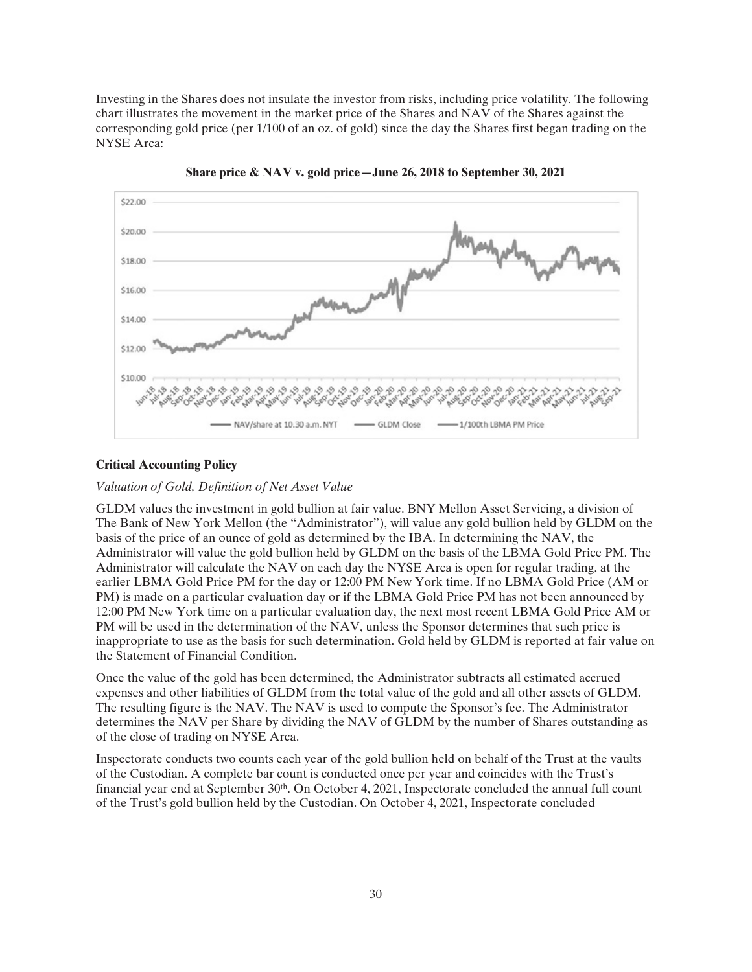Investing in the Shares does not insulate the investor from risks, including price volatility. The following chart illustrates the movement in the market price of the Shares and NAV of the Shares against the corresponding gold price (per 1/100 of an oz. of gold) since the day the Shares first began trading on the NYSE Arca:



**Share price & NAV v. gold price—June 26, 2018 to September 30, 2021**

### **Critical Accounting Policy**

# *Valuation of Gold, Definition of Net Asset Value*

GLDM values the investment in gold bullion at fair value. BNY Mellon Asset Servicing, a division of The Bank of New York Mellon (the "Administrator"), will value any gold bullion held by GLDM on the basis of the price of an ounce of gold as determined by the IBA. In determining the NAV, the Administrator will value the gold bullion held by GLDM on the basis of the LBMA Gold Price PM. The Administrator will calculate the NAV on each day the NYSE Arca is open for regular trading, at the earlier LBMA Gold Price PM for the day or 12:00 PM New York time. If no LBMA Gold Price (AM or PM) is made on a particular evaluation day or if the LBMA Gold Price PM has not been announced by 12:00 PM New York time on a particular evaluation day, the next most recent LBMA Gold Price AM or PM will be used in the determination of the NAV, unless the Sponsor determines that such price is inappropriate to use as the basis for such determination. Gold held by GLDM is reported at fair value on the Statement of Financial Condition.

Once the value of the gold has been determined, the Administrator subtracts all estimated accrued expenses and other liabilities of GLDM from the total value of the gold and all other assets of GLDM. The resulting figure is the NAV. The NAV is used to compute the Sponsor's fee. The Administrator determines the NAV per Share by dividing the NAV of GLDM by the number of Shares outstanding as of the close of trading on NYSE Arca.

Inspectorate conducts two counts each year of the gold bullion held on behalf of the Trust at the vaults of the Custodian. A complete bar count is conducted once per year and coincides with the Trust's financial year end at September 30th. On October 4, 2021, Inspectorate concluded the annual full count of the Trust's gold bullion held by the Custodian. On October 4, 2021, Inspectorate concluded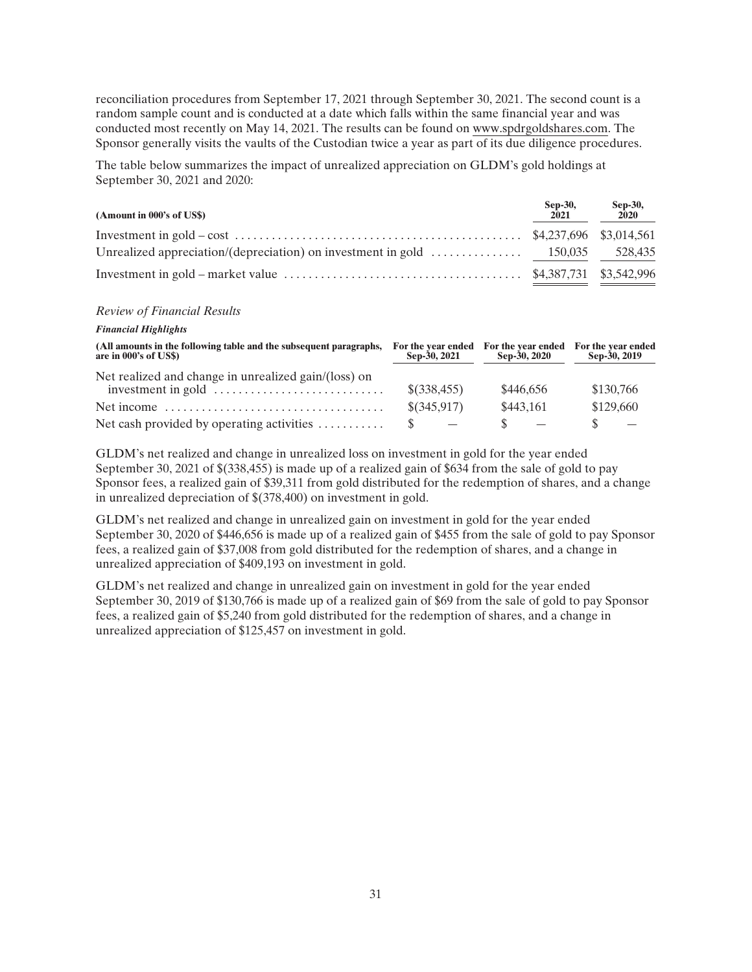reconciliation procedures from September 17, 2021 through September 30, 2021. The second count is a random sample count and is conducted at a date which falls within the same financial year and was conducted most recently on May 14, 2021. The results can be found on www.spdrgoldshares.com. The Sponsor generally visits the vaults of the Custodian twice a year as part of its due diligence procedures.

The table below summarizes the impact of unrealized appreciation on GLDM's gold holdings at September 30, 2021 and 2020:

| (Amount in 000's of US\$)                                                                                               | Sep-30,<br>2021 | Sep-30,<br>2020 |
|-------------------------------------------------------------------------------------------------------------------------|-----------------|-----------------|
|                                                                                                                         |                 |                 |
|                                                                                                                         |                 |                 |
| Investment in gold – market value $\dots \dots \dots \dots \dots \dots \dots \dots \dots \dots$ \$4,387,731 \$3,542,996 |                 |                 |

*Review of Financial Results*

|  | <b>Financial Highlights</b> |
|--|-----------------------------|
|--|-----------------------------|

| (All amounts in the following table and the subsequent paragraphs,<br>are in 000's of US\$)                                  | For the year ended<br>Sep-30, 2021 | For the year ended<br>Sep-30, 2020 | For the year ended<br>Sep-30, 2019 |
|------------------------------------------------------------------------------------------------------------------------------|------------------------------------|------------------------------------|------------------------------------|
| Net realized and change in unrealized gain/(loss) on<br>investment in gold $\dots \dots \dots \dots \dots \dots \dots \dots$ | \$(338,455)                        | \$446,656                          | \$130,766                          |
|                                                                                                                              | \$(345,917)                        | \$443,161                          | \$129,660                          |
| Net cash provided by operating activities                                                                                    |                                    |                                    |                                    |

GLDM's net realized and change in unrealized loss on investment in gold for the year ended September 30, 2021 of \$(338,455) is made up of a realized gain of \$634 from the sale of gold to pay Sponsor fees, a realized gain of \$39,311 from gold distributed for the redemption of shares, and a change in unrealized depreciation of \$(378,400) on investment in gold.

GLDM's net realized and change in unrealized gain on investment in gold for the year ended September 30, 2020 of \$446,656 is made up of a realized gain of \$455 from the sale of gold to pay Sponsor fees, a realized gain of \$37,008 from gold distributed for the redemption of shares, and a change in unrealized appreciation of \$409,193 on investment in gold.

GLDM's net realized and change in unrealized gain on investment in gold for the year ended September 30, 2019 of \$130,766 is made up of a realized gain of \$69 from the sale of gold to pay Sponsor fees, a realized gain of \$5,240 from gold distributed for the redemption of shares, and a change in unrealized appreciation of \$125,457 on investment in gold.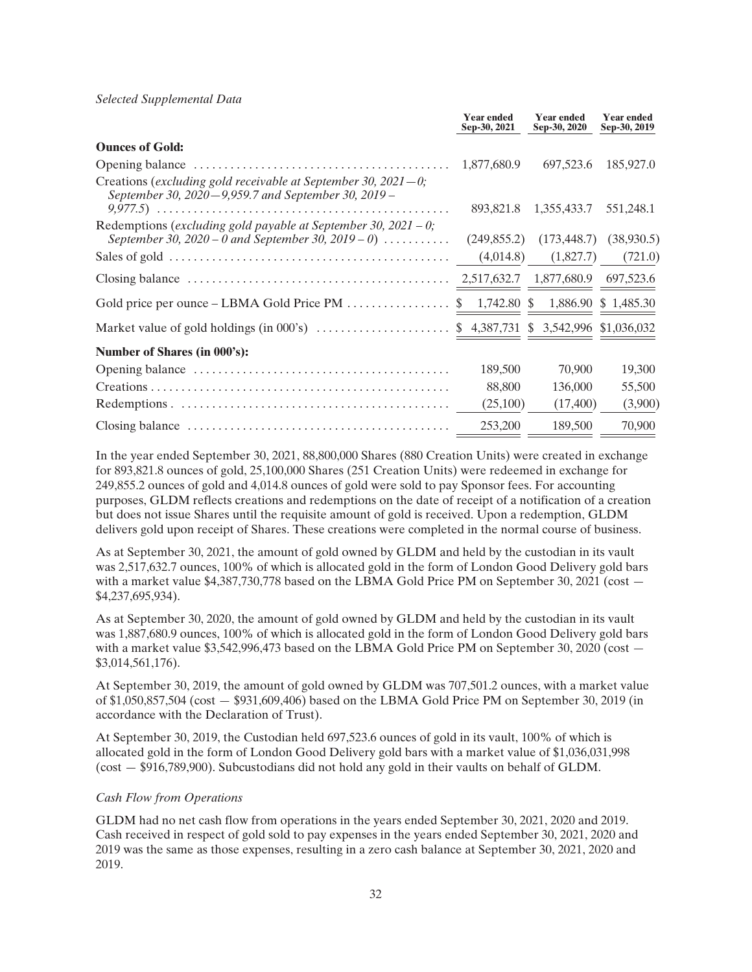#### *Selected Supplemental Data*

|                                                                                                                                                | <b>Year ended</b><br>Sep-30, 2021 | <b>Year ended</b><br>Sep-30, 2020        | <b>Year ended</b><br>Sep-30, 2019 |
|------------------------------------------------------------------------------------------------------------------------------------------------|-----------------------------------|------------------------------------------|-----------------------------------|
| <b>Ounces of Gold:</b>                                                                                                                         |                                   |                                          |                                   |
|                                                                                                                                                | 1,877,680.9                       | 697,523.6                                | 185,927.0                         |
| Creations (excluding gold receivable at September 30, $2021-0$ ;<br>September 30, 2020 - 9,959.7 and September 30, 2019 -                      | 893,821.8                         | 1,355,433.7                              | 551,248.1                         |
| Redemptions (excluding gold payable at September 30, $2021 - 0$ ;<br>September 30, 2020 – 0 and September 30, 2019 – 0) $\ldots \ldots \ldots$ |                                   | $(249,855.2)$ $(173,448.7)$ $(38,930.5)$ |                                   |
|                                                                                                                                                |                                   | $(4,014.8)$ $(1,827.7)$                  | (721.0)                           |
|                                                                                                                                                |                                   | 2,517,632.7 1,877,680.9 697,523.6        |                                   |
| Gold price per ounce – LBMA Gold Price PM \$ 1,742.80 \$ 1,886.90 \$ 1,485.30                                                                  |                                   |                                          |                                   |
| Market value of gold holdings (in 000's) \$ 4,387,731 \$ 3,542,996 \$1,036,032                                                                 |                                   |                                          |                                   |
| Number of Shares (in 000's):                                                                                                                   |                                   |                                          |                                   |
|                                                                                                                                                | 189,500                           | 70,900                                   | 19,300                            |
|                                                                                                                                                | 88,800                            | 136,000                                  | 55,500                            |
|                                                                                                                                                | (25,100)                          | (17,400)                                 | (3,900)                           |
|                                                                                                                                                | 253,200                           | 189,500                                  | 70,900                            |

In the year ended September 30, 2021, 88,800,000 Shares (880 Creation Units) were created in exchange for 893,821.8 ounces of gold, 25,100,000 Shares (251 Creation Units) were redeemed in exchange for 249,855.2 ounces of gold and 4,014.8 ounces of gold were sold to pay Sponsor fees. For accounting purposes, GLDM reflects creations and redemptions on the date of receipt of a notification of a creation but does not issue Shares until the requisite amount of gold is received. Upon a redemption, GLDM delivers gold upon receipt of Shares. These creations were completed in the normal course of business.

As at September 30, 2021, the amount of gold owned by GLDM and held by the custodian in its vault was 2,517,632.7 ounces, 100% of which is allocated gold in the form of London Good Delivery gold bars with a market value \$4,387,730,778 based on the LBMA Gold Price PM on September 30, 2021 (cost -\$4,237,695,934).

As at September 30, 2020, the amount of gold owned by GLDM and held by the custodian in its vault was 1,887,680.9 ounces, 100% of which is allocated gold in the form of London Good Delivery gold bars with a market value \$3,542,996,473 based on the LBMA Gold Price PM on September 30, 2020 (cost  $-$ \$3,014,561,176).

At September 30, 2019, the amount of gold owned by GLDM was 707,501.2 ounces, with a market value of \$1,050,857,504 (cost — \$931,609,406) based on the LBMA Gold Price PM on September 30, 2019 (in accordance with the Declaration of Trust).

At September 30, 2019, the Custodian held 697,523.6 ounces of gold in its vault, 100% of which is allocated gold in the form of London Good Delivery gold bars with a market value of \$1,036,031,998 (cost — \$916,789,900). Subcustodians did not hold any gold in their vaults on behalf of GLDM.

# *Cash Flow from Operations*

GLDM had no net cash flow from operations in the years ended September 30, 2021, 2020 and 2019. Cash received in respect of gold sold to pay expenses in the years ended September 30, 2021, 2020 and 2019 was the same as those expenses, resulting in a zero cash balance at September 30, 2021, 2020 and 2019.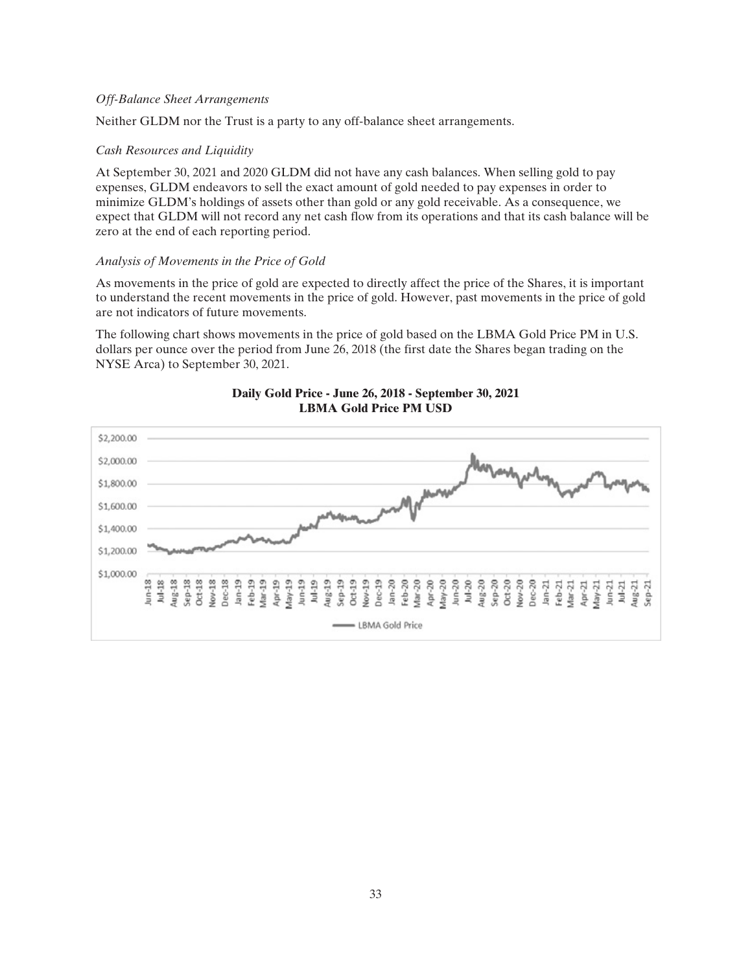### *Off-Balance Sheet Arrangements*

Neither GLDM nor the Trust is a party to any off-balance sheet arrangements.

### *Cash Resources and Liquidity*

At September 30, 2021 and 2020 GLDM did not have any cash balances. When selling gold to pay expenses, GLDM endeavors to sell the exact amount of gold needed to pay expenses in order to minimize GLDM's holdings of assets other than gold or any gold receivable. As a consequence, we expect that GLDM will not record any net cash flow from its operations and that its cash balance will be zero at the end of each reporting period.

### *Analysis of Movements in the Price of Gold*

As movements in the price of gold are expected to directly affect the price of the Shares, it is important to understand the recent movements in the price of gold. However, past movements in the price of gold are not indicators of future movements.

The following chart shows movements in the price of gold based on the LBMA Gold Price PM in U.S. dollars per ounce over the period from June 26, 2018 (the first date the Shares began trading on the NYSE Arca) to September 30, 2021.



# **Daily Gold Price - June 26, 2018 - September 30, 2021 LBMA Gold Price PM USD**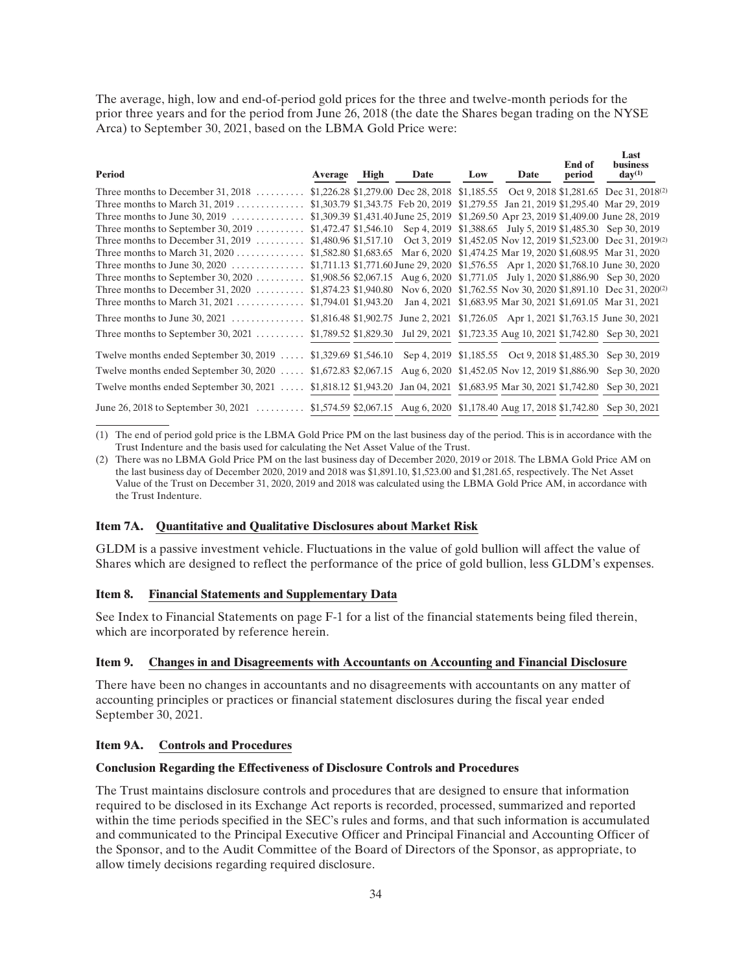The average, high, low and end-of-period gold prices for the three and twelve-month periods for the prior three years and for the period from June 26, 2018 (the date the Shares began trading on the NYSE Arca) to September 30, 2021, based on the LBMA Gold Price were:

| <b>Period</b>                                                                                                              | Average | High | Date                                                                                  | Low | Date | <b>End of</b><br>period | Last<br><b>business</b><br>$day^{(1)}$                                                            |
|----------------------------------------------------------------------------------------------------------------------------|---------|------|---------------------------------------------------------------------------------------|-----|------|-------------------------|---------------------------------------------------------------------------------------------------|
| Three months to December 31, 2018 $\dots\dots\dots$                                                                        |         |      |                                                                                       |     |      |                         | \$1,226.28 \$1,279.00 Dec 28, 2018 \$1,185.55 Oct 9, 2018 \$1,281.65 Dec 31, 2018 <sup>(2)</sup>  |
| Three months to March $31, 2019$                                                                                           |         |      | \$1,303.79 \$1,343.75 Feb 20, 2019 \$1,279.55 Jan 21, 2019 \$1,295.40 Mar 29, 2019    |     |      |                         |                                                                                                   |
| Three months to June $30, 2019$                                                                                            |         |      | \$1,309.39 \$1,431.40 June 25, 2019 \$1,269.50 Apr 23, 2019 \$1,409.00 June 28, 2019  |     |      |                         |                                                                                                   |
| Three months to September 30, 2019 $\dots\dots\dots$                                                                       |         |      | $$1,472.47$ $$1,546.10$ Sep 4, 2019 $$1,388.65$ July 5, 2019 $$1,485.30$ Sep 30, 2019 |     |      |                         |                                                                                                   |
| Three months to December 31, 2019 $\dots\dots\dots$                                                                        |         |      |                                                                                       |     |      |                         | \$1,480.96 \$1,517.10 Oct 3, 2019 \$1,452.05 Nov 12, 2019 \$1,523.00 Dec 31, 2019 <sup>(2)</sup>  |
| Three months to March $31, 2020$                                                                                           |         |      | \$1,582.80 \$1,683.65 Mar 6, 2020 \$1,474.25 Mar 19, 2020 \$1,608.95 Mar 31, 2020     |     |      |                         |                                                                                                   |
| Three months to June 30, 2020 $\dots$                                                                                      |         |      | \$1,711.13 \$1,771.60 June 29, 2020 \$1,576.55 Apr 1, 2020 \$1,768.10 June 30, 2020   |     |      |                         |                                                                                                   |
| Three months to September 30, 2020  \$1,908.56 \$2,067.15 Aug 6, 2020 \$1,771.05 July 1, 2020 \$1,886.90 Sep 30, 2020      |         |      |                                                                                       |     |      |                         |                                                                                                   |
| Three months to December 31, 2020 $\dots$                                                                                  |         |      |                                                                                       |     |      |                         | $$1,874.23$ \$1,940.80 Nov 6, 2020 \$1,762.55 Nov 30, 2020 \$1,891.10 Dec 31, 2020 <sup>(2)</sup> |
| Three months to March 31, 2021 $\dots$                                                                                     |         |      | \$1,794.01 \$1,943.20 Jan 4, 2021 \$1,683.95 Mar 30, 2021 \$1,691.05 Mar 31, 2021     |     |      |                         |                                                                                                   |
| Three months to June 30, 2021 $\dots$                                                                                      |         |      | \$1,816.48 \$1,902.75 June 2, 2021 \$1,726.05 Apr 1, 2021 \$1,763.15 June 30, 2021    |     |      |                         |                                                                                                   |
| Three months to September 30, 2021 $\dots$                                                                                 |         |      | \$1,789.52 \$1,829.30 Jul 29, 2021 \$1,723.35 Aug 10, 2021 \$1,742.80 Sep 30, 2021    |     |      |                         |                                                                                                   |
| Twelve months ended September 30, 2019                                                                                     |         |      | \$1,329.69 \$1,546.10 Sep 4, 2019 \$1,185.55 Oct 9, 2018 \$1,485.30 Sep 30, 2019      |     |      |                         |                                                                                                   |
| Twelve months ended September 30, 2020  \$1,672.83 \$2,067.15 Aug 6, 2020 \$1,452.05 Nov 12, 2019 \$1,886.90               |         |      |                                                                                       |     |      |                         | Sep 30, 2020                                                                                      |
| Twelve months ended September 30, 2021  \$1,818.12 \$1,943.20 Jan 04, 2021 \$1,683.95 Mar 30, 2021 \$1,742.80 Sep 30, 2021 |         |      |                                                                                       |     |      |                         |                                                                                                   |
| June 26, 2018 to September 30, 2021  \$1,574.59 \$2,067.15 Aug 6, 2020 \$1,178.40 Aug 17, 2018 \$1,742.80 Sep 30, 2021     |         |      |                                                                                       |     |      |                         |                                                                                                   |

(1) The end of period gold price is the LBMA Gold Price PM on the last business day of the period. This is in accordance with the Trust Indenture and the basis used for calculating the Net Asset Value of the Trust.

(2) There was no LBMA Gold Price PM on the last business day of December 2020, 2019 or 2018. The LBMA Gold Price AM on the last business day of December 2020, 2019 and 2018 was \$1,891.10, \$1,523.00 and \$1,281.65, respectively. The Net Asset Value of the Trust on December 31, 2020, 2019 and 2018 was calculated using the LBMA Gold Price AM, in accordance with the Trust Indenture.

#### **Item 7A. Quantitative and Qualitative Disclosures about Market Risk**

GLDM is a passive investment vehicle. Fluctuations in the value of gold bullion will affect the value of Shares which are designed to reflect the performance of the price of gold bullion, less GLDM's expenses.

# **Item 8. Financial Statements and Supplementary Data**

See Index to Financial Statements on page F-1 for a list of the financial statements being filed therein, which are incorporated by reference herein.

### **Item 9. Changes in and Disagreements with Accountants on Accounting and Financial Disclosure**

There have been no changes in accountants and no disagreements with accountants on any matter of accounting principles or practices or financial statement disclosures during the fiscal year ended September 30, 2021.

#### **Item 9A. Controls and Procedures**

#### **Conclusion Regarding the Effectiveness of Disclosure Controls and Procedures**

The Trust maintains disclosure controls and procedures that are designed to ensure that information required to be disclosed in its Exchange Act reports is recorded, processed, summarized and reported within the time periods specified in the SEC's rules and forms, and that such information is accumulated and communicated to the Principal Executive Officer and Principal Financial and Accounting Officer of the Sponsor, and to the Audit Committee of the Board of Directors of the Sponsor, as appropriate, to allow timely decisions regarding required disclosure.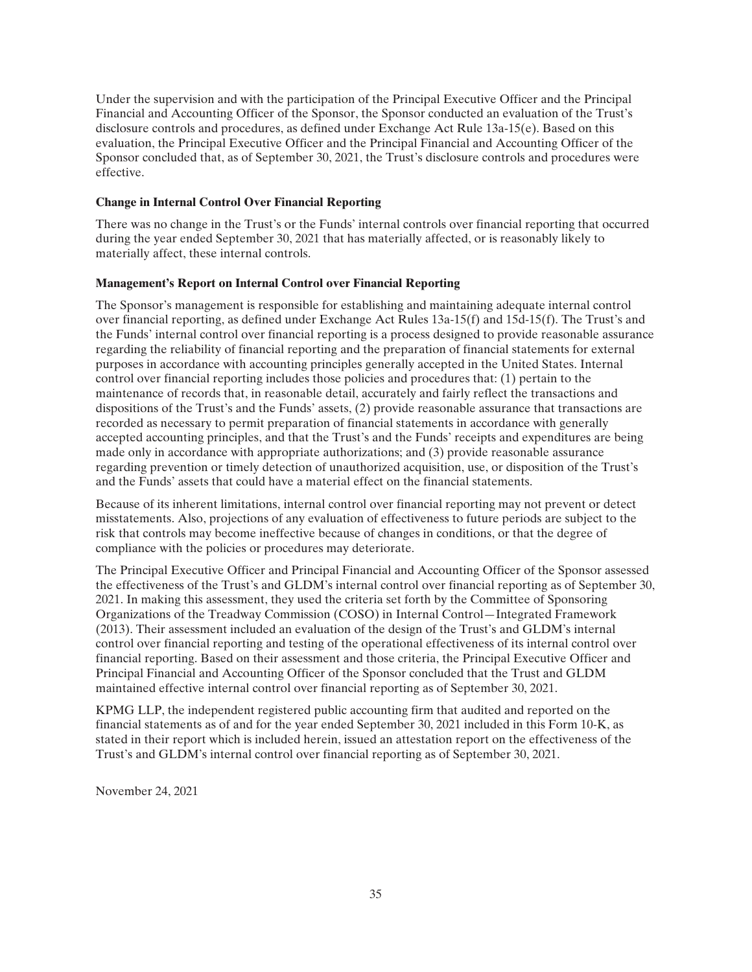Under the supervision and with the participation of the Principal Executive Officer and the Principal Financial and Accounting Officer of the Sponsor, the Sponsor conducted an evaluation of the Trust's disclosure controls and procedures, as defined under Exchange Act Rule 13a-15(e). Based on this evaluation, the Principal Executive Officer and the Principal Financial and Accounting Officer of the Sponsor concluded that, as of September 30, 2021, the Trust's disclosure controls and procedures were effective.

### **Change in Internal Control Over Financial Reporting**

There was no change in the Trust's or the Funds' internal controls over financial reporting that occurred during the year ended September 30, 2021 that has materially affected, or is reasonably likely to materially affect, these internal controls.

### **Management's Report on Internal Control over Financial Reporting**

The Sponsor's management is responsible for establishing and maintaining adequate internal control over financial reporting, as defined under Exchange Act Rules 13a-15(f) and 15d-15(f). The Trust's and the Funds' internal control over financial reporting is a process designed to provide reasonable assurance regarding the reliability of financial reporting and the preparation of financial statements for external purposes in accordance with accounting principles generally accepted in the United States. Internal control over financial reporting includes those policies and procedures that: (1) pertain to the maintenance of records that, in reasonable detail, accurately and fairly reflect the transactions and dispositions of the Trust's and the Funds' assets, (2) provide reasonable assurance that transactions are recorded as necessary to permit preparation of financial statements in accordance with generally accepted accounting principles, and that the Trust's and the Funds' receipts and expenditures are being made only in accordance with appropriate authorizations; and (3) provide reasonable assurance regarding prevention or timely detection of unauthorized acquisition, use, or disposition of the Trust's and the Funds' assets that could have a material effect on the financial statements.

Because of its inherent limitations, internal control over financial reporting may not prevent or detect misstatements. Also, projections of any evaluation of effectiveness to future periods are subject to the risk that controls may become ineffective because of changes in conditions, or that the degree of compliance with the policies or procedures may deteriorate.

The Principal Executive Officer and Principal Financial and Accounting Officer of the Sponsor assessed the effectiveness of the Trust's and GLDM's internal control over financial reporting as of September 30, 2021. In making this assessment, they used the criteria set forth by the Committee of Sponsoring Organizations of the Treadway Commission (COSO) in Internal Control—Integrated Framework (2013). Their assessment included an evaluation of the design of the Trust's and GLDM's internal control over financial reporting and testing of the operational effectiveness of its internal control over financial reporting. Based on their assessment and those criteria, the Principal Executive Officer and Principal Financial and Accounting Officer of the Sponsor concluded that the Trust and GLDM maintained effective internal control over financial reporting as of September 30, 2021.

KPMG LLP, the independent registered public accounting firm that audited and reported on the financial statements as of and for the year ended September 30, 2021 included in this Form 10-K, as stated in their report which is included herein, issued an attestation report on the effectiveness of the Trust's and GLDM's internal control over financial reporting as of September 30, 2021.

November 24, 2021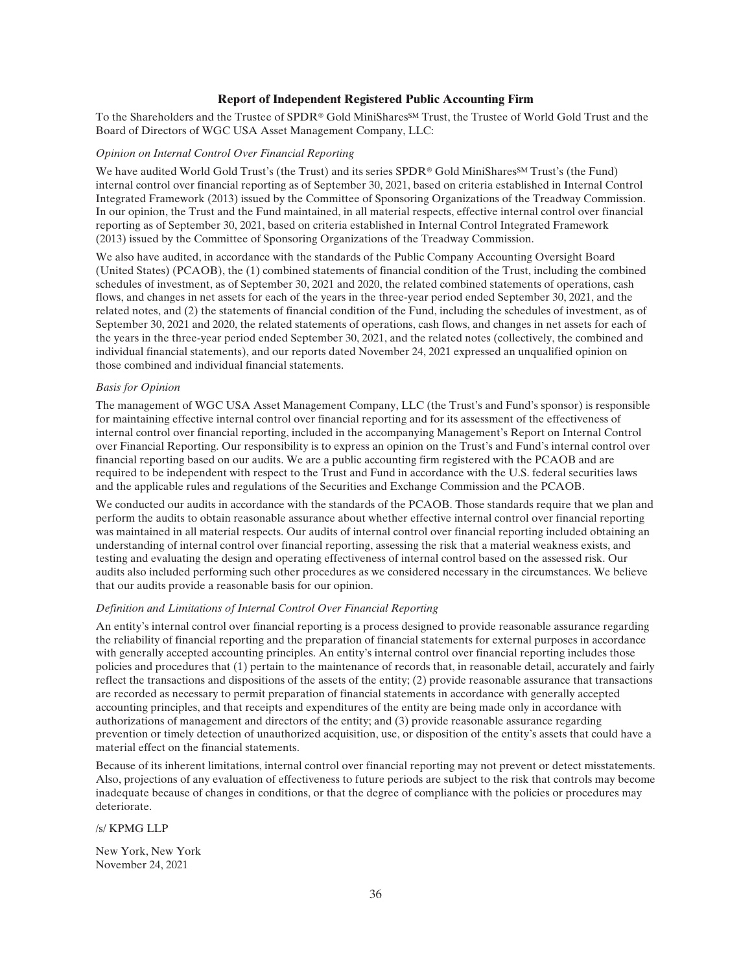#### **Report of Independent Registered Public Accounting Firm**

To the Shareholders and the Trustee of SPDR® Gold MiniShares<sup>SM</sup> Trust, the Trustee of World Gold Trust and the Board of Directors of WGC USA Asset Management Company, LLC:

#### *Opinion on Internal Control Over Financial Reporting*

We have audited World Gold Trust's (the Trust) and its series SPDR® Gold MiniShares<sup>SM</sup> Trust's (the Fund) internal control over financial reporting as of September 30, 2021, based on criteria established in Internal Control Integrated Framework (2013) issued by the Committee of Sponsoring Organizations of the Treadway Commission. In our opinion, the Trust and the Fund maintained, in all material respects, effective internal control over financial reporting as of September 30, 2021, based on criteria established in Internal Control Integrated Framework (2013) issued by the Committee of Sponsoring Organizations of the Treadway Commission.

We also have audited, in accordance with the standards of the Public Company Accounting Oversight Board (United States) (PCAOB), the (1) combined statements of financial condition of the Trust, including the combined schedules of investment, as of September 30, 2021 and 2020, the related combined statements of operations, cash flows, and changes in net assets for each of the years in the three-year period ended September 30, 2021, and the related notes, and (2) the statements of financial condition of the Fund, including the schedules of investment, as of September 30, 2021 and 2020, the related statements of operations, cash flows, and changes in net assets for each of the years in the three-year period ended September 30, 2021, and the related notes (collectively, the combined and individual financial statements), and our reports dated November 24, 2021 expressed an unqualified opinion on those combined and individual financial statements.

#### *Basis for Opinion*

The management of WGC USA Asset Management Company, LLC (the Trust's and Fund's sponsor) is responsible for maintaining effective internal control over financial reporting and for its assessment of the effectiveness of internal control over financial reporting, included in the accompanying Management's Report on Internal Control over Financial Reporting. Our responsibility is to express an opinion on the Trust's and Fund's internal control over financial reporting based on our audits. We are a public accounting firm registered with the PCAOB and are required to be independent with respect to the Trust and Fund in accordance with the U.S. federal securities laws and the applicable rules and regulations of the Securities and Exchange Commission and the PCAOB.

We conducted our audits in accordance with the standards of the PCAOB. Those standards require that we plan and perform the audits to obtain reasonable assurance about whether effective internal control over financial reporting was maintained in all material respects. Our audits of internal control over financial reporting included obtaining an understanding of internal control over financial reporting, assessing the risk that a material weakness exists, and testing and evaluating the design and operating effectiveness of internal control based on the assessed risk. Our audits also included performing such other procedures as we considered necessary in the circumstances. We believe that our audits provide a reasonable basis for our opinion.

#### *Definition and Limitations of Internal Control Over Financial Reporting*

An entity's internal control over financial reporting is a process designed to provide reasonable assurance regarding the reliability of financial reporting and the preparation of financial statements for external purposes in accordance with generally accepted accounting principles. An entity's internal control over financial reporting includes those policies and procedures that (1) pertain to the maintenance of records that, in reasonable detail, accurately and fairly reflect the transactions and dispositions of the assets of the entity; (2) provide reasonable assurance that transactions are recorded as necessary to permit preparation of financial statements in accordance with generally accepted accounting principles, and that receipts and expenditures of the entity are being made only in accordance with authorizations of management and directors of the entity; and (3) provide reasonable assurance regarding prevention or timely detection of unauthorized acquisition, use, or disposition of the entity's assets that could have a material effect on the financial statements.

Because of its inherent limitations, internal control over financial reporting may not prevent or detect misstatements. Also, projections of any evaluation of effectiveness to future periods are subject to the risk that controls may become inadequate because of changes in conditions, or that the degree of compliance with the policies or procedures may deteriorate.

/s/ KPMG LLP

New York, New York November 24, 2021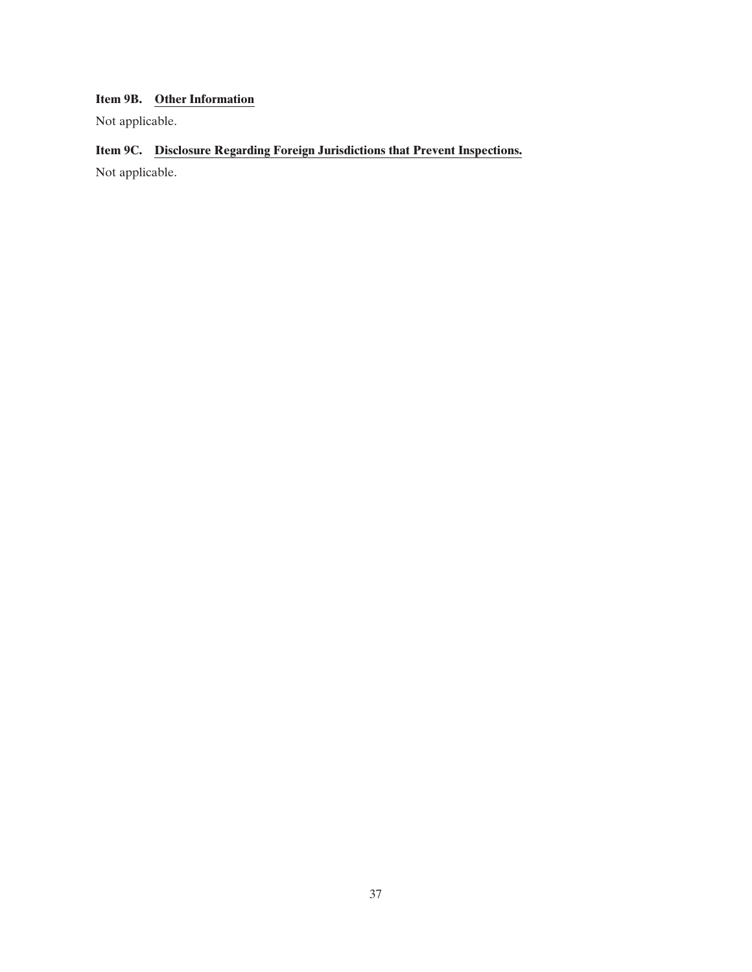# **Item 9B. Other Information**

Not applicable.

# **Item 9C. Disclosure Regarding Foreign Jurisdictions that Prevent Inspections.**

Not applicable.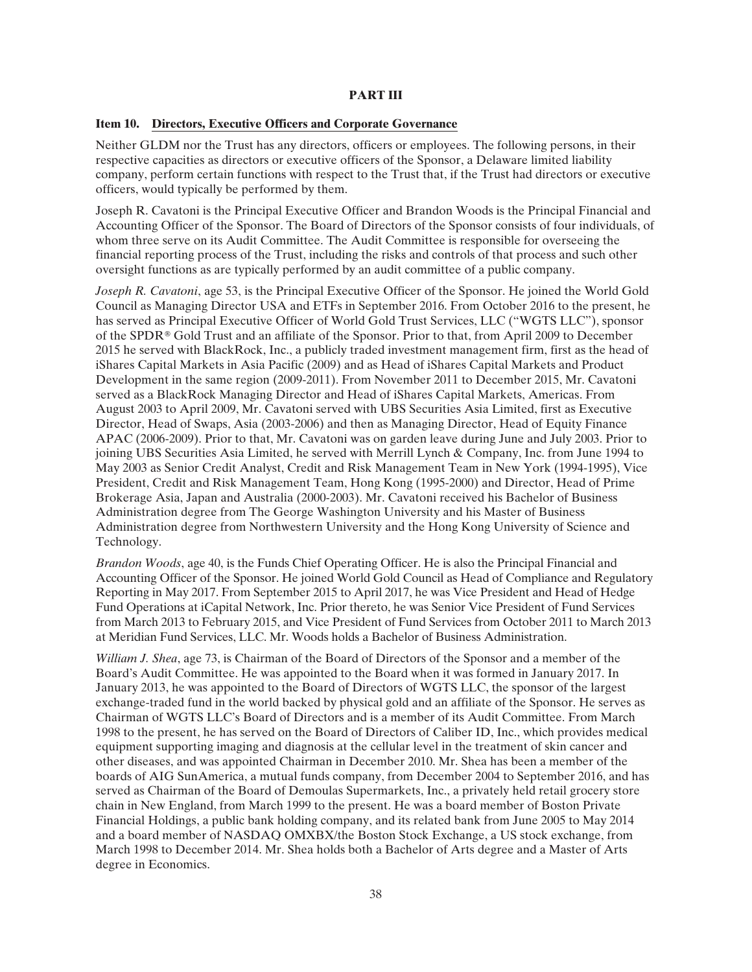# **PART III**

#### **Item 10. Directors, Executive Officers and Corporate Governance**

Neither GLDM nor the Trust has any directors, officers or employees. The following persons, in their respective capacities as directors or executive officers of the Sponsor, a Delaware limited liability company, perform certain functions with respect to the Trust that, if the Trust had directors or executive officers, would typically be performed by them.

Joseph R. Cavatoni is the Principal Executive Officer and Brandon Woods is the Principal Financial and Accounting Officer of the Sponsor. The Board of Directors of the Sponsor consists of four individuals, of whom three serve on its Audit Committee. The Audit Committee is responsible for overseeing the financial reporting process of the Trust, including the risks and controls of that process and such other oversight functions as are typically performed by an audit committee of a public company.

*Joseph R. Cavatoni*, age 53, is the Principal Executive Officer of the Sponsor. He joined the World Gold Council as Managing Director USA and ETFs in September 2016. From October 2016 to the present, he has served as Principal Executive Officer of World Gold Trust Services, LLC ("WGTS LLC"), sponsor of the SPDR® Gold Trust and an affiliate of the Sponsor. Prior to that, from April 2009 to December 2015 he served with BlackRock, Inc., a publicly traded investment management firm, first as the head of iShares Capital Markets in Asia Pacific (2009) and as Head of iShares Capital Markets and Product Development in the same region (2009-2011). From November 2011 to December 2015, Mr. Cavatoni served as a BlackRock Managing Director and Head of iShares Capital Markets, Americas. From August 2003 to April 2009, Mr. Cavatoni served with UBS Securities Asia Limited, first as Executive Director, Head of Swaps, Asia (2003-2006) and then as Managing Director, Head of Equity Finance APAC (2006-2009). Prior to that, Mr. Cavatoni was on garden leave during June and July 2003. Prior to joining UBS Securities Asia Limited, he served with Merrill Lynch & Company, Inc. from June 1994 to May 2003 as Senior Credit Analyst, Credit and Risk Management Team in New York (1994-1995), Vice President, Credit and Risk Management Team, Hong Kong (1995-2000) and Director, Head of Prime Brokerage Asia, Japan and Australia (2000-2003). Mr. Cavatoni received his Bachelor of Business Administration degree from The George Washington University and his Master of Business Administration degree from Northwestern University and the Hong Kong University of Science and Technology.

*Brandon Woods*, age 40, is the Funds Chief Operating Officer. He is also the Principal Financial and Accounting Officer of the Sponsor. He joined World Gold Council as Head of Compliance and Regulatory Reporting in May 2017. From September 2015 to April 2017, he was Vice President and Head of Hedge Fund Operations at iCapital Network, Inc. Prior thereto, he was Senior Vice President of Fund Services from March 2013 to February 2015, and Vice President of Fund Services from October 2011 to March 2013 at Meridian Fund Services, LLC. Mr. Woods holds a Bachelor of Business Administration.

*William J. Shea*, age 73, is Chairman of the Board of Directors of the Sponsor and a member of the Board's Audit Committee. He was appointed to the Board when it was formed in January 2017. In January 2013, he was appointed to the Board of Directors of WGTS LLC, the sponsor of the largest exchange-traded fund in the world backed by physical gold and an affiliate of the Sponsor. He serves as Chairman of WGTS LLC's Board of Directors and is a member of its Audit Committee. From March 1998 to the present, he has served on the Board of Directors of Caliber ID, Inc., which provides medical equipment supporting imaging and diagnosis at the cellular level in the treatment of skin cancer and other diseases, and was appointed Chairman in December 2010. Mr. Shea has been a member of the boards of AIG SunAmerica, a mutual funds company, from December 2004 to September 2016, and has served as Chairman of the Board of Demoulas Supermarkets, Inc., a privately held retail grocery store chain in New England, from March 1999 to the present. He was a board member of Boston Private Financial Holdings, a public bank holding company, and its related bank from June 2005 to May 2014 and a board member of NASDAQ OMXBX/the Boston Stock Exchange, a US stock exchange, from March 1998 to December 2014. Mr. Shea holds both a Bachelor of Arts degree and a Master of Arts degree in Economics.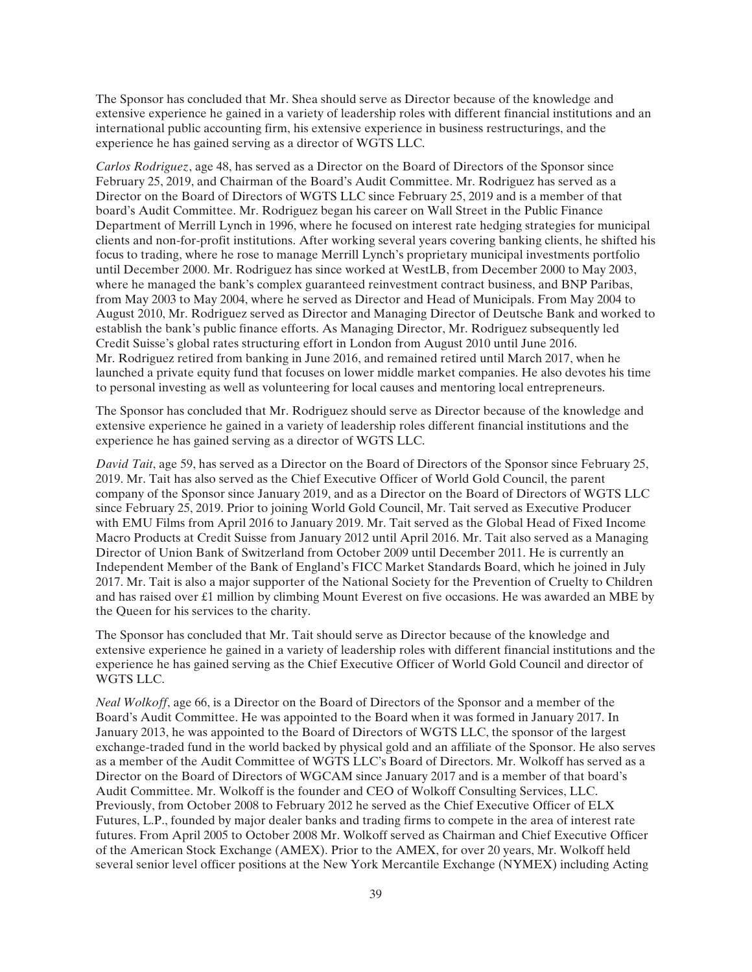The Sponsor has concluded that Mr. Shea should serve as Director because of the knowledge and extensive experience he gained in a variety of leadership roles with different financial institutions and an international public accounting firm, his extensive experience in business restructurings, and the experience he has gained serving as a director of WGTS LLC.

*Carlos Rodriguez*, age 48, has served as a Director on the Board of Directors of the Sponsor since February 25, 2019, and Chairman of the Board's Audit Committee. Mr. Rodriguez has served as a Director on the Board of Directors of WGTS LLC since February 25, 2019 and is a member of that board's Audit Committee. Mr. Rodriguez began his career on Wall Street in the Public Finance Department of Merrill Lynch in 1996, where he focused on interest rate hedging strategies for municipal clients and non-for-profit institutions. After working several years covering banking clients, he shifted his focus to trading, where he rose to manage Merrill Lynch's proprietary municipal investments portfolio until December 2000. Mr. Rodriguez has since worked at WestLB, from December 2000 to May 2003, where he managed the bank's complex guaranteed reinvestment contract business, and BNP Paribas, from May 2003 to May 2004, where he served as Director and Head of Municipals. From May 2004 to August 2010, Mr. Rodriguez served as Director and Managing Director of Deutsche Bank and worked to establish the bank's public finance efforts. As Managing Director, Mr. Rodriguez subsequently led Credit Suisse's global rates structuring effort in London from August 2010 until June 2016. Mr. Rodriguez retired from banking in June 2016, and remained retired until March 2017, when he launched a private equity fund that focuses on lower middle market companies. He also devotes his time to personal investing as well as volunteering for local causes and mentoring local entrepreneurs.

The Sponsor has concluded that Mr. Rodriguez should serve as Director because of the knowledge and extensive experience he gained in a variety of leadership roles different financial institutions and the experience he has gained serving as a director of WGTS LLC.

*David Tait*, age 59, has served as a Director on the Board of Directors of the Sponsor since February 25, 2019. Mr. Tait has also served as the Chief Executive Officer of World Gold Council, the parent company of the Sponsor since January 2019, and as a Director on the Board of Directors of WGTS LLC since February 25, 2019. Prior to joining World Gold Council, Mr. Tait served as Executive Producer with EMU Films from April 2016 to January 2019. Mr. Tait served as the Global Head of Fixed Income Macro Products at Credit Suisse from January 2012 until April 2016. Mr. Tait also served as a Managing Director of Union Bank of Switzerland from October 2009 until December 2011. He is currently an Independent Member of the Bank of England's FICC Market Standards Board, which he joined in July 2017. Mr. Tait is also a major supporter of the National Society for the Prevention of Cruelty to Children and has raised over £1 million by climbing Mount Everest on five occasions. He was awarded an MBE by the Queen for his services to the charity.

The Sponsor has concluded that Mr. Tait should serve as Director because of the knowledge and extensive experience he gained in a variety of leadership roles with different financial institutions and the experience he has gained serving as the Chief Executive Officer of World Gold Council and director of WGTS LLC.

*Neal Wolkoff*, age 66, is a Director on the Board of Directors of the Sponsor and a member of the Board's Audit Committee. He was appointed to the Board when it was formed in January 2017. In January 2013, he was appointed to the Board of Directors of WGTS LLC, the sponsor of the largest exchange-traded fund in the world backed by physical gold and an affiliate of the Sponsor. He also serves as a member of the Audit Committee of WGTS LLC's Board of Directors. Mr. Wolkoff has served as a Director on the Board of Directors of WGCAM since January 2017 and is a member of that board's Audit Committee. Mr. Wolkoff is the founder and CEO of Wolkoff Consulting Services, LLC. Previously, from October 2008 to February 2012 he served as the Chief Executive Officer of ELX Futures, L.P., founded by major dealer banks and trading firms to compete in the area of interest rate futures. From April 2005 to October 2008 Mr. Wolkoff served as Chairman and Chief Executive Officer of the American Stock Exchange (AMEX). Prior to the AMEX, for over 20 years, Mr. Wolkoff held several senior level officer positions at the New York Mercantile Exchange (NYMEX) including Acting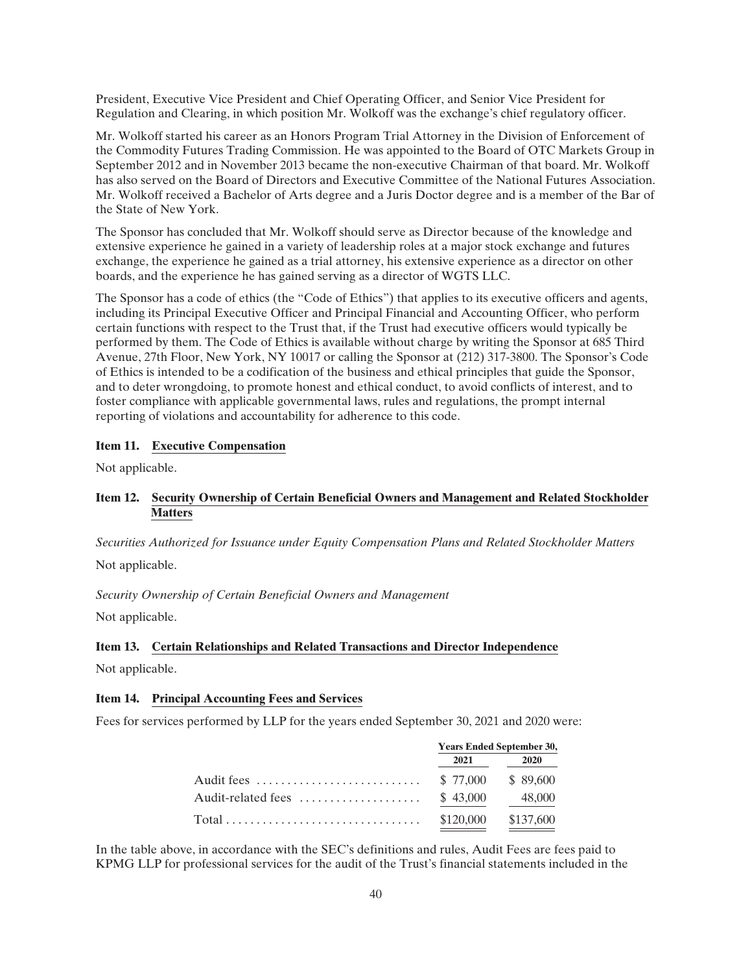President, Executive Vice President and Chief Operating Officer, and Senior Vice President for Regulation and Clearing, in which position Mr. Wolkoff was the exchange's chief regulatory officer.

Mr. Wolkoff started his career as an Honors Program Trial Attorney in the Division of Enforcement of the Commodity Futures Trading Commission. He was appointed to the Board of OTC Markets Group in September 2012 and in November 2013 became the non-executive Chairman of that board. Mr. Wolkoff has also served on the Board of Directors and Executive Committee of the National Futures Association. Mr. Wolkoff received a Bachelor of Arts degree and a Juris Doctor degree and is a member of the Bar of the State of New York.

The Sponsor has concluded that Mr. Wolkoff should serve as Director because of the knowledge and extensive experience he gained in a variety of leadership roles at a major stock exchange and futures exchange, the experience he gained as a trial attorney, his extensive experience as a director on other boards, and the experience he has gained serving as a director of WGTS LLC.

The Sponsor has a code of ethics (the "Code of Ethics") that applies to its executive officers and agents, including its Principal Executive Officer and Principal Financial and Accounting Officer, who perform certain functions with respect to the Trust that, if the Trust had executive officers would typically be performed by them. The Code of Ethics is available without charge by writing the Sponsor at 685 Third Avenue, 27th Floor, New York, NY 10017 or calling the Sponsor at (212) 317-3800. The Sponsor's Code of Ethics is intended to be a codification of the business and ethical principles that guide the Sponsor, and to deter wrongdoing, to promote honest and ethical conduct, to avoid conflicts of interest, and to foster compliance with applicable governmental laws, rules and regulations, the prompt internal reporting of violations and accountability for adherence to this code.

## **Item 11. Executive Compensation**

Not applicable.

# **Item 12. Security Ownership of Certain Beneficial Owners and Management and Related Stockholder Matters**

*Securities Authorized for Issuance under Equity Compensation Plans and Related Stockholder Matters* Not applicable.

*Security Ownership of Certain Beneficial Owners and Management*

Not applicable.

### **Item 13. Certain Relationships and Related Transactions and Director Independence**

Not applicable.

#### **Item 14. Principal Accounting Fees and Services**

Fees for services performed by LLP for the years ended September 30, 2021 and 2020 were:

|            | <b>Years Ended September 30,</b> |             |  |
|------------|----------------------------------|-------------|--|
|            | 2021                             | <b>2020</b> |  |
| Audit fees | \$77,000                         | \$ 89,600   |  |
|            |                                  | 48,000      |  |
|            | \$120,000                        | \$137,600   |  |

In the table above, in accordance with the SEC's definitions and rules, Audit Fees are fees paid to KPMG LLP for professional services for the audit of the Trust's financial statements included in the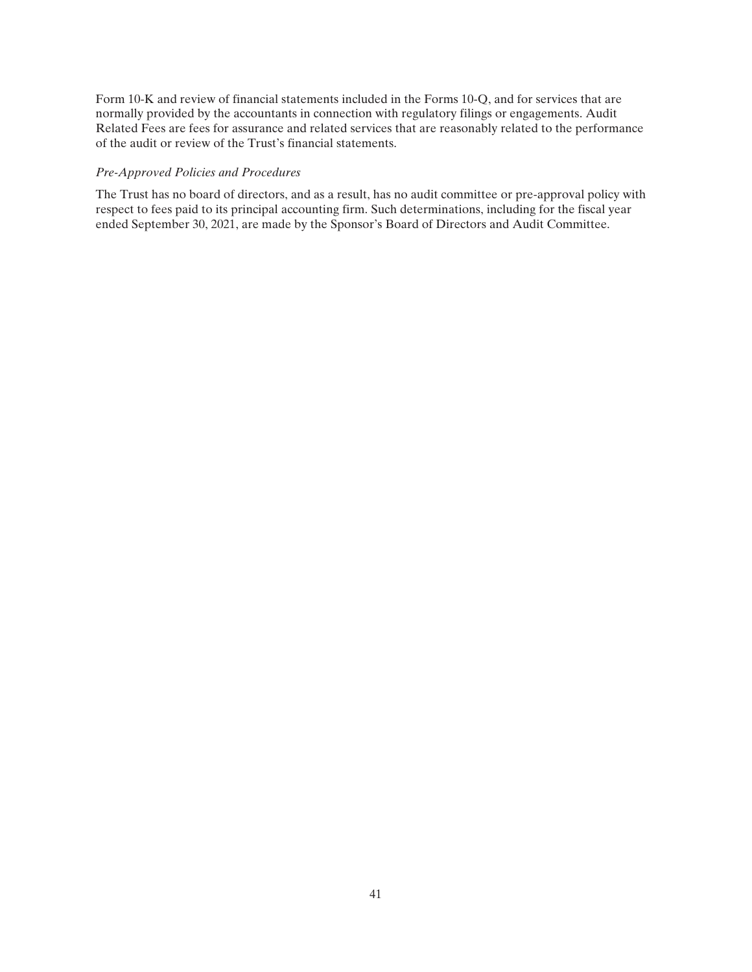Form 10-K and review of financial statements included in the Forms 10-Q, and for services that are normally provided by the accountants in connection with regulatory filings or engagements. Audit Related Fees are fees for assurance and related services that are reasonably related to the performance of the audit or review of the Trust's financial statements.

#### *Pre-Approved Policies and Procedures*

The Trust has no board of directors, and as a result, has no audit committee or pre-approval policy with respect to fees paid to its principal accounting firm. Such determinations, including for the fiscal year ended September 30, 2021, are made by the Sponsor's Board of Directors and Audit Committee.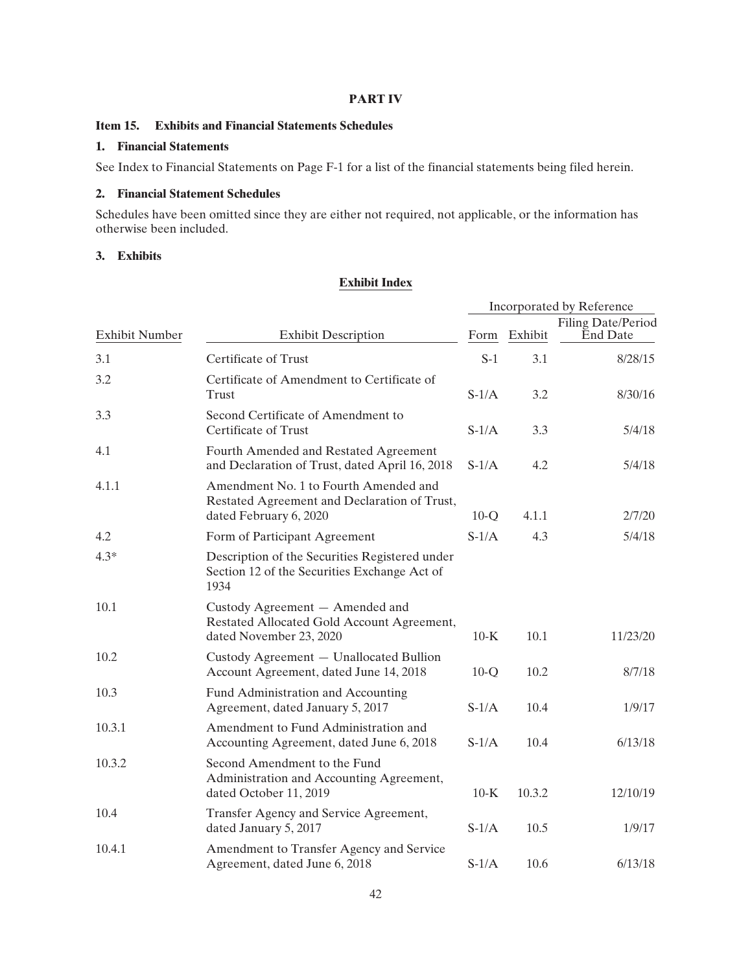# **PART IV**

# **Item 15. Exhibits and Financial Statements Schedules**

## **1. Financial Statements**

See Index to Financial Statements on Page F-1 for a list of the financial statements being filed herein.

# **2. Financial Statement Schedules**

Schedules have been omitted since they are either not required, not applicable, or the information has otherwise been included.

# **3. Exhibits**

### **Exhibit Index**

|                       |                                                                                                                 | Incorporated by Reference |         |                                       |  |
|-----------------------|-----------------------------------------------------------------------------------------------------------------|---------------------------|---------|---------------------------------------|--|
| <b>Exhibit Number</b> | <b>Exhibit Description</b>                                                                                      | Form                      | Exhibit | Filing Date/Period<br><b>End Date</b> |  |
| 3.1                   | <b>Certificate of Trust</b>                                                                                     | $S-1$                     | 3.1     | 8/28/15                               |  |
| 3.2                   | Certificate of Amendment to Certificate of<br><b>Trust</b>                                                      | $S-1/A$                   | 3.2     | 8/30/16                               |  |
| 3.3                   | Second Certificate of Amendment to<br><b>Certificate of Trust</b>                                               | $S-1/A$                   | 3.3     | 5/4/18                                |  |
| 4.1                   | Fourth Amended and Restated Agreement<br>and Declaration of Trust, dated April 16, 2018                         | $S-1/A$                   | 4.2     | 5/4/18                                |  |
| 4.1.1                 | Amendment No. 1 to Fourth Amended and<br>Restated Agreement and Declaration of Trust,<br>dated February 6, 2020 | $10-Q$                    | 4.1.1   | 2/7/20                                |  |
| 4.2                   | Form of Participant Agreement                                                                                   | $S-1/A$                   | 4.3     | 5/4/18                                |  |
| $4.3*$                | Description of the Securities Registered under<br>Section 12 of the Securities Exchange Act of<br>1934          |                           |         |                                       |  |
| 10.1                  | Custody Agreement - Amended and<br>Restated Allocated Gold Account Agreement,<br>dated November 23, 2020        | $10-K$                    | 10.1    | 11/23/20                              |  |
| 10.2                  | Custody Agreement - Unallocated Bullion<br>Account Agreement, dated June 14, 2018                               | $10-Q$                    | 10.2    | 8/7/18                                |  |
| 10.3                  | Fund Administration and Accounting<br>Agreement, dated January 5, 2017                                          | $S-1/A$                   | 10.4    | 1/9/17                                |  |
| 10.3.1                | Amendment to Fund Administration and<br>Accounting Agreement, dated June 6, 2018                                | $S-1/A$                   | 10.4    | 6/13/18                               |  |
| 10.3.2                | Second Amendment to the Fund<br>Administration and Accounting Agreement,<br>dated October 11, 2019              | $10-K$                    | 10.3.2  | 12/10/19                              |  |
| 10.4                  | Transfer Agency and Service Agreement,<br>dated January 5, 2017                                                 | $S-1/A$                   | 10.5    | 1/9/17                                |  |
| 10.4.1                | Amendment to Transfer Agency and Service<br>Agreement, dated June 6, 2018                                       | $S-1/A$                   | 10.6    | 6/13/18                               |  |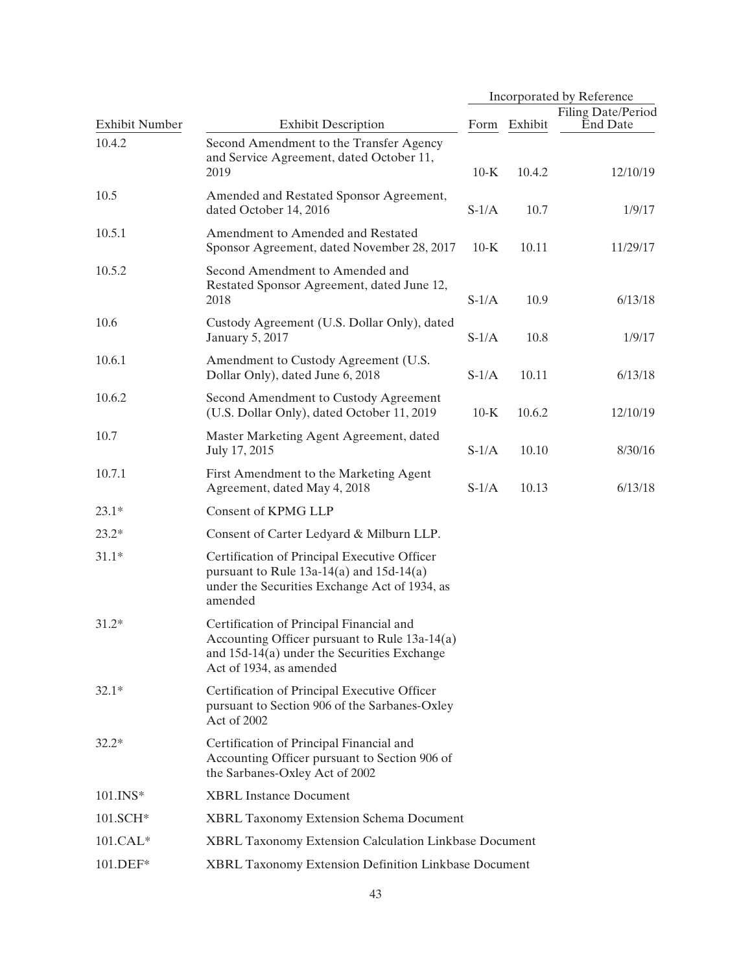|                |                                                                                                                                                                     |         |         | Incorporated by Reference             |
|----------------|---------------------------------------------------------------------------------------------------------------------------------------------------------------------|---------|---------|---------------------------------------|
| Exhibit Number | <b>Exhibit Description</b>                                                                                                                                          | Form    | Exhibit | <b>Filing Date/Period</b><br>End Date |
| 10.4.2         | Second Amendment to the Transfer Agency<br>and Service Agreement, dated October 11,<br>2019                                                                         | $10-K$  | 10.4.2  | 12/10/19                              |
| 10.5           | Amended and Restated Sponsor Agreement,<br>dated October 14, 2016                                                                                                   | $S-1/A$ | 10.7    | 1/9/17                                |
| 10.5.1         | Amendment to Amended and Restated<br>Sponsor Agreement, dated November 28, 2017                                                                                     | $10-K$  | 10.11   | 11/29/17                              |
| 10.5.2         | Second Amendment to Amended and<br>Restated Sponsor Agreement, dated June 12,<br>2018                                                                               | $S-1/A$ | 10.9    | 6/13/18                               |
| 10.6           | Custody Agreement (U.S. Dollar Only), dated<br>January 5, 2017                                                                                                      | $S-1/A$ | 10.8    | 1/9/17                                |
| 10.6.1         | Amendment to Custody Agreement (U.S.<br>Dollar Only), dated June 6, 2018                                                                                            | $S-1/A$ | 10.11   | 6/13/18                               |
| 10.6.2         | Second Amendment to Custody Agreement<br>(U.S. Dollar Only), dated October 11, 2019                                                                                 | $10-K$  | 10.6.2  | 12/10/19                              |
| 10.7           | Master Marketing Agent Agreement, dated<br>July 17, 2015                                                                                                            | $S-1/A$ | 10.10   | 8/30/16                               |
| 10.7.1         | First Amendment to the Marketing Agent<br>Agreement, dated May 4, 2018                                                                                              | $S-1/A$ | 10.13   | 6/13/18                               |
| $23.1*$        | Consent of KPMG LLP                                                                                                                                                 |         |         |                                       |
| $23.2*$        | Consent of Carter Ledyard & Milburn LLP.                                                                                                                            |         |         |                                       |
| $31.1*$        | Certification of Principal Executive Officer<br>pursuant to Rule $13a-14(a)$ and $15d-14(a)$<br>under the Securities Exchange Act of 1934, as<br>amended            |         |         |                                       |
| $31.2*$        | Certification of Principal Financial and<br>Accounting Officer pursuant to Rule 13a-14(a)<br>and 15d-14(a) under the Securities Exchange<br>Act of 1934, as amended |         |         |                                       |
| $32.1*$        | Certification of Principal Executive Officer<br>pursuant to Section 906 of the Sarbanes-Oxley<br>Act of 2002                                                        |         |         |                                       |
| $32.2*$        | Certification of Principal Financial and<br>Accounting Officer pursuant to Section 906 of<br>the Sarbanes-Oxley Act of 2002                                         |         |         |                                       |
| 101.INS*       | <b>XBRL Instance Document</b>                                                                                                                                       |         |         |                                       |
| $101.SCH*$     | <b>XBRL Taxonomy Extension Schema Document</b>                                                                                                                      |         |         |                                       |
| 101.CAL*       | XBRL Taxonomy Extension Calculation Linkbase Document                                                                                                               |         |         |                                       |
| $101.DEF*$     | XBRL Taxonomy Extension Definition Linkbase Document                                                                                                                |         |         |                                       |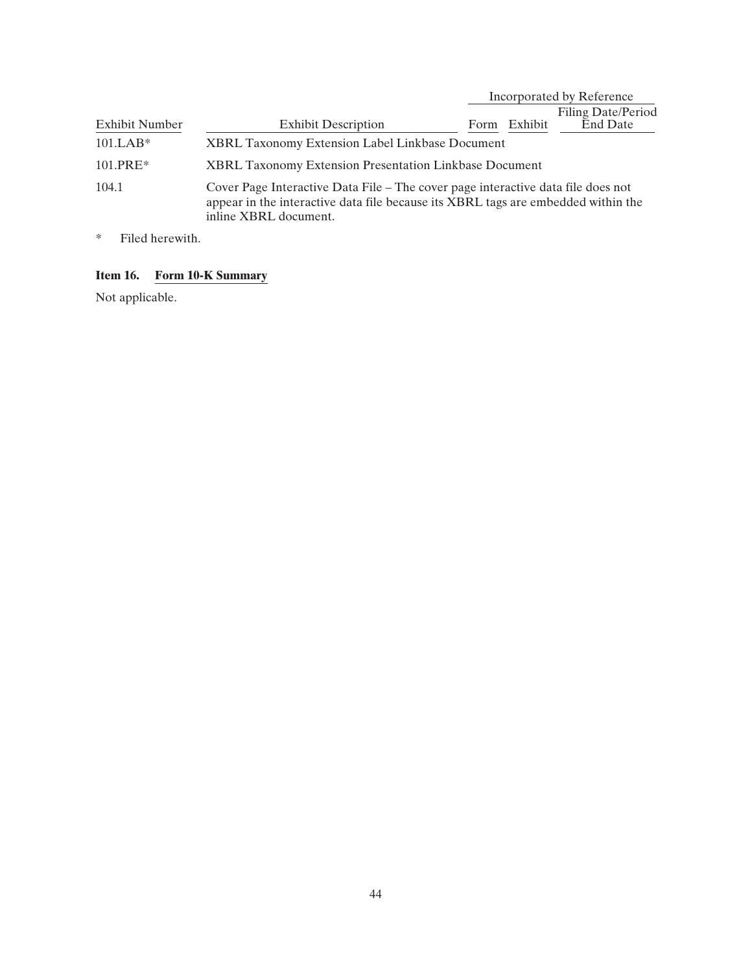|                |                                                                                                                                                                                                | Incorporated by Reference |         |                                |  |
|----------------|------------------------------------------------------------------------------------------------------------------------------------------------------------------------------------------------|---------------------------|---------|--------------------------------|--|
| Exhibit Number | <b>Exhibit Description</b>                                                                                                                                                                     | Form                      | Exhibit | Filing Date/Period<br>End Date |  |
| $101.LAB*$     | <b>XBRL Taxonomy Extension Label Linkbase Document</b>                                                                                                                                         |                           |         |                                |  |
| 101.PRE*       | <b>XBRL Taxonomy Extension Presentation Linkbase Document</b>                                                                                                                                  |                           |         |                                |  |
| 104.1          | Cover Page Interactive Data File – The cover page interactive data file does not<br>appear in the interactive data file because its XBRL tags are embedded within the<br>inline XBRL document. |                           |         |                                |  |

\* Filed herewith.

# **Item 16. Form 10-K Summary**

Not applicable.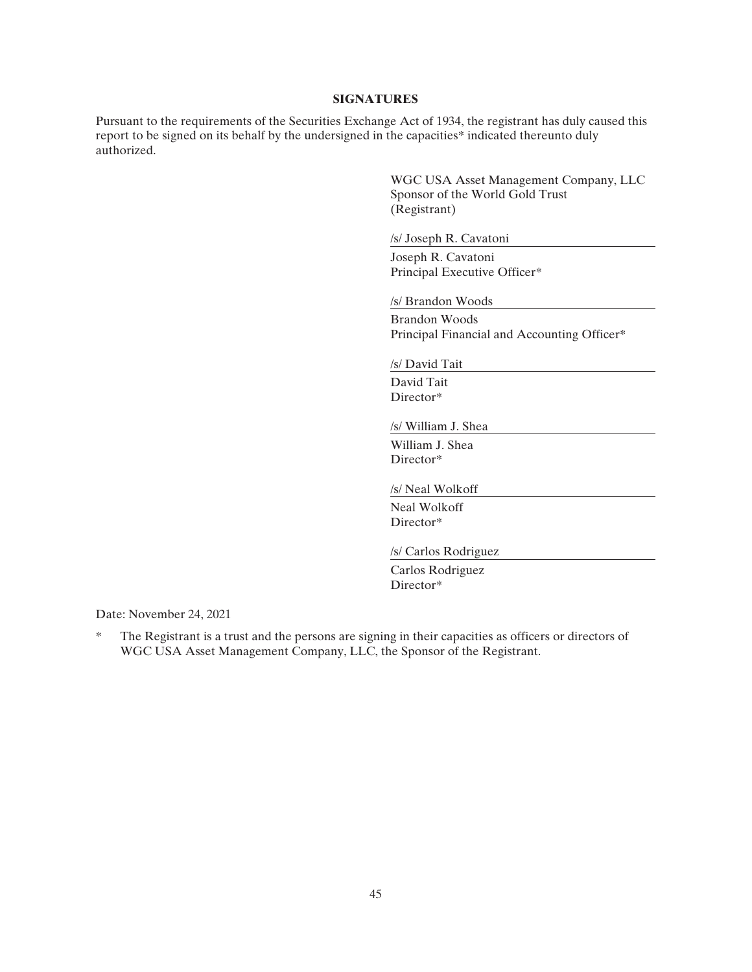#### **SIGNATURES**

Pursuant to the requirements of the Securities Exchange Act of 1934, the registrant has duly caused this report to be signed on its behalf by the undersigned in the capacities\* indicated thereunto duly authorized.

> WGC USA Asset Management Company, LLC Sponsor of the World Gold Trust (Registrant)

/s/ Joseph R. Cavatoni

Joseph R. Cavatoni Principal Executive Officer\*

/s/ Brandon Woods

Brandon Woods Principal Financial and Accounting Officer\*

/s/ David Tait

David Tait Director\*

/s/ William J. Shea

William J. Shea Director\*

/s/ Neal Wolkoff

Neal Wolkoff Director\*

/s/ Carlos Rodriguez

Carlos Rodriguez Director\*

Date: November 24, 2021

\* The Registrant is a trust and the persons are signing in their capacities as officers or directors of WGC USA Asset Management Company, LLC, the Sponsor of the Registrant.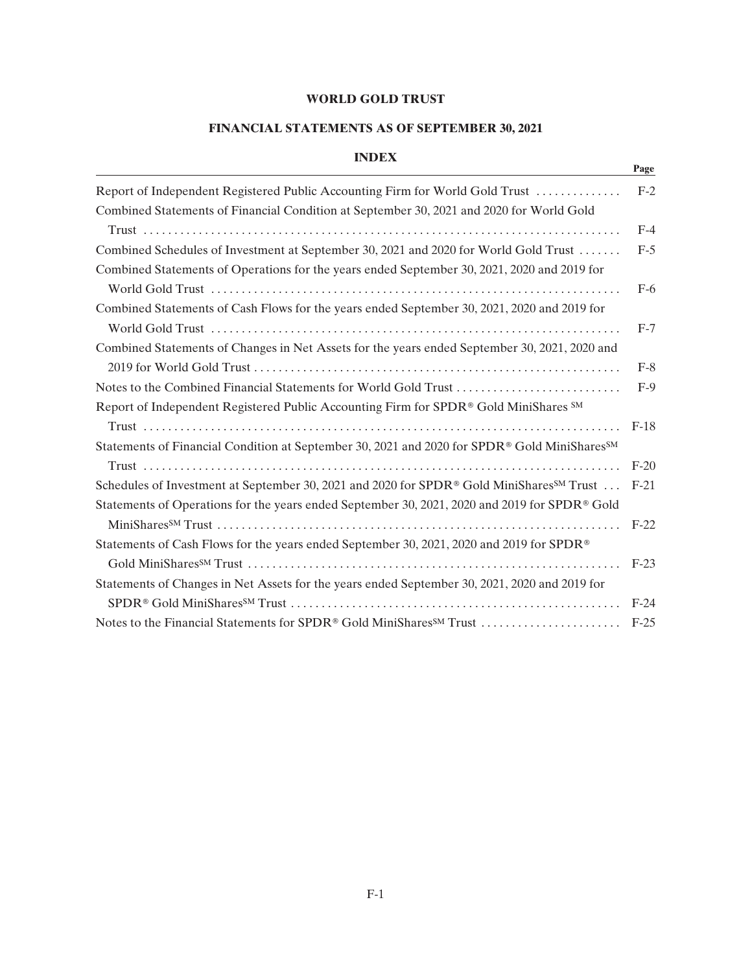# **FINANCIAL STATEMENTS AS OF SEPTEMBER 30, 2021**

# **INDEX**

|                                                                                                      | Page   |
|------------------------------------------------------------------------------------------------------|--------|
| Report of Independent Registered Public Accounting Firm for World Gold Trust                         | $F-2$  |
| Combined Statements of Financial Condition at September 30, 2021 and 2020 for World Gold             |        |
|                                                                                                      | $F-4$  |
| Combined Schedules of Investment at September 30, 2021 and 2020 for World Gold Trust                 | $F-5$  |
| Combined Statements of Operations for the years ended September 30, 2021, 2020 and 2019 for          |        |
|                                                                                                      | $F-6$  |
| Combined Statements of Cash Flows for the years ended September 30, 2021, 2020 and 2019 for          |        |
|                                                                                                      | $F-7$  |
| Combined Statements of Changes in Net Assets for the years ended September 30, 2021, 2020 and        |        |
|                                                                                                      | $F-8$  |
| Notes to the Combined Financial Statements for World Gold Trust                                      | $F-9$  |
| Report of Independent Registered Public Accounting Firm for SPDR® Gold MiniShares SM                 |        |
|                                                                                                      | $F-18$ |
| Statements of Financial Condition at September 30, 2021 and 2020 for SPDR® Gold MiniSharesSM         |        |
|                                                                                                      | $F-20$ |
| Schedules of Investment at September 30, 2021 and 2020 for SPDR® Gold MiniShares <sup>SM</sup> Trust | $F-21$ |
| Statements of Operations for the years ended September 30, 2021, 2020 and 2019 for SPDR® Gold        |        |
|                                                                                                      | $F-22$ |
| Statements of Cash Flows for the years ended September 30, 2021, 2020 and 2019 for SPDR®             |        |
|                                                                                                      | $F-23$ |
| Statements of Changes in Net Assets for the years ended September 30, 2021, 2020 and 2019 for        |        |
|                                                                                                      | $F-24$ |
| Notes to the Financial Statements for SPDR® Gold MiniShares <sup>SM</sup> Trust                      | $F-25$ |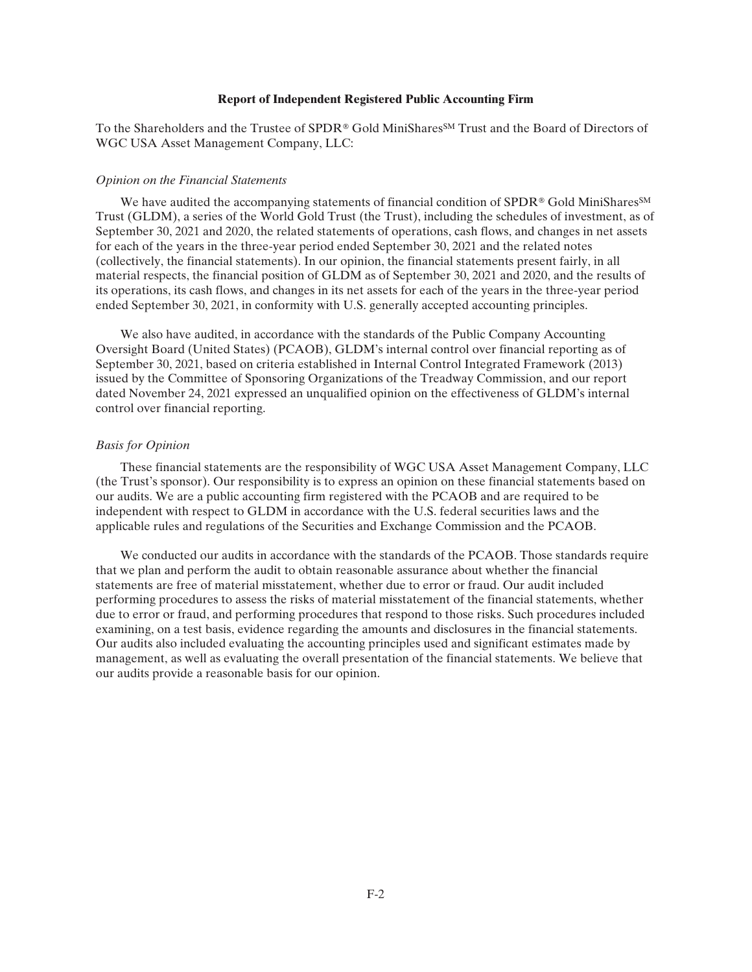#### **Report of Independent Registered Public Accounting Firm**

<span id="page-50-0"></span>To the Shareholders and the Trustee of SPDR<sup>®</sup> Gold MiniShares<sup>SM</sup> Trust and the Board of Directors of WGC USA Asset Management Company, LLC:

#### *Opinion on the Financial Statements*

We have audited the accompanying statements of financial condition of SPDR® Gold MiniSharesSM Trust (GLDM), a series of the World Gold Trust (the Trust), including the schedules of investment, as of September 30, 2021 and 2020, the related statements of operations, cash flows, and changes in net assets for each of the years in the three-year period ended September 30, 2021 and the related notes (collectively, the financial statements). In our opinion, the financial statements present fairly, in all material respects, the financial position of GLDM as of September 30, 2021 and 2020, and the results of its operations, its cash flows, and changes in its net assets for each of the years in the three-year period ended September 30, 2021, in conformity with U.S. generally accepted accounting principles.

We also have audited, in accordance with the standards of the Public Company Accounting Oversight Board (United States) (PCAOB), GLDM's internal control over financial reporting as of September 30, 2021, based on criteria established in Internal Control Integrated Framework (2013) issued by the Committee of Sponsoring Organizations of the Treadway Commission, and our report dated November 24, 2021 expressed an unqualified opinion on the effectiveness of GLDM's internal control over financial reporting.

### *Basis for Opinion*

These financial statements are the responsibility of WGC USA Asset Management Company, LLC (the Trust's sponsor). Our responsibility is to express an opinion on these financial statements based on our audits. We are a public accounting firm registered with the PCAOB and are required to be independent with respect to GLDM in accordance with the U.S. federal securities laws and the applicable rules and regulations of the Securities and Exchange Commission and the PCAOB.

We conducted our audits in accordance with the standards of the PCAOB. Those standards require that we plan and perform the audit to obtain reasonable assurance about whether the financial statements are free of material misstatement, whether due to error or fraud. Our audit included performing procedures to assess the risks of material misstatement of the financial statements, whether due to error or fraud, and performing procedures that respond to those risks. Such procedures included examining, on a test basis, evidence regarding the amounts and disclosures in the financial statements. Our audits also included evaluating the accounting principles used and significant estimates made by management, as well as evaluating the overall presentation of the financial statements. We believe that our audits provide a reasonable basis for our opinion.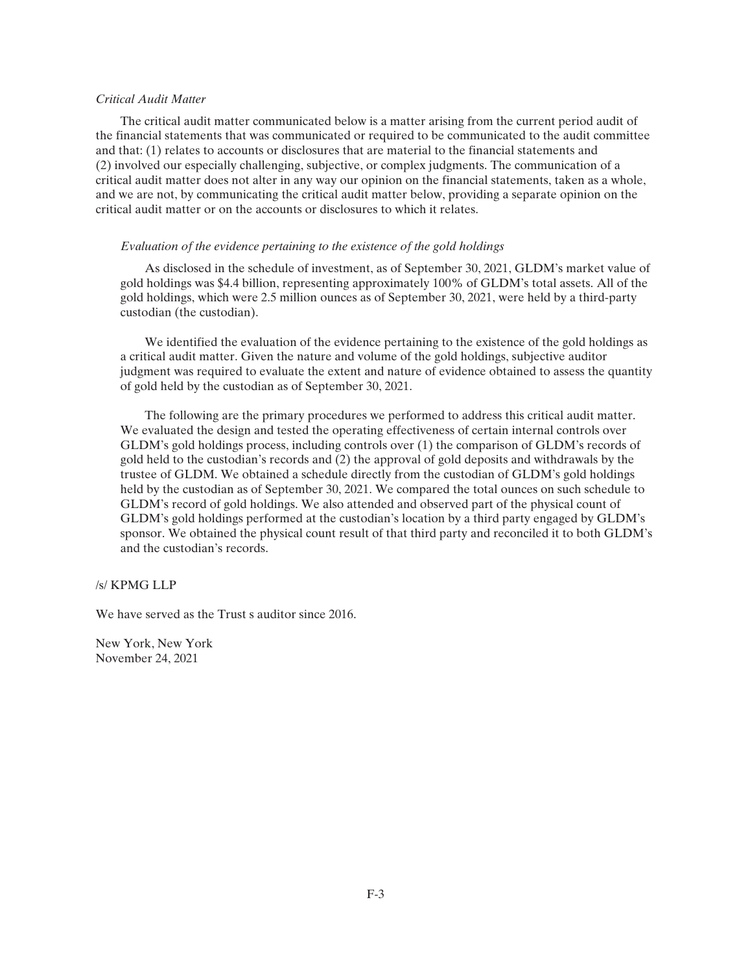#### *Critical Audit Matter*

The critical audit matter communicated below is a matter arising from the current period audit of the financial statements that was communicated or required to be communicated to the audit committee and that: (1) relates to accounts or disclosures that are material to the financial statements and (2) involved our especially challenging, subjective, or complex judgments. The communication of a critical audit matter does not alter in any way our opinion on the financial statements, taken as a whole, and we are not, by communicating the critical audit matter below, providing a separate opinion on the critical audit matter or on the accounts or disclosures to which it relates.

#### *Evaluation of the evidence pertaining to the existence of the gold holdings*

As disclosed in the schedule of investment, as of September 30, 2021, GLDM's market value of gold holdings was \$4.4 billion, representing approximately 100% of GLDM's total assets. All of the gold holdings, which were 2.5 million ounces as of September 30, 2021, were held by a third-party custodian (the custodian).

We identified the evaluation of the evidence pertaining to the existence of the gold holdings as a critical audit matter. Given the nature and volume of the gold holdings, subjective auditor judgment was required to evaluate the extent and nature of evidence obtained to assess the quantity of gold held by the custodian as of September 30, 2021.

The following are the primary procedures we performed to address this critical audit matter. We evaluated the design and tested the operating effectiveness of certain internal controls over GLDM's gold holdings process, including controls over (1) the comparison of GLDM's records of gold held to the custodian's records and (2) the approval of gold deposits and withdrawals by the trustee of GLDM. We obtained a schedule directly from the custodian of GLDM's gold holdings held by the custodian as of September 30, 2021. We compared the total ounces on such schedule to GLDM's record of gold holdings. We also attended and observed part of the physical count of GLDM's gold holdings performed at the custodian's location by a third party engaged by GLDM's sponsor. We obtained the physical count result of that third party and reconciled it to both GLDM's and the custodian's records.

### /s/ KPMG LLP

We have served as the Trust s auditor since 2016.

New York, New York November 24, 2021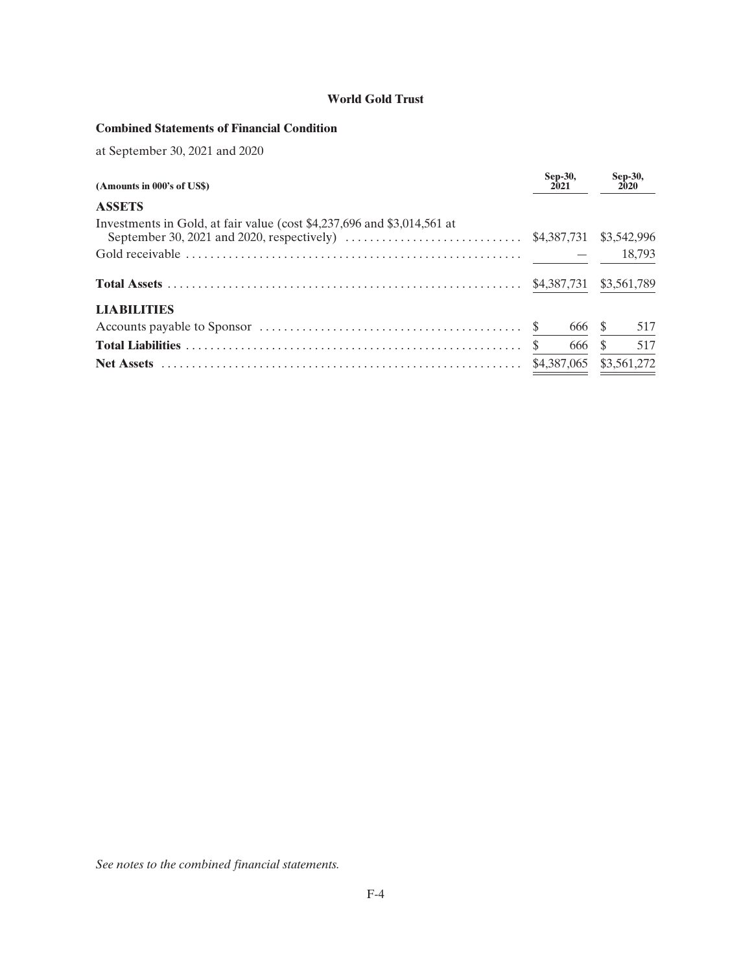# <span id="page-52-0"></span>**Combined Statements of Financial Condition**

at September 30, 2021 and 2020

| (Amounts in 000's of US\$)                                              | Sep-30,<br>2021 | Sep-30,<br><b>2020</b> |
|-------------------------------------------------------------------------|-----------------|------------------------|
| <b>ASSETS</b>                                                           |                 |                        |
| Investments in Gold, at fair value (cost \$4,237,696 and \$3,014,561 at |                 |                        |
|                                                                         |                 | 18,793                 |
|                                                                         |                 |                        |
| <b>LIABILITIES</b>                                                      |                 |                        |
|                                                                         | 666 \$          | 517                    |
|                                                                         | 666 \$          | 517                    |
|                                                                         | \$4,387,065     | \$3,561,272            |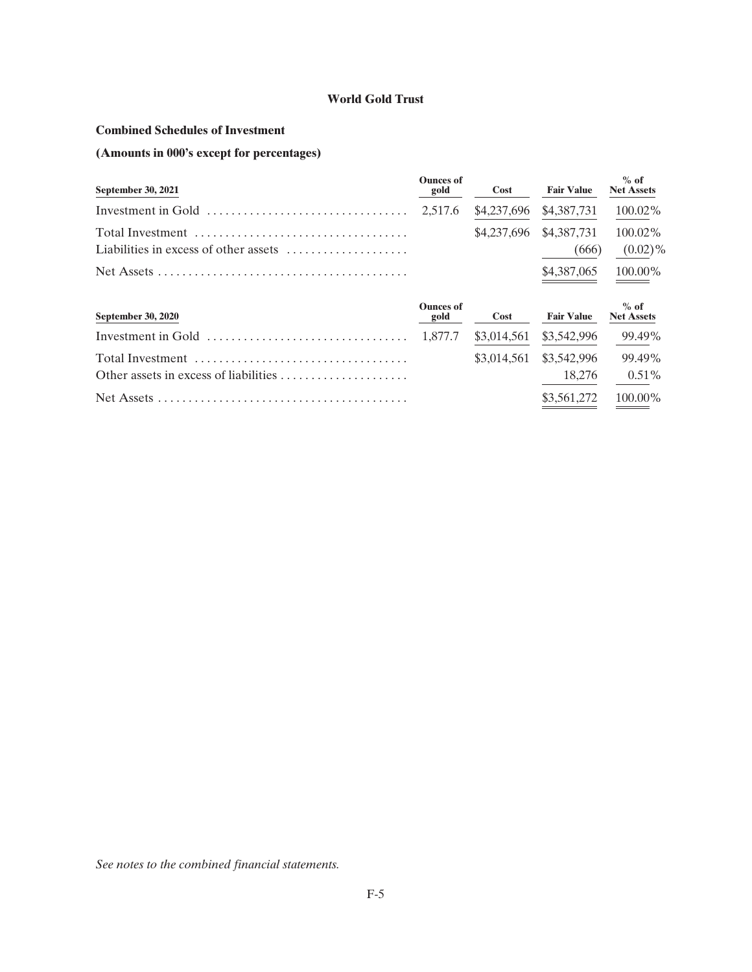# <span id="page-53-0"></span>**Combined Schedules of Investment**

# **(Amounts in 000's except for percentages)**

| <b>September 30, 2021</b>                                                        | <b>Ounces of</b><br>gold | <b>Cost</b> | <b>Fair Value</b>    | $%$ of<br><b>Net Assets</b> |
|----------------------------------------------------------------------------------|--------------------------|-------------|----------------------|-----------------------------|
| Investment in Gold $\dots\dots\dots\dots\dots\dots\dots\dots\dots\dots\dots$     | 2,517.6                  | \$4,237,696 | \$4,387,731          | 100.02%                     |
| Liabilities in excess of other assets $\dots\dots\dots\dots\dots\dots$           |                          | \$4,237,696 | \$4,387,731<br>(666) | 100.02%<br>$(0.02)\%$       |
|                                                                                  |                          |             | \$4,387,065          | 100.00%                     |
| <b>September 30, 2020</b>                                                        | <b>Ounces of</b><br>gold | <b>Cost</b> | <b>Fair Value</b>    | $%$ of<br><b>Net Assets</b> |
| Investment in Gold $\dots \dots \dots \dots \dots \dots \dots \dots \dots \dots$ | 1,877.7                  | \$3,014,561 | \$3,542,996          | 99.49%                      |
|                                                                                  |                          | \$3,014,561 | \$3,542,996          | 99.49%                      |
|                                                                                  |                          |             | 18,276               | $0.51\%$                    |
|                                                                                  |                          |             | \$3,561,272          | 100.00%                     |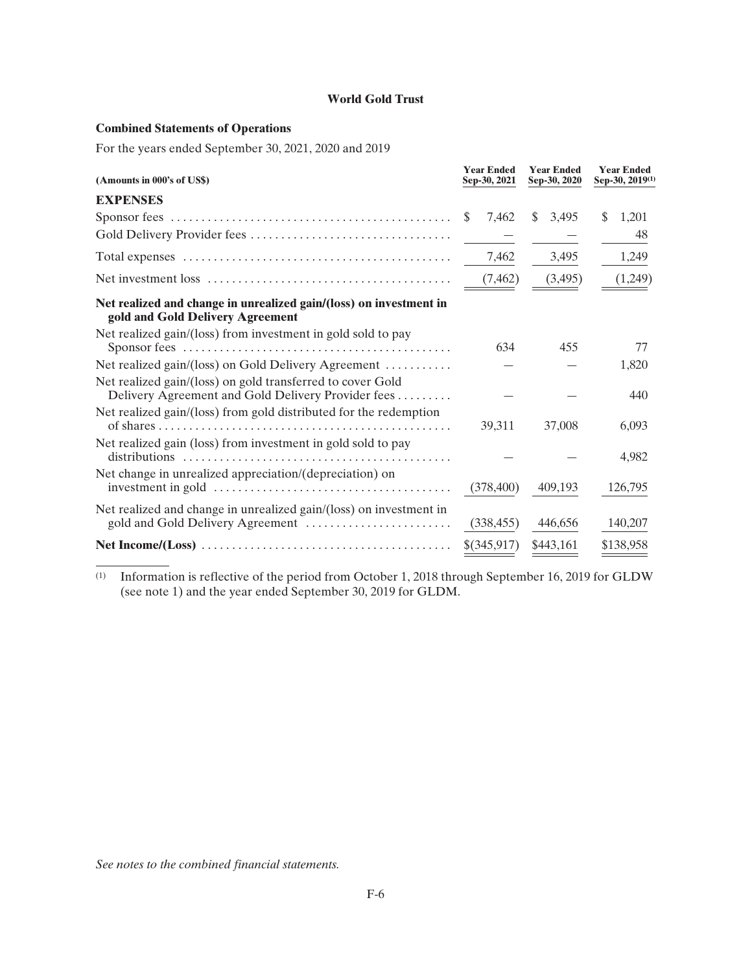# <span id="page-54-0"></span>**Combined Statements of Operations**

For the years ended September 30, 2021, 2020 and 2019

| (Amounts in 000's of US\$)                                                                                       | <b>Year Ended</b><br>Sep-30, 2021 | <b>Year Ended</b><br>Sep-30, 2020 | <b>Year Ended</b><br>Sep-30, 2019 <sup>(1)</sup> |
|------------------------------------------------------------------------------------------------------------------|-----------------------------------|-----------------------------------|--------------------------------------------------|
| <b>EXPENSES</b>                                                                                                  |                                   |                                   |                                                  |
|                                                                                                                  | \$<br>7,462                       | $\mathbb{S}$<br>3,495             | S<br>1,201                                       |
|                                                                                                                  |                                   |                                   | 48                                               |
|                                                                                                                  | 7,462                             | 3,495                             | 1,249                                            |
|                                                                                                                  | (7, 462)                          | (3,495)                           | (1,249)                                          |
| Net realized and change in unrealized gain/(loss) on investment in<br>gold and Gold Delivery Agreement           |                                   |                                   |                                                  |
| Net realized gain/(loss) from investment in gold sold to pay                                                     | 634                               | 455                               | 77                                               |
| Net realized gain/(loss) on Gold Delivery Agreement                                                              |                                   |                                   | 1,820                                            |
| Net realized gain/(loss) on gold transferred to cover Gold<br>Delivery Agreement and Gold Delivery Provider fees |                                   |                                   | 440                                              |
| Net realized gain/(loss) from gold distributed for the redemption                                                | 39,311                            | 37,008                            | 6,093                                            |
| Net realized gain (loss) from investment in gold sold to pay                                                     |                                   |                                   | 4,982                                            |
| Net change in unrealized appreciation/(depreciation) on                                                          | (378, 400)                        | 409,193                           | 126,795                                          |
| Net realized and change in unrealized gain/(loss) on investment in                                               | (338, 455)                        | 446,656                           | 140,207                                          |
|                                                                                                                  | \$(345,917)                       | \$443,161                         | \$138,958                                        |

(1) Information is reflective of the period from October 1, 2018 through September 16, 2019 for GLDW (see note 1) and the year ended September 30, 2019 for GLDM.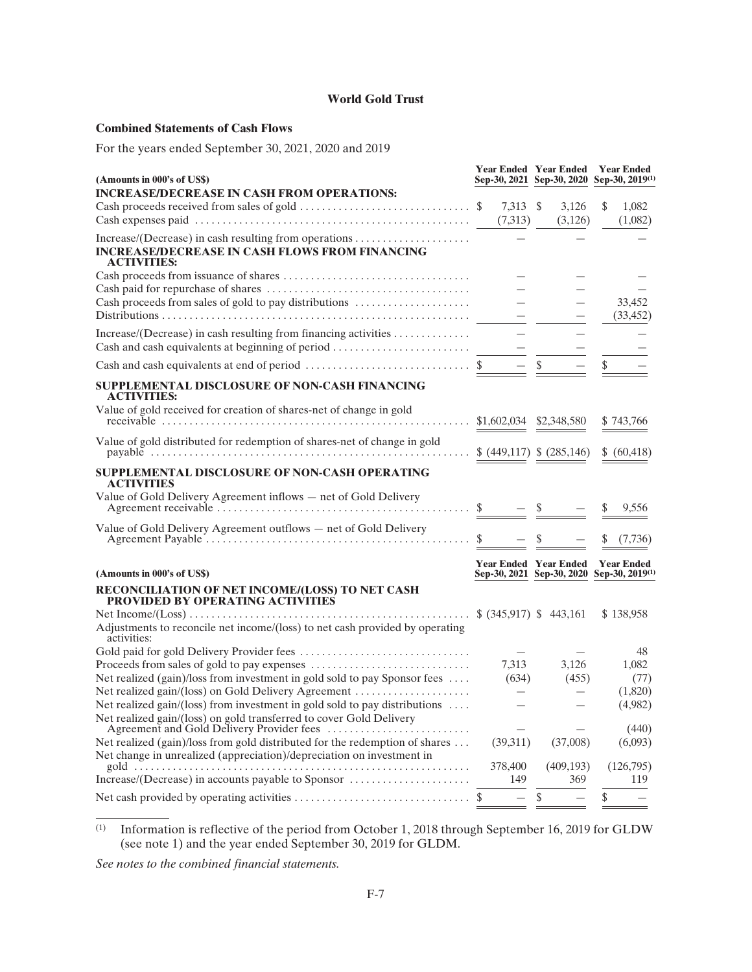# <span id="page-55-0"></span>**Combined Statements of Cash Flows**

For the years ended September 30, 2021, 2020 and 2019

| (Amounts in 000's of US\$)                                                                  | <b>Year Ended Year Ended</b> |                              | <b>Year Ended</b><br>Sep-30, 2021 Sep-30, 2020 Sep-30, 2019(1)             |
|---------------------------------------------------------------------------------------------|------------------------------|------------------------------|----------------------------------------------------------------------------|
| <b>INCREASE/DECREASE IN CASH FROM OPERATIONS:</b>                                           |                              |                              |                                                                            |
|                                                                                             | 7,313 \$                     | 3,126                        | \$<br>1.082                                                                |
|                                                                                             | (7,313)                      | (3,126)                      | (1,082)                                                                    |
|                                                                                             |                              |                              |                                                                            |
| <b>INCREASE/DECREASE IN CASH FLOWS FROM FINANCING</b><br><b>ACTIVITIES:</b>                 |                              |                              |                                                                            |
|                                                                                             |                              |                              |                                                                            |
|                                                                                             |                              |                              |                                                                            |
| Cash proceeds from sales of gold to pay distributions                                       |                              |                              | 33,452                                                                     |
|                                                                                             |                              |                              | (33, 452)                                                                  |
| Increase/(Decrease) in cash resulting from financing activities                             |                              |                              |                                                                            |
| Cash and cash equivalents at beginning of period                                            |                              |                              |                                                                            |
|                                                                                             |                              |                              |                                                                            |
|                                                                                             |                              |                              |                                                                            |
| SUPPLEMENTAL DISCLOSURE OF NON-CASH FINANCING<br><b>ACTIVITIES:</b>                         |                              |                              |                                                                            |
| Value of gold received for creation of shares-net of change in gold                         |                              |                              |                                                                            |
|                                                                                             | \$1,602,034 \$2,348,580      |                              | \$743,766                                                                  |
| Value of gold distributed for redemption of shares-net of change in gold                    |                              | $(449,117)$ \$ $(285,146)$   | \$ (60, 418)                                                               |
|                                                                                             |                              |                              |                                                                            |
| SUPPLEMENTAL DISCLOSURE OF NON-CASH OPERATING<br><b>ACTIVITIES</b>                          |                              |                              |                                                                            |
| Value of Gold Delivery Agreement inflows - net of Gold Delivery                             | S.                           |                              | 9,556                                                                      |
| Value of Gold Delivery Agreement outflows - net of Gold Delivery                            |                              |                              |                                                                            |
|                                                                                             |                              |                              | (7, 736)                                                                   |
| (Amounts in 000's of US\$)                                                                  |                              | <b>Year Ended Year Ended</b> | <b>Year Ended</b><br>Sep-30, 2021 Sep-30, 2020 Sep-30, 2019 <sup>(1)</sup> |
|                                                                                             |                              |                              |                                                                            |
| <b>RECONCILIATION OF NET INCOME/(LOSS) TO NET CASH</b><br>PROVIDED BY OPERATING ACTIVITIES  |                              |                              |                                                                            |
|                                                                                             |                              |                              | \$138,958                                                                  |
| Adjustments to reconcile net income/(loss) to net cash provided by operating<br>activities: |                              |                              |                                                                            |
|                                                                                             |                              |                              | 48                                                                         |
|                                                                                             | 7,313                        | 3,126                        | 1,082                                                                      |
| Net realized (gain)/loss from investment in gold sold to pay Sponsor fees                   | (634)                        | (455)                        | (77)                                                                       |
| Net realized gain/(loss) on Gold Delivery Agreement                                         |                              |                              | (1,820)                                                                    |
| Net realized gain/(loss) from investment in gold sold to pay distributions                  |                              |                              | (4,982)                                                                    |
| Net realized gain/(loss) on gold transferred to cover Gold Delivery                         |                              |                              | (440)                                                                      |
| Net realized (gain)/loss from gold distributed for the redemption of shares                 | (39,311)                     | (37,008)                     | (6,093)                                                                    |
| Net change in unrealized (appreciation)/depreciation on investment in                       | 378,400                      | (409, 193)                   | (126,795)                                                                  |
| Increase/(Decrease) in accounts payable to Sponsor                                          | 149                          | 369                          | 119                                                                        |
|                                                                                             | $\overline{\phantom{0}}$     | \$                           | \$                                                                         |

(1) Information is reflective of the period from October 1, 2018 through September 16, 2019 for GLDW (see note 1) and the year ended September 30, 2019 for GLDM.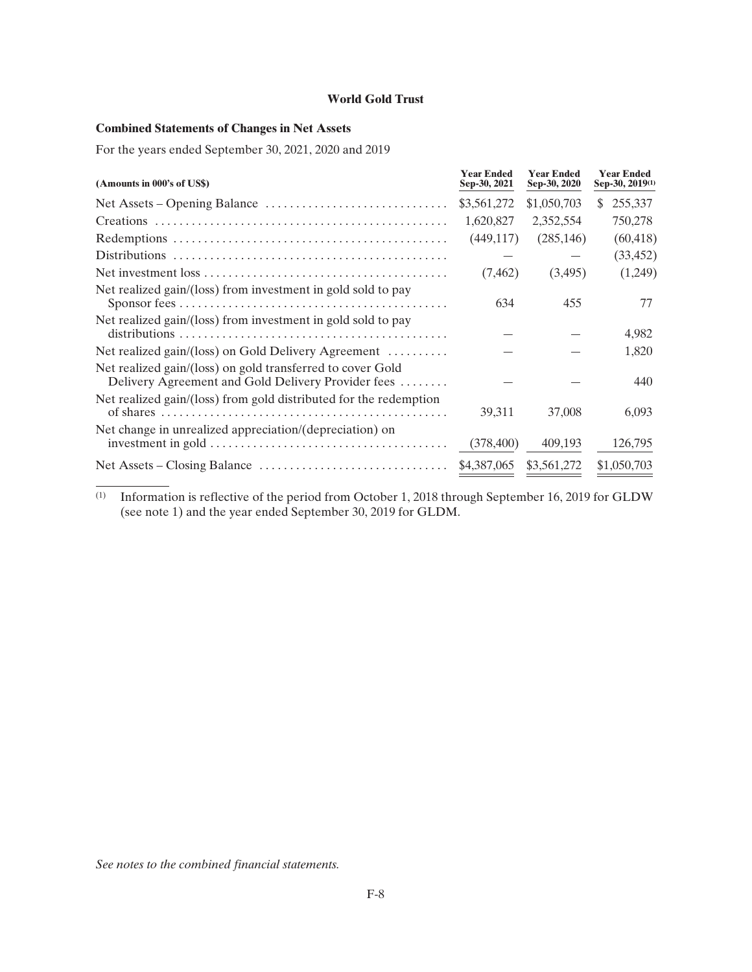# <span id="page-56-0"></span>**Combined Statements of Changes in Net Assets**

For the years ended September 30, 2021, 2020 and 2019

| (Amounts in 000's of US\$)                                                                                       | <b>Year Ended</b><br>Sep-30, 2021 | <b>Year Ended</b><br>Sep-30, 2020 | <b>Year Ended</b><br>Sep-30, 2019(1) |
|------------------------------------------------------------------------------------------------------------------|-----------------------------------|-----------------------------------|--------------------------------------|
|                                                                                                                  | \$3,561,272                       | \$1,050,703                       | 255,337<br>S.                        |
|                                                                                                                  | 1,620,827                         | 2,352,554                         | 750,278                              |
|                                                                                                                  | (449, 117)                        | (285, 146)                        | (60, 418)                            |
|                                                                                                                  |                                   |                                   | (33, 452)                            |
|                                                                                                                  | (7, 462)                          | (3,495)                           | (1,249)                              |
| Net realized gain/(loss) from investment in gold sold to pay                                                     | 634                               | 455                               | 77                                   |
| Net realized gain/(loss) from investment in gold sold to pay                                                     |                                   |                                   | 4,982                                |
| Net realized gain/(loss) on Gold Delivery Agreement                                                              |                                   |                                   | 1,820                                |
| Net realized gain/(loss) on gold transferred to cover Gold<br>Delivery Agreement and Gold Delivery Provider fees |                                   |                                   | 440                                  |
| Net realized gain/(loss) from gold distributed for the redemption                                                | 39,311                            | 37,008                            | 6,093                                |
| Net change in unrealized appreciation/(depreciation) on                                                          | (378, 400)                        | 409,193                           | 126,795                              |
|                                                                                                                  | \$4,387,065                       | \$3,561,272                       | \$1,050,703                          |

(1) Information is reflective of the period from October 1, 2018 through September 16, 2019 for GLDW (see note 1) and the year ended September 30, 2019 for GLDM.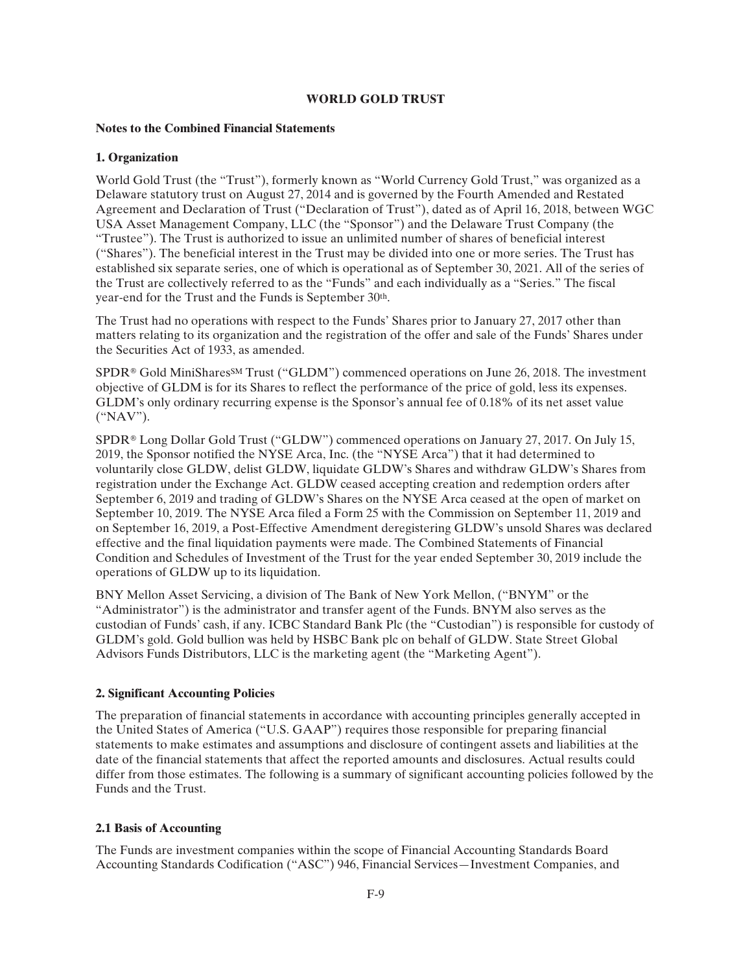# <span id="page-57-0"></span>**Notes to the Combined Financial Statements**

# **1. Organization**

World Gold Trust (the "Trust"), formerly known as "World Currency Gold Trust," was organized as a Delaware statutory trust on August 27, 2014 and is governed by the Fourth Amended and Restated Agreement and Declaration of Trust ("Declaration of Trust"), dated as of April 16, 2018, between WGC USA Asset Management Company, LLC (the "Sponsor") and the Delaware Trust Company (the "Trustee"). The Trust is authorized to issue an unlimited number of shares of beneficial interest ("Shares"). The beneficial interest in the Trust may be divided into one or more series. The Trust has established six separate series, one of which is operational as of September 30, 2021. All of the series of the Trust are collectively referred to as the "Funds" and each individually as a "Series." The fiscal year-end for the Trust and the Funds is September 30<sup>th</sup>.

The Trust had no operations with respect to the Funds' Shares prior to January 27, 2017 other than matters relating to its organization and the registration of the offer and sale of the Funds' Shares under the Securities Act of 1933, as amended.

SPDR<sup>®</sup> Gold MiniShares<sup>SM</sup> Trust ("GLDM") commenced operations on June 26, 2018. The investment objective of GLDM is for its Shares to reflect the performance of the price of gold, less its expenses. GLDM's only ordinary recurring expense is the Sponsor's annual fee of 0.18% of its net asset value ("NAV").

SPDR® Long Dollar Gold Trust ("GLDW") commenced operations on January 27, 2017. On July 15, 2019, the Sponsor notified the NYSE Arca, Inc. (the "NYSE Arca") that it had determined to voluntarily close GLDW, delist GLDW, liquidate GLDW's Shares and withdraw GLDW's Shares from registration under the Exchange Act. GLDW ceased accepting creation and redemption orders after September 6, 2019 and trading of GLDW's Shares on the NYSE Arca ceased at the open of market on September 10, 2019. The NYSE Arca filed a Form 25 with the Commission on September 11, 2019 and on September 16, 2019, a Post-Effective Amendment deregistering GLDW's unsold Shares was declared effective and the final liquidation payments were made. The Combined Statements of Financial Condition and Schedules of Investment of the Trust for the year ended September 30, 2019 include the operations of GLDW up to its liquidation.

BNY Mellon Asset Servicing, a division of The Bank of New York Mellon, ("BNYM" or the "Administrator") is the administrator and transfer agent of the Funds. BNYM also serves as the custodian of Funds' cash, if any. ICBC Standard Bank Plc (the "Custodian") is responsible for custody of GLDM's gold. Gold bullion was held by HSBC Bank plc on behalf of GLDW. State Street Global Advisors Funds Distributors, LLC is the marketing agent (the "Marketing Agent").

# **2. Significant Accounting Policies**

The preparation of financial statements in accordance with accounting principles generally accepted in the United States of America ("U.S. GAAP") requires those responsible for preparing financial statements to make estimates and assumptions and disclosure of contingent assets and liabilities at the date of the financial statements that affect the reported amounts and disclosures. Actual results could differ from those estimates. The following is a summary of significant accounting policies followed by the Funds and the Trust.

# **2.1 Basis of Accounting**

The Funds are investment companies within the scope of Financial Accounting Standards Board Accounting Standards Codification ("ASC") 946, Financial Services—Investment Companies, and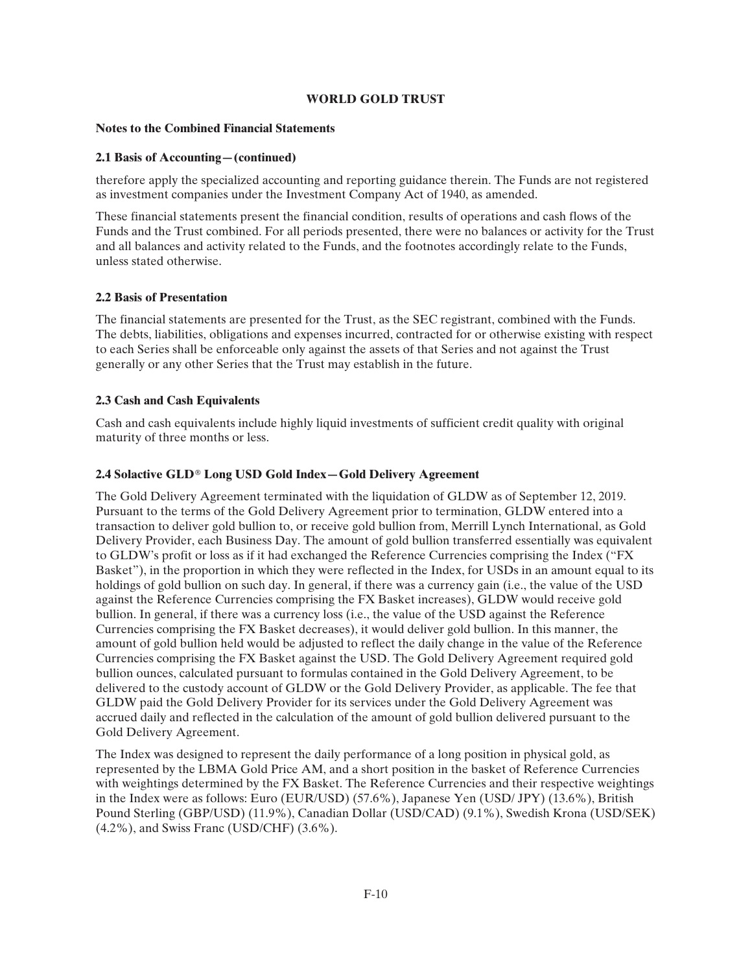# **Notes to the Combined Financial Statements**

# **2.1 Basis of Accounting—(continued)**

therefore apply the specialized accounting and reporting guidance therein. The Funds are not registered as investment companies under the Investment Company Act of 1940, as amended.

These financial statements present the financial condition, results of operations and cash flows of the Funds and the Trust combined. For all periods presented, there were no balances or activity for the Trust and all balances and activity related to the Funds, and the footnotes accordingly relate to the Funds, unless stated otherwise.

# **2.2 Basis of Presentation**

The financial statements are presented for the Trust, as the SEC registrant, combined with the Funds. The debts, liabilities, obligations and expenses incurred, contracted for or otherwise existing with respect to each Series shall be enforceable only against the assets of that Series and not against the Trust generally or any other Series that the Trust may establish in the future.

# **2.3 Cash and Cash Equivalents**

Cash and cash equivalents include highly liquid investments of sufficient credit quality with original maturity of three months or less.

# **2.4 Solactive GLD**È **Long USD Gold Index—Gold Delivery Agreement**

The Gold Delivery Agreement terminated with the liquidation of GLDW as of September 12, 2019. Pursuant to the terms of the Gold Delivery Agreement prior to termination, GLDW entered into a transaction to deliver gold bullion to, or receive gold bullion from, Merrill Lynch International, as Gold Delivery Provider, each Business Day. The amount of gold bullion transferred essentially was equivalent to GLDW's profit or loss as if it had exchanged the Reference Currencies comprising the Index ("FX Basket"), in the proportion in which they were reflected in the Index, for USDs in an amount equal to its holdings of gold bullion on such day. In general, if there was a currency gain (i.e., the value of the USD against the Reference Currencies comprising the FX Basket increases), GLDW would receive gold bullion. In general, if there was a currency loss (i.e., the value of the USD against the Reference Currencies comprising the FX Basket decreases), it would deliver gold bullion. In this manner, the amount of gold bullion held would be adjusted to reflect the daily change in the value of the Reference Currencies comprising the FX Basket against the USD. The Gold Delivery Agreement required gold bullion ounces, calculated pursuant to formulas contained in the Gold Delivery Agreement, to be delivered to the custody account of GLDW or the Gold Delivery Provider, as applicable. The fee that GLDW paid the Gold Delivery Provider for its services under the Gold Delivery Agreement was accrued daily and reflected in the calculation of the amount of gold bullion delivered pursuant to the Gold Delivery Agreement.

The Index was designed to represent the daily performance of a long position in physical gold, as represented by the LBMA Gold Price AM, and a short position in the basket of Reference Currencies with weightings determined by the FX Basket. The Reference Currencies and their respective weightings in the Index were as follows: Euro (EUR/USD) (57.6%), Japanese Yen (USD/ JPY) (13.6%), British Pound Sterling (GBP/USD) (11.9%), Canadian Dollar (USD/CAD) (9.1%), Swedish Krona (USD/SEK) (4.2%), and Swiss Franc (USD/CHF) (3.6%).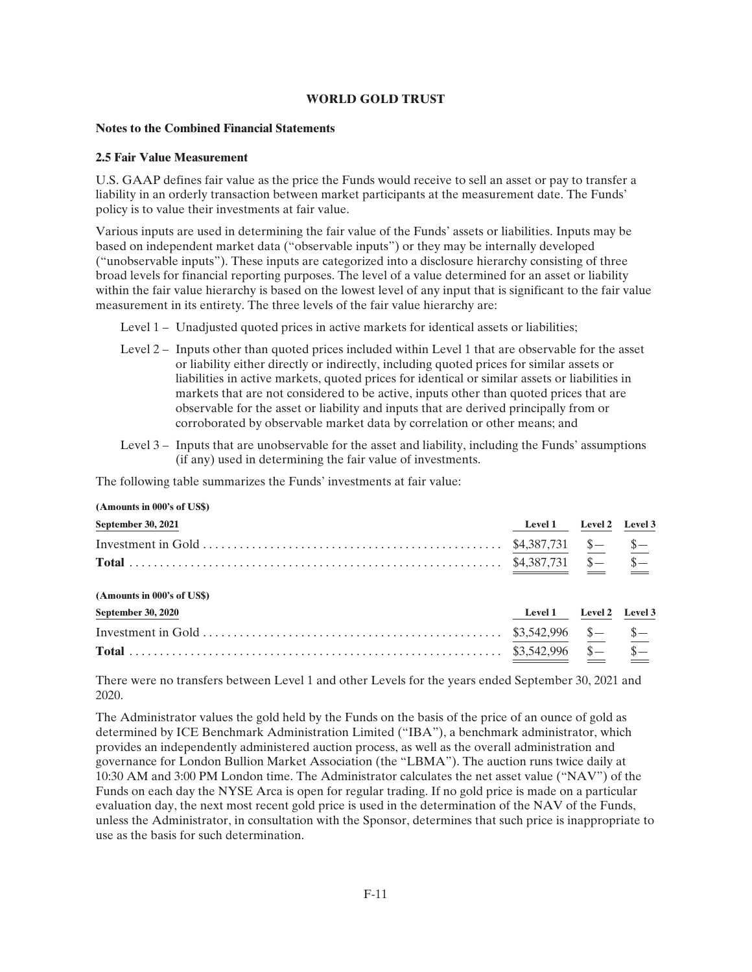#### **Notes to the Combined Financial Statements**

### **2.5 Fair Value Measurement**

U.S. GAAP defines fair value as the price the Funds would receive to sell an asset or pay to transfer a liability in an orderly transaction between market participants at the measurement date. The Funds' policy is to value their investments at fair value.

Various inputs are used in determining the fair value of the Funds' assets or liabilities. Inputs may be based on independent market data ("observable inputs") or they may be internally developed ("unobservable inputs"). These inputs are categorized into a disclosure hierarchy consisting of three broad levels for financial reporting purposes. The level of a value determined for an asset or liability within the fair value hierarchy is based on the lowest level of any input that is significant to the fair value measurement in its entirety. The three levels of the fair value hierarchy are:

- Level 1 Unadjusted quoted prices in active markets for identical assets or liabilities;
- Level 2 Inputs other than quoted prices included within Level 1 that are observable for the asset or liability either directly or indirectly, including quoted prices for similar assets or liabilities in active markets, quoted prices for identical or similar assets or liabilities in markets that are not considered to be active, inputs other than quoted prices that are observable for the asset or liability and inputs that are derived principally from or corroborated by observable market data by correlation or other means; and
- Level 3 Inputs that are unobservable for the asset and liability, including the Funds' assumptions (if any) used in determining the fair value of investments.

The following table summarizes the Funds' investments at fair value:

| (Amounts in 000's of US\$) |                                                |                     |                   |
|----------------------------|------------------------------------------------|---------------------|-------------------|
| <b>September 30, 2021</b>  | <b>Level 1</b>                                 | Level 2             | Level 3           |
|                            | $$4,387,731$ <u>\$ – \$ –</u>                  |                     |                   |
|                            | $\frac{1}{\$4,387,731}$ $\overline{\$ - \ \ }$ |                     |                   |
| (Amounts in 000's of US\$) |                                                |                     |                   |
| <b>September 30, 2020</b>  | <b>Level 1</b>                                 | <b>Level 2</b>      | Level 3           |
|                            | \$3,542,996                                    | $\frac{\$ -}{\$ -}$ |                   |
|                            | $$3,542,996$ \$-                               |                     | $\overline{\$ -}$ |

There were no transfers between Level 1 and other Levels for the years ended September 30, 2021 and 2020.

The Administrator values the gold held by the Funds on the basis of the price of an ounce of gold as determined by ICE Benchmark Administration Limited ("IBA"), a benchmark administrator, which provides an independently administered auction process, as well as the overall administration and governance for London Bullion Market Association (the "LBMA"). The auction runs twice daily at 10:30 AM and 3:00 PM London time. The Administrator calculates the net asset value ("NAV") of the Funds on each day the NYSE Arca is open for regular trading. If no gold price is made on a particular evaluation day, the next most recent gold price is used in the determination of the NAV of the Funds, unless the Administrator, in consultation with the Sponsor, determines that such price is inappropriate to use as the basis for such determination.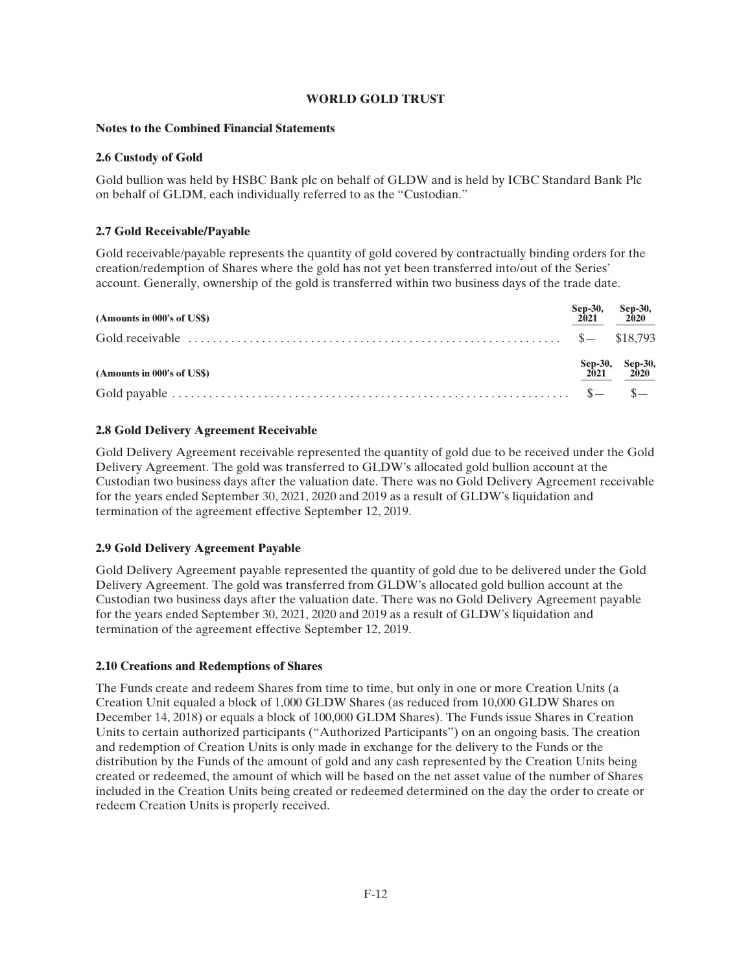## **Notes to the Combined Financial Statements**

# **2.6 Custody of Gold**

Gold bullion was held by HSBC Bank plc on behalf of GLDW and is held by ICBC Standard Bank Plc on behalf of GLDM, each individually referred to as the "Custodian."

# **2.7 Gold Receivable/Payable**

Gold receivable/payable represents the quantity of gold covered by contractually binding orders for the creation/redemption of Shares where the gold has not yet been transferred into/out of the Series' account. Generally, ownership of the gold is transferred within two business days of the trade date.

| (Amounts in 000's of US\$) | Sep-30,<br>2021 | Sep-30,<br>2020              |
|----------------------------|-----------------|------------------------------|
|                            |                 |                              |
| (Amounts in 000's of US\$) |                 | Sep-30, Sep-30,<br>2021 2020 |
|                            |                 |                              |

# **2.8 Gold Delivery Agreement Receivable**

Gold Delivery Agreement receivable represented the quantity of gold due to be received under the Gold Delivery Agreement. The gold was transferred to GLDW's allocated gold bullion account at the Custodian two business days after the valuation date. There was no Gold Delivery Agreement receivable for the years ended September 30, 2021, 2020 and 2019 as a result of GLDW's liquidation and termination of the agreement effective September 12, 2019.

# **2.9 Gold Delivery Agreement Payable**

Gold Delivery Agreement payable represented the quantity of gold due to be delivered under the Gold Delivery Agreement. The gold was transferred from GLDW's allocated gold bullion account at the Custodian two business days after the valuation date. There was no Gold Delivery Agreement payable for the years ended September 30, 2021, 2020 and 2019 as a result of GLDW's liquidation and termination of the agreement effective September 12, 2019.

# **2.10 Creations and Redemptions of Shares**

The Funds create and redeem Shares from time to time, but only in one or more Creation Units (a Creation Unit equaled a block of 1,000 GLDW Shares (as reduced from 10,000 GLDW Shares on December 14, 2018) or equals a block of 100,000 GLDM Shares). The Funds issue Shares in Creation Units to certain authorized participants ("Authorized Participants") on an ongoing basis. The creation and redemption of Creation Units is only made in exchange for the delivery to the Funds or the distribution by the Funds of the amount of gold and any cash represented by the Creation Units being created or redeemed, the amount of which will be based on the net asset value of the number of Shares included in the Creation Units being created or redeemed determined on the day the order to create or redeem Creation Units is properly received.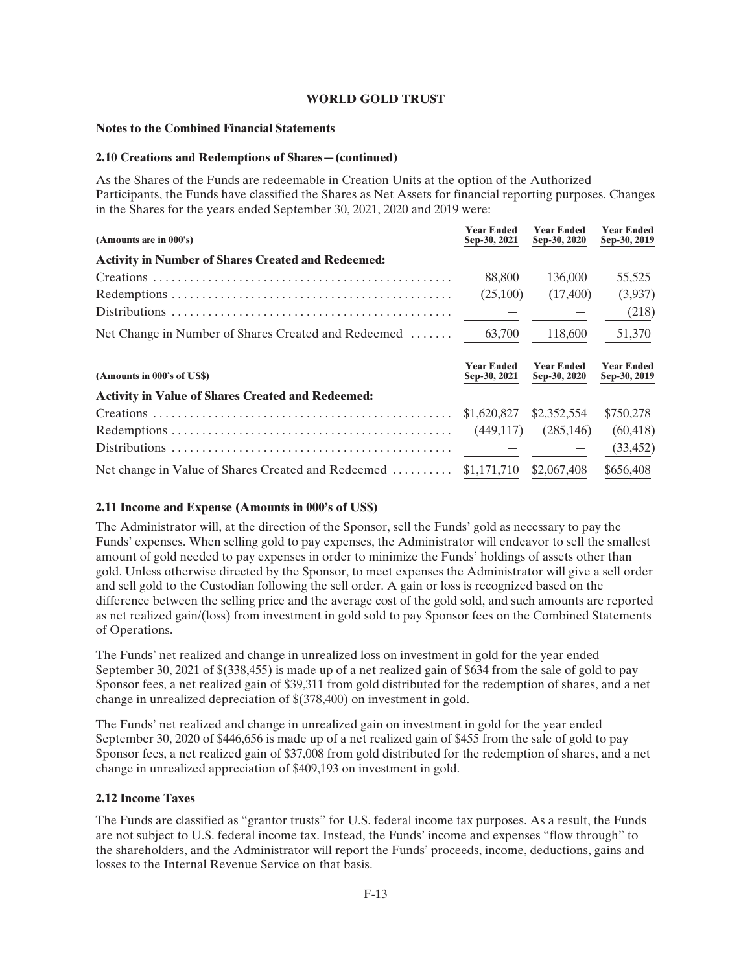# **Notes to the Combined Financial Statements**

# **2.10 Creations and Redemptions of Shares—(continued)**

As the Shares of the Funds are redeemable in Creation Units at the option of the Authorized Participants, the Funds have classified the Shares as Net Assets for financial reporting purposes. Changes in the Shares for the years ended September 30, 2021, 2020 and 2019 were:

| (Amounts are in 000's)                                    | <b>Year Ended</b><br>Sep-30, 2021 | <b>Year Ended</b><br>Sep-30, 2020 | <b>Year Ended</b><br>Sep-30, 2019 |
|-----------------------------------------------------------|-----------------------------------|-----------------------------------|-----------------------------------|
| <b>Activity in Number of Shares Created and Redeemed:</b> |                                   |                                   |                                   |
|                                                           | 88,800                            | 136,000                           | 55,525                            |
|                                                           | (25,100)                          | (17,400)                          | (3,937)                           |
|                                                           |                                   |                                   | (218)                             |
| Net Change in Number of Shares Created and Redeemed       | 63,700                            | 118,600                           | 51,370                            |
| (Amounts in 000's of US\$)                                | <b>Year Ended</b><br>Sep-30, 2021 | <b>Year Ended</b><br>Sep-30, 2020 | <b>Year Ended</b><br>Sep-30, 2019 |
|                                                           |                                   |                                   |                                   |
| <b>Activity in Value of Shares Created and Redeemed:</b>  |                                   |                                   |                                   |
|                                                           | \$1,620,827                       | \$2,352,554                       | \$750,278                         |
|                                                           | (449,117)                         | (285, 146)                        | (60, 418)                         |
|                                                           |                                   |                                   | (33, 452)                         |

# **2.11 Income and Expense (Amounts in 000's of US\$)**

The Administrator will, at the direction of the Sponsor, sell the Funds' gold as necessary to pay the Funds' expenses. When selling gold to pay expenses, the Administrator will endeavor to sell the smallest amount of gold needed to pay expenses in order to minimize the Funds' holdings of assets other than gold. Unless otherwise directed by the Sponsor, to meet expenses the Administrator will give a sell order and sell gold to the Custodian following the sell order. A gain or loss is recognized based on the difference between the selling price and the average cost of the gold sold, and such amounts are reported as net realized gain/(loss) from investment in gold sold to pay Sponsor fees on the Combined Statements of Operations.

The Funds' net realized and change in unrealized loss on investment in gold for the year ended September 30, 2021 of \$(338,455) is made up of a net realized gain of \$634 from the sale of gold to pay Sponsor fees, a net realized gain of \$39,311 from gold distributed for the redemption of shares, and a net change in unrealized depreciation of \$(378,400) on investment in gold.

The Funds' net realized and change in unrealized gain on investment in gold for the year ended September 30, 2020 of \$446,656 is made up of a net realized gain of \$455 from the sale of gold to pay Sponsor fees, a net realized gain of \$37,008 from gold distributed for the redemption of shares, and a net change in unrealized appreciation of \$409,193 on investment in gold.

# **2.12 Income Taxes**

The Funds are classified as "grantor trusts" for U.S. federal income tax purposes. As a result, the Funds are not subject to U.S. federal income tax. Instead, the Funds' income and expenses "flow through" to the shareholders, and the Administrator will report the Funds' proceeds, income, deductions, gains and losses to the Internal Revenue Service on that basis.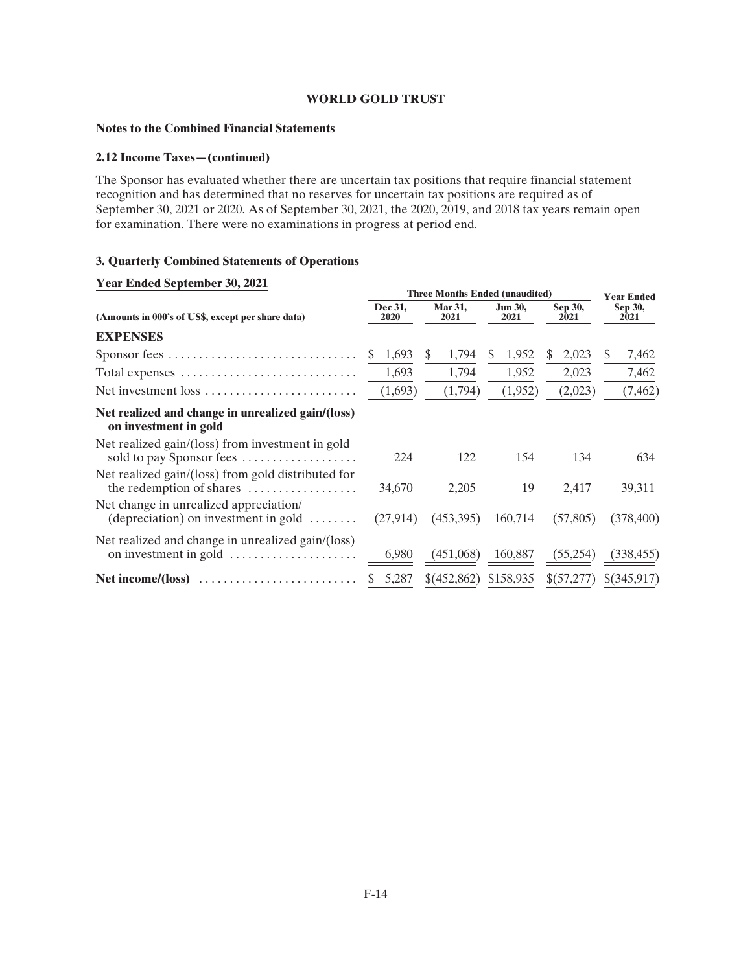# **Notes to the Combined Financial Statements**

## **2.12 Income Taxes—(continued)**

The Sponsor has evaluated whether there are uncertain tax positions that require financial statement recognition and has determined that no reserves for uncertain tax positions are required as of September 30, 2021 or 2020. As of September 30, 2021, the 2020, 2019, and 2018 tax years remain open for examination. There were no examinations in progress at period end.

# **3. Quarterly Combined Statements of Operations**

| <b>Year Ended September 30, 2021</b>                                                        |                 | <b>Three Months Ended (unaudited)</b> |                        |                 |                                      |
|---------------------------------------------------------------------------------------------|-----------------|---------------------------------------|------------------------|-----------------|--------------------------------------|
| (Amounts in 000's of US\$, except per share data)                                           | Dec 31.<br>2020 | <b>Mar 31,</b><br>2021                | <b>Jun 30,</b><br>2021 | Sep 30,<br>2021 | <b>Year Ended</b><br>Sep 30,<br>2021 |
| <b>EXPENSES</b>                                                                             |                 |                                       |                        |                 |                                      |
| Sponsor fees                                                                                | 1,693<br>\$     | 1,794<br>S                            | 1,952<br>S             | 2,023           | 7,462                                |
| Total expenses                                                                              | 1,693           | 1,794                                 | 1,952                  | 2,023           | 7,462                                |
|                                                                                             | (1,693)         | (1,794)                               | (1,952)                | (2,023)         | (7, 462)                             |
| Net realized and change in unrealized gain/(loss)<br>on investment in gold                  |                 |                                       |                        |                 |                                      |
| Net realized gain/(loss) from investment in gold<br>sold to pay Sponsor fees                | 224             | 122                                   | 154                    | 134             | 634                                  |
| Net realized gain/(loss) from gold distributed for<br>the redemption of shares              | 34,670          | 2,205                                 | 19                     | 2,417           | 39,311                               |
| Net change in unrealized appreciation/<br>(depreciation) on investment in gold $\dots\dots$ | (27, 914)       | (453,395)                             | 160,714                | (57,805)        | (378, 400)                           |
| Net realized and change in unrealized gain/(loss)<br>on investment in gold                  | 6,980           | (451,068)                             | 160,887                | (55,254)        | (338, 455)                           |
| Net income/(loss) $\dots\dots\dots\dots\dots\dots\dots\dots\dots$                           | 5,287<br>S      | $$(452,862)$ \$158,935                |                        |                 | $$(57,277)$ $$(345,917)$             |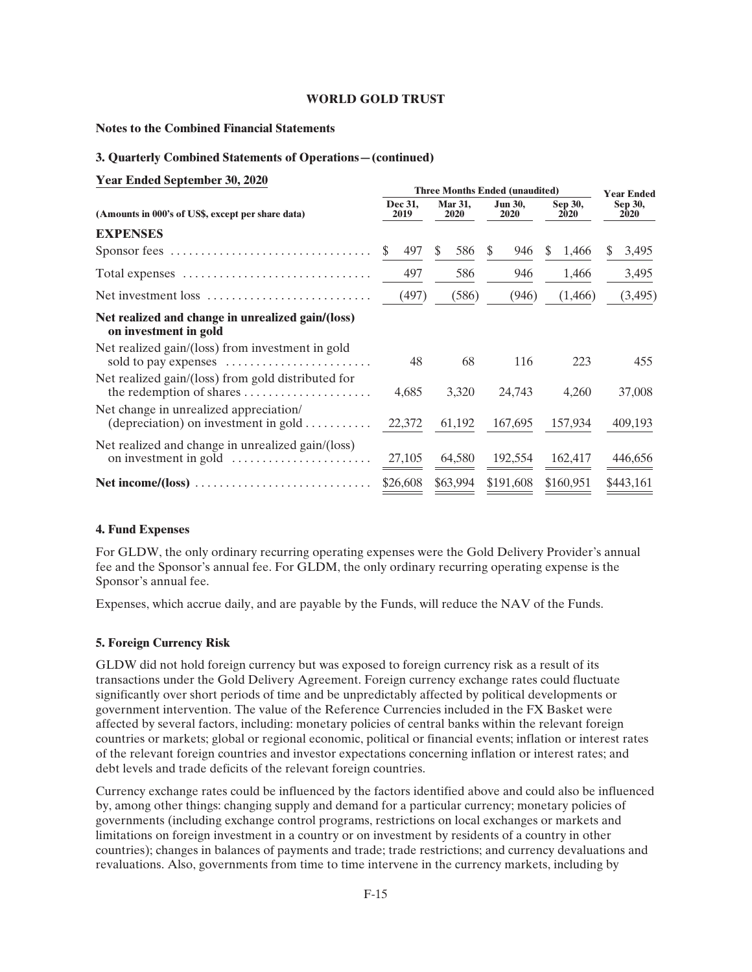### **Notes to the Combined Financial Statements**

### **3. Quarterly Combined Statements of Operations—(continued)**

| <b>Year Ended September 30, 2020</b>                                                                                 |                 |                        |                                       |                 |                   |
|----------------------------------------------------------------------------------------------------------------------|-----------------|------------------------|---------------------------------------|-----------------|-------------------|
|                                                                                                                      |                 |                        | <b>Three Months Ended (unaudited)</b> |                 | <b>Year Ended</b> |
| (Amounts in 000's of US\$, except per share data)                                                                    | Dec 31,<br>2019 | <b>Mar 31,</b><br>2020 | <b>Jun 30.</b><br>2020                | Sep 30,<br>2020 | Sep 30,<br>2020   |
| <b>EXPENSES</b>                                                                                                      |                 |                        |                                       |                 |                   |
|                                                                                                                      | 497<br>S        | 586<br>\$.             | 946<br>\$.                            | 1,466<br>S.     | 3,495<br>\$.      |
|                                                                                                                      | 497             | 586                    | 946                                   | 1,466           | 3,495             |
|                                                                                                                      | (497)           | (586)                  | (946)                                 | (1,466)         | (3, 495)          |
| Net realized and change in unrealized gain/(loss)<br>on investment in gold                                           |                 |                        |                                       |                 |                   |
| Net realized gain/(loss) from investment in gold                                                                     | 48              | 68                     | 116                                   | 223             | 455               |
| Net realized gain/(loss) from gold distributed for<br>the redemption of shares $\dots \dots \dots \dots \dots \dots$ | 4,685           | 3,320                  | 24,743                                | 4,260           | 37,008            |
| Net change in unrealized appreciation/<br>(depreciation) on investment in gold $\dots\dots\dots\dots$                | 22,372          | 61,192                 | 167,695                               | 157,934         | 409,193           |
| Net realized and change in unrealized gain/(loss)                                                                    | 27,105          | 64,580                 | 192,554                               | 162,417         | 446,656           |
| Net income/(loss) $\dots \dots \dots \dots \dots \dots \dots \dots \dots$                                            | \$26,608        | \$63,994               | \$191,608                             | \$160,951       | \$443,161         |

# **4. Fund Expenses**

For GLDW, the only ordinary recurring operating expenses were the Gold Delivery Provider's annual fee and the Sponsor's annual fee. For GLDM, the only ordinary recurring operating expense is the Sponsor's annual fee.

Expenses, which accrue daily, and are payable by the Funds, will reduce the NAV of the Funds.

# **5. Foreign Currency Risk**

GLDW did not hold foreign currency but was exposed to foreign currency risk as a result of its transactions under the Gold Delivery Agreement. Foreign currency exchange rates could fluctuate significantly over short periods of time and be unpredictably affected by political developments or government intervention. The value of the Reference Currencies included in the FX Basket were affected by several factors, including: monetary policies of central banks within the relevant foreign countries or markets; global or regional economic, political or financial events; inflation or interest rates of the relevant foreign countries and investor expectations concerning inflation or interest rates; and debt levels and trade deficits of the relevant foreign countries.

Currency exchange rates could be influenced by the factors identified above and could also be influenced by, among other things: changing supply and demand for a particular currency; monetary policies of governments (including exchange control programs, restrictions on local exchanges or markets and limitations on foreign investment in a country or on investment by residents of a country in other countries); changes in balances of payments and trade; trade restrictions; and currency devaluations and revaluations. Also, governments from time to time intervene in the currency markets, including by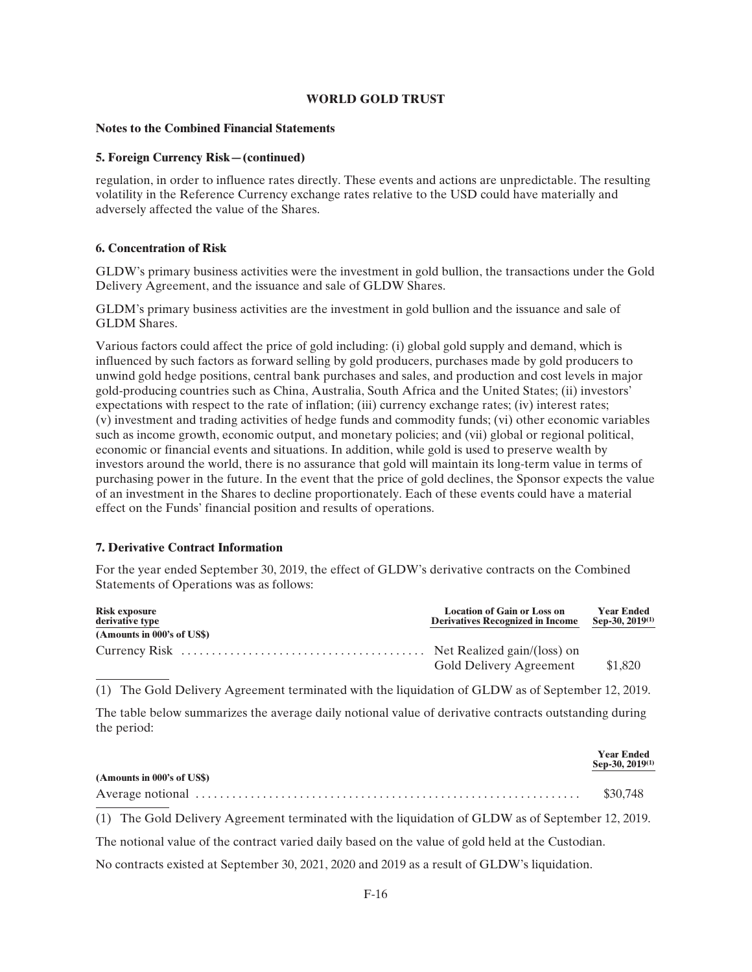## **Notes to the Combined Financial Statements**

# **5. Foreign Currency Risk—(continued)**

regulation, in order to influence rates directly. These events and actions are unpredictable. The resulting volatility in the Reference Currency exchange rates relative to the USD could have materially and adversely affected the value of the Shares.

## **6. Concentration of Risk**

GLDW's primary business activities were the investment in gold bullion, the transactions under the Gold Delivery Agreement, and the issuance and sale of GLDW Shares.

GLDM's primary business activities are the investment in gold bullion and the issuance and sale of GLDM Shares.

Various factors could affect the price of gold including: (i) global gold supply and demand, which is influenced by such factors as forward selling by gold producers, purchases made by gold producers to unwind gold hedge positions, central bank purchases and sales, and production and cost levels in major gold-producing countries such as China, Australia, South Africa and the United States; (ii) investors' expectations with respect to the rate of inflation; (iii) currency exchange rates; (iv) interest rates; (v) investment and trading activities of hedge funds and commodity funds; (vi) other economic variables such as income growth, economic output, and monetary policies; and (vii) global or regional political, economic or financial events and situations. In addition, while gold is used to preserve wealth by investors around the world, there is no assurance that gold will maintain its long-term value in terms of purchasing power in the future. In the event that the price of gold declines, the Sponsor expects the value of an investment in the Shares to decline proportionately. Each of these events could have a material effect on the Funds' financial position and results of operations.

# **7. Derivative Contract Information**

For the year ended September 30, 2019, the effect of GLDW's derivative contracts on the Combined Statements of Operations was as follows:

| <b>Risk exposure<br/>derivative type</b> | <b>Location of Gain or Loss on</b>      | <b>Year Ended</b>    |
|------------------------------------------|-----------------------------------------|----------------------|
| (Amounts in 000's of US\$)               | <b>Derivatives Recognized in Income</b> | Sep-30, $2019^{(1)}$ |
|                                          | Gold Delivery Agreement                 | \$1,820              |

(1) The Gold Delivery Agreement terminated with the liquidation of GLDW as of September 12, 2019.

The table below summarizes the average daily notional value of derivative contracts outstanding during the period:

|                            | <b>Year Ended</b><br>Sep-30, $2019^{(1)}$ |
|----------------------------|-------------------------------------------|
| (Amounts in 000's of US\$) |                                           |
|                            | \$30.748                                  |

(1) The Gold Delivery Agreement terminated with the liquidation of GLDW as of September 12, 2019.

The notional value of the contract varied daily based on the value of gold held at the Custodian.

No contracts existed at September 30, 2021, 2020 and 2019 as a result of GLDW's liquidation.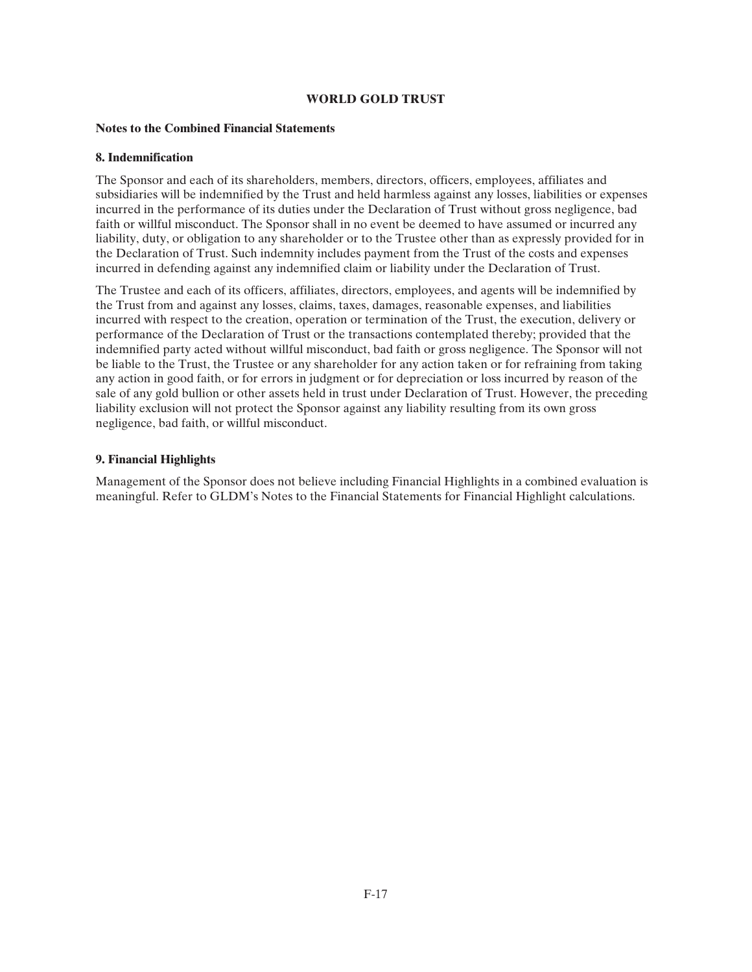#### **Notes to the Combined Financial Statements**

### **8. Indemnification**

The Sponsor and each of its shareholders, members, directors, officers, employees, affiliates and subsidiaries will be indemnified by the Trust and held harmless against any losses, liabilities or expenses incurred in the performance of its duties under the Declaration of Trust without gross negligence, bad faith or willful misconduct. The Sponsor shall in no event be deemed to have assumed or incurred any liability, duty, or obligation to any shareholder or to the Trustee other than as expressly provided for in the Declaration of Trust. Such indemnity includes payment from the Trust of the costs and expenses incurred in defending against any indemnified claim or liability under the Declaration of Trust.

The Trustee and each of its officers, affiliates, directors, employees, and agents will be indemnified by the Trust from and against any losses, claims, taxes, damages, reasonable expenses, and liabilities incurred with respect to the creation, operation or termination of the Trust, the execution, delivery or performance of the Declaration of Trust or the transactions contemplated thereby; provided that the indemnified party acted without willful misconduct, bad faith or gross negligence. The Sponsor will not be liable to the Trust, the Trustee or any shareholder for any action taken or for refraining from taking any action in good faith, or for errors in judgment or for depreciation or loss incurred by reason of the sale of any gold bullion or other assets held in trust under Declaration of Trust. However, the preceding liability exclusion will not protect the Sponsor against any liability resulting from its own gross negligence, bad faith, or willful misconduct.

# **9. Financial Highlights**

Management of the Sponsor does not believe including Financial Highlights in a combined evaluation is meaningful. Refer to GLDM's Notes to the Financial Statements for Financial Highlight calculations.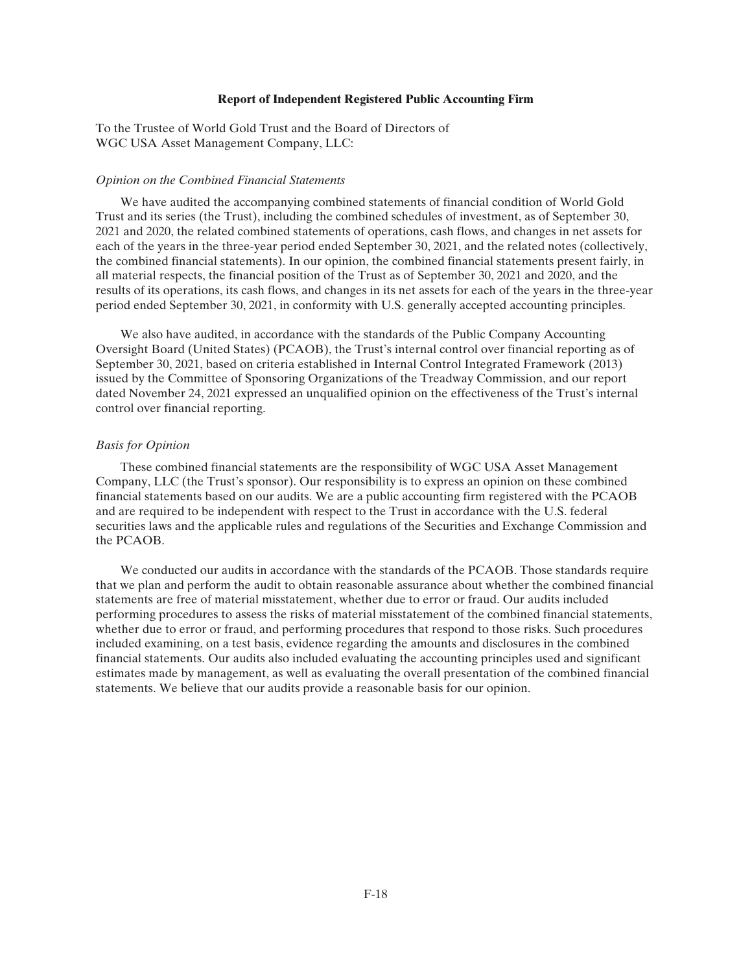#### **Report of Independent Registered Public Accounting Firm**

<span id="page-66-0"></span>To the Trustee of World Gold Trust and the Board of Directors of WGC USA Asset Management Company, LLC:

#### *Opinion on the Combined Financial Statements*

We have audited the accompanying combined statements of financial condition of World Gold Trust and its series (the Trust), including the combined schedules of investment, as of September 30, 2021 and 2020, the related combined statements of operations, cash flows, and changes in net assets for each of the years in the three-year period ended September 30, 2021, and the related notes (collectively, the combined financial statements). In our opinion, the combined financial statements present fairly, in all material respects, the financial position of the Trust as of September 30, 2021 and 2020, and the results of its operations, its cash flows, and changes in its net assets for each of the years in the three-year period ended September 30, 2021, in conformity with U.S. generally accepted accounting principles.

We also have audited, in accordance with the standards of the Public Company Accounting Oversight Board (United States) (PCAOB), the Trust's internal control over financial reporting as of September 30, 2021, based on criteria established in Internal Control Integrated Framework (2013) issued by the Committee of Sponsoring Organizations of the Treadway Commission, and our report dated November 24, 2021 expressed an unqualified opinion on the effectiveness of the Trust's internal control over financial reporting.

### *Basis for Opinion*

These combined financial statements are the responsibility of WGC USA Asset Management Company, LLC (the Trust's sponsor). Our responsibility is to express an opinion on these combined financial statements based on our audits. We are a public accounting firm registered with the PCAOB and are required to be independent with respect to the Trust in accordance with the U.S. federal securities laws and the applicable rules and regulations of the Securities and Exchange Commission and the PCAOB.

We conducted our audits in accordance with the standards of the PCAOB. Those standards require that we plan and perform the audit to obtain reasonable assurance about whether the combined financial statements are free of material misstatement, whether due to error or fraud. Our audits included performing procedures to assess the risks of material misstatement of the combined financial statements, whether due to error or fraud, and performing procedures that respond to those risks. Such procedures included examining, on a test basis, evidence regarding the amounts and disclosures in the combined financial statements. Our audits also included evaluating the accounting principles used and significant estimates made by management, as well as evaluating the overall presentation of the combined financial statements. We believe that our audits provide a reasonable basis for our opinion.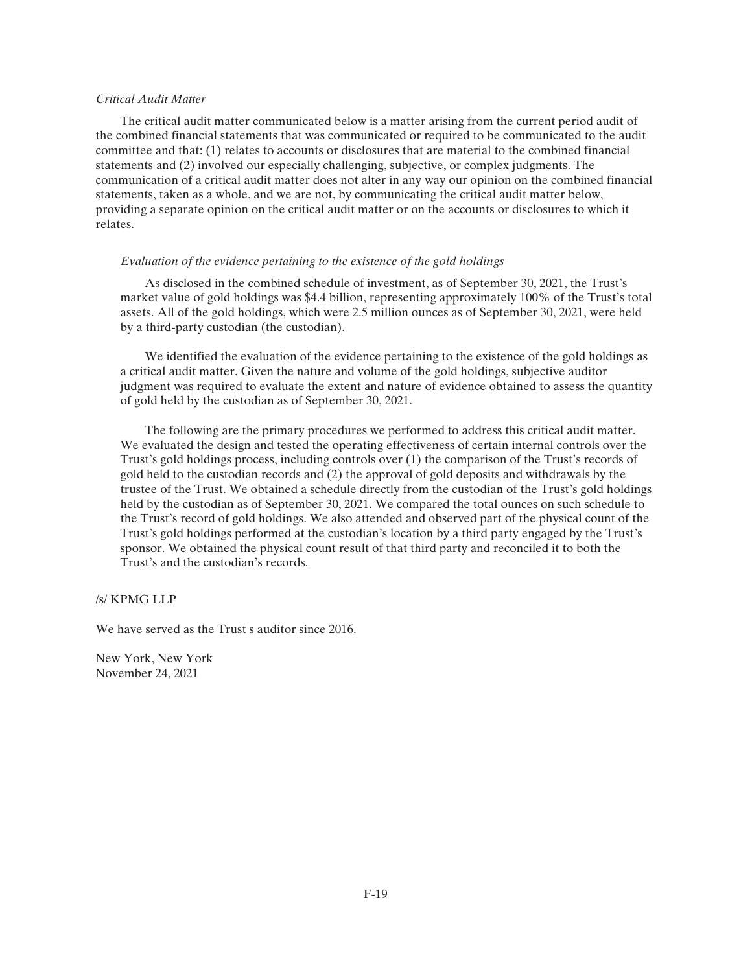#### *Critical Audit Matter*

The critical audit matter communicated below is a matter arising from the current period audit of the combined financial statements that was communicated or required to be communicated to the audit committee and that: (1) relates to accounts or disclosures that are material to the combined financial statements and (2) involved our especially challenging, subjective, or complex judgments. The communication of a critical audit matter does not alter in any way our opinion on the combined financial statements, taken as a whole, and we are not, by communicating the critical audit matter below, providing a separate opinion on the critical audit matter or on the accounts or disclosures to which it relates.

#### *Evaluation of the evidence pertaining to the existence of the gold holdings*

As disclosed in the combined schedule of investment, as of September 30, 2021, the Trust's market value of gold holdings was \$4.4 billion, representing approximately 100% of the Trust's total assets. All of the gold holdings, which were 2.5 million ounces as of September 30, 2021, were held by a third-party custodian (the custodian).

We identified the evaluation of the evidence pertaining to the existence of the gold holdings as a critical audit matter. Given the nature and volume of the gold holdings, subjective auditor judgment was required to evaluate the extent and nature of evidence obtained to assess the quantity of gold held by the custodian as of September 30, 2021.

The following are the primary procedures we performed to address this critical audit matter. We evaluated the design and tested the operating effectiveness of certain internal controls over the Trust's gold holdings process, including controls over (1) the comparison of the Trust's records of gold held to the custodian records and (2) the approval of gold deposits and withdrawals by the trustee of the Trust. We obtained a schedule directly from the custodian of the Trust's gold holdings held by the custodian as of September 30, 2021. We compared the total ounces on such schedule to the Trust's record of gold holdings. We also attended and observed part of the physical count of the Trust's gold holdings performed at the custodian's location by a third party engaged by the Trust's sponsor. We obtained the physical count result of that third party and reconciled it to both the Trust's and the custodian's records.

### /s/ KPMG LLP

We have served as the Trust s auditor since 2016.

New York, New York November 24, 2021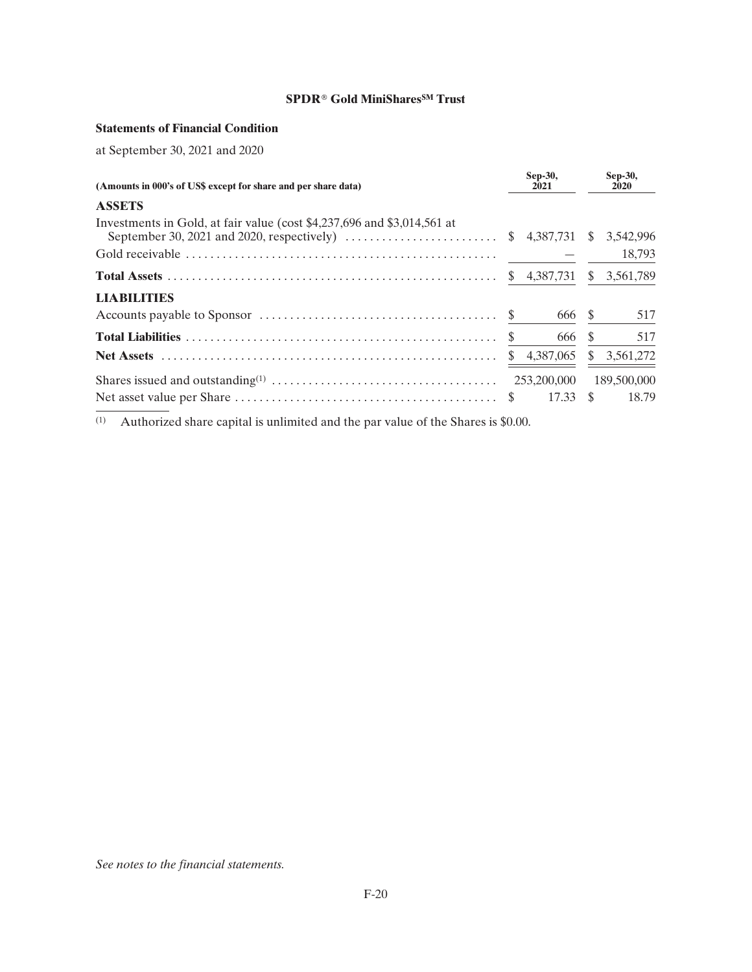# <span id="page-68-0"></span>**Statements of Financial Condition**

at September 30, 2021 and 2020

| (Amounts in 000's of US\$ except for share and per share data)          |               | <b>Sep-30,</b><br>2021 | Sep-30,<br><b>2020</b> |
|-------------------------------------------------------------------------|---------------|------------------------|------------------------|
| <b>ASSETS</b>                                                           |               |                        |                        |
| Investments in Gold, at fair value (cost \$4,237,696 and \$3,014,561 at |               |                        |                        |
|                                                                         |               |                        | 18,793                 |
|                                                                         |               | $$4,387,731$ \;        | 3,561,789              |
| <b>LIABILITIES</b>                                                      |               |                        |                        |
|                                                                         |               | 666 \$                 | 517                    |
|                                                                         |               | 666 \$                 | 517                    |
|                                                                         | <sup>\$</sup> | 4,387,065              | \$3,561,272            |
|                                                                         |               | 253,200,000            | 189,500,000            |
|                                                                         |               | $17.33$ \$             | 18.79                  |

(1) Authorized share capital is unlimited and the par value of the Shares is \$0.00.

*See notes to the financial statements.*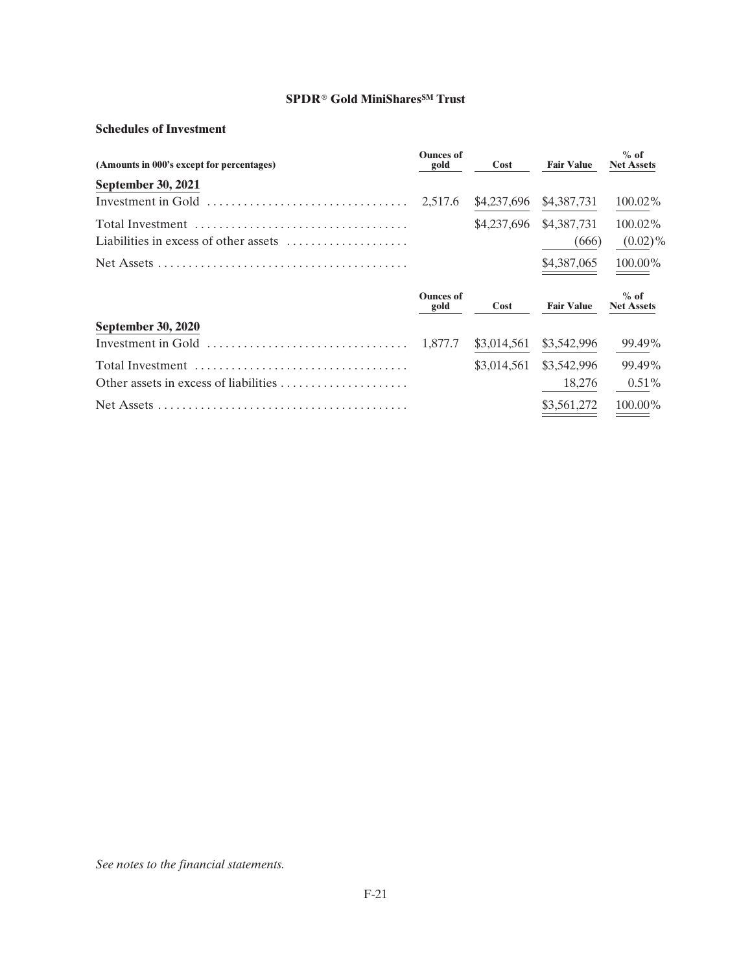# **Schedules of Investment**

| (Amounts in 000's except for percentages)                                      | <b>Ounces of</b><br>gold | <b>Cost</b> | <b>Fair Value</b>    | $%$ of<br><b>Net Assets</b> |
|--------------------------------------------------------------------------------|--------------------------|-------------|----------------------|-----------------------------|
| <b>September 30, 2021</b>                                                      |                          |             |                      |                             |
|                                                                                | 2,517.6                  | \$4,237,696 | \$4,387,731          | 100.02%                     |
| Liabilities in excess of other assets $\ldots, \ldots, \ldots, \ldots, \ldots$ |                          | \$4,237,696 | \$4,387,731<br>(666) | 100.02%<br>$(0.02)\%$       |
|                                                                                |                          |             | \$4,387,065          | 100.00%                     |
|                                                                                | <b>Ounces of</b><br>gold | <b>Cost</b> | <b>Fair Value</b>    | $%$ of<br><b>Net Assets</b> |
| <b>September 30, 2020</b>                                                      |                          |             |                      |                             |
|                                                                                | 1,877.7                  | \$3,014,561 | \$3,542,996          | 99.49%                      |
| Total Investment                                                               |                          | \$3,014,561 | \$3,542,996          | 99.49%                      |
| Other assets in excess of liabilities                                          |                          |             | 18,276               | 0.51%                       |
|                                                                                |                          |             | \$3,561,272          | $100.00\%$                  |

*See notes to the financial statements.*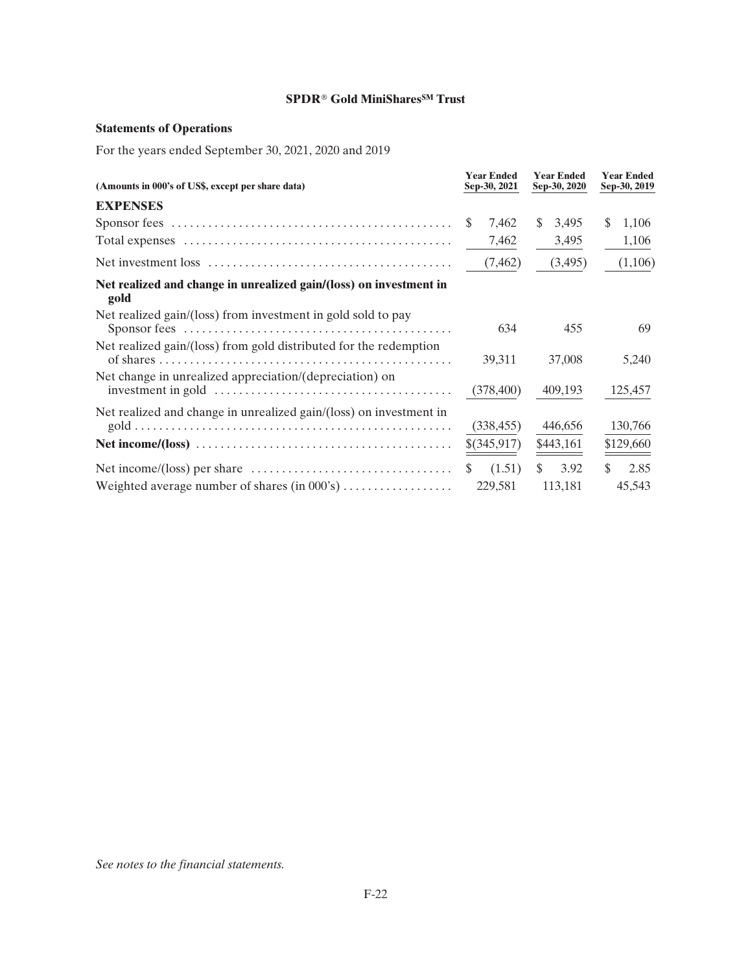# **Statements of Operations**

For the years ended September 30, 2021, 2020 and 2019

| (Amounts in 000's of US\$, except per share data)                                                                                                       | <b>Year Ended</b><br>Sep-30, 2021 | <b>Year Ended</b><br>Sep-30, 2020 | <b>Year Ended</b><br>Sep-30, 2019 |
|---------------------------------------------------------------------------------------------------------------------------------------------------------|-----------------------------------|-----------------------------------|-----------------------------------|
| <b>EXPENSES</b>                                                                                                                                         |                                   |                                   |                                   |
| Sponsor fees $\ldots \ldots \ldots \ldots \ldots \ldots \ldots \ldots \ldots \ldots \ldots \ldots \ldots$                                               | S<br>7,462                        | <sup>\$</sup><br>3,495            | S<br>1,106                        |
|                                                                                                                                                         | 7,462                             | 3,495                             | 1,106                             |
|                                                                                                                                                         | (7, 462)                          | (3,495)                           | (1,106)                           |
| Net realized and change in unrealized gain/(loss) on investment in<br>gold                                                                              |                                   |                                   |                                   |
| Net realized gain/(loss) from investment in gold sold to pay                                                                                            | 634                               | 455                               | 69                                |
| Net realized gain/(loss) from gold distributed for the redemption                                                                                       | 39,311                            | 37,008                            | 5,240                             |
| Net change in unrealized appreciation/(depreciation) on<br>investment in gold $\dots \dots \dots \dots \dots \dots \dots \dots \dots \dots \dots \dots$ | (378, 400)                        | 409,193                           | 125,457                           |
| Net realized and change in unrealized gain/(loss) on investment in                                                                                      | (338, 455)                        | 446,656                           | 130,766                           |
|                                                                                                                                                         | \$(345,917)                       | \$443,161                         | \$129,660                         |
| Net income/(loss) per share $\dots \dots \dots \dots \dots \dots \dots \dots \dots \dots$                                                               | <sup>S</sup><br>(1.51)            | $\$\,3.92$                        | \$.<br>2.85                       |
|                                                                                                                                                         | 229,581                           | 113,181                           | 45,543                            |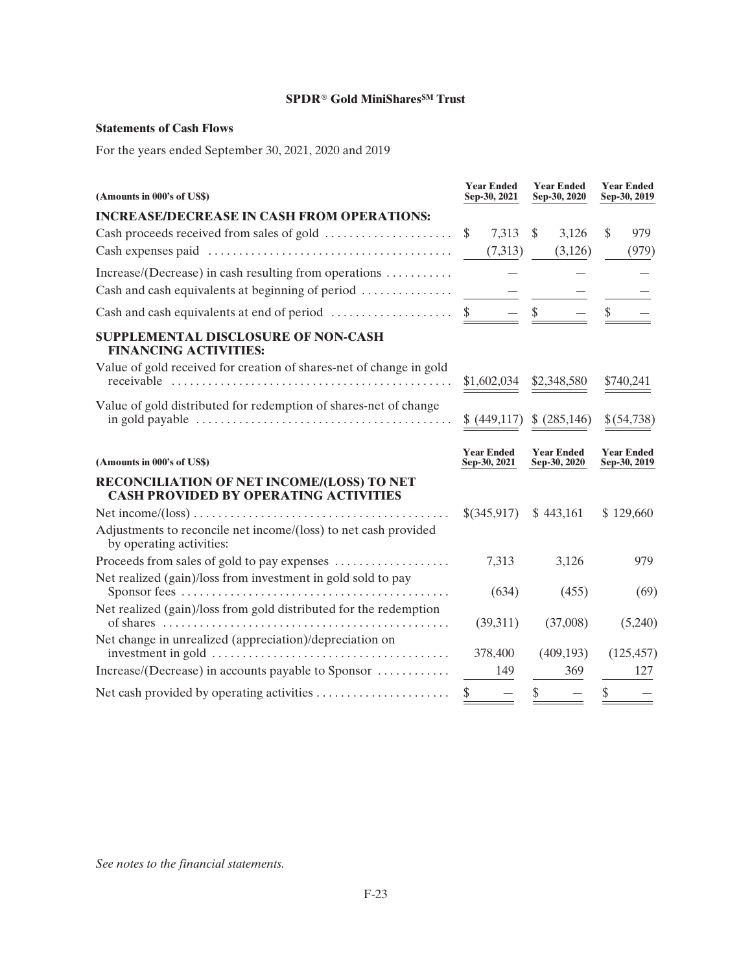# **Statements of Cash Flows**

For the years ended September 30, 2021, 2020 and 2019

| (Amounts in 000's of US\$)                                                                                                                                                | <b>Year Ended</b><br>Sep-30, 2021 | <b>Year Ended</b><br>Sep-30, 2020 | <b>Year Ended</b><br>Sep-30, 2019 |
|---------------------------------------------------------------------------------------------------------------------------------------------------------------------------|-----------------------------------|-----------------------------------|-----------------------------------|
| <b>INCREASE/DECREASE IN CASH FROM OPERATIONS:</b>                                                                                                                         |                                   |                                   |                                   |
|                                                                                                                                                                           | $\mathbb{S}$<br>7,313             | 3,126<br>$\mathbb{S}$             | \$<br>979                         |
|                                                                                                                                                                           | (7,313)                           | (3,126)                           | (979)                             |
| Increase/(Decrease) in cash resulting from operations<br>Cash and cash equivalents at beginning of period                                                                 |                                   |                                   |                                   |
|                                                                                                                                                                           | \$                                | \$                                | \$                                |
| SUPPLEMENTAL DISCLOSURE OF NON-CASH<br><b>FINANCING ACTIVITIES:</b>                                                                                                       |                                   |                                   |                                   |
| Value of gold received for creation of shares-net of change in gold                                                                                                       | \$1,602,034                       | \$2,348,580                       | \$740,241                         |
| Value of gold distributed for redemption of shares-net of change<br>in gold payable $\dots \dots \dots \dots \dots \dots \dots \dots \dots \dots \dots \dots \dots \dots$ | \$(449,117)                       | (285,146)                         | \$(54,738)                        |
|                                                                                                                                                                           |                                   |                                   |                                   |
| (Amounts in 000's of US\$)                                                                                                                                                | <b>Year Ended</b><br>Sep-30, 2021 | <b>Year Ended</b><br>Sep-30, 2020 | <b>Year Ended</b><br>Sep-30, 2019 |
| <b>RECONCILIATION OF NET INCOME/(LOSS) TO NET</b><br><b>CASH PROVIDED BY OPERATING ACTIVITIES</b>                                                                         |                                   |                                   |                                   |
|                                                                                                                                                                           | \$(345,917)                       | \$443,161                         | \$129,660                         |
| Adjustments to reconcile net income/(loss) to net cash provided<br>by operating activities:                                                                               |                                   |                                   |                                   |
| Proceeds from sales of gold to pay expenses                                                                                                                               | 7,313                             | 3,126                             | 979                               |
| Net realized (gain)/loss from investment in gold sold to pay                                                                                                              | (634)                             | (455)                             | (69)                              |
| Net realized (gain)/loss from gold distributed for the redemption                                                                                                         | (39,311)                          | (37,008)                          | (5,240)                           |
| Net change in unrealized (appreciation)/depreciation on                                                                                                                   | 378,400                           | (409, 193)                        | (125, 457)                        |
| Increase/(Decrease) in accounts payable to Sponsor                                                                                                                        | 149                               | 369                               | 127                               |

*See notes to the financial statements.*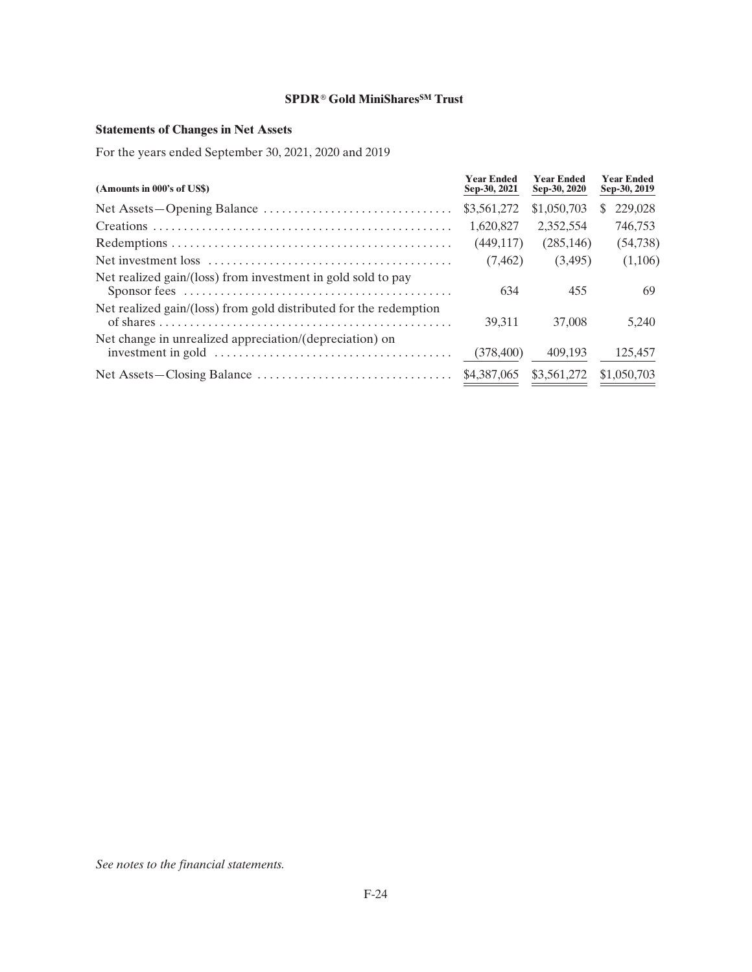# **Statements of Changes in Net Assets**

For the years ended September 30, 2021, 2020 and 2019

| (Amounts in 000's of US\$)                                                                                                                              | Year Ended<br>Sep-30, 2021 | <b>Year Ended</b><br>Sep-30, 2020 | <b>Year Ended</b><br>Sep-30, 2019 |
|---------------------------------------------------------------------------------------------------------------------------------------------------------|----------------------------|-----------------------------------|-----------------------------------|
|                                                                                                                                                         | \$3,561,272                | \$1,050,703                       | 229,028<br>S.                     |
|                                                                                                                                                         | 1,620,827                  | 2,352,554                         | 746,753                           |
|                                                                                                                                                         | (449, 117)                 | (285, 146)                        | (54, 738)                         |
|                                                                                                                                                         | (7, 462)                   | (3,495)                           | (1,106)                           |
| Net realized gain/(loss) from investment in gold sold to pay                                                                                            | 634                        | 455                               | 69                                |
| Net realized gain/(loss) from gold distributed for the redemption                                                                                       | 39.311                     | 37,008                            | 5.240                             |
| Net change in unrealized appreciation/(depreciation) on<br>investment in gold $\dots \dots \dots \dots \dots \dots \dots \dots \dots \dots \dots \dots$ | (378, 400)                 | 409,193                           | 125,457                           |
|                                                                                                                                                         | \$4,387,065                | \$3,561,272                       | \$1,050,703                       |

*See notes to the financial statements.*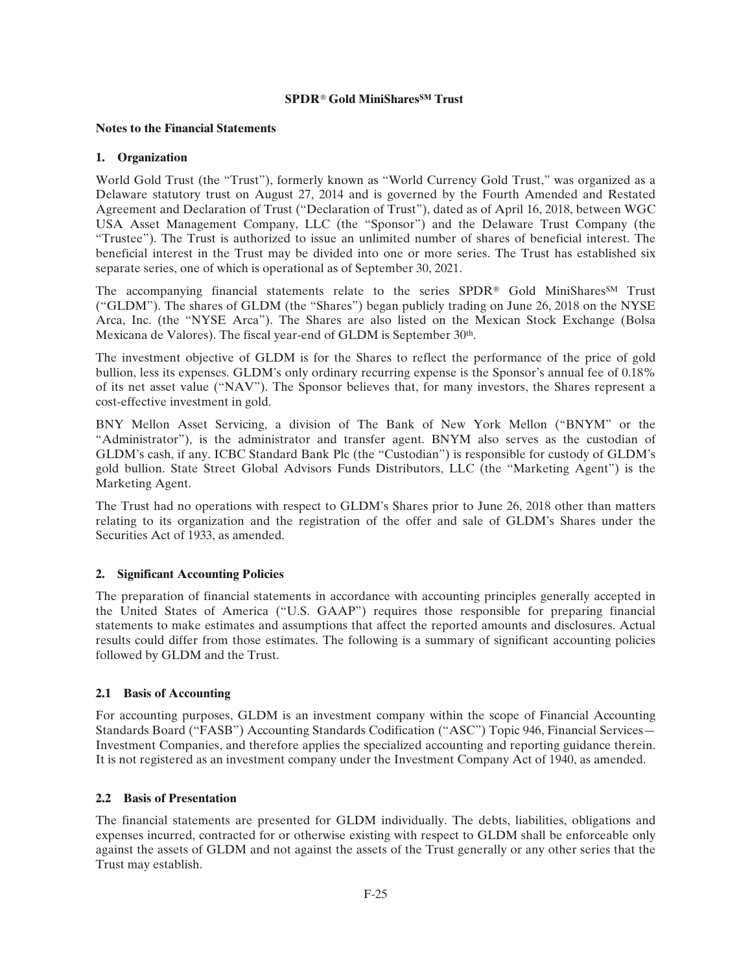#### **Notes to the Financial Statements**

## **1. Organization**

World Gold Trust (the "Trust"), formerly known as "World Currency Gold Trust," was organized as a Delaware statutory trust on August 27, 2014 and is governed by the Fourth Amended and Restated Agreement and Declaration of Trust ("Declaration of Trust"), dated as of April 16, 2018, between WGC USA Asset Management Company, LLC (the "Sponsor") and the Delaware Trust Company (the "Trustee"). The Trust is authorized to issue an unlimited number of shares of beneficial interest. The beneficial interest in the Trust may be divided into one or more series. The Trust has established six separate series, one of which is operational as of September 30, 2021.

The accompanying financial statements relate to the series SPDR<sup>®</sup> Gold MiniShares<sup>SM</sup> Trust ("GLDM"). The shares of GLDM (the "Shares") began publicly trading on June 26, 2018 on the NYSE Arca, Inc. (the "NYSE Arca"). The Shares are also listed on the Mexican Stock Exchange (Bolsa Mexicana de Valores). The fiscal year-end of GLDM is September 30th.

The investment objective of GLDM is for the Shares to reflect the performance of the price of gold bullion, less its expenses. GLDM's only ordinary recurring expense is the Sponsor's annual fee of 0.18% of its net asset value ("NAV"). The Sponsor believes that, for many investors, the Shares represent a cost-effective investment in gold.

BNY Mellon Asset Servicing, a division of The Bank of New York Mellon ("BNYM" or the "Administrator"), is the administrator and transfer agent. BNYM also serves as the custodian of GLDM's cash, if any. ICBC Standard Bank Plc (the "Custodian") is responsible for custody of GLDM's gold bullion. State Street Global Advisors Funds Distributors, LLC (the "Marketing Agent") is the Marketing Agent.

The Trust had no operations with respect to GLDM's Shares prior to June 26, 2018 other than matters relating to its organization and the registration of the offer and sale of GLDM's Shares under the Securities Act of 1933, as amended.

## **2. Significant Accounting Policies**

The preparation of financial statements in accordance with accounting principles generally accepted in the United States of America ("U.S. GAAP") requires those responsible for preparing financial statements to make estimates and assumptions that affect the reported amounts and disclosures. Actual results could differ from those estimates. The following is a summary of significant accounting policies followed by GLDM and the Trust.

## **2.1 Basis of Accounting**

For accounting purposes, GLDM is an investment company within the scope of Financial Accounting Standards Board ("FASB") Accounting Standards Codification ("ASC") Topic 946, Financial Services— Investment Companies, and therefore applies the specialized accounting and reporting guidance therein. It is not registered as an investment company under the Investment Company Act of 1940, as amended.

## **2.2 Basis of Presentation**

The financial statements are presented for GLDM individually. The debts, liabilities, obligations and expenses incurred, contracted for or otherwise existing with respect to GLDM shall be enforceable only against the assets of GLDM and not against the assets of the Trust generally or any other series that the Trust may establish.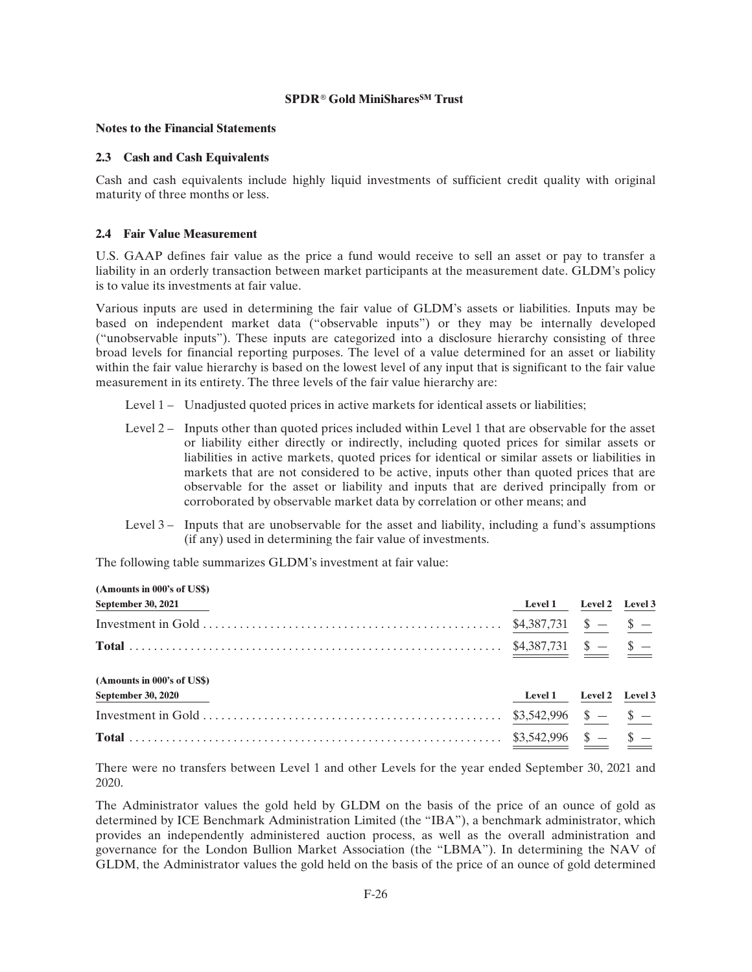#### **Notes to the Financial Statements**

## **2.3 Cash and Cash Equivalents**

Cash and cash equivalents include highly liquid investments of sufficient credit quality with original maturity of three months or less.

## **2.4 Fair Value Measurement**

U.S. GAAP defines fair value as the price a fund would receive to sell an asset or pay to transfer a liability in an orderly transaction between market participants at the measurement date. GLDM's policy is to value its investments at fair value.

Various inputs are used in determining the fair value of GLDM's assets or liabilities. Inputs may be based on independent market data ("observable inputs") or they may be internally developed ("unobservable inputs"). These inputs are categorized into a disclosure hierarchy consisting of three broad levels for financial reporting purposes. The level of a value determined for an asset or liability within the fair value hierarchy is based on the lowest level of any input that is significant to the fair value measurement in its entirety. The three levels of the fair value hierarchy are:

- Level 1 Unadjusted quoted prices in active markets for identical assets or liabilities;
- Level 2 Inputs other than quoted prices included within Level 1 that are observable for the asset or liability either directly or indirectly, including quoted prices for similar assets or liabilities in active markets, quoted prices for identical or similar assets or liabilities in markets that are not considered to be active, inputs other than quoted prices that are observable for the asset or liability and inputs that are derived principally from or corroborated by observable market data by correlation or other means; and
- Level 3 Inputs that are unobservable for the asset and liability, including a fund's assumptions (if any) used in determining the fair value of investments.

The following table summarizes GLDM's investment at fair value:

| (Amounts in 000's of US\$) |                |                |         |
|----------------------------|----------------|----------------|---------|
| <b>September 30, 2021</b>  | <b>Level 1</b> | <b>Level 2</b> | Level 3 |
|                            |                |                |         |
|                            |                |                |         |
| (Amounts in 000's of US\$) |                |                |         |
| <b>September 30, 2020</b>  | <b>Level 1</b> | <b>Level 2</b> | Level 3 |
|                            |                |                |         |
|                            |                |                |         |

There were no transfers between Level 1 and other Levels for the year ended September 30, 2021 and 2020.

The Administrator values the gold held by GLDM on the basis of the price of an ounce of gold as determined by ICE Benchmark Administration Limited (the "IBA"), a benchmark administrator, which provides an independently administered auction process, as well as the overall administration and governance for the London Bullion Market Association (the "LBMA"). In determining the NAV of GLDM, the Administrator values the gold held on the basis of the price of an ounce of gold determined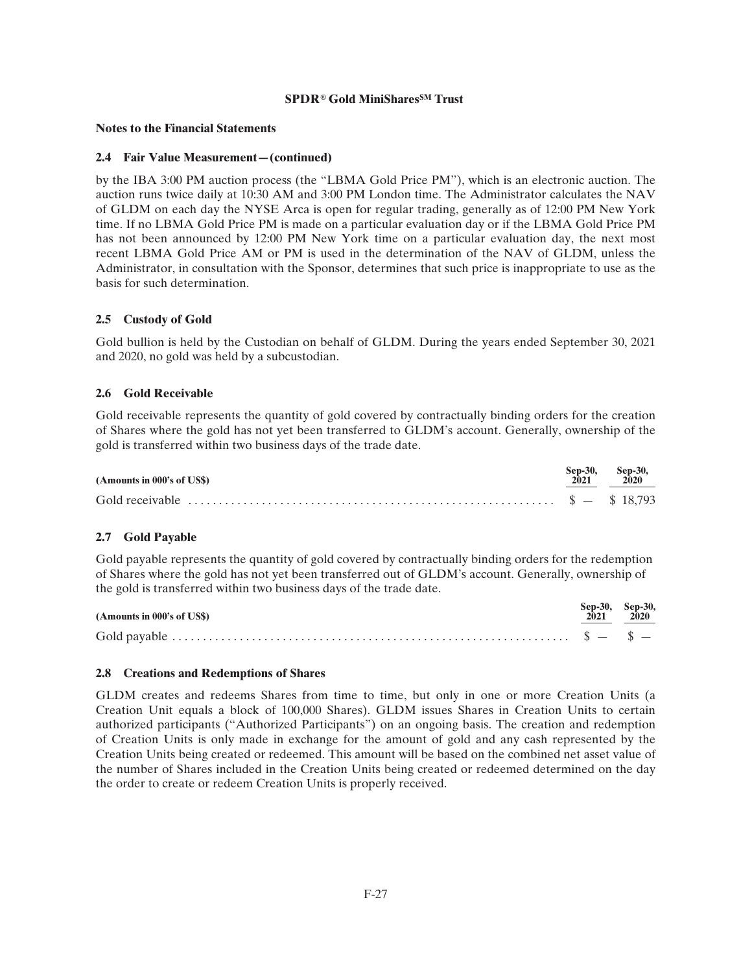## **Notes to the Financial Statements**

## **2.4 Fair Value Measurement—(continued)**

by the IBA 3:00 PM auction process (the "LBMA Gold Price PM"), which is an electronic auction. The auction runs twice daily at 10:30 AM and 3:00 PM London time. The Administrator calculates the NAV of GLDM on each day the NYSE Arca is open for regular trading, generally as of 12:00 PM New York time. If no LBMA Gold Price PM is made on a particular evaluation day or if the LBMA Gold Price PM has not been announced by 12:00 PM New York time on a particular evaluation day, the next most recent LBMA Gold Price AM or PM is used in the determination of the NAV of GLDM, unless the Administrator, in consultation with the Sponsor, determines that such price is inappropriate to use as the basis for such determination.

## **2.5 Custody of Gold**

Gold bullion is held by the Custodian on behalf of GLDM. During the years ended September 30, 2021 and 2020, no gold was held by a subcustodian.

## **2.6 Gold Receivable**

Gold receivable represents the quantity of gold covered by contractually binding orders for the creation of Shares where the gold has not yet been transferred to GLDM's account. Generally, ownership of the gold is transferred within two business days of the trade date.

| (Amounts in 000's of US\$) | 2021 | Sep-30, Sep-30,<br>2020 |
|----------------------------|------|-------------------------|
|                            |      |                         |

## **2.7 Gold Payable**

Gold payable represents the quantity of gold covered by contractually binding orders for the redemption of Shares where the gold has not yet been transferred out of GLDM's account. Generally, ownership of the gold is transferred within two business days of the trade date.

| (Amounts in 000's of US\$) | Sep-30, Sep-30,<br>2021 2020 |  |
|----------------------------|------------------------------|--|
|                            |                              |  |

## **2.8 Creations and Redemptions of Shares**

GLDM creates and redeems Shares from time to time, but only in one or more Creation Units (a Creation Unit equals a block of 100,000 Shares). GLDM issues Shares in Creation Units to certain authorized participants ("Authorized Participants") on an ongoing basis. The creation and redemption of Creation Units is only made in exchange for the amount of gold and any cash represented by the Creation Units being created or redeemed. This amount will be based on the combined net asset value of the number of Shares included in the Creation Units being created or redeemed determined on the day the order to create or redeem Creation Units is properly received.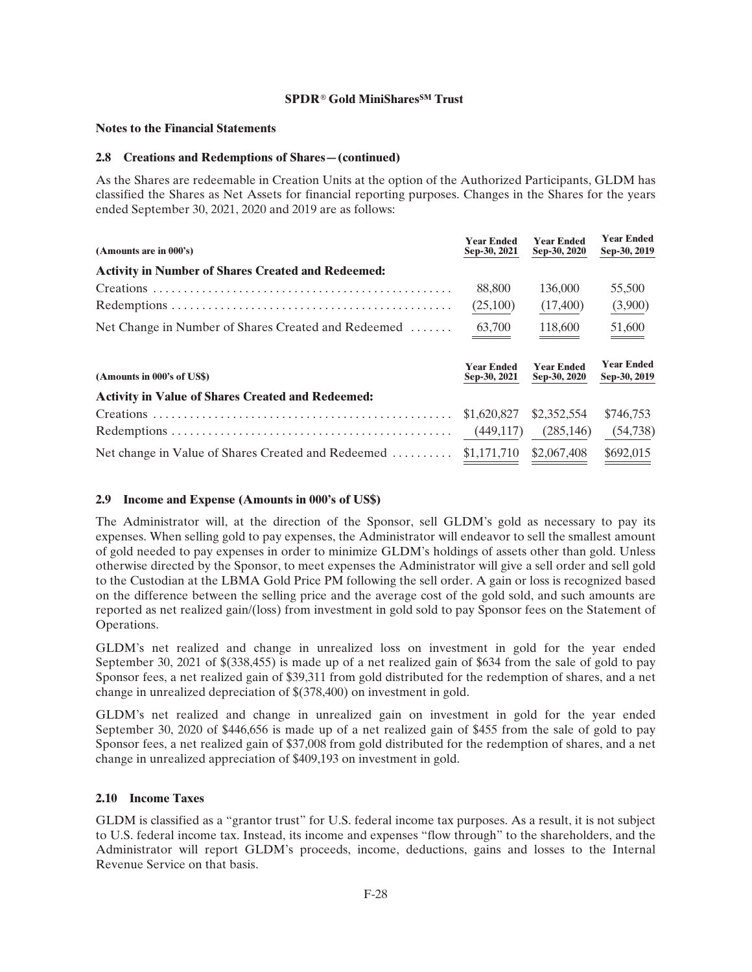## **Notes to the Financial Statements**

## **2.8 Creations and Redemptions of Shares—(continued)**

As the Shares are redeemable in Creation Units at the option of the Authorized Participants, GLDM has classified the Shares as Net Assets for financial reporting purposes. Changes in the Shares for the years ended September 30, 2021, 2020 and 2019 are as follows:

| (Amounts are in 000's)                                    | <b>Year Ended</b><br>Sep-30, 2021 | <b>Year Ended</b><br>Sep-30, 2020 | <b>Year Ended</b><br>Sep-30, 2019 |
|-----------------------------------------------------------|-----------------------------------|-----------------------------------|-----------------------------------|
| <b>Activity in Number of Shares Created and Redeemed:</b> |                                   |                                   |                                   |
|                                                           | 88,800                            | 136,000                           | 55,500                            |
|                                                           | (25,100)                          | (17,400)                          | (3,900)                           |
| Net Change in Number of Shares Created and Redeemed       | 63,700                            | 118,600                           | 51,600                            |
| (Amounts in 000's of US\$)                                | <b>Year Ended</b><br>Sep-30, 2021 | <b>Year Ended</b><br>Sep-30, 2020 | <b>Year Ended</b><br>Sep-30, 2019 |
| <b>Activity in Value of Shares Created and Redeemed:</b>  |                                   |                                   |                                   |
|                                                           | \$1,620,827                       | \$2,352,554                       | \$746,753                         |
|                                                           | (449, 117)                        | (285, 146)                        | (54, 738)                         |
| Net change in Value of Shares Created and Redeemed        | \$1,171,710                       | \$2,067,408                       | \$692,015                         |

## **2.9 Income and Expense (Amounts in 000's of US\$)**

The Administrator will, at the direction of the Sponsor, sell GLDM's gold as necessary to pay its expenses. When selling gold to pay expenses, the Administrator will endeavor to sell the smallest amount of gold needed to pay expenses in order to minimize GLDM's holdings of assets other than gold. Unless otherwise directed by the Sponsor, to meet expenses the Administrator will give a sell order and sell gold to the Custodian at the LBMA Gold Price PM following the sell order. A gain or loss is recognized based on the difference between the selling price and the average cost of the gold sold, and such amounts are reported as net realized gain/(loss) from investment in gold sold to pay Sponsor fees on the Statement of Operations.

GLDM's net realized and change in unrealized loss on investment in gold for the year ended September 30, 2021 of \$(338,455) is made up of a net realized gain of \$634 from the sale of gold to pay Sponsor fees, a net realized gain of \$39,311 from gold distributed for the redemption of shares, and a net change in unrealized depreciation of \$(378,400) on investment in gold.

GLDM's net realized and change in unrealized gain on investment in gold for the year ended September 30, 2020 of \$446,656 is made up of a net realized gain of \$455 from the sale of gold to pay Sponsor fees, a net realized gain of \$37,008 from gold distributed for the redemption of shares, and a net change in unrealized appreciation of \$409,193 on investment in gold.

## **2.10 Income Taxes**

GLDM is classified as a "grantor trust" for U.S. federal income tax purposes. As a result, it is not subject to U.S. federal income tax. Instead, its income and expenses "flow through" to the shareholders, and the Administrator will report GLDM's proceeds, income, deductions, gains and losses to the Internal Revenue Service on that basis.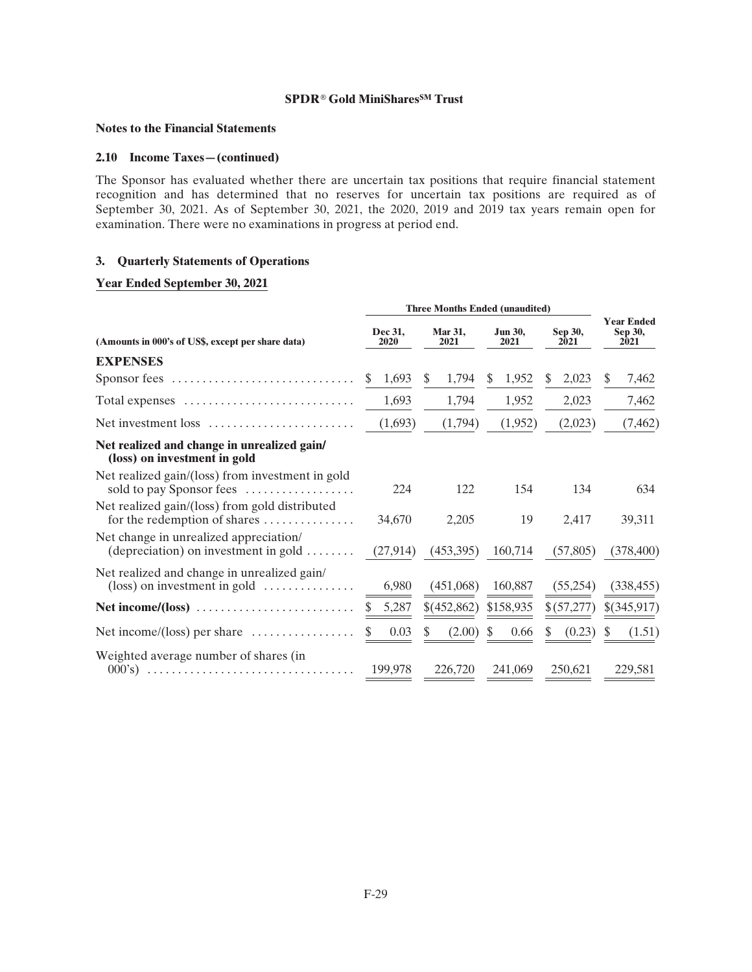#### **Notes to the Financial Statements**

### **2.10 Income Taxes—(continued)**

The Sponsor has evaluated whether there are uncertain tax positions that require financial statement recognition and has determined that no reserves for uncertain tax positions are required as of September 30, 2021. As of September 30, 2021, the 2020, 2019 and 2019 tax years remain open for examination. There were no examinations in progress at period end.

### **3. Quarterly Statements of Operations**

## **Year Ended September 30, 2021**

| <b>Three Months Ended (unaudited)</b>                                                                    |                 |                        |                        |                 |                                      |
|----------------------------------------------------------------------------------------------------------|-----------------|------------------------|------------------------|-----------------|--------------------------------------|
| (Amounts in 000's of US\$, except per share data)                                                        | Dec 31,<br>2020 | <b>Mar 31,</b><br>2021 | <b>Jun 30,</b><br>2021 | Sep 30,<br>2021 | <b>Year Ended</b><br>Sep 30,<br>2021 |
| <b>EXPENSES</b>                                                                                          |                 |                        |                        |                 |                                      |
|                                                                                                          | 1,693<br>S      | 1,794<br>S.            | 1,952<br>S             | 2,023<br>S      | 7,462                                |
| Total expenses $\dots\dots\dots\dots\dots\dots\dots\dots\dots\dots\dots$                                 | 1,693           | 1,794                  | 1,952                  | 2,023           | 7,462                                |
| Net investment loss                                                                                      | (1,693)         | (1,794)                | (1,952)                | (2,023)         | (7, 462)                             |
| Net realized and change in unrealized gain/<br>(loss) on investment in gold                              |                 |                        |                        |                 |                                      |
| Net realized gain/(loss) from investment in gold<br>sold to pay Sponsor fees                             | 224             | 122                    | 154                    | 134             | 634                                  |
| Net realized gain/(loss) from gold distributed<br>for the redemption of shares                           | 34,670          | 2,205                  | 19                     | 2,417           | 39,311                               |
| Net change in unrealized appreciation/<br>(depreciation) on investment in gold $\dots\dots$              | (27, 914)       | (453,395)              | 160,714                | (57,805)        | (378, 400)                           |
| Net realized and change in unrealized gain/<br>$(\text{loss})$ on investment in gold $\dots \dots \dots$ | 6,980           | (451,068)              | 160,887                | (55,254)        | (338, 455)                           |
| Net income/(loss) $\dots \dots \dots \dots \dots \dots \dots \dots$                                      | \$<br>5,287     | \$(452,862)            | \$158,935              | \$(57,277)      | \$(345,917)                          |
| Net income/(loss) per share $\dots\dots\dots\dots\dots$                                                  | \$<br>0.03      | $(2.00)$ \$<br>\$      | 0.66                   | (0.23)<br>\$    | <sup>\$</sup><br>(1.51)              |
| Weighted average number of shares (in                                                                    | 199,978         | 226,720                | 241,069                | 250,621         | 229,581                              |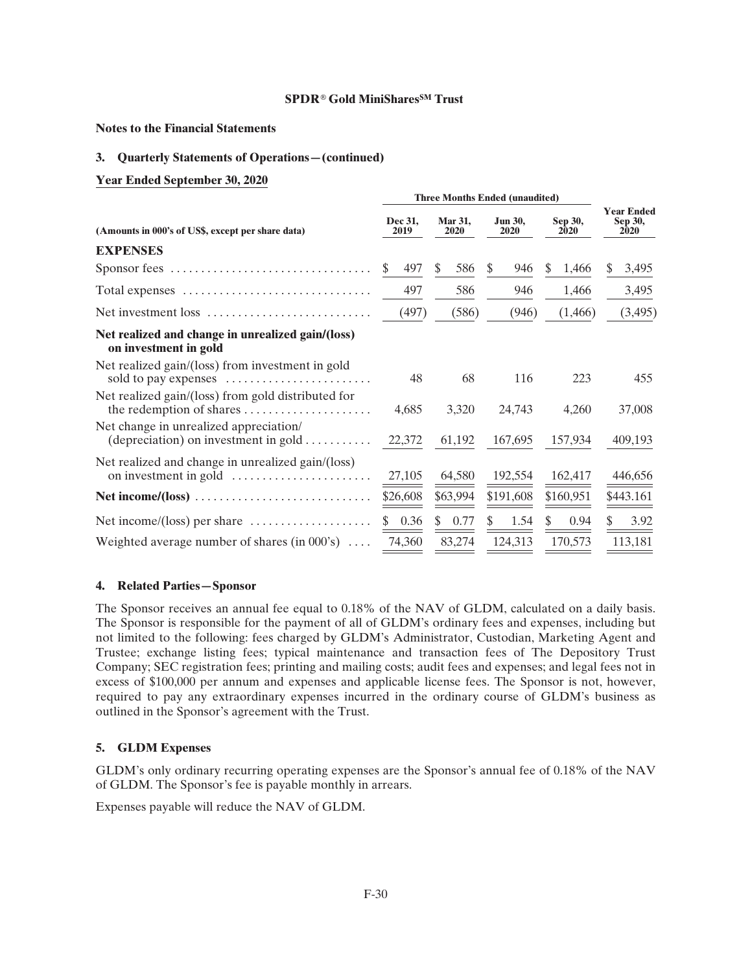### **Notes to the Financial Statements**

## **3. Quarterly Statements of Operations—(continued)**

## **Year Ended September 30, 2020**

|                                                                                                       | <b>Three Months Ended (unaudited)</b> |                        |                        |                       |                                             |
|-------------------------------------------------------------------------------------------------------|---------------------------------------|------------------------|------------------------|-----------------------|---------------------------------------------|
| (Amounts in 000's of US\$, except per share data)                                                     | Dec 31,<br>2019                       | <b>Mar 31,</b><br>2020 | <b>Jun 30,</b><br>2020 | Sep 30,<br>2020       | <b>Year Ended</b><br>Sep 30,<br><b>2020</b> |
| <b>EXPENSES</b>                                                                                       |                                       |                        |                        |                       |                                             |
|                                                                                                       | 497<br>\$                             | 586<br><sup>S</sup>    | 946                    | 1,466                 | \$<br>3,495                                 |
| Total expenses $\dots \dots \dots \dots \dots \dots \dots \dots \dots \dots$                          | 497                                   | 586                    | 946                    | 1,466                 | 3,495                                       |
| Net investment loss $\dots\dots\dots\dots\dots\dots\dots\dots\dots\dots$                              | (497)                                 | (586)                  | (946)                  | (1,466)               | (3, 495)                                    |
| Net realized and change in unrealized gain/(loss)<br>on investment in gold                            |                                       |                        |                        |                       |                                             |
| Net realized gain/(loss) from investment in gold                                                      | 48                                    | 68                     | 116                    | 223                   | 455                                         |
| Net realized gain/(loss) from gold distributed for<br>the redemption of shares                        | 4,685                                 | 3,320                  | 24,743                 | 4,260                 | 37,008                                      |
| Net change in unrealized appreciation/<br>(depreciation) on investment in gold $\dots\dots\dots\dots$ | 22,372                                | 61,192                 | 167,695                | 157,934               | 409,193                                     |
| Net realized and change in unrealized gain/(loss)<br>on investment in gold                            | 27,105                                | 64,580                 | 192,554                | 162,417               | 446,656                                     |
|                                                                                                       | \$26,608                              | \$63,994               | \$191,608              | \$160,951             | \$443.161                                   |
| Net income/(loss) per share $\dots\dots\dots\dots\dots\dots$                                          | \$ 0.36                               | \$0.77                 | $\mathbb{S}^-$<br>1.54 | <sup>\$</sup><br>0.94 | 3.92<br>S.                                  |
| Weighted average number of shares (in $000$ 's)                                                       | 74,360                                | 83,274                 | 124,313                | 170,573               | 113,181                                     |

#### **4. Related Parties—Sponsor**

The Sponsor receives an annual fee equal to 0.18% of the NAV of GLDM, calculated on a daily basis. The Sponsor is responsible for the payment of all of GLDM's ordinary fees and expenses, including but not limited to the following: fees charged by GLDM's Administrator, Custodian, Marketing Agent and Trustee; exchange listing fees; typical maintenance and transaction fees of The Depository Trust Company; SEC registration fees; printing and mailing costs; audit fees and expenses; and legal fees not in excess of \$100,000 per annum and expenses and applicable license fees. The Sponsor is not, however, required to pay any extraordinary expenses incurred in the ordinary course of GLDM's business as outlined in the Sponsor's agreement with the Trust.

## **5. GLDM Expenses**

GLDM's only ordinary recurring operating expenses are the Sponsor's annual fee of 0.18% of the NAV of GLDM. The Sponsor's fee is payable monthly in arrears.

Expenses payable will reduce the NAV of GLDM.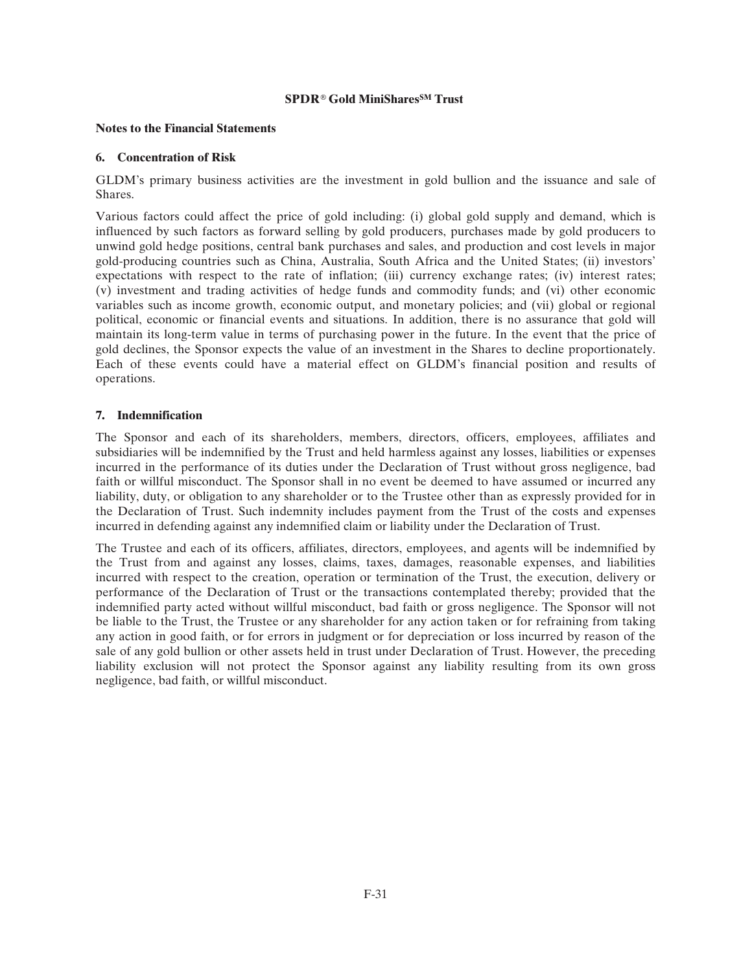#### **Notes to the Financial Statements**

#### **6. Concentration of Risk**

GLDM's primary business activities are the investment in gold bullion and the issuance and sale of Shares.

Various factors could affect the price of gold including: (i) global gold supply and demand, which is influenced by such factors as forward selling by gold producers, purchases made by gold producers to unwind gold hedge positions, central bank purchases and sales, and production and cost levels in major gold-producing countries such as China, Australia, South Africa and the United States; (ii) investors' expectations with respect to the rate of inflation; (iii) currency exchange rates; (iv) interest rates; (v) investment and trading activities of hedge funds and commodity funds; and (vi) other economic variables such as income growth, economic output, and monetary policies; and (vii) global or regional political, economic or financial events and situations. In addition, there is no assurance that gold will maintain its long-term value in terms of purchasing power in the future. In the event that the price of gold declines, the Sponsor expects the value of an investment in the Shares to decline proportionately. Each of these events could have a material effect on GLDM's financial position and results of operations.

#### **7. Indemnification**

The Sponsor and each of its shareholders, members, directors, officers, employees, affiliates and subsidiaries will be indemnified by the Trust and held harmless against any losses, liabilities or expenses incurred in the performance of its duties under the Declaration of Trust without gross negligence, bad faith or willful misconduct. The Sponsor shall in no event be deemed to have assumed or incurred any liability, duty, or obligation to any shareholder or to the Trustee other than as expressly provided for in the Declaration of Trust. Such indemnity includes payment from the Trust of the costs and expenses incurred in defending against any indemnified claim or liability under the Declaration of Trust.

The Trustee and each of its officers, affiliates, directors, employees, and agents will be indemnified by the Trust from and against any losses, claims, taxes, damages, reasonable expenses, and liabilities incurred with respect to the creation, operation or termination of the Trust, the execution, delivery or performance of the Declaration of Trust or the transactions contemplated thereby; provided that the indemnified party acted without willful misconduct, bad faith or gross negligence. The Sponsor will not be liable to the Trust, the Trustee or any shareholder for any action taken or for refraining from taking any action in good faith, or for errors in judgment or for depreciation or loss incurred by reason of the sale of any gold bullion or other assets held in trust under Declaration of Trust. However, the preceding liability exclusion will not protect the Sponsor against any liability resulting from its own gross negligence, bad faith, or willful misconduct.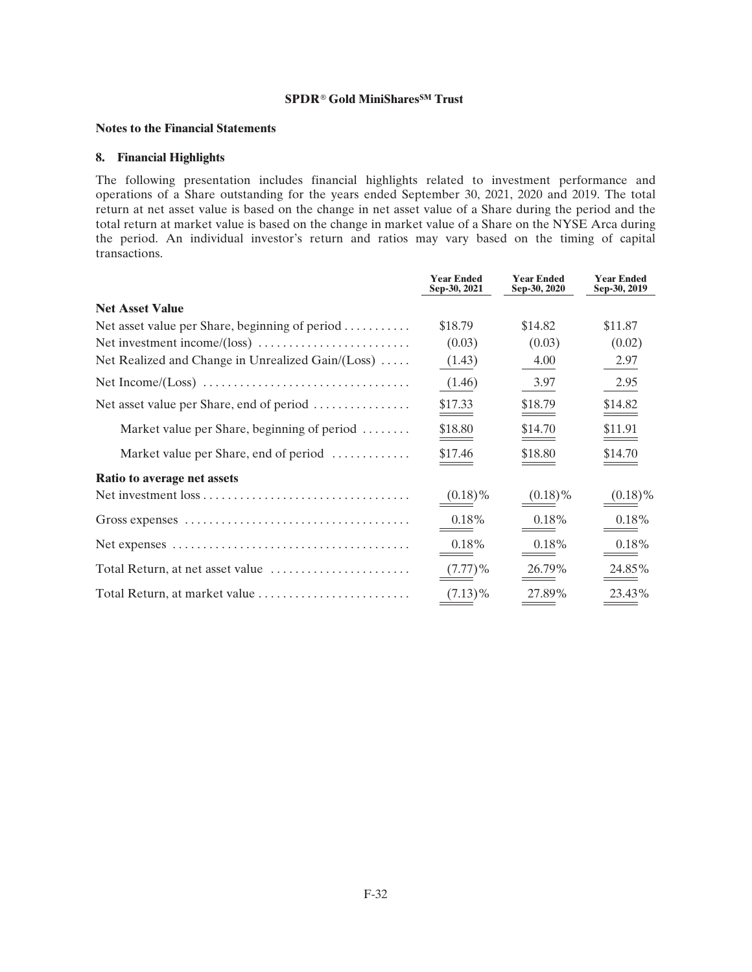#### **Notes to the Financial Statements**

## **8. Financial Highlights**

The following presentation includes financial highlights related to investment performance and operations of a Share outstanding for the years ended September 30, 2021, 2020 and 2019. The total return at net asset value is based on the change in net asset value of a Share during the period and the total return at market value is based on the change in market value of a Share on the NYSE Arca during the period. An individual investor's return and ratios may vary based on the timing of capital transactions.

|                                                                          | <b>Year Ended</b><br>Sep-30, 2021 | <b>Year Ended</b><br>Sep-30, 2020 | <b>Year Ended</b><br>Sep-30, 2019 |
|--------------------------------------------------------------------------|-----------------------------------|-----------------------------------|-----------------------------------|
| <b>Net Asset Value</b>                                                   |                                   |                                   |                                   |
| Net asset value per Share, beginning of period                           | \$18.79                           | \$14.82                           | \$11.87                           |
| Net investment income/(loss) $\dots \dots \dots \dots \dots \dots \dots$ | (0.03)                            | (0.03)                            | (0.02)                            |
| Net Realized and Change in Unrealized Gain/(Loss)                        | (1.43)                            | 4.00                              | 2.97                              |
|                                                                          | (1.46)                            | 3.97                              | 2.95                              |
| Net asset value per Share, end of period                                 | \$17.33                           | \$18.79                           | \$14.82                           |
| Market value per Share, beginning of period                              | \$18.80                           | \$14.70                           | \$11.91                           |
| Market value per Share, end of period                                    | \$17.46                           | \$18.80                           | \$14.70                           |
| Ratio to average net assets                                              |                                   |                                   |                                   |
|                                                                          | $(0.18)\%$                        | $(0.18)\%$                        | $(0.18)\%$                        |
|                                                                          | 0.18%                             | 0.18%                             | 0.18%                             |
|                                                                          | 0.18%                             | 0.18%                             | 0.18%                             |
|                                                                          | $(7.77)$ %                        | 26.79%                            | 24.85%                            |
|                                                                          | $(7.13)\%$                        | 27.89%                            | 23.43%                            |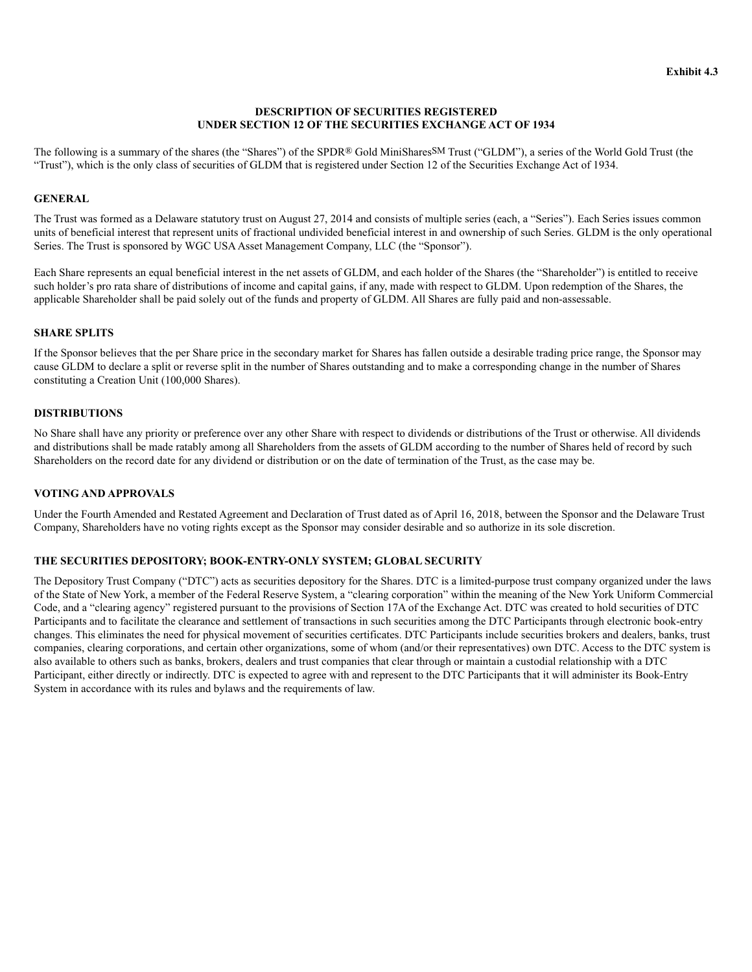#### **DESCRIPTION OF SECURITIES REGISTERED UNDER SECTION 12 OF THE SECURITIES EXCHANGE ACT OF 1934**

The following is a summary of the shares (the "Shares") of the SPDR® Gold MiniSharesSM Trust ("GLDM"), a series of the World Gold Trust (the "Trust"), which is the only class of securities of GLDM that is registered under Section 12 of the Securities Exchange Act of 1934.

### **GENERAL**

The Trust was formed as a Delaware statutory trust on August 27, 2014 and consists of multiple series (each, a "Series"). Each Series issues common units of beneficial interest that represent units of fractional undivided beneficial interest in and ownership of such Series. GLDM is the only operational Series. The Trust is sponsored by WGC USA Asset Management Company, LLC (the "Sponsor").

Each Share represents an equal beneficial interest in the net assets of GLDM, and each holder of the Shares (the "Shareholder") is entitled to receive such holder's pro rata share of distributions of income and capital gains, if any, made with respect to GLDM. Upon redemption of the Shares, the applicable Shareholder shall be paid solely out of the funds and property of GLDM. All Shares are fully paid and non-assessable.

#### **SHARE SPLITS**

If the Sponsor believes that the per Share price in the secondary market for Shares has fallen outside a desirable trading price range, the Sponsor may cause GLDM to declare a split or reverse split in the number of Shares outstanding and to make a corresponding change in the number of Shares constituting a Creation Unit (100,000 Shares).

## **DISTRIBUTIONS**

No Share shall have any priority or preference over any other Share with respect to dividends or distributions of the Trust or otherwise. All dividends and distributions shall be made ratably among all Shareholders from the assets of GLDM according to the number of Shares held of record by such Shareholders on the record date for any dividend or distribution or on the date of termination of the Trust, as the case may be.

#### **VOTING AND APPROVALS**

Under the Fourth Amended and Restated Agreement and Declaration of Trust dated as of April 16, 2018, between the Sponsor and the Delaware Trust Company, Shareholders have no voting rights except as the Sponsor may consider desirable and so authorize in its sole discretion.

#### **THE SECURITIES DEPOSITORY; BOOK-ENTRY-ONLY SYSTEM; GLOBAL SECURITY**

The Depository Trust Company ("DTC") acts as securities depository for the Shares. DTC is a limited-purpose trust company organized under the laws of the State of New York, a member of the Federal Reserve System, a "clearing corporation" within the meaning of the New York Uniform Commercial Code, and a "clearing agency" registered pursuant to the provisions of Section 17A of the Exchange Act. DTC was created to hold securities of DTC Participants and to facilitate the clearance and settlement of transactions in such securities among the DTC Participants through electronic book-entry changes. This eliminates the need for physical movement of securities certificates. DTC Participants include securities brokers and dealers, banks, trust companies, clearing corporations, and certain other organizations, some of whom (and/or their representatives) own DTC. Access to the DTC system is also available to others such as banks, brokers, dealers and trust companies that clear through or maintain a custodial relationship with a DTC Participant, either directly or indirectly. DTC is expected to agree with and represent to the DTC Participants that it will administer its Book-Entry System in accordance with its rules and bylaws and the requirements of law.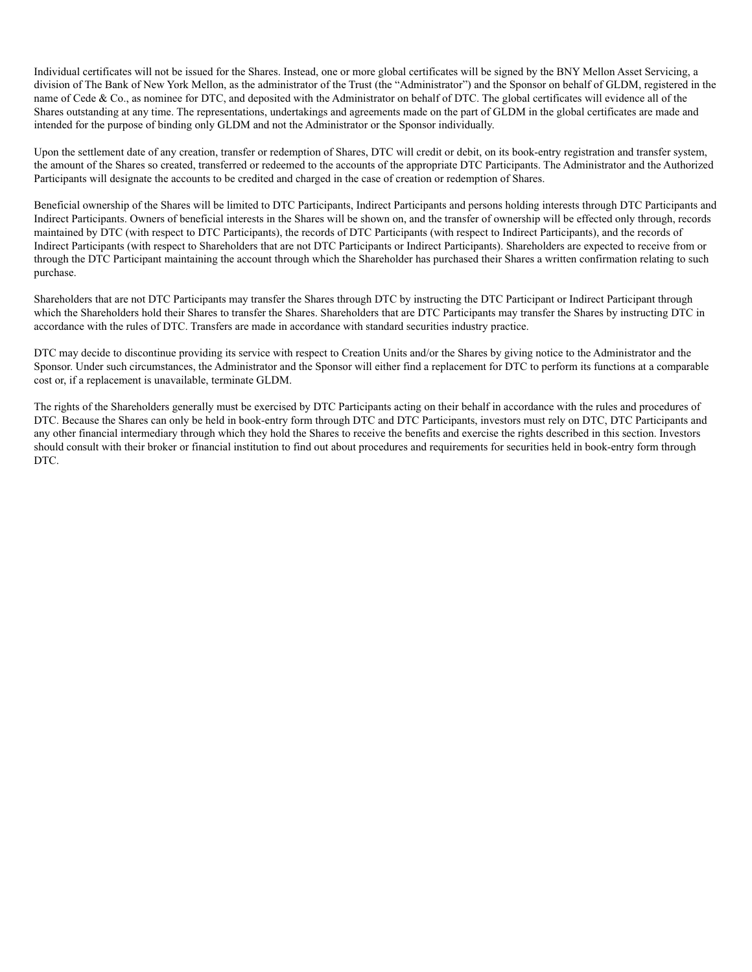Individual certificates will not be issued for the Shares. Instead, one or more global certificates will be signed by the BNY Mellon Asset Servicing, a division of The Bank of New York Mellon, as the administrator of the Trust (the "Administrator") and the Sponsor on behalf of GLDM, registered in the name of Cede & Co., as nominee for DTC, and deposited with the Administrator on behalf of DTC. The global certificates will evidence all of the Shares outstanding at any time. The representations, undertakings and agreements made on the part of GLDM in the global certificates are made and intended for the purpose of binding only GLDM and not the Administrator or the Sponsor individually.

Upon the settlement date of any creation, transfer or redemption of Shares, DTC will credit or debit, on its book-entry registration and transfer system, the amount of the Shares so created, transferred or redeemed to the accounts of the appropriate DTC Participants. The Administrator and the Authorized Participants will designate the accounts to be credited and charged in the case of creation or redemption of Shares.

Beneficial ownership of the Shares will be limited to DTC Participants, Indirect Participants and persons holding interests through DTC Participants and Indirect Participants. Owners of beneficial interests in the Shares will be shown on, and the transfer of ownership will be effected only through, records maintained by DTC (with respect to DTC Participants), the records of DTC Participants (with respect to Indirect Participants), and the records of Indirect Participants (with respect to Shareholders that are not DTC Participants or Indirect Participants). Shareholders are expected to receive from or through the DTC Participant maintaining the account through which the Shareholder has purchased their Shares a written confirmation relating to such purchase.

Shareholders that are not DTC Participants may transfer the Shares through DTC by instructing the DTC Participant or Indirect Participant through which the Shareholders hold their Shares to transfer the Shares. Shareholders that are DTC Participants may transfer the Shares by instructing DTC in accordance with the rules of DTC. Transfers are made in accordance with standard securities industry practice.

DTC may decide to discontinue providing its service with respect to Creation Units and/or the Shares by giving notice to the Administrator and the Sponsor. Under such circumstances, the Administrator and the Sponsor will either find a replacement for DTC to perform its functions at a comparable cost or, if a replacement is unavailable, terminate GLDM.

The rights of the Shareholders generally must be exercised by DTC Participants acting on their behalf in accordance with the rules and procedures of DTC. Because the Shares can only be held in book-entry form through DTC and DTC Participants, investors must rely on DTC, DTC Participants and any other financial intermediary through which they hold the Shares to receive the benefits and exercise the rights described in this section. Investors should consult with their broker or financial institution to find out about procedures and requirements for securities held in book-entry form through DTC.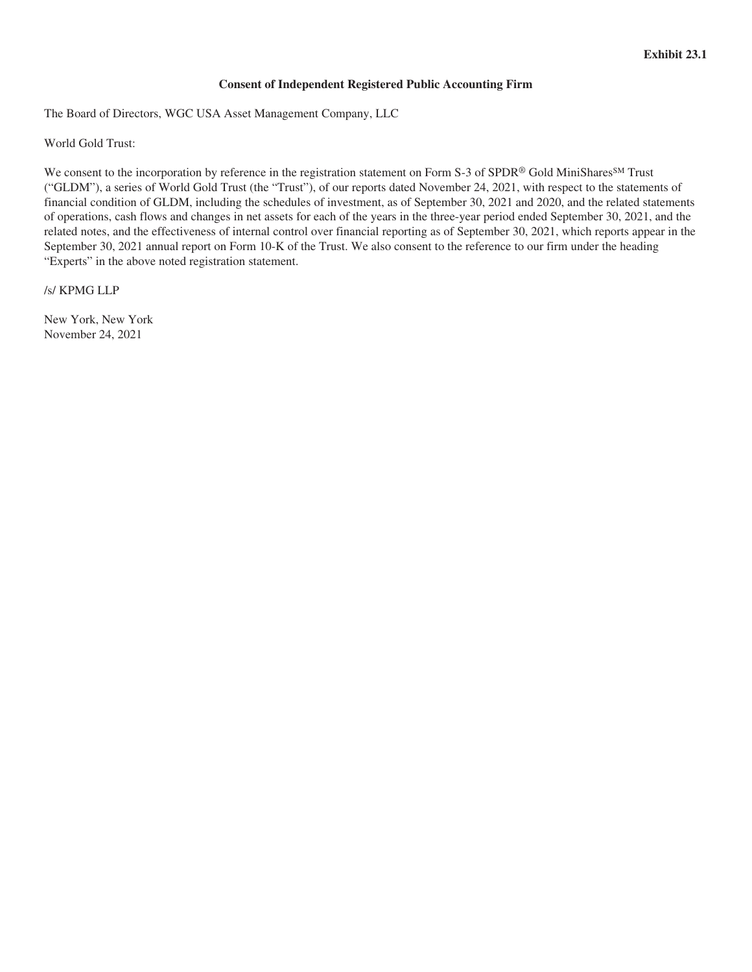## **Consent of Independent Registered Public Accounting Firm**

The Board of Directors, WGC USA Asset Management Company, LLC

World Gold Trust:

We consent to the incorporation by reference in the registration statement on Form S-3 of SPDR® Gold MiniShares<sup>SM</sup> Trust ("GLDM"), a series of World Gold Trust (the "Trust"), of our reports dated November 24, 2021, with respect to the statements of financial condition of GLDM, including the schedules of investment, as of September 30, 2021 and 2020, and the related statements of operations, cash flows and changes in net assets for each of the years in the three-year period ended September 30, 2021, and the related notes, and the effectiveness of internal control over financial reporting as of September 30, 2021, which reports appear in the September 30, 2021 annual report on Form 10-K of the Trust. We also consent to the reference to our firm under the heading "Experts" in the above noted registration statement.

/s/ KPMG LLP

New York, New York November 24, 2021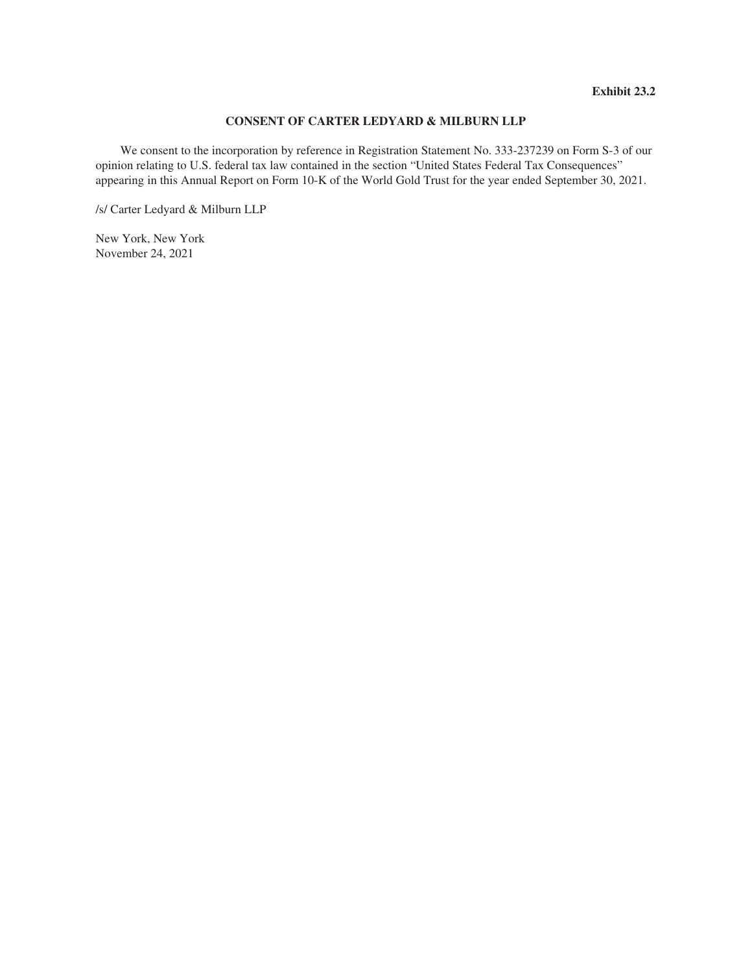## **CONSENT OF CARTER LEDYARD & MILBURN LLP**

We consent to the incorporation by reference in Registration Statement No. 333-237239 on Form S-3 of our opinion relating to U.S. federal tax law contained in the section "United States Federal Tax Consequences" appearing in this Annual Report on Form 10-K of the World Gold Trust for the year ended September 30, 2021.

/s/ Carter Ledyard & Milburn LLP

New York, New York November 24, 2021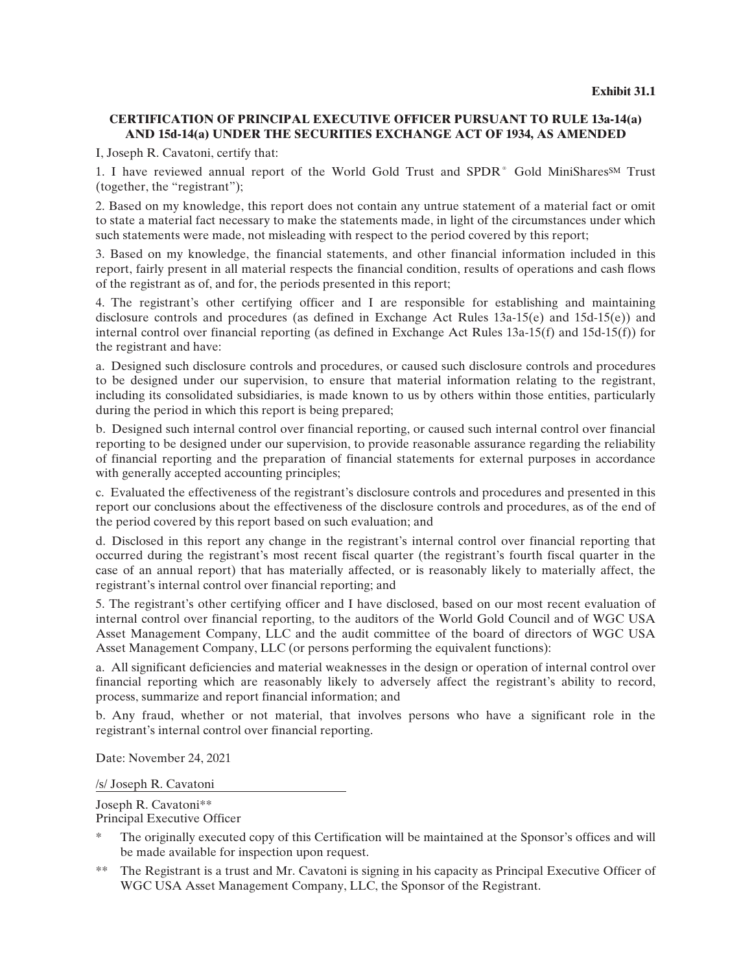## **CERTIFICATION OF PRINCIPAL EXECUTIVE OFFICER PURSUANT TO RULE 13a-14(a) AND 15d-14(a) UNDER THE SECURITIES EXCHANGE ACT OF 1934, AS AMENDED**

I, Joseph R. Cavatoni, certify that:

1. I have reviewed annual report of the World Gold Trust and  $SPDR<sup>°</sup>$  Gold MiniShares<sup>SM</sup> Trust (together, the "registrant");

2. Based on my knowledge, this report does not contain any untrue statement of a material fact or omit to state a material fact necessary to make the statements made, in light of the circumstances under which such statements were made, not misleading with respect to the period covered by this report;

3. Based on my knowledge, the financial statements, and other financial information included in this report, fairly present in all material respects the financial condition, results of operations and cash flows of the registrant as of, and for, the periods presented in this report;

4. The registrant's other certifying officer and I are responsible for establishing and maintaining disclosure controls and procedures (as defined in Exchange Act Rules 13a-15(e) and 15d-15(e)) and internal control over financial reporting (as defined in Exchange Act Rules 13a-15(f) and 15d-15(f)) for the registrant and have:

a. Designed such disclosure controls and procedures, or caused such disclosure controls and procedures to be designed under our supervision, to ensure that material information relating to the registrant, including its consolidated subsidiaries, is made known to us by others within those entities, particularly during the period in which this report is being prepared;

b. Designed such internal control over financial reporting, or caused such internal control over financial reporting to be designed under our supervision, to provide reasonable assurance regarding the reliability of financial reporting and the preparation of financial statements for external purposes in accordance with generally accepted accounting principles;

c. Evaluated the effectiveness of the registrant's disclosure controls and procedures and presented in this report our conclusions about the effectiveness of the disclosure controls and procedures, as of the end of the period covered by this report based on such evaluation; and

d. Disclosed in this report any change in the registrant's internal control over financial reporting that occurred during the registrant's most recent fiscal quarter (the registrant's fourth fiscal quarter in the case of an annual report) that has materially affected, or is reasonably likely to materially affect, the registrant's internal control over financial reporting; and

5. The registrant's other certifying officer and I have disclosed, based on our most recent evaluation of internal control over financial reporting, to the auditors of the World Gold Council and of WGC USA Asset Management Company, LLC and the audit committee of the board of directors of WGC USA Asset Management Company, LLC (or persons performing the equivalent functions):

a. All significant deficiencies and material weaknesses in the design or operation of internal control over financial reporting which are reasonably likely to adversely affect the registrant's ability to record, process, summarize and report financial information; and

b. Any fraud, whether or not material, that involves persons who have a significant role in the registrant's internal control over financial reporting.

Date: November 24, 2021

/s/ Joseph R. Cavatoni

Joseph R. Cavatoni\*\*

Principal Executive Officer

- The originally executed copy of this Certification will be maintained at the Sponsor's offices and will be made available for inspection upon request.
- \*\* The Registrant is a trust and Mr. Cavatoni is signing in his capacity as Principal Executive Officer of WGC USA Asset Management Company, LLC, the Sponsor of the Registrant.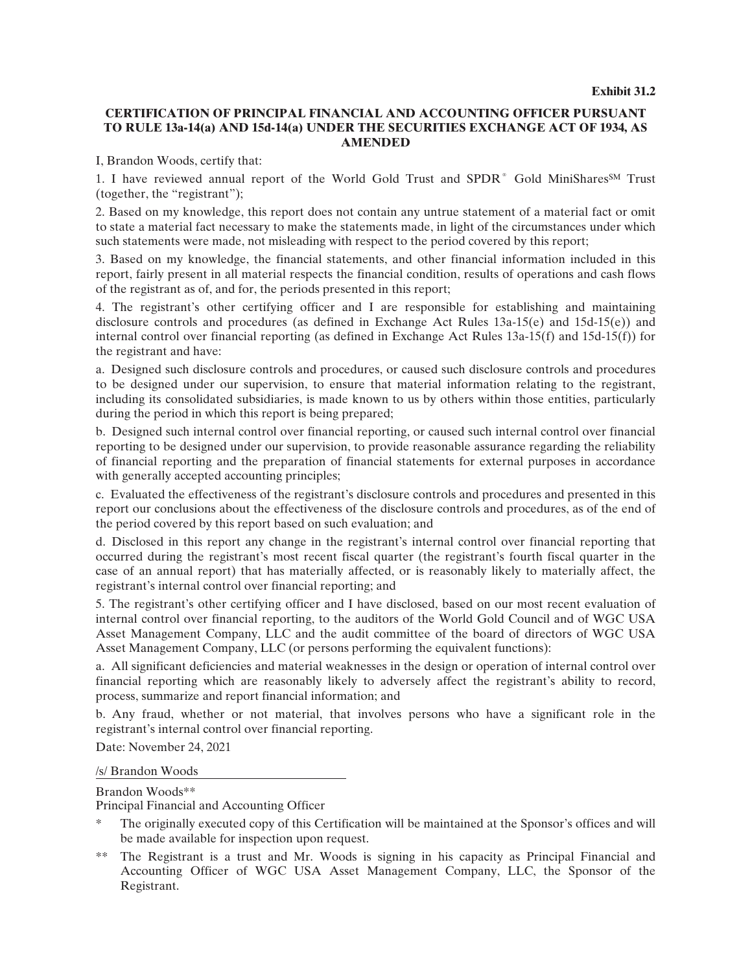## **CERTIFICATION OF PRINCIPAL FINANCIAL AND ACCOUNTING OFFICER PURSUANT TO RULE 13a-14(a) AND 15d-14(a) UNDER THE SECURITIES EXCHANGE ACT OF 1934, AS AMENDED**

I, Brandon Woods, certify that:

1. I have reviewed annual report of the World Gold Trust and  $SPDR<sup>°</sup>$  Gold MiniShares<sup>SM</sup> Trust (together, the "registrant");

2. Based on my knowledge, this report does not contain any untrue statement of a material fact or omit to state a material fact necessary to make the statements made, in light of the circumstances under which such statements were made, not misleading with respect to the period covered by this report;

3. Based on my knowledge, the financial statements, and other financial information included in this report, fairly present in all material respects the financial condition, results of operations and cash flows of the registrant as of, and for, the periods presented in this report;

4. The registrant's other certifying officer and I are responsible for establishing and maintaining disclosure controls and procedures (as defined in Exchange Act Rules 13a-15(e) and 15d-15(e)) and internal control over financial reporting (as defined in Exchange Act Rules 13a-15(f) and 15d-15(f)) for the registrant and have:

a. Designed such disclosure controls and procedures, or caused such disclosure controls and procedures to be designed under our supervision, to ensure that material information relating to the registrant, including its consolidated subsidiaries, is made known to us by others within those entities, particularly during the period in which this report is being prepared;

b. Designed such internal control over financial reporting, or caused such internal control over financial reporting to be designed under our supervision, to provide reasonable assurance regarding the reliability of financial reporting and the preparation of financial statements for external purposes in accordance with generally accepted accounting principles;

c. Evaluated the effectiveness of the registrant's disclosure controls and procedures and presented in this report our conclusions about the effectiveness of the disclosure controls and procedures, as of the end of the period covered by this report based on such evaluation; and

d. Disclosed in this report any change in the registrant's internal control over financial reporting that occurred during the registrant's most recent fiscal quarter (the registrant's fourth fiscal quarter in the case of an annual report) that has materially affected, or is reasonably likely to materially affect, the registrant's internal control over financial reporting; and

5. The registrant's other certifying officer and I have disclosed, based on our most recent evaluation of internal control over financial reporting, to the auditors of the World Gold Council and of WGC USA Asset Management Company, LLC and the audit committee of the board of directors of WGC USA Asset Management Company, LLC (or persons performing the equivalent functions):

a. All significant deficiencies and material weaknesses in the design or operation of internal control over financial reporting which are reasonably likely to adversely affect the registrant's ability to record, process, summarize and report financial information; and

b. Any fraud, whether or not material, that involves persons who have a significant role in the registrant's internal control over financial reporting.

Date: November 24, 2021

/s/ Brandon Woods

Brandon Woods\*\*

Principal Financial and Accounting Officer

- The originally executed copy of this Certification will be maintained at the Sponsor's offices and will be made available for inspection upon request.
- The Registrant is a trust and Mr. Woods is signing in his capacity as Principal Financial and Accounting Officer of WGC USA Asset Management Company, LLC, the Sponsor of the Registrant.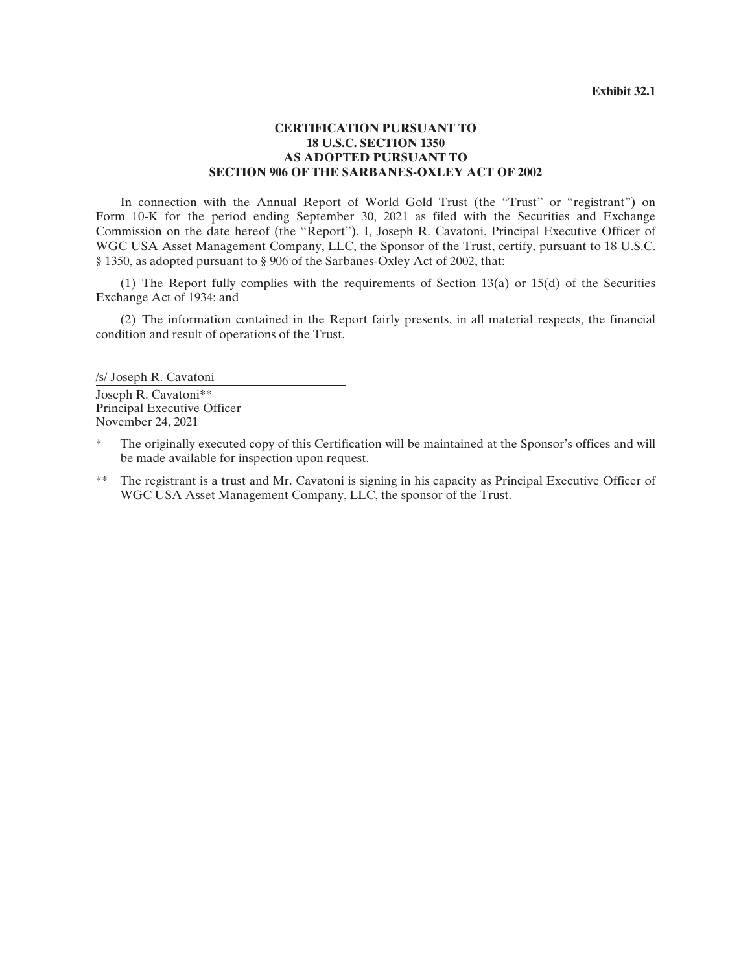## **CERTIFICATION PURSUANT TO 18 U.S.C. SECTION 1350 AS ADOPTED PURSUANT TO SECTION 906 OF THE SARBANES-OXLEY ACT OF 2002**

In connection with the Annual Report of World Gold Trust (the "Trust" or "registrant") on Form 10-K for the period ending September 30, 2021 as filed with the Securities and Exchange Commission on the date hereof (the "Report"), I, Joseph R. Cavatoni, Principal Executive Officer of WGC USA Asset Management Company, LLC, the Sponsor of the Trust, certify, pursuant to 18 U.S.C. § 1350, as adopted pursuant to § 906 of the Sarbanes-Oxley Act of 2002, that:

(1) The Report fully complies with the requirements of Section 13(a) or 15(d) of the Securities Exchange Act of 1934; and

(2) The information contained in the Report fairly presents, in all material respects, the financial condition and result of operations of the Trust.

/s/ Joseph R. Cavatoni Joseph R. Cavatoni\*\* Principal Executive Officer November 24, 2021

- \* The originally executed copy of this Certification will be maintained at the Sponsor's offices and will be made available for inspection upon request.
- \*\* The registrant is a trust and Mr. Cavatoni is signing in his capacity as Principal Executive Officer of WGC USA Asset Management Company, LLC, the sponsor of the Trust.